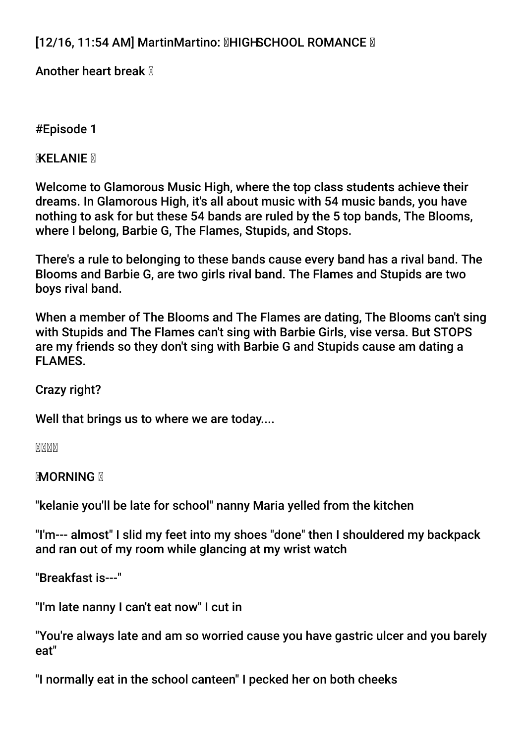# [12/16, 11:54 AM] MartinMartino: **MHIGHSCHOOL ROMANCE** M

Another heart break  $\mathbb N$ 

# #Episode 1

**MXELANIE** M

Welcome to Glamorous Music High, where the top class students achieve their dreams. In Glamorous High, it's all about music with 54 music bands, you have nothing to ask for but these 54 bands are ruled by the 5 top bands, The Blooms, where I belong, Barbie G, The Flames, Stupids, and Stops.

There's a rule to belonging to these bands cause every band has a rival band. The Blooms and Barbie G, are two girls rival band. The Flames and Stupids are two boys rival band.

When a member of The Blooms and The Flames are dating, The Blooms can't sing with Stupids and The Flames can't sing with Barbie Girls, vise versa. But STOPS are my friends so they don't sing with Barbie G and Stupids cause am dating a FLAMES.

Crazy right?

Well that brings us to where we are today....

MMMM

**MORNING N** 

"kelanie you'll be late for school" nanny Maria yelled from the kitchen

"I'm--- almost" I slid my feet into my shoes "done" then I shouldered my backpack and ran out of my room while glancing at my wrist watch

"Breakfast is---"

"I'm late nanny I can't eat now" I cut in

"You're always late and am so worried cause you have gastric ulcer and you barely eat"

"I normally eat in the school canteen" I pecked her on both cheeks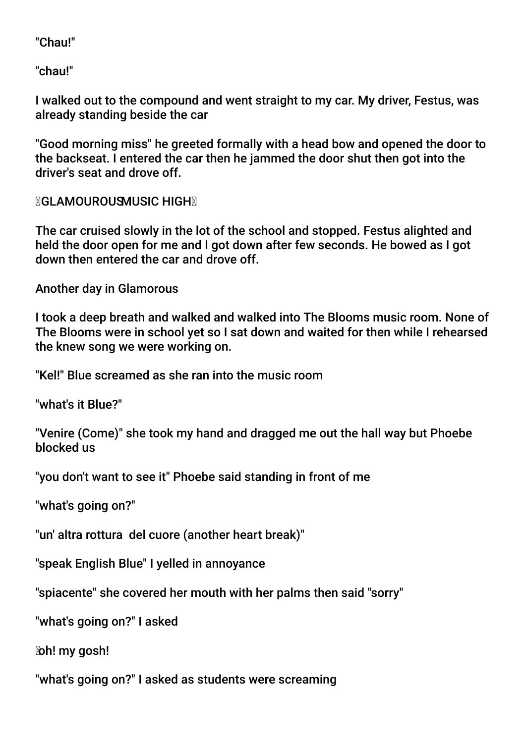"Chau!"

"chau!"

I walked out to the compound and went straight to my car. My driver, Festus, was already standing beside the car

"Good morning miss" he greeted formally with a head bow and opened the door to the backseat. I entered the car then he jammed the door shut then got into the driver's seat and drove off.

**MGLAMOUROUSMUSIC HIGHM** 

The car cruised slowly in the lot of the school and stopped. Festus alighted and held the door open for me and I got down after few seconds. He bowed as I got down then entered the car and drove off.

Another day in Glamorous

I took a deep breath and walked and walked into The Blooms music room. None of The Blooms were in school yet so I sat down and waited for then while I rehearsed the knew song we were working on.

"Kel!" Blue screamed as she ran into the music room

"what's it Blue?"

"Venire (Come)" she took my hand and dragged me out the hall way but Phoebe blocked us

"you don't want to see it" Phoebe said standing in front of me

"what's going on?"

"un' altra rottura del cuore (another heart break)"

"speak English Blue" I yelled in annoyance

"spiacente" she covered her mouth with her palms then said "sorry"

"what's going on?" I asked

oh! my gosh!

"what's going on?" I asked as students were screaming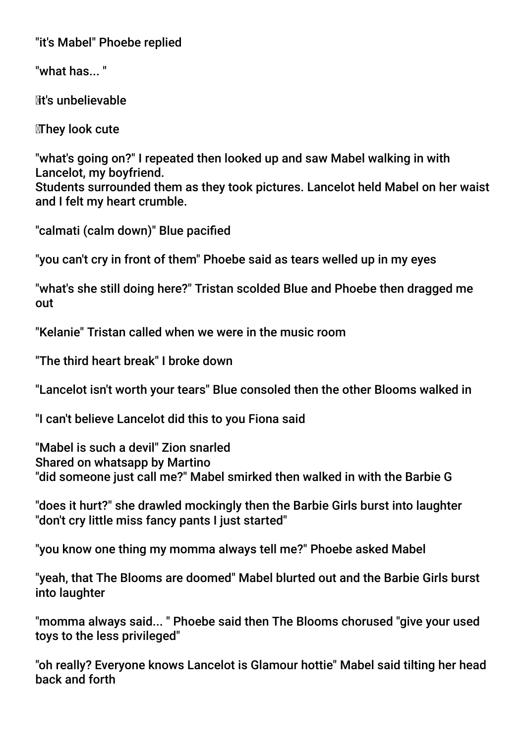"it's Mabel" Phoebe replied

"what has... "

Mt's unbelievable

They look cute

"what's going on?" I repeated then looked up and saw Mabel walking in with Lancelot, my boyfriend.

Students surrounded them as they took pictures. Lancelot held Mabel on her waist and I felt my heart crumble.

"calmati (calm down)" Blue pacifed

"you can't cry in front of them" Phoebe said as tears welled up in my eyes

"what's she still doing here?" Tristan scolded Blue and Phoebe then dragged me out

"Kelanie" Tristan called when we were in the music room

"The third heart break" I broke down

"Lancelot isn't worth your tears" Blue consoled then the other Blooms walked in

"I can't believe Lancelot did this to you Fiona said

"Mabel is such a devil" Zion snarled Shared on whatsapp by Martino "did someone just call me?" Mabel smirked then walked in with the Barbie G

"does it hurt?" she drawled mockingly then the Barbie Girls burst into laughter "don't cry little miss fancy pants I just started"

"you know one thing my momma always tell me?" Phoebe asked Mabel

"yeah, that The Blooms are doomed" Mabel blurted out and the Barbie Girls burst into laughter

"momma always said... " Phoebe said then The Blooms chorused "give your used toys to the less privileged"

"oh really? Everyone knows Lancelot is Glamour hottie" Mabel said tilting her head back and forth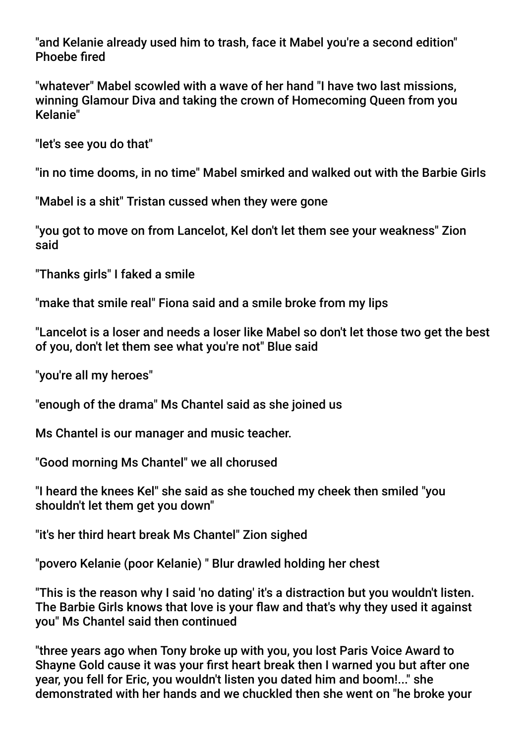"and Kelanie already used him to trash, face it Mabel you're a second edition" Phoebe fred

"whatever" Mabel scowled with a wave of her hand "I have two last missions, winning Glamour Diva and taking the crown of Homecoming Queen from you Kelanie"

"let's see you do that"

"in no time dooms, in no time" Mabel smirked and walked out with the Barbie Girls

"Mabel is a shit" Tristan cussed when they were gone

"you got to move on from Lancelot, Kel don't let them see your weakness" Zion said

"Thanks girls" I faked a smile

"make that smile real" Fiona said and a smile broke from my lips

"Lancelot is a loser and needs a loser like Mabel so don't let those two get the best of you, don't let them see what you're not" Blue said

"you're all my heroes"

"enough of the drama" Ms Chantel said as she joined us

Ms Chantel is our manager and music teacher.

"Good morning Ms Chantel" we all chorused

"I heard the knees Kel" she said as she touched my cheek then smiled "you shouldn't let them get you down"

"it's her third heart break Ms Chantel" Zion sighed

"povero Kelanie (poor Kelanie) " Blur drawled holding her chest

"This is the reason why I said 'no dating' it's a distraction but you wouldn't listen. The Barbie Girls knows that love is your flaw and that's why they used it against you" Ms Chantel said then continued

"three years ago when Tony broke up with you, you lost Paris Voice Award to Shayne Gold cause it was your frst heart break then I warned you but after one year, you fell for Eric, you wouldn't listen you dated him and boom!..." she demonstrated with her hands and we chuckled then she went on "he broke your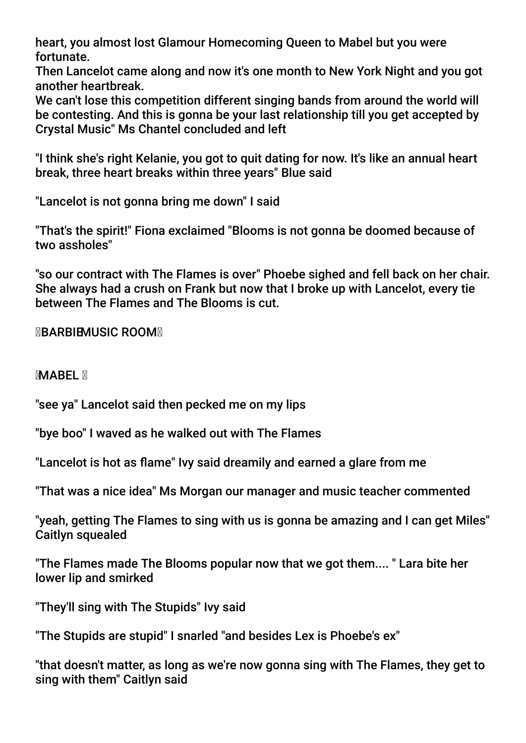heart, you almost lost Glamour Homecoming Queen to Mabel but you were fortunate.

Then Lancelot came along and now it's one month to New York Night and you got another heartbreak.

We can't lose this competition different singing bands from around the world will be contesting. And this is gonna be your last relationship till you get accepted by Crystal Music" Ms Chantel concluded and left

"I think she's right Kelanie, you got to quit dating for now. It's like an annual heart break, three heart breaks within three years" Blue said

"Lancelot is not gonna bring me down" I said

"That's the spirit!" Fiona exclaimed "Blooms is not gonna be doomed because of two assholes"

"so our contract with The Flames is over" Phoebe sighed and fell back on her chair. She always had a crush on Frank but now that I broke up with Lancelot, every tie between The Flames and The Blooms is cut.

**MBARBIEMUSIC ROOMM** 

**MABEL M** 

"see ya" Lancelot said then pecked me on my lips

"bye boo" I waved as he walked out with The Flames

"Lancelot is hot as fame" Ivy said dreamily and earned a glare from me

"That was a nice idea" Ms Morgan our manager and music teacher commented

"yeah, getting The Flames to sing with us is gonna be amazing and I can get Miles" Caitlyn squealed

"The Flames made The Blooms popular now that we got them.... " Lara bite her lower lip and smirked

"They'll sing with The Stupids" Ivy said

"The Stupids are stupid" I snarled "and besides Lex is Phoebe's ex"

"that doesn't matter, as long as we're now gonna sing with The Flames, they get to sing with them" Caitlyn said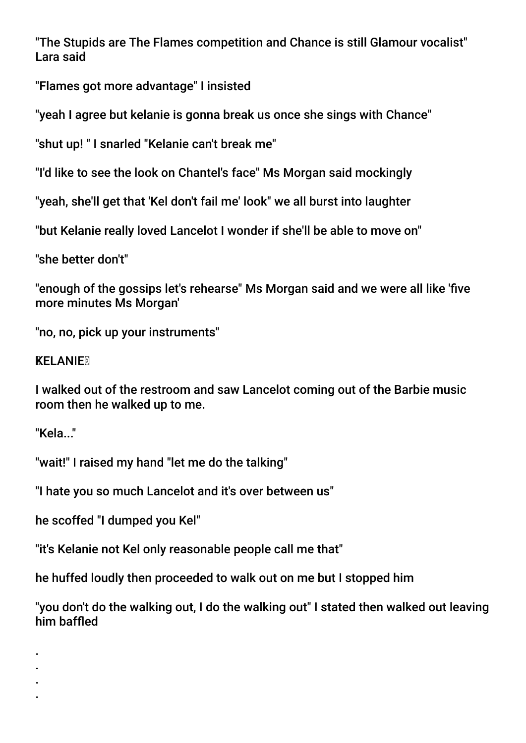"The Stupids are The Flames competition and Chance is still Glamour vocalist" Lara said

"Flames got more advantage" I insisted

"yeah I agree but kelanie is gonna break us once she sings with Chance"

"shut up! " I snarled "Kelanie can't break me"

"I'd like to see the look on Chantel's face" Ms Morgan said mockingly

"yeah, she'll get that 'Kel don't fail me' look" we all burst into laughter

"but Kelanie really loved Lancelot I wonder if she'll be able to move on"

"she better don't"

"enough of the gossips let's rehearse" Ms Morgan said and we were all like 'fve more minutes Ms Morgan'

"no, no, pick up your instruments"

# **KELANIE**

I walked out of the restroom and saw Lancelot coming out of the Barbie music room then he walked up to me.

"Kela..."

. . . .

"wait!" I raised my hand "let me do the talking"

"I hate you so much Lancelot and it's over between us"

he scoffed "I dumped you Kel"

"it's Kelanie not Kel only reasonable people call me that"

he huffed loudly then proceeded to walk out on me but I stopped him

"you don't do the walking out, I do the walking out" I stated then walked out leaving him baffed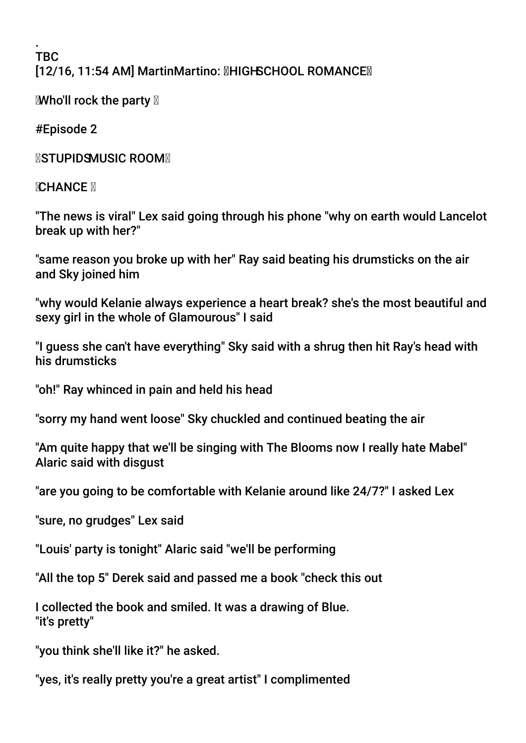. TBC [12/16, 11:54 AM] MartinMartino: HIGH SCHOOL ROMANCE

**EWho'll rock the party**  $\mathbb{Z}$ 

#Episode 2

**NSTUPIDSMUSIC ROOMN** 

**SCHANCE S** 

"The news is viral" Lex said going through his phone "why on earth would Lancelot break up with her?"

"same reason you broke up with her" Ray said beating his drumsticks on the air and Sky joined him

"why would Kelanie always experience a heart break? she's the most beautiful and sexy girl in the whole of Glamourous" I said

"I guess she can't have everything" Sky said with a shrug then hit Ray's head with his drumsticks

"oh!" Ray whinced in pain and held his head

"sorry my hand went loose" Sky chuckled and continued beating the air

"Am quite happy that we'll be singing with The Blooms now I really hate Mabel" Alaric said with disgust

"are you going to be comfortable with Kelanie around like 24/7?" I asked Lex

"sure, no grudges" Lex said

"Louis' party is tonight" Alaric said "we'll be performing

"All the top 5" Derek said and passed me a book "check this out

I collected the book and smiled. It was a drawing of Blue. "it's pretty"

"you think she'll like it?" he asked.

"yes, it's really pretty you're a great artist" I complimented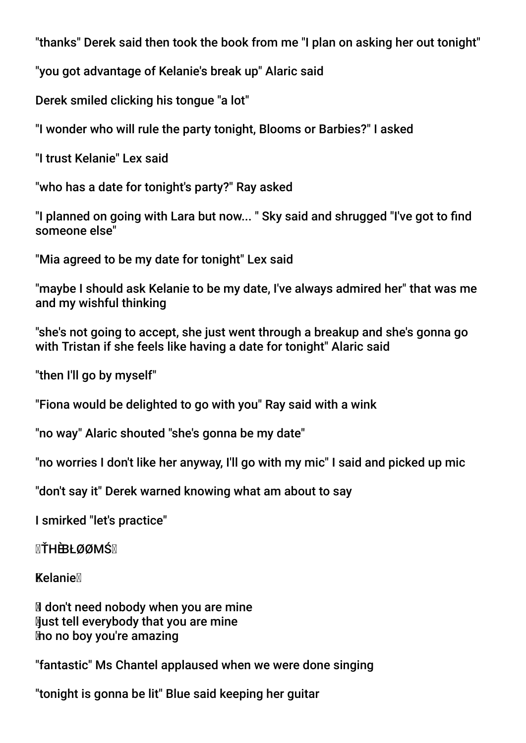"thanks" Derek said then took the book from me "I plan on asking her out tonight"

"you got advantage of Kelanie's break up" Alaric said

Derek smiled clicking his tongue "a lot"

"I wonder who will rule the party tonight, Blooms or Barbies?" I asked

"I trust Kelanie" Lex said

"who has a date for tonight's party?" Ray asked

"I planned on going with Lara but now... " Sky said and shrugged "I've got to fnd someone else"

"Mia agreed to be my date for tonight" Lex said

"maybe I should ask Kelanie to be my date, I've always admired her" that was me and my wishful thinking

"she's not going to accept, she just went through a breakup and she's gonna go with Tristan if she feels like having a date for tonight" Alaric said

"then I'll go by myself"

"Fiona would be delighted to go with you" Ray said with a wink

"no way" Alaric shouted "she's gonna be my date"

"no worries I don't like her anyway, I'll go with my mic" I said and picked up mic

"don't say it" Derek warned knowing what am about to say

I smirked "let's practice"

**¤ŤHÈBŁØØMŚ**¤

Kelanie

I don't need nobody when you are mine **Nust tell everybody that you are mine** no no boy you're amazing

"fantastic" Ms Chantel applaused when we were done singing

"tonight is gonna be lit" Blue said keeping her guitar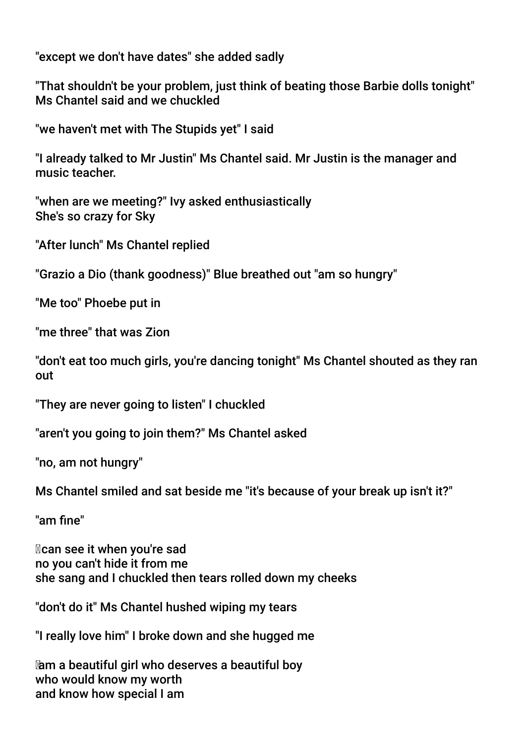"except we don't have dates" she added sadly

"That shouldn't be your problem, just think of beating those Barbie dolls tonight" Ms Chantel said and we chuckled

"we haven't met with The Stupids yet" I said

"I already talked to Mr Justin" Ms Chantel said. Mr Justin is the manager and music teacher.

"when are we meeting?" Ivy asked enthusiastically She's so crazy for Sky

"After lunch" Ms Chantel replied

"Grazio a Dio (thank goodness)" Blue breathed out "am so hungry"

"Me too" Phoebe put in

"me three" that was Zion

"don't eat too much girls, you're dancing tonight" Ms Chantel shouted as they ran out

"They are never going to listen" I chuckled

"aren't you going to join them?" Ms Chantel asked

"no, am not hungry"

Ms Chantel smiled and sat beside me "it's because of your break up isn't it?"

"am fne"

 can see it when you're sad no you can't hide it from me she sang and I chuckled then tears rolled down my cheeks

"don't do it" Ms Chantel hushed wiping my tears

"I really love him" I broke down and she hugged me

 am a beautiful girl who deserves a beautiful boy who would know my worth and know how special I am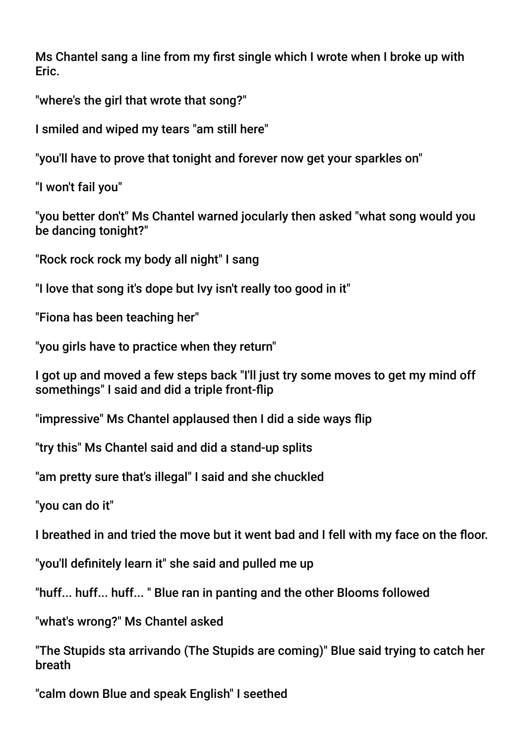Ms Chantel sang a line from my frst single which I wrote when I broke up with Eric.

"where's the girl that wrote that song?"

I smiled and wiped my tears "am still here"

"you'll have to prove that tonight and forever now get your sparkles on"

"I won't fail you"

"you better don't" Ms Chantel warned jocularly then asked "what song would you be dancing tonight?"

"Rock rock rock my body all night" I sang

"I love that song it's dope but Ivy isn't really too good in it"

"Fiona has been teaching her"

"you girls have to practice when they return"

I got up and moved a few steps back "I'll just try some moves to get my mind off somethings" I said and did a triple front-fip

"impressive" Ms Chantel applaused then I did a side ways fip

"try this" Ms Chantel said and did a stand-up splits

"am pretty sure that's illegal" I said and she chuckled

"you can do it"

I breathed in and tried the move but it went bad and I fell with my face on the floor.

"you'll defnitely learn it" she said and pulled me up

"huff... huff... huff... " Blue ran in panting and the other Blooms followed

"what's wrong?" Ms Chantel asked

"The Stupids sta arrivando (The Stupids are coming)" Blue said trying to catch her breath

"calm down Blue and speak English" I seethed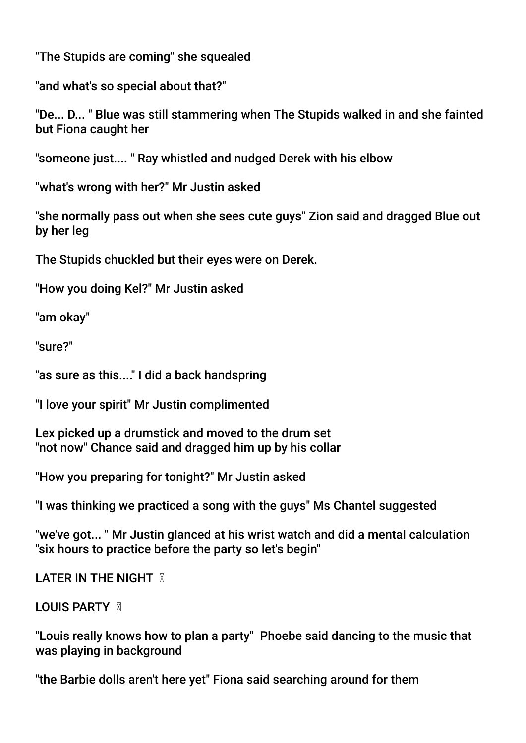"The Stupids are coming" she squealed

"and what's so special about that?"

"De... D... " Blue was still stammering when The Stupids walked in and she fainted but Fiona caught her

"someone just.... " Ray whistled and nudged Derek with his elbow

"what's wrong with her?" Mr Justin asked

"she normally pass out when she sees cute guys" Zion said and dragged Blue out by her leg

The Stupids chuckled but their eyes were on Derek.

"How you doing Kel?" Mr Justin asked

"am okay"

"sure?"

"as sure as this...." I did a back handspring

"I love your spirit" Mr Justin complimented

Lex picked up a drumstick and moved to the drum set "not now" Chance said and dragged him up by his collar

"How you preparing for tonight?" Mr Justin asked

"I was thinking we practiced a song with the guys" Ms Chantel suggested

"we've got... " Mr Justin glanced at his wrist watch and did a mental calculation "six hours to practice before the party so let's begin"

**LATER IN THE NIGHT M** 

# **LOUIS PARTY M**

"Louis really knows how to plan a party" Phoebe said dancing to the music that was playing in background

"the Barbie dolls aren't here yet" Fiona said searching around for them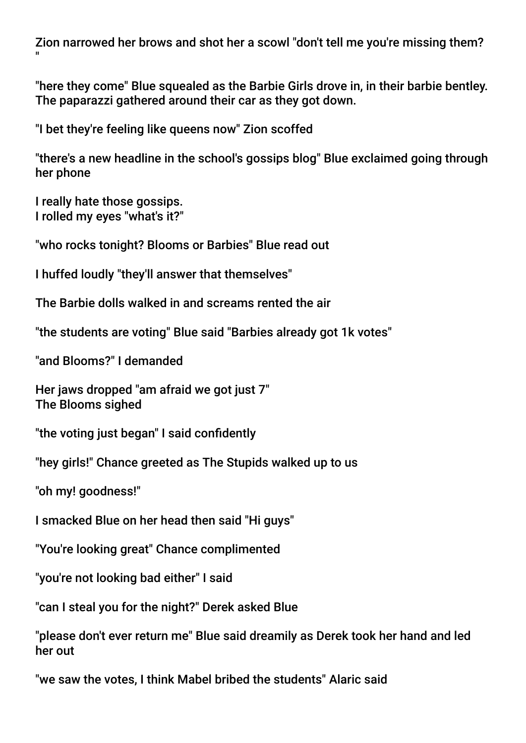Zion narrowed her brows and shot her a scowl "don't tell me you're missing them? "

"here they come" Blue squealed as the Barbie Girls drove in, in their barbie bentley. The paparazzi gathered around their car as they got down.

"I bet they're feeling like queens now" Zion scoffed

"there's a new headline in the school's gossips blog" Blue exclaimed going through her phone

I really hate those gossips. I rolled my eyes "what's it?"

"who rocks tonight? Blooms or Barbies" Blue read out

I huffed loudly "they'll answer that themselves"

The Barbie dolls walked in and screams rented the air

"the students are voting" Blue said "Barbies already got 1k votes"

"and Blooms?" I demanded

Her jaws dropped "am afraid we got just 7" The Blooms sighed

"the voting just began" I said confidently

"hey girls!" Chance greeted as The Stupids walked up to us

"oh my! goodness!"

I smacked Blue on her head then said "Hi guys"

"You're looking great" Chance complimented

"you're not looking bad either" I said

"can I steal you for the night?" Derek asked Blue

"please don't ever return me" Blue said dreamily as Derek took her hand and led her out

"we saw the votes, I think Mabel bribed the students" Alaric said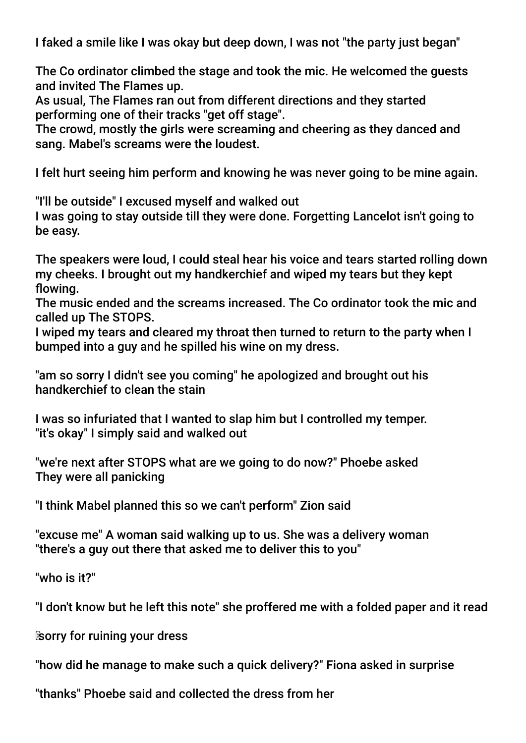I faked a smile like I was okay but deep down, I was not "the party just began"

The Co ordinator climbed the stage and took the mic. He welcomed the guests and invited The Flames up.

As usual, The Flames ran out from different directions and they started performing one of their tracks "get off stage".

The crowd, mostly the girls were screaming and cheering as they danced and sang. Mabel's screams were the loudest.

I felt hurt seeing him perform and knowing he was never going to be mine again.

"I'll be outside" I excused myself and walked out

I was going to stay outside till they were done. Forgetting Lancelot isn't going to be easy.

The speakers were loud, I could steal hear his voice and tears started rolling down my cheeks. I brought out my handkerchief and wiped my tears but they kept flowing.

The music ended and the screams increased. The Co ordinator took the mic and called up The STOPS.

I wiped my tears and cleared my throat then turned to return to the party when I bumped into a guy and he spilled his wine on my dress.

"am so sorry I didn't see you coming" he apologized and brought out his handkerchief to clean the stain

I was so infuriated that I wanted to slap him but I controlled my temper. "it's okay" I simply said and walked out

"we're next after STOPS what are we going to do now?" Phoebe asked They were all panicking

"I think Mabel planned this so we can't perform" Zion said

"excuse me" A woman said walking up to us. She was a delivery woman "there's a guy out there that asked me to deliver this to you"

"who is it?"

"I don't know but he left this note" she proffered me with a folded paper and it read

sorry for ruining your dress

"how did he manage to make such a quick delivery?" Fiona asked in surprise

"thanks" Phoebe said and collected the dress from her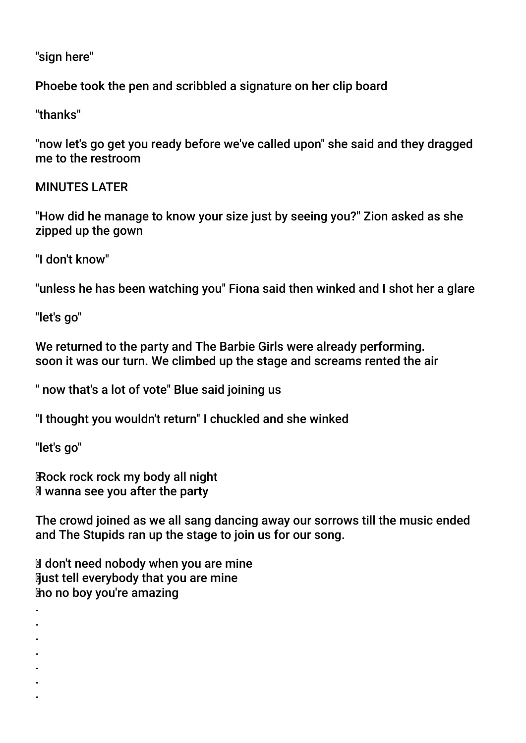"sign here"

Phoebe took the pen and scribbled a signature on her clip board

"thanks"

"now let's go get you ready before we've called upon" she said and they dragged me to the restroom

MINUTES LATER

"How did he manage to know your size just by seeing you?" Zion asked as she zipped up the gown

"I don't know"

"unless he has been watching you" Fiona said then winked and I shot her a glare

"let's go"

We returned to the party and The Barbie Girls were already performing. soon it was our turn. We climbed up the stage and screams rented the air

" now that's a lot of vote" Blue said joining us

"I thought you wouldn't return" I chuckled and she winked

"let's go"

 Rock rock rock my body all night Iwanna see you after the party

The crowd joined as we all sang dancing away our sorrows till the music ended and The Stupids ran up the stage to join us for our song.

If don't need nobody when you are mine **Nust tell everybody that you are mine** no no boy you're amazing

- . .
- . .
- 
- .
- . .
	-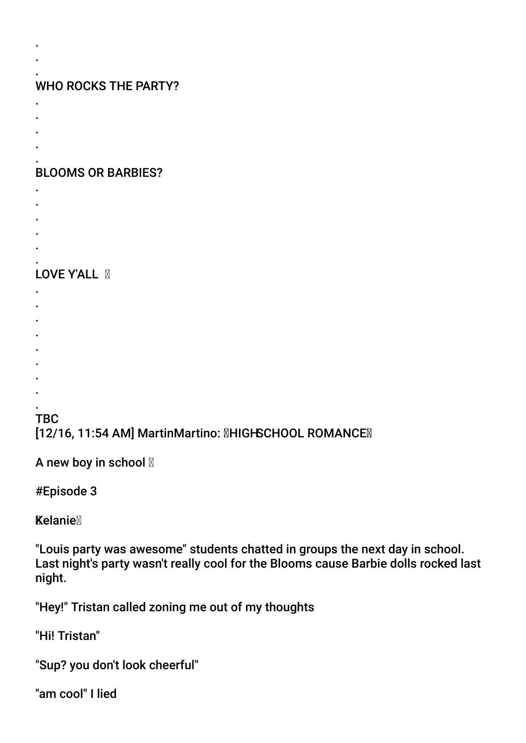#### . WHO ROCKS THE PARTY?

. .

- .
- .
- .
- .

#### . BLOOMS OR BARBIES?

- .
- .
- .
- .
- .

#### . LOVE Y'ALL **M**

- .
- .
- .
- .
- .
- .
- .
- . .

# **TBC** [12/16, 11:54 AM] MartinMartino: **MHIGHSCHOOL ROMANCEM**

A new boy in school  $\mathbb N$ 

#Episode 3

**Kelanie** 

"Louis party was awesome" students chatted in groups the next day in school. Last night's party wasn't really cool for the Blooms cause Barbie dolls rocked last night.

"Hey!" Tristan called zoning me out of my thoughts

"Hi! Tristan"

"Sup? you don't look cheerful"

"am cool" I lied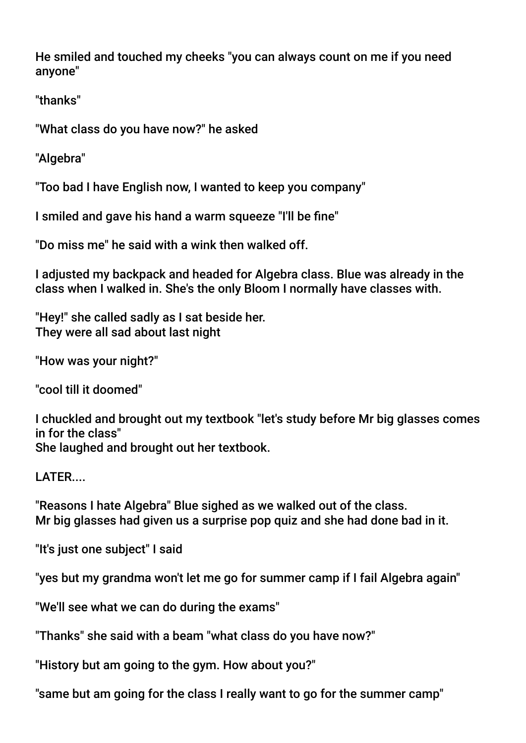He smiled and touched my cheeks "you can always count on me if you need anyone"

"thanks"

"What class do you have now?" he asked

"Algebra"

"Too bad I have English now, I wanted to keep you company"

I smiled and gave his hand a warm squeeze "I'll be fne"

"Do miss me" he said with a wink then walked off.

I adjusted my backpack and headed for Algebra class. Blue was already in the class when I walked in. She's the only Bloom I normally have classes with.

"Hey!" she called sadly as I sat beside her. They were all sad about last night

"How was your night?"

"cool till it doomed"

I chuckled and brought out my textbook "let's study before Mr big glasses comes in for the class" She laughed and brought out her textbook.

LATER....

"Reasons I hate Algebra" Blue sighed as we walked out of the class. Mr big glasses had given us a surprise pop quiz and she had done bad in it.

"It's just one subject" I said

"yes but my grandma won't let me go for summer camp if I fail Algebra again"

"We'll see what we can do during the exams"

"Thanks" she said with a beam "what class do you have now?"

"History but am going to the gym. How about you?"

"same but am going for the class I really want to go for the summer camp"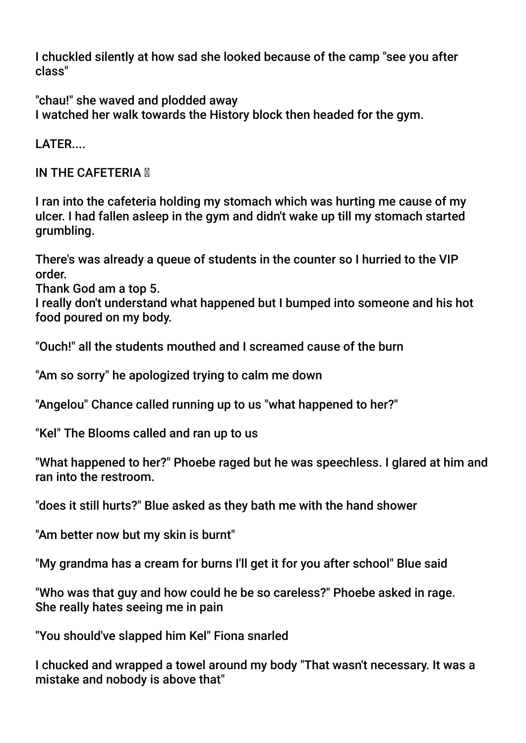I chuckled silently at how sad she looked because of the camp "see you after class"

"chau!" she waved and plodded away I watched her walk towards the History block then headed for the gym.

LATFR.

**IN THE CAFETERIA <b>M** 

I ran into the cafeteria holding my stomach which was hurting me cause of my ulcer. I had fallen asleep in the gym and didn't wake up till my stomach started grumbling.

There's was already a queue of students in the counter so I hurried to the VIP order.

Thank God am a top 5.

I really don't understand what happened but I bumped into someone and his hot food poured on my body.

"Ouch!" all the students mouthed and I screamed cause of the burn

"Am so sorry" he apologized trying to calm me down

"Angelou" Chance called running up to us "what happened to her?"

"Kel" The Blooms called and ran up to us

"What happened to her?" Phoebe raged but he was speechless. I glared at him and ran into the restroom.

"does it still hurts?" Blue asked as they bath me with the hand shower

"Am better now but my skin is burnt"

"My grandma has a cream for burns I'll get it for you after school" Blue said

"Who was that guy and how could he be so careless?" Phoebe asked in rage. She really hates seeing me in pain

"You should've slapped him Kel" Fiona snarled

I chucked and wrapped a towel around my body "That wasn't necessary. It was a mistake and nobody is above that"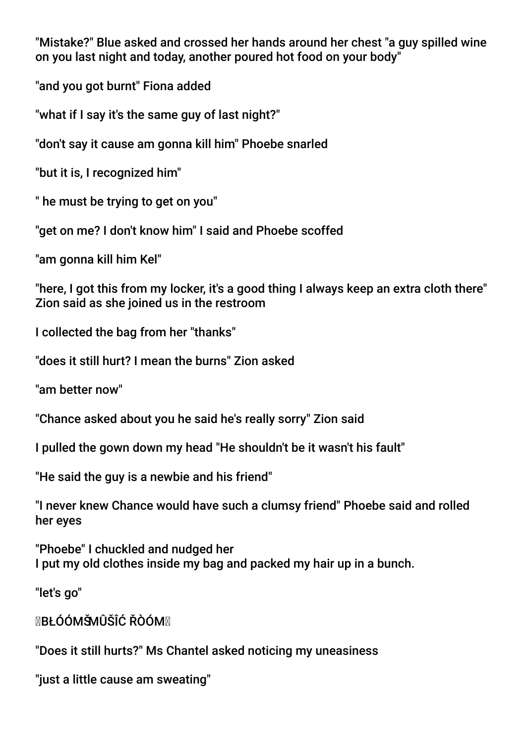"Mistake?" Blue asked and crossed her hands around her chest "a guy spilled wine on you last night and today, another poured hot food on your body"

"and you got burnt" Fiona added

"what if I say it's the same guy of last night?"

"don't say it cause am gonna kill him" Phoebe snarled

"but it is, I recognized him"

" he must be trying to get on you"

"get on me? I don't know him" I said and Phoebe scoffed

"am gonna kill him Kel"

"here, I got this from my locker, it's a good thing I always keep an extra cloth there" Zion said as she joined us in the restroom

I collected the bag from her "thanks"

"does it still hurt? I mean the burns" Zion asked

"am better now"

"Chance asked about you he said he's really sorry" Zion said

I pulled the gown down my head "He shouldn't be it wasn't his fault"

"He said the guy is a newbie and his friend"

"I never knew Chance would have such a clumsy friend" Phoebe said and rolled her eyes

"Phoebe" I chuckled and nudged her I put my old clothes inside my bag and packed my hair up in a bunch.

"let's go"

**MBŁÓÓMŠMÛŠÎĆ ŘÒÓMM** 

"Does it still hurts?" Ms Chantel asked noticing my uneasiness

"just a little cause am sweating"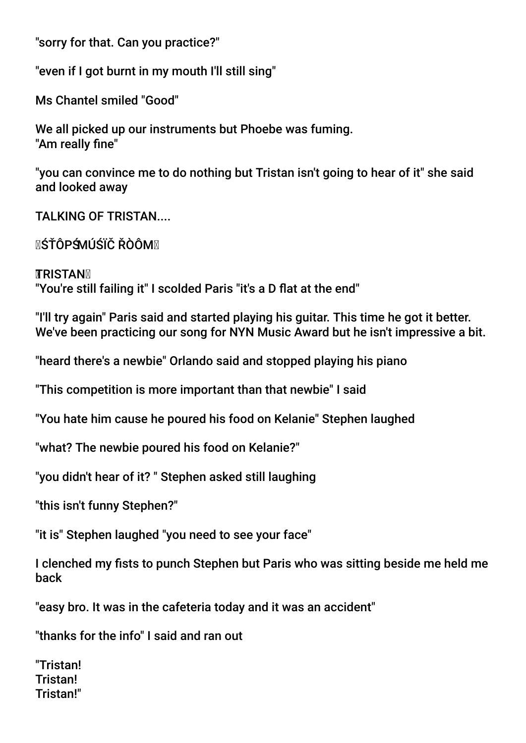"sorry for that. Can you practice?"

"even if I got burnt in my mouth I'll still sing"

Ms Chantel smiled "Good"

We all picked up our instruments but Phoebe was fuming. "Am really fine"

"you can convince me to do nothing but Tristan isn't going to hear of it" she said and looked away

TAI KING OF TRISTAN....

MŚŤÔPŚMÚŚÏČ ŘÒÔMM

**TRISTAN** "You're still failing it" I scolded Paris "it's a D flat at the end"

"I'll try again" Paris said and started playing his guitar. This time he got it better. We've been practicing our song for NYN Music Award but he isn't impressive a bit.

"heard there's a newbie" Orlando said and stopped playing his piano

"This competition is more important than that newbie" I said

"You hate him cause he poured his food on Kelanie" Stephen laughed

"what? The newbie poured his food on Kelanie?"

"you didn't hear of it? " Stephen asked still laughing

"this isn't funny Stephen?"

"it is" Stephen laughed "you need to see your face"

I clenched my fists to punch Stephen but Paris who was sitting beside me held me back

"easy bro. It was in the cafeteria today and it was an accident"

"thanks for the info" I said and ran out

"Tristan! Tristan! Tristan!"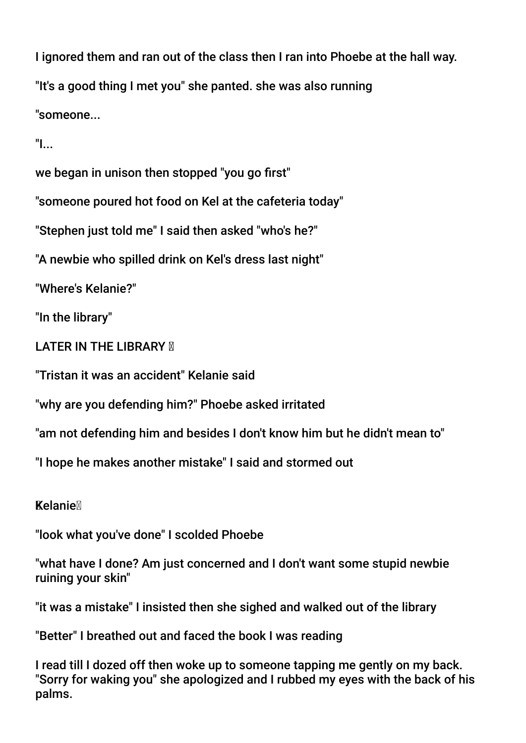I ignored them and ran out of the class then I ran into Phoebe at the hall way. "It's a good thing I met you" she panted. she was also running "someone...

"I...

we began in unison then stopped "you go frst"

"someone poured hot food on Kel at the cafeteria today"

"Stephen just told me" I said then asked "who's he?"

"A newbie who spilled drink on Kel's dress last night"

"Where's Kelanie?"

"In the library"

**LATER IN THE LIBRARY M** 

"Tristan it was an accident" Kelanie said

"why are you defending him?" Phoebe asked irritated

"am not defending him and besides I don't know him but he didn't mean to"

"I hope he makes another mistake" I said and stormed out

**Kelanie** 

"look what you've done" I scolded Phoebe

"what have I done? Am just concerned and I don't want some stupid newbie ruining your skin"

"it was a mistake" I insisted then she sighed and walked out of the library

"Better" I breathed out and faced the book I was reading

I read till I dozed off then woke up to someone tapping me gently on my back. "Sorry for waking you" she apologized and I rubbed my eyes with the back of his palms.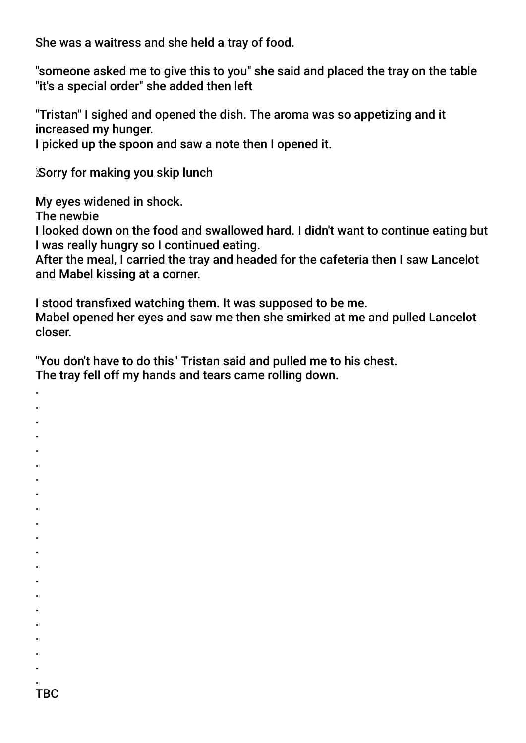She was a waitress and she held a tray of food.

"someone asked me to give this to you" she said and placed the tray on the table "it's a special order" she added then left

"Tristan" I sighed and opened the dish. The aroma was so appetizing and it increased my hunger.

I picked up the spoon and saw a note then I opened it.

Sorry for making you skip lunch

My eyes widened in shock.

The newbie

. . . . . . . . . . . . . . . . . . . .

I looked down on the food and swallowed hard. I didn't want to continue eating but I was really hungry so I continued eating.

After the meal, I carried the tray and headed for the cafeteria then I saw Lancelot and Mabel kissing at a corner.

I stood transfxed watching them. It was supposed to be me. Mabel opened her eyes and saw me then she smirked at me and pulled Lancelot closer.

"You don't have to do this" Tristan said and pulled me to his chest. The tray fell off my hands and tears came rolling down.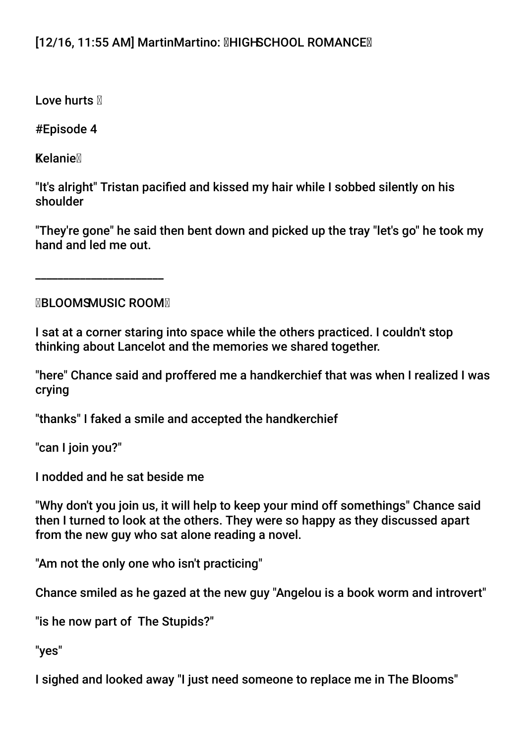# [12/16, 11:55 AM] MartinMartino: **MHIGHSCHOOL ROMANCEM**

Love hurts  $\mathbb N$ 

#Episode 4

**Kelanie** 

"It's alright" Tristan pacifed and kissed my hair while I sobbed silently on his shoulder

"They're gone" he said then bent down and picked up the tray "let's go" he took my hand and led me out.

**MBLOOMSMUSIC ROOMM** 

\_\_\_\_\_\_\_\_\_\_\_\_\_\_\_\_\_\_\_\_\_\_\_

I sat at a corner staring into space while the others practiced. I couldn't stop thinking about Lancelot and the memories we shared together.

"here" Chance said and proffered me a handkerchief that was when I realized I was crying

"thanks" I faked a smile and accepted the handkerchief

"can I join you?"

I nodded and he sat beside me

"Why don't you join us, it will help to keep your mind off somethings" Chance said then I turned to look at the others. They were so happy as they discussed apart from the new guy who sat alone reading a novel.

"Am not the only one who isn't practicing"

Chance smiled as he gazed at the new guy "Angelou is a book worm and introvert"

"is he now part of The Stupids?"

"yes"

I sighed and looked away "I just need someone to replace me in The Blooms"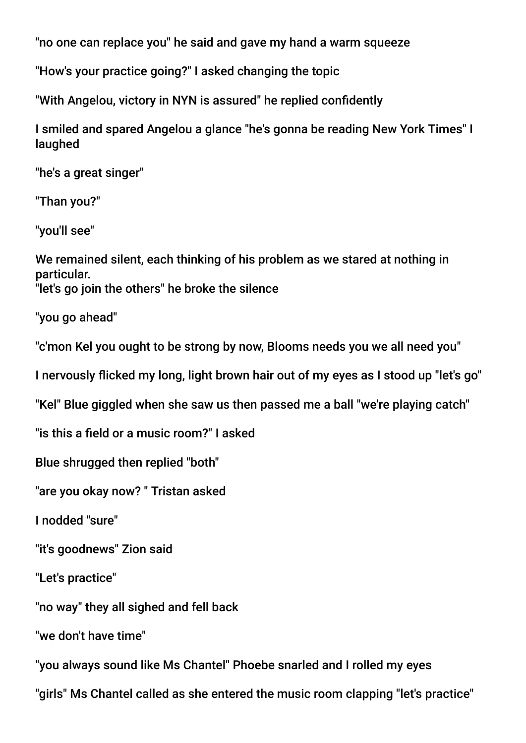"no one can replace you" he said and gave my hand a warm squeeze

"How's your practice going?" I asked changing the topic

"With Angelou, victory in NYN is assured" he replied confdently

I smiled and spared Angelou a glance "he's gonna be reading New York Times" I laughed

"he's a great singer"

"Than you?"

"you'll see"

We remained silent, each thinking of his problem as we stared at nothing in particular. "let's go join the others" he broke the silence

"you go ahead"

"c'mon Kel you ought to be strong by now, Blooms needs you we all need you"

I nervously ficked my long, light brown hair out of my eyes as I stood up "let's go"

"Kel" Blue giggled when she saw us then passed me a ball "we're playing catch"

"is this a feld or a music room?" I asked

Blue shrugged then replied "both"

"are you okay now? " Tristan asked

I nodded "sure"

"it's goodnews" Zion said

"Let's practice"

"no way" they all sighed and fell back

"we don't have time"

"you always sound like Ms Chantel" Phoebe snarled and I rolled my eyes

"girls" Ms Chantel called as she entered the music room clapping "let's practice"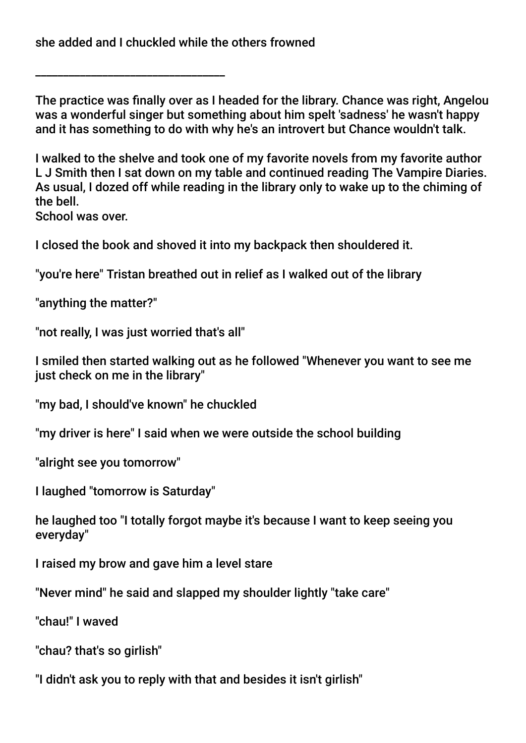she added and I chuckled while the others frowned

\_\_\_\_\_\_\_\_\_\_\_\_\_\_\_\_\_\_\_\_\_\_\_\_\_\_\_\_\_\_\_\_\_\_

The practice was fnally over as I headed for the library. Chance was right, Angelou was a wonderful singer but something about him spelt 'sadness' he wasn't happy and it has something to do with why he's an introvert but Chance wouldn't talk.

I walked to the shelve and took one of my favorite novels from my favorite author L J Smith then I sat down on my table and continued reading The Vampire Diaries. As usual, I dozed off while reading in the library only to wake up to the chiming of the bell.

School was over.

I closed the book and shoved it into my backpack then shouldered it.

"you're here" Tristan breathed out in relief as I walked out of the library

"anything the matter?"

"not really, I was just worried that's all"

I smiled then started walking out as he followed "Whenever you want to see me just check on me in the library"

"my bad, I should've known" he chuckled

"my driver is here" I said when we were outside the school building

"alright see you tomorrow"

I laughed "tomorrow is Saturday"

he laughed too "I totally forgot maybe it's because I want to keep seeing you everyday"

I raised my brow and gave him a level stare

"Never mind" he said and slapped my shoulder lightly "take care"

"chau!" I waved

"chau? that's so girlish"

"I didn't ask you to reply with that and besides it isn't girlish"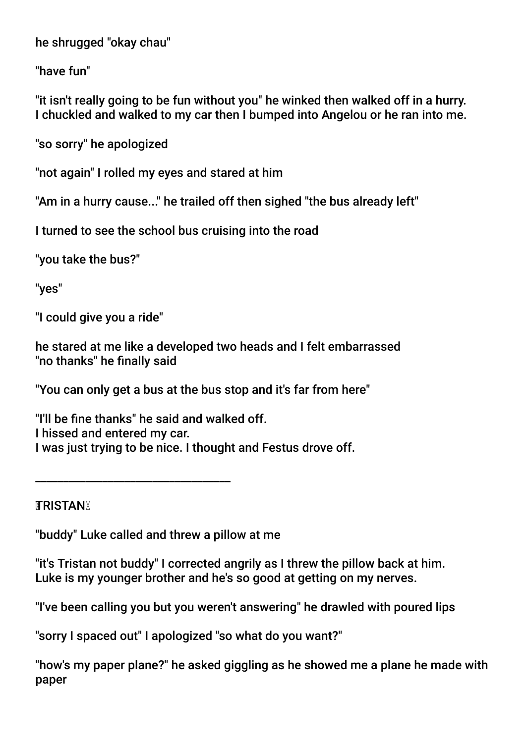he shrugged "okay chau"

"have fun"

"it isn't really going to be fun without you" he winked then walked off in a hurry. I chuckled and walked to my car then I bumped into Angelou or he ran into me.

"so sorry" he apologized

"not again" I rolled my eyes and stared at him

"Am in a hurry cause..." he trailed off then sighed "the bus already left"

I turned to see the school bus cruising into the road

"you take the bus?"

"yes"

"I could give you a ride"

he stared at me like a developed two heads and I felt embarrassed "no thanks" he fnally said

"You can only get a bus at the bus stop and it's far from here"

"I'll be fne thanks" he said and walked off. I hissed and entered my car. I was just trying to be nice. I thought and Festus drove off.

**TRISTAN** 

"buddy" Luke called and threw a pillow at me

\_\_\_\_\_\_\_\_\_\_\_\_\_\_\_\_\_\_\_\_\_\_\_\_\_\_\_\_\_\_\_\_\_\_\_

"it's Tristan not buddy" I corrected angrily as I threw the pillow back at him. Luke is my younger brother and he's so good at getting on my nerves.

"I've been calling you but you weren't answering" he drawled with poured lips

"sorry I spaced out" I apologized "so what do you want?"

"how's my paper plane?" he asked giggling as he showed me a plane he made with paper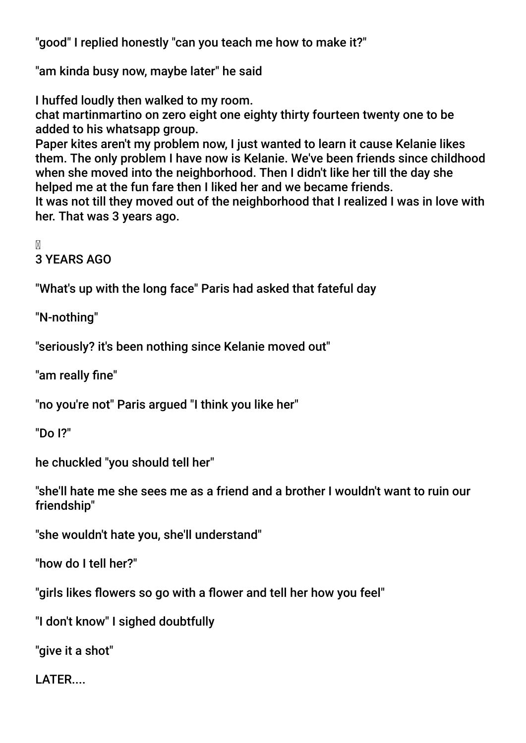"good" I replied honestly "can you teach me how to make it?"

"am kinda busy now, maybe later" he said

I huffed loudly then walked to my room.

chat martinmartino on zero eight one eighty thirty fourteen twenty one to be added to his whatsapp group.

Paper kites aren't my problem now, I just wanted to learn it cause Kelanie likes them. The only problem I have now is Kelanie. We've been friends since childhood when she moved into the neighborhood. Then I didn't like her till the day she helped me at the fun fare then I liked her and we became friends.

It was not till they moved out of the neighborhood that I realized I was in love with her. That was 3 years ago.

M

3 YEARS AGO

"What's up with the long face" Paris had asked that fateful day

"N-nothing"

"seriously? it's been nothing since Kelanie moved out"

"am really fine"

"no you're not" Paris argued "I think you like her"

"Do I?"

he chuckled "you should tell her"

"she'll hate me she sees me as a friend and a brother I wouldn't want to ruin our friendship"

"she wouldn't hate you, she'll understand"

"how do I tell her?"

"girls likes flowers so go with a flower and tell her how you feel"

"I don't know" I sighed doubtfully

"give it a shot"

LATER....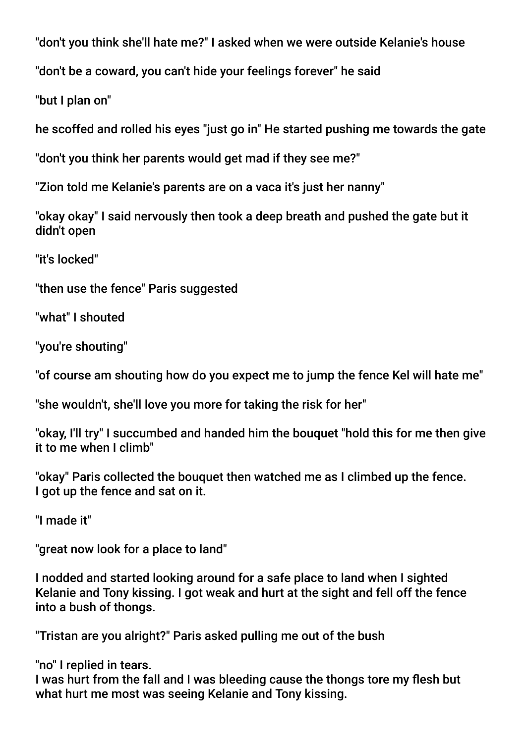"don't you think she'll hate me?" I asked when we were outside Kelanie's house

"don't be a coward, you can't hide your feelings forever" he said

"but I plan on"

he scoffed and rolled his eyes "just go in" He started pushing me towards the gate

"don't you think her parents would get mad if they see me?"

"Zion told me Kelanie's parents are on a vaca it's just her nanny"

"okay okay" I said nervously then took a deep breath and pushed the gate but it didn't open

"it's locked"

"then use the fence" Paris suggested

"what" I shouted

"you're shouting"

"of course am shouting how do you expect me to jump the fence Kel will hate me"

"she wouldn't, she'll love you more for taking the risk for her"

"okay, I'll try" I succumbed and handed him the bouquet "hold this for me then give it to me when I climb"

"okay" Paris collected the bouquet then watched me as I climbed up the fence. I got up the fence and sat on it.

"I made it"

"great now look for a place to land"

I nodded and started looking around for a safe place to land when I sighted Kelanie and Tony kissing. I got weak and hurt at the sight and fell off the fence into a bush of thongs.

"Tristan are you alright?" Paris asked pulling me out of the bush

"no" I replied in tears.

I was hurt from the fall and I was bleeding cause the thongs tore my fesh but what hurt me most was seeing Kelanie and Tony kissing.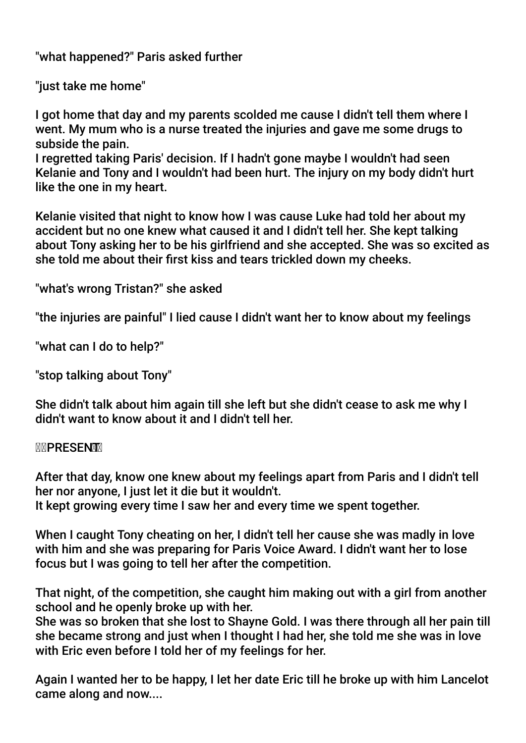"what happened?" Paris asked further

"just take me home"

I got home that day and my parents scolded me cause I didn't tell them where I went. My mum who is a nurse treated the injuries and gave me some drugs to subside the pain.

I regretted taking Paris' decision. If I hadn't gone maybe I wouldn't had seen Kelanie and Tony and I wouldn't had been hurt. The injury on my body didn't hurt like the one in my heart.

Kelanie visited that night to know how I was cause Luke had told her about my accident but no one knew what caused it and I didn't tell her. She kept talking about Tony asking her to be his girlfriend and she accepted. She was so excited as she told me about their frst kiss and tears trickled down my cheeks.

"what's wrong Tristan?" she asked

"the injuries are painful" I lied cause I didn't want her to know about my feelings

"what can I do to help?"

"stop talking about Tony"

She didn't talk about him again till she left but she didn't cease to ask me why I didn't want to know about it and I didn't tell her.

### M**NPRESENTM**

After that day, know one knew about my feelings apart from Paris and I didn't tell her nor anyone, I just let it die but it wouldn't.

It kept growing every time I saw her and every time we spent together.

When I caught Tony cheating on her, I didn't tell her cause she was madly in love with him and she was preparing for Paris Voice Award. I didn't want her to lose focus but I was going to tell her after the competition.

That night, of the competition, she caught him making out with a girl from another school and he openly broke up with her.

She was so broken that she lost to Shayne Gold. I was there through all her pain till she became strong and just when I thought I had her, she told me she was in love with Eric even before I told her of my feelings for her.

Again I wanted her to be happy, I let her date Eric till he broke up with him Lancelot came along and now....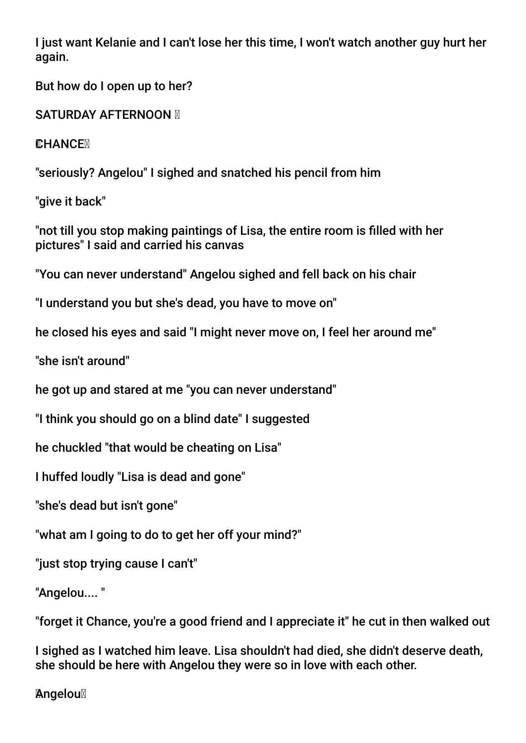I just want Kelanie and I can't lose her this time, I won't watch another guy hurt her again.

But how do I open up to her?

SATURDAY AFTERNOON **M** 

**CHANCEX** 

"seriously? Angelou" I sighed and snatched his pencil from him

"give it back"

"not till you stop making paintings of Lisa, the entire room is flled with her pictures" I said and carried his canvas

"You can never understand" Angelou sighed and fell back on his chair

"I understand you but she's dead, you have to move on"

he closed his eyes and said "I might never move on, I feel her around me"

"she isn't around"

he got up and stared at me "you can never understand"

"I think you should go on a blind date" I suggested

he chuckled "that would be cheating on Lisa"

I huffed loudly "Lisa is dead and gone"

"she's dead but isn't gone"

"what am I going to do to get her off your mind?"

"just stop trying cause I can't"

"Angelou.... "

"forget it Chance, you're a good friend and I appreciate it" he cut in then walked out

I sighed as I watched him leave. Lisa shouldn't had died, she didn't deserve death, she should be here with Angelou they were so in love with each other.

**Angelou**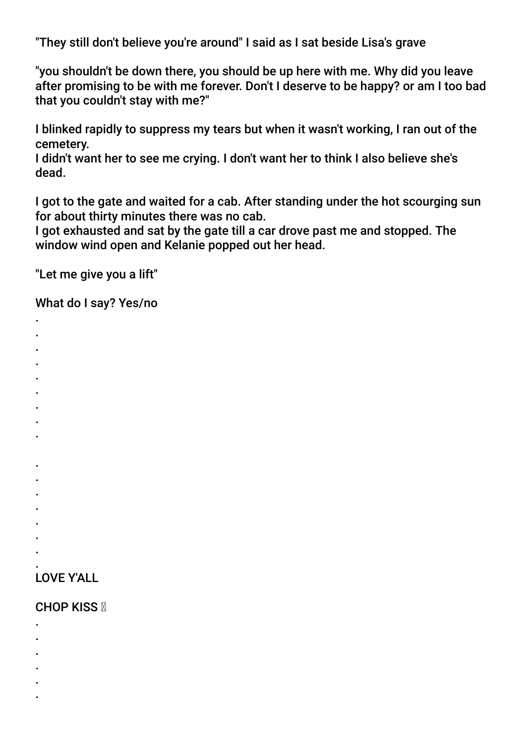"They still don't believe you're around" I said as I sat beside Lisa's grave

"you shouldn't be down there, you should be up here with me. Why did you leave after promising to be with me forever. Don't I deserve to be happy? or am I too bad that you couldn't stay with me?"

I blinked rapidly to suppress my tears but when it wasn't working, I ran out of the cemetery.

I didn't want her to see me crying. I don't want her to think I also believe she's dead.

I got to the gate and waited for a cab. After standing under the hot scourging sun for about thirty minutes there was no cab.

I got exhausted and sat by the gate till a car drove past me and stopped. The window wind open and Kelanie popped out her head.

"Let me give you a lift"

What do I say? Yes/no

- . .
- .
- .
- .
- .
- .
- .
- .
- .
- 
- . .
- 
- . .
- .
- .

### . LOVE Y'ALL

# **CHOP KISS**

- .
- .
- .
- .
- . .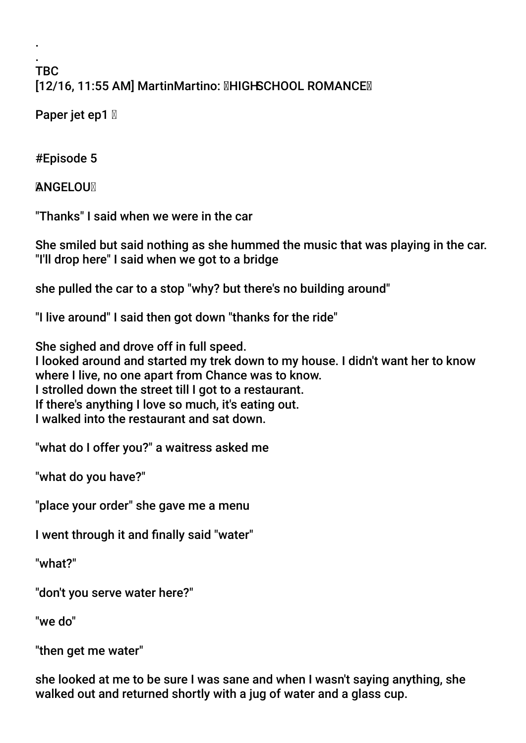### . TBC [12/16, 11:55 AM] MartinMartino: HIGH SCHOOL ROMANCE

Paper jet ep1  $\mathbb N$ 

#Episode 5

.

**ANGELOUX** 

"Thanks" I said when we were in the car

She smiled but said nothing as she hummed the music that was playing in the car. "I'll drop here" I said when we got to a bridge

she pulled the car to a stop "why? but there's no building around"

"I live around" I said then got down "thanks for the ride"

She sighed and drove off in full speed. I looked around and started my trek down to my house. I didn't want her to know where I live, no one apart from Chance was to know. I strolled down the street till I got to a restaurant. If there's anything I love so much, it's eating out. I walked into the restaurant and sat down.

"what do I offer you?" a waitress asked me

"what do you have?"

"place your order" she gave me a menu

I went through it and fnally said "water"

"what?"

"don't you serve water here?"

"we do"

"then get me water"

she looked at me to be sure I was sane and when I wasn't saying anything, she walked out and returned shortly with a jug of water and a glass cup.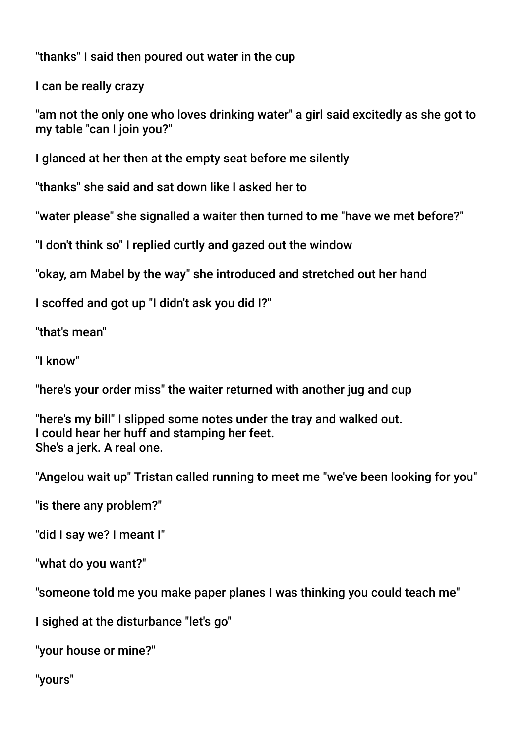"thanks" I said then poured out water in the cup

I can be really crazy

"am not the only one who loves drinking water" a girl said excitedly as she got to my table "can I join you?"

I glanced at her then at the empty seat before me silently

"thanks" she said and sat down like I asked her to

"water please" she signalled a waiter then turned to me "have we met before?"

"I don't think so" I replied curtly and gazed out the window

"okay, am Mabel by the way" she introduced and stretched out her hand

I scoffed and got up "I didn't ask you did I?"

"that's mean"

"I know"

"here's your order miss" the waiter returned with another jug and cup

"here's my bill" I slipped some notes under the tray and walked out. I could hear her huff and stamping her feet. She's a jerk. A real one.

"Angelou wait up" Tristan called running to meet me "we've been looking for you"

"is there any problem?"

"did I say we? I meant I"

"what do you want?"

"someone told me you make paper planes I was thinking you could teach me"

I sighed at the disturbance "let's go"

"your house or mine?"

"yours"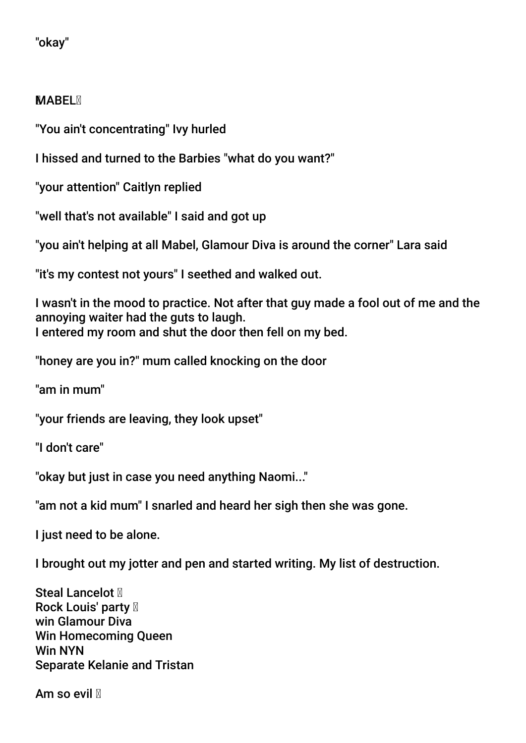# "okay"

# **MABEL**<sub>N</sub>

"You ain't concentrating" Ivy hurled

I hissed and turned to the Barbies "what do you want?"

"your attention" Caitlyn replied

"well that's not available" I said and got up

"you ain't helping at all Mabel, Glamour Diva is around the corner" Lara said

"it's my contest not yours" I seethed and walked out.

I wasn't in the mood to practice. Not after that guy made a fool out of me and the annoying waiter had the guts to laugh. I entered my room and shut the door then fell on my bed.

"honey are you in?" mum called knocking on the door

"am in mum"

"your friends are leaving, they look upset"

"I don't care"

"okay but just in case you need anything Naomi..."

"am not a kid mum" I snarled and heard her sigh then she was gone.

I just need to be alone.

I brought out my jotter and pen and started writing. My list of destruction.

Steal Lancelot  $M$ Rock Louis' party  $\mathbb N$ win Glamour Diva Win Homecoming Queen Win NYN Separate Kelanie and Tristan

Am so evil **M**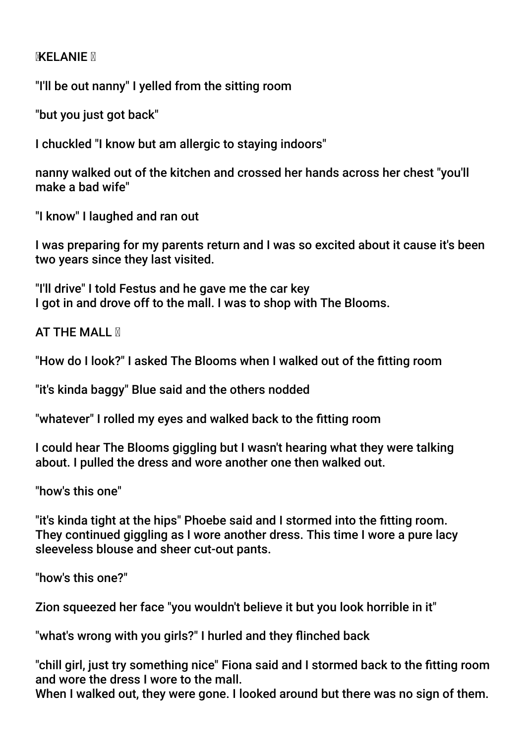### **MXELANIE M**

"I'll be out nanny" I yelled from the sitting room

"but you just got back"

I chuckled "I know but am allergic to staying indoors"

nanny walked out of the kitchen and crossed her hands across her chest "you'll make a bad wife"

"I know" I laughed and ran out

I was preparing for my parents return and I was so excited about it cause it's been two years since they last visited.

"I'll drive" I told Festus and he gave me the car key I got in and drove off to the mall. I was to shop with The Blooms.

**AT THE MALL N** 

"How do I look?" I asked The Blooms when I walked out of the ftting room

"it's kinda baggy" Blue said and the others nodded

"whatever" I rolled my eyes and walked back to the ftting room

I could hear The Blooms giggling but I wasn't hearing what they were talking about. I pulled the dress and wore another one then walked out.

"how's this one"

"it's kinda tight at the hips" Phoebe said and I stormed into the ftting room. They continued giggling as I wore another dress. This time I wore a pure lacy sleeveless blouse and sheer cut-out pants.

"how's this one?"

Zion squeezed her face "you wouldn't believe it but you look horrible in it"

"what's wrong with you girls?" I hurled and they finched back

"chill girl, just try something nice" Fiona said and I stormed back to the ftting room and wore the dress I wore to the mall.

When I walked out, they were gone. I looked around but there was no sign of them.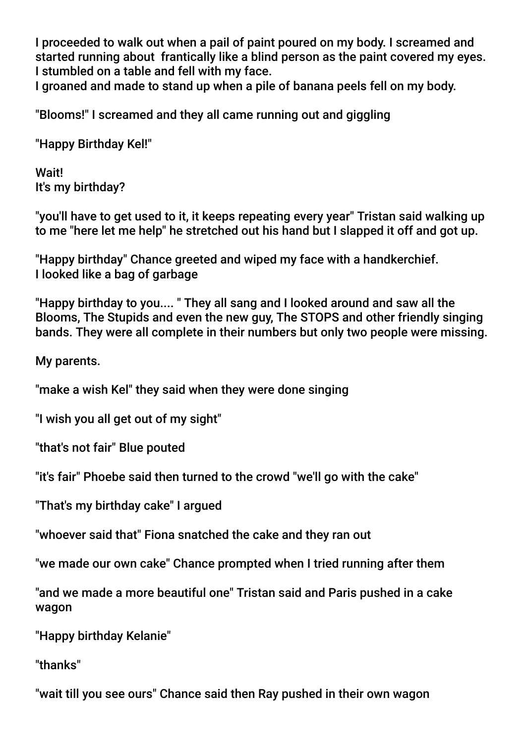I proceeded to walk out when a pail of paint poured on my body. I screamed and started running about frantically like a blind person as the paint covered my eyes. I stumbled on a table and fell with my face.

I groaned and made to stand up when a pile of banana peels fell on my body.

"Blooms!" I screamed and they all came running out and giggling

"Happy Birthday Kel!"

Wait! It's my birthday?

"you'll have to get used to it, it keeps repeating every year" Tristan said walking up to me "here let me help" he stretched out his hand but I slapped it off and got up.

"Happy birthday" Chance greeted and wiped my face with a handkerchief. I looked like a bag of garbage

"Happy birthday to you.... " They all sang and I looked around and saw all the Blooms, The Stupids and even the new guy, The STOPS and other friendly singing bands. They were all complete in their numbers but only two people were missing.

My parents.

"make a wish Kel" they said when they were done singing

"I wish you all get out of my sight"

"that's not fair" Blue pouted

"it's fair" Phoebe said then turned to the crowd "we'll go with the cake"

"That's my birthday cake" I argued

"whoever said that" Fiona snatched the cake and they ran out

"we made our own cake" Chance prompted when I tried running after them

"and we made a more beautiful one" Tristan said and Paris pushed in a cake wagon

"Happy birthday Kelanie"

"thanks"

"wait till you see ours" Chance said then Ray pushed in their own wagon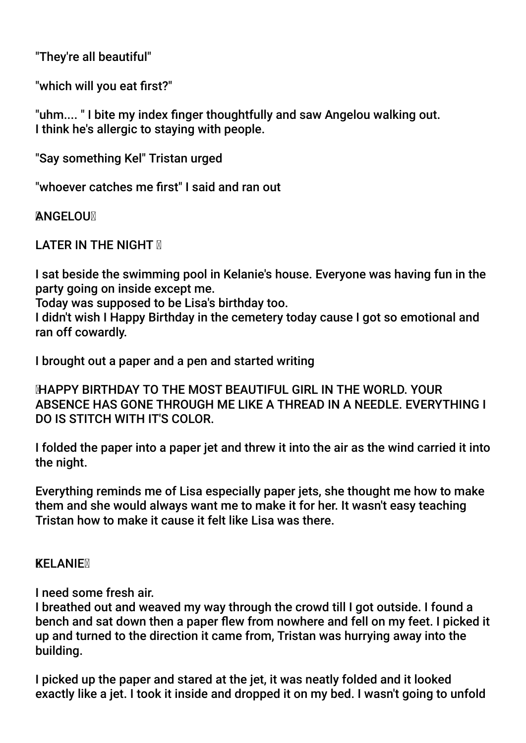"They're all beautiful"

"which will you eat frst?"

"uhm.... " I bite my index fnger thoughtfully and saw Angelou walking out. I think he's allergic to staying with people.

"Say something Kel" Tristan urged

"whoever catches me frst" I said and ran out

**ANGELOUM** 

LATER IN THE NIGHT **M** 

I sat beside the swimming pool in Kelanie's house. Everyone was having fun in the party going on inside except me.

Today was supposed to be Lisa's birthday too.

I didn't wish I Happy Birthday in the cemetery today cause I got so emotional and ran off cowardly.

I brought out a paper and a pen and started writing

 HAPPY BIRTHDAY TO THE MOST BEAUTIFUL GIRL IN THE WORLD. YOUR ABSENCE HAS GONE THROUGH ME LIKE A THREAD IN A NEEDLE. EVERYTHING I DO IS STITCH WITH IT'S COLOR.

I folded the paper into a paper jet and threw it into the air as the wind carried it into the night.

Everything reminds me of Lisa especially paper jets, she thought me how to make them and she would always want me to make it for her. It wasn't easy teaching Tristan how to make it cause it felt like Lisa was there.

**KELANIE**<sub>N</sub>

I need some fresh air.

I breathed out and weaved my way through the crowd till I got outside. I found a bench and sat down then a paper flew from nowhere and fell on my feet. I picked it up and turned to the direction it came from, Tristan was hurrying away into the building.

I picked up the paper and stared at the jet, it was neatly folded and it looked exactly like a jet. I took it inside and dropped it on my bed. I wasn't going to unfold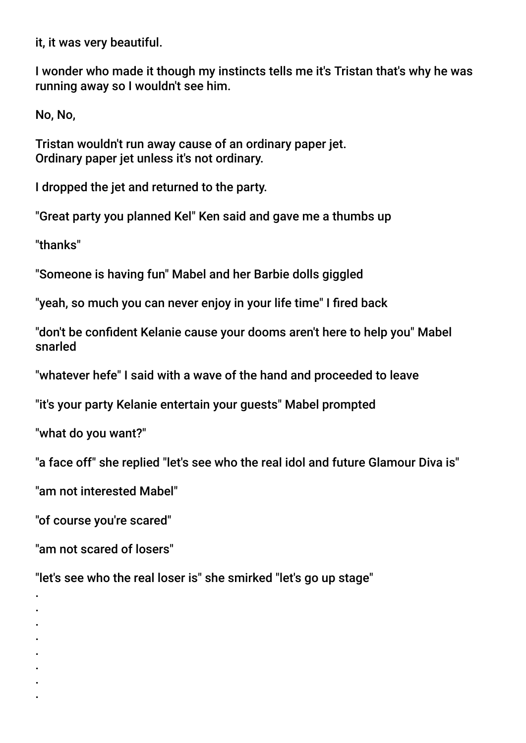it, it was very beautiful.

I wonder who made it though my instincts tells me it's Tristan that's why he was running away so I wouldn't see him.

No, No,

Tristan wouldn't run away cause of an ordinary paper jet. Ordinary paper jet unless it's not ordinary.

I dropped the jet and returned to the party.

"Great party you planned Kel" Ken said and gave me a thumbs up

"thanks"

"Someone is having fun" Mabel and her Barbie dolls giggled

"yeah, so much you can never enjoy in your life time" I fired back

"don't be confdent Kelanie cause your dooms aren't here to help you" Mabel snarled

"whatever hefe" I said with a wave of the hand and proceeded to leave

"it's your party Kelanie entertain your guests" Mabel prompted

"what do you want?"

"a face off" she replied "let's see who the real idol and future Glamour Diva is"

"am not interested Mabel"

"of course you're scared"

"am not scared of losers"

. . . . . . . .

"let's see who the real loser is" she smirked "let's go up stage"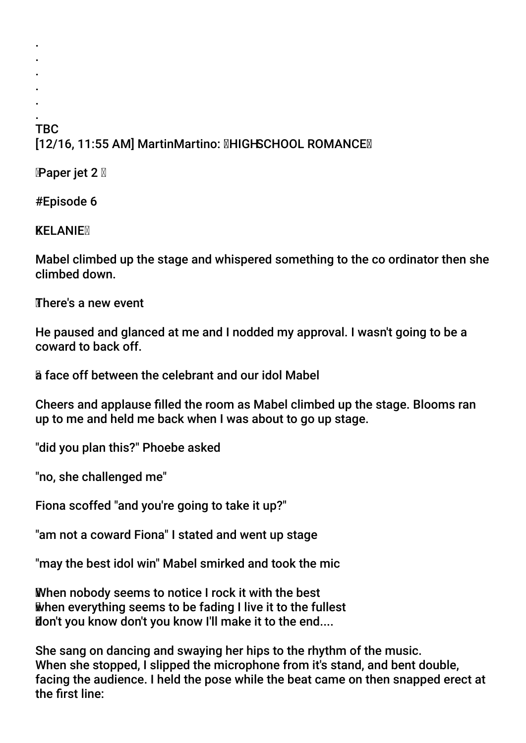#### . **TBC** [12/16, 11:55 AM] MartinMartino: **MHIGHSCHOOL ROMANCEM**

**Paper jet 2** 

. . . . .

#Episode 6

**KELANIEM** 

Mabel climbed up the stage and whispered something to the co ordinator then she climbed down.

There's a new event

He paused and glanced at me and I nodded my approval. I wasn't going to be a coward to back off.

a face off between the celebrant and our idol Mabel

Cheers and applause flled the room as Mabel climbed up the stage. Blooms ran up to me and held me back when I was about to go up stage.

"did you plan this?" Phoebe asked

"no, she challenged me"

Fiona scoffed "and you're going to take it up?"

"am not a coward Fiona" I stated and went up stage

"may the best idol win" Mabel smirked and took the mic

When nobody seems to notice I rock it with the best when everything seems to be fading I live it to the fullest don't you know don't you know I'll make it to the end....

She sang on dancing and swaying her hips to the rhythm of the music. When she stopped, I slipped the microphone from it's stand, and bent double, facing the audience. I held the pose while the beat came on then snapped erect at the frst line: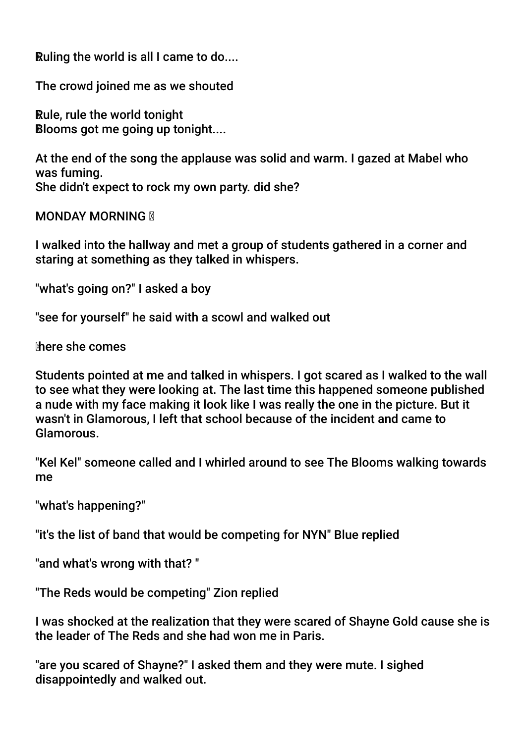Ruling the world is all I came to do....

The crowd joined me as we shouted

Rule, rule the world tonight Blooms got me going up tonight....

At the end of the song the applause was solid and warm. I gazed at Mabel who was fuming. She didn't expect to rock my own party. did she?

**MONDAY MORNING N** 

I walked into the hallway and met a group of students gathered in a corner and staring at something as they talked in whispers.

"what's going on?" I asked a boy

"see for yourself" he said with a scowl and walked out

here she comes

Students pointed at me and talked in whispers. I got scared as I walked to the wall to see what they were looking at. The last time this happened someone published a nude with my face making it look like I was really the one in the picture. But it wasn't in Glamorous, I left that school because of the incident and came to Glamorous.

"Kel Kel" someone called and I whirled around to see The Blooms walking towards me

"what's happening?"

"it's the list of band that would be competing for NYN" Blue replied

"and what's wrong with that? "

"The Reds would be competing" Zion replied

I was shocked at the realization that they were scared of Shayne Gold cause she is the leader of The Reds and she had won me in Paris.

"are you scared of Shayne?" I asked them and they were mute. I sighed disappointedly and walked out.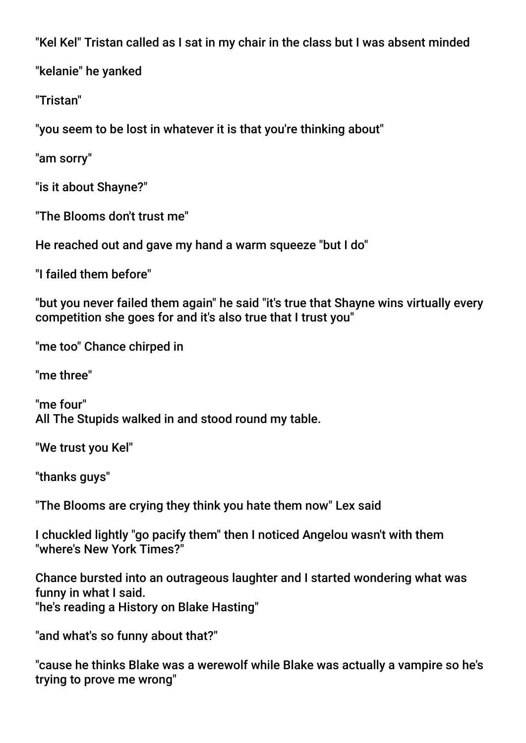"Kel Kel" Tristan called as I sat in my chair in the class but I was absent minded

"kelanie" he yanked

"Tristan"

"you seem to be lost in whatever it is that you're thinking about"

"am sorry"

"is it about Shayne?"

"The Blooms don't trust me"

He reached out and gave my hand a warm squeeze "but I do"

"I failed them before"

"but you never failed them again" he said "it's true that Shayne wins virtually every competition she goes for and it's also true that I trust you"

"me too" Chance chirped in

"me three"

"me four" All The Stupids walked in and stood round my table.

"We trust you Kel"

"thanks guys"

"The Blooms are crying they think you hate them now" Lex said

I chuckled lightly "go pacify them" then I noticed Angelou wasn't with them "where's New York Times?"

Chance bursted into an outrageous laughter and I started wondering what was funny in what I said. "he's reading a History on Blake Hasting"

"and what's so funny about that?"

"cause he thinks Blake was a werewolf while Blake was actually a vampire so he's trying to prove me wrong"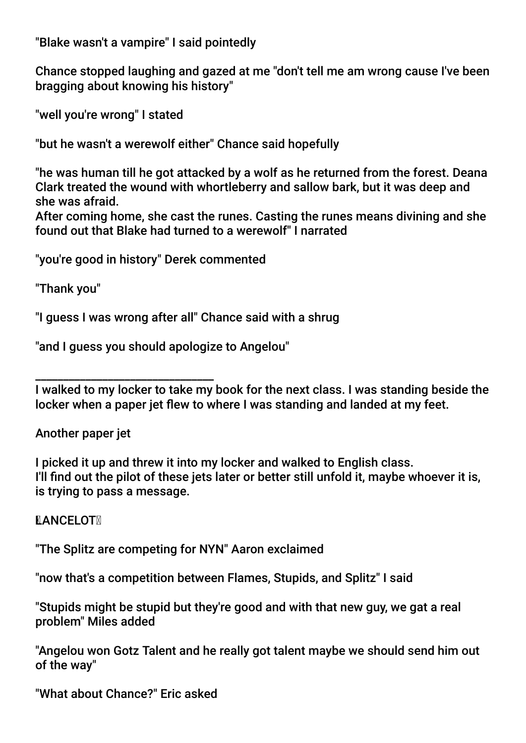"Blake wasn't a vampire" I said pointedly

Chance stopped laughing and gazed at me "don't tell me am wrong cause I've been bragging about knowing his history"

"well you're wrong" I stated

"but he wasn't a werewolf either" Chance said hopefully

"he was human till he got attacked by a wolf as he returned from the forest. Deana Clark treated the wound with whortleberry and sallow bark, but it was deep and she was afraid.

After coming home, she cast the runes. Casting the runes means divining and she found out that Blake had turned to a werewolf" I narrated

"you're good in history" Derek commented

"Thank you"

"I guess I was wrong after all" Chance said with a shrug

"and I guess you should apologize to Angelou"

\_\_\_\_\_\_\_\_\_\_\_\_\_\_\_\_\_\_\_\_\_\_\_\_\_\_\_\_\_\_\_\_ I walked to my locker to take my book for the next class. I was standing beside the locker when a paper jet flew to where I was standing and landed at my feet.

Another paper jet

I picked it up and threw it into my locker and walked to English class. I'll fnd out the pilot of these jets later or better still unfold it, maybe whoever it is, is trying to pass a message.

**LANCELOTM** 

"The Splitz are competing for NYN" Aaron exclaimed

"now that's a competition between Flames, Stupids, and Splitz" I said

"Stupids might be stupid but they're good and with that new guy, we gat a real problem" Miles added

"Angelou won Gotz Talent and he really got talent maybe we should send him out of the way"

"What about Chance?" Eric asked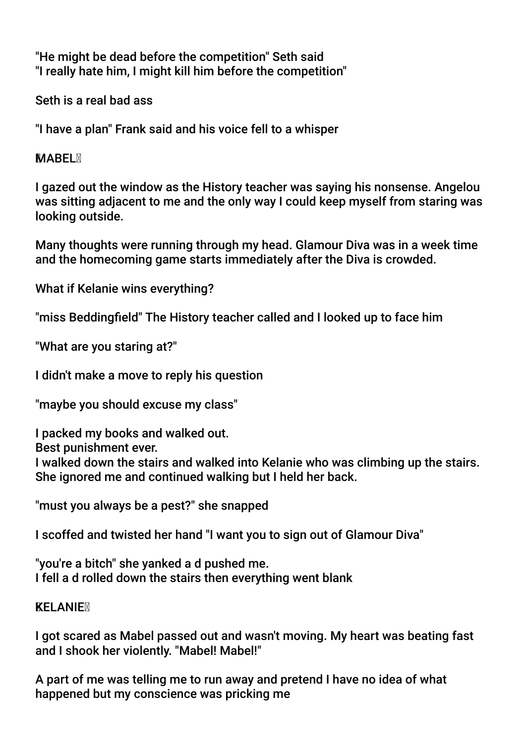"He might be dead before the competition" Seth said "I really hate him, I might kill him before the competition"

Seth is a real bad ass

"I have a plan" Frank said and his voice fell to a whisper

### **MABEL**

I gazed out the window as the History teacher was saying his nonsense. Angelou was sitting adjacent to me and the only way I could keep myself from staring was looking outside.

Many thoughts were running through my head. Glamour Diva was in a week time and the homecoming game starts immediately after the Diva is crowded.

What if Kelanie wins everything?

"miss Beddingfeld" The History teacher called and I looked up to face him

"What are you staring at?"

I didn't make a move to reply his question

"maybe you should excuse my class"

I packed my books and walked out.

Best punishment ever.

I walked down the stairs and walked into Kelanie who was climbing up the stairs. She ignored me and continued walking but I held her back.

"must you always be a pest?" she snapped

I scoffed and twisted her hand "I want you to sign out of Glamour Diva"

"you're a bitch" she yanked a d pushed me. I fell a d rolled down the stairs then everything went blank

### **KELANIEM**

I got scared as Mabel passed out and wasn't moving. My heart was beating fast and I shook her violently. "Mabel! Mabel!"

A part of me was telling me to run away and pretend I have no idea of what happened but my conscience was pricking me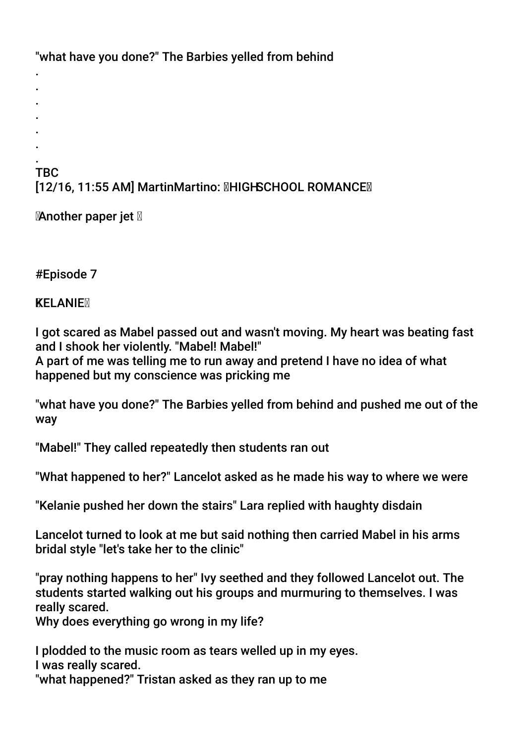"what have you done?" The Barbies yelled from behind

. . . **TBC** [12/16, 11:55 AM] MartinMartino: **MHIGHSCHOOL ROMANCEM** 

**Another paper jet** 

#Episode 7

. . . .

# **KELANIE**<sub>N</sub>

I got scared as Mabel passed out and wasn't moving. My heart was beating fast and I shook her violently. "Mabel! Mabel!"

A part of me was telling me to run away and pretend I have no idea of what happened but my conscience was pricking me

"what have you done?" The Barbies yelled from behind and pushed me out of the way

"Mabel!" They called repeatedly then students ran out

"What happened to her?" Lancelot asked as he made his way to where we were

"Kelanie pushed her down the stairs" Lara replied with haughty disdain

Lancelot turned to look at me but said nothing then carried Mabel in his arms bridal style "let's take her to the clinic"

"pray nothing happens to her" Ivy seethed and they followed Lancelot out. The students started walking out his groups and murmuring to themselves. I was really scared.

Why does everything go wrong in my life?

I plodded to the music room as tears welled up in my eyes. I was really scared. "what happened?" Tristan asked as they ran up to me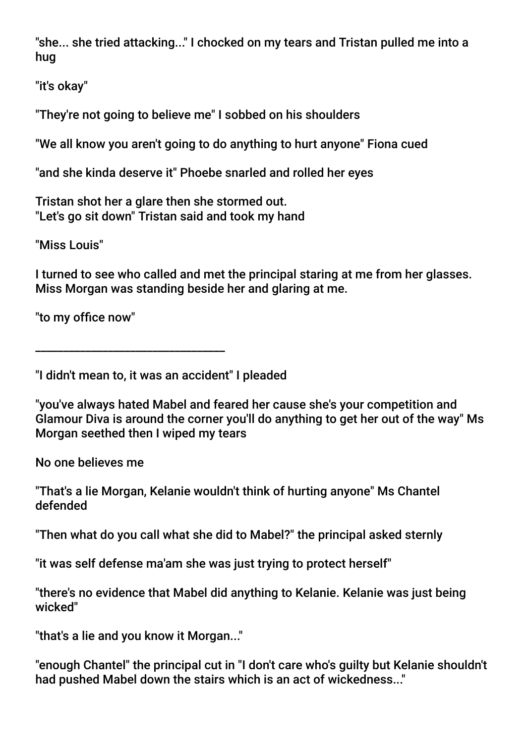"she... she tried attacking..." I chocked on my tears and Tristan pulled me into a hug

"it's okay"

"They're not going to believe me" I sobbed on his shoulders

"We all know you aren't going to do anything to hurt anyone" Fiona cued

"and she kinda deserve it" Phoebe snarled and rolled her eyes

Tristan shot her a glare then she stormed out. "Let's go sit down" Tristan said and took my hand

"Miss Louis"

I turned to see who called and met the principal staring at me from her glasses. Miss Morgan was standing beside her and glaring at me.

"to my office now"

"I didn't mean to, it was an accident" I pleaded

\_\_\_\_\_\_\_\_\_\_\_\_\_\_\_\_\_\_\_\_\_\_\_\_\_\_\_\_\_\_\_\_\_\_

"you've always hated Mabel and feared her cause she's your competition and Glamour Diva is around the corner you'll do anything to get her out of the way" Ms Morgan seethed then I wiped my tears

No one believes me

"That's a lie Morgan, Kelanie wouldn't think of hurting anyone" Ms Chantel defended

"Then what do you call what she did to Mabel?" the principal asked sternly

"it was self defense ma'am she was just trying to protect herself"

"there's no evidence that Mabel did anything to Kelanie. Kelanie was just being wicked"

"that's a lie and you know it Morgan..."

"enough Chantel" the principal cut in "I don't care who's guilty but Kelanie shouldn't had pushed Mabel down the stairs which is an act of wickedness..."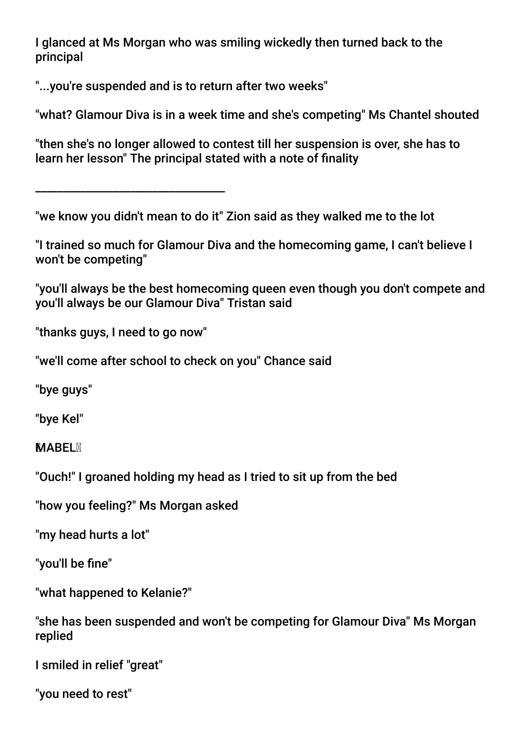I glanced at Ms Morgan who was smiling wickedly then turned back to the principal

"...you're suspended and is to return after two weeks"

"what? Glamour Diva is in a week time and she's competing" Ms Chantel shouted

"then she's no longer allowed to contest till her suspension is over, she has to learn her lesson" The principal stated with a note of fnality

\_\_\_\_\_\_\_\_\_\_\_\_\_\_\_\_\_\_\_\_\_\_\_\_\_\_\_\_\_\_\_\_\_\_

"we know you didn't mean to do it" Zion said as they walked me to the lot

"I trained so much for Glamour Diva and the homecoming game, I can't believe I won't be competing"

"you'll always be the best homecoming queen even though you don't compete and you'll always be our Glamour Diva" Tristan said

"thanks guys, I need to go now"

"we'll come after school to check on you" Chance said

"bye guys"

"bye Kel"

**MARFI M** 

"Ouch!" I groaned holding my head as I tried to sit up from the bed

"how you feeling?" Ms Morgan asked

"my head hurts a lot"

"you'll be fne"

"what happened to Kelanie?"

"she has been suspended and won't be competing for Glamour Diva" Ms Morgan replied

I smiled in relief "great"

"you need to rest"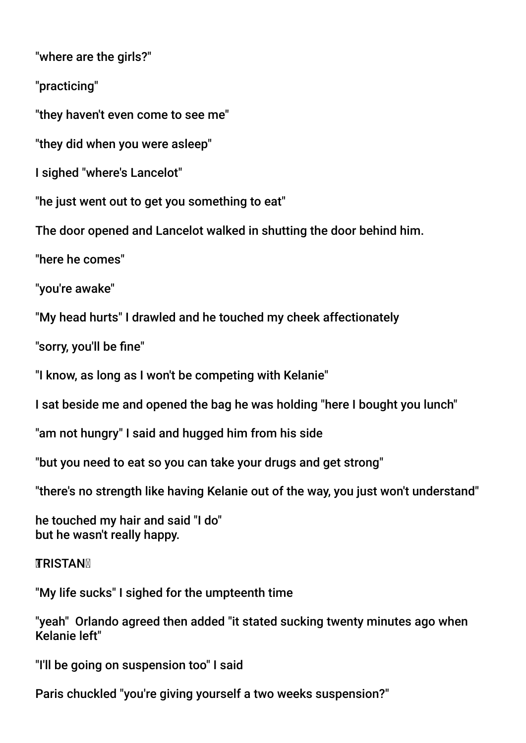"where are the girls?"

"practicing"

"they haven't even come to see me"

"they did when you were asleep"

I sighed "where's Lancelot"

"he just went out to get you something to eat"

The door opened and Lancelot walked in shutting the door behind him.

"here he comes"

"you're awake"

"My head hurts" I drawled and he touched my cheek affectionately

"sorry, you'll be fne"

"I know, as long as I won't be competing with Kelanie"

I sat beside me and opened the bag he was holding "here I bought you lunch"

"am not hungry" I said and hugged him from his side

"but you need to eat so you can take your drugs and get strong"

"there's no strength like having Kelanie out of the way, you just won't understand"

he touched my hair and said "I do" but he wasn't really happy.

**TRISTAN** 

"My life sucks" I sighed for the umpteenth time

"yeah" Orlando agreed then added "it stated sucking twenty minutes ago when Kelanie left"

"I'll be going on suspension too" I said

Paris chuckled "you're giving yourself a two weeks suspension?"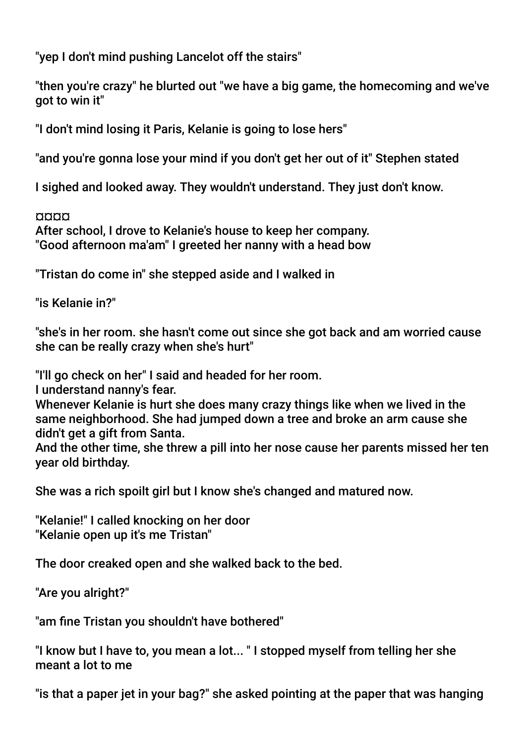"yep I don't mind pushing Lancelot off the stairs"

"then you're crazy" he blurted out "we have a big game, the homecoming and we've got to win it"

"I don't mind losing it Paris, Kelanie is going to lose hers"

"and you're gonna lose your mind if you don't get her out of it" Stephen stated

I sighed and looked away. They wouldn't understand. They just don't know.

¤¤¤¤

After school, I drove to Kelanie's house to keep her company. "Good afternoon ma'am" I greeted her nanny with a head bow

"Tristan do come in" she stepped aside and I walked in

"is Kelanie in?"

"she's in her room. she hasn't come out since she got back and am worried cause she can be really crazy when she's hurt"

"I'll go check on her" I said and headed for her room.

I understand nanny's fear.

Whenever Kelanie is hurt she does many crazy things like when we lived in the same neighborhood. She had jumped down a tree and broke an arm cause she didn't get a gift from Santa.

And the other time, she threw a pill into her nose cause her parents missed her ten year old birthday.

She was a rich spoilt girl but I know she's changed and matured now.

"Kelanie!" I called knocking on her door "Kelanie open up it's me Tristan"

The door creaked open and she walked back to the bed.

"Are you alright?"

"am fne Tristan you shouldn't have bothered"

"I know but I have to, you mean a lot... " I stopped myself from telling her she meant a lot to me

"is that a paper jet in your bag?" she asked pointing at the paper that was hanging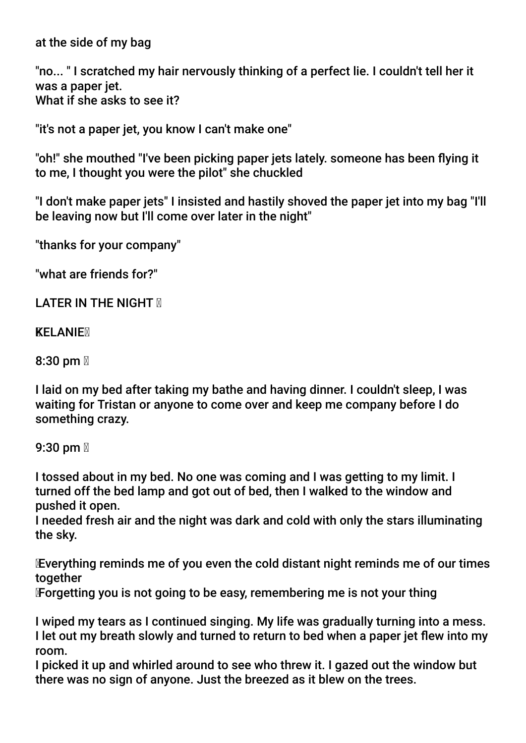at the side of my bag

"no... " I scratched my hair nervously thinking of a perfect lie. I couldn't tell her it was a paper jet. What if she asks to see it?

"it's not a paper jet, you know I can't make one"

"oh!" she mouthed "I've been picking paper jets lately. someone has been fying it to me, I thought you were the pilot" she chuckled

"I don't make paper jets" I insisted and hastily shoved the paper jet into my bag "I'll be leaving now but I'll come over later in the night"

"thanks for your company"

"what are friends for?"

LATER IN THE NIGHT **M** 

**KELANIEM** 

8:30 pm  $\mathbb{Z}$ 

I laid on my bed after taking my bathe and having dinner. I couldn't sleep, I was waiting for Tristan or anyone to come over and keep me company before I do something crazy.

9:30 pm  $\mathbb N$ 

I tossed about in my bed. No one was coming and I was getting to my limit. I turned off the bed lamp and got out of bed, then I walked to the window and pushed it open.

I needed fresh air and the night was dark and cold with only the stars illuminating the sky.

 Everything reminds me of you even the cold distant night reminds me of our times together

Forgetting you is not going to be easy, remembering me is not your thing

I wiped my tears as I continued singing. My life was gradually turning into a mess. I let out my breath slowly and turned to return to bed when a paper jet few into my room.

I picked it up and whirled around to see who threw it. I gazed out the window but there was no sign of anyone. Just the breezed as it blew on the trees.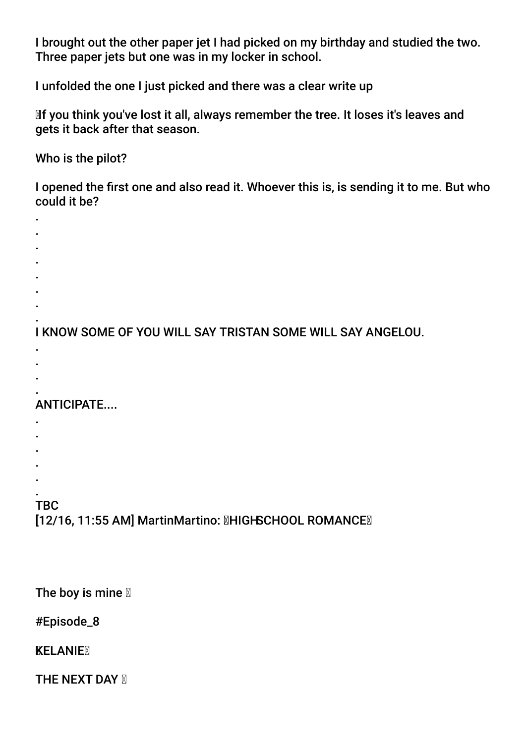I brought out the other paper jet I had picked on my birthday and studied the two. Three paper jets but one was in my locker in school.

I unfolded the one I just picked and there was a clear write up

 If you think you've lost it all, always remember the tree. It loses it's leaves and gets it back after that season.

Who is the pilot?

I opened the frst one and also read it. Whoever this is, is sending it to me. But who could it be?

- . .
- .
- .
- .
- .
- .

. I KNOW SOME OF YOU WILL SAY TRISTAN SOME WILL SAY ANGELOU.

- .
- .
- . .

# ANTICIPATE....

- .
- .
- .
- .
- . .

# **TBC**

[12/16, 11:55 AM] MartinMartino: **MHIGHSCHOOL ROMANCEM** 

The boy is mine  $\mathbb N$ 

#Episode\_8

**KELANIE** 

**THE NEXT DAY X**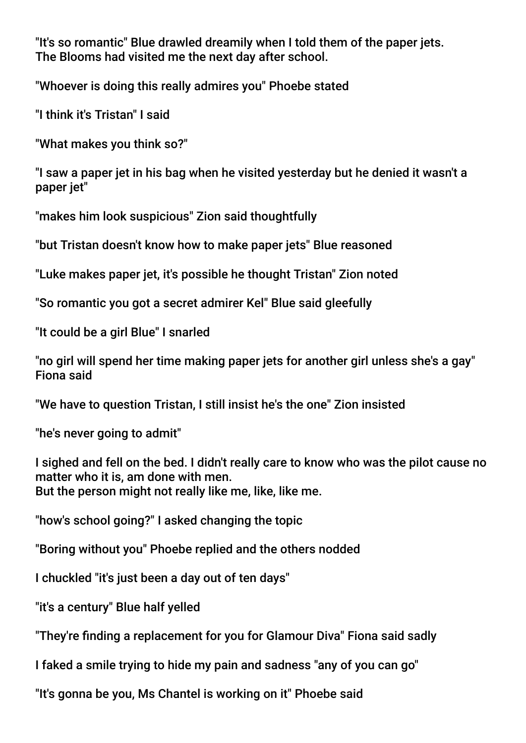"It's so romantic" Blue drawled dreamily when I told them of the paper jets. The Blooms had visited me the next day after school.

"Whoever is doing this really admires you" Phoebe stated

"I think it's Tristan" I said

"What makes you think so?"

"I saw a paper jet in his bag when he visited yesterday but he denied it wasn't a paper jet"

"makes him look suspicious" Zion said thoughtfully

"but Tristan doesn't know how to make paper jets" Blue reasoned

"Luke makes paper jet, it's possible he thought Tristan" Zion noted

"So romantic you got a secret admirer Kel" Blue said gleefully

"It could be a girl Blue" I snarled

"no girl will spend her time making paper jets for another girl unless she's a gay" Fiona said

"We have to question Tristan, I still insist he's the one" Zion insisted

"he's never going to admit"

I sighed and fell on the bed. I didn't really care to know who was the pilot cause no matter who it is, am done with men. But the person might not really like me, like, like me.

"how's school going?" I asked changing the topic

"Boring without you" Phoebe replied and the others nodded

I chuckled "it's just been a day out of ten days"

"it's a century" Blue half yelled

"They're fnding a replacement for you for Glamour Diva" Fiona said sadly

I faked a smile trying to hide my pain and sadness "any of you can go"

"It's gonna be you, Ms Chantel is working on it" Phoebe said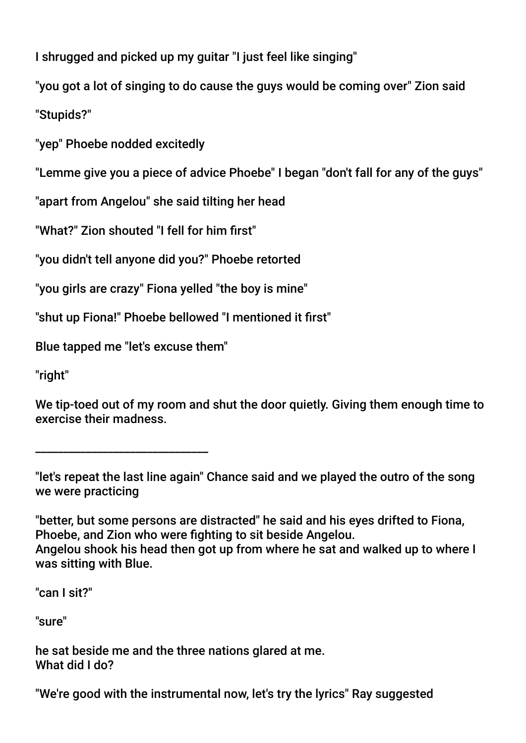I shrugged and picked up my guitar "I just feel like singing"

"you got a lot of singing to do cause the guys would be coming over" Zion said "Stupids?"

"yep" Phoebe nodded excitedly

"Lemme give you a piece of advice Phoebe" I began "don't fall for any of the guys"

"apart from Angelou" she said tilting her head

"What?" Zion shouted "I fell for him frst"

"you didn't tell anyone did you?" Phoebe retorted

"you girls are crazy" Fiona yelled "the boy is mine"

"shut up Fiona!" Phoebe bellowed "I mentioned it frst"

Blue tapped me "let's excuse them"

\_\_\_\_\_\_\_\_\_\_\_\_\_\_\_\_\_\_\_\_\_\_\_\_\_\_\_\_\_\_\_

"right"

We tip-toed out of my room and shut the door quietly. Giving them enough time to exercise their madness.

"let's repeat the last line again" Chance said and we played the outro of the song we were practicing

"better, but some persons are distracted" he said and his eyes drifted to Fiona, Phoebe, and Zion who were fghting to sit beside Angelou. Angelou shook his head then got up from where he sat and walked up to where I was sitting with Blue.

"can I sit?"

"sure"

he sat beside me and the three nations glared at me. What did I do?

"We're good with the instrumental now, let's try the lyrics" Ray suggested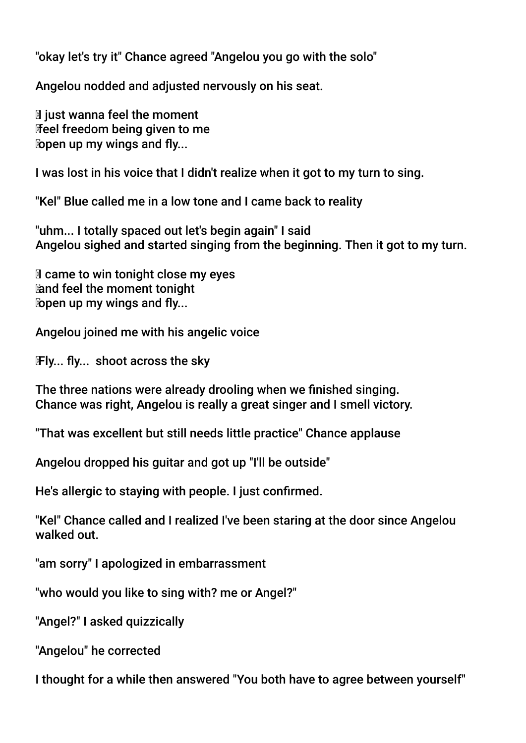"okay let's try it" Chance agreed "Angelou you go with the solo"

Angelou nodded and adjusted nervously on his seat.

 $\mathbb N$  just wanna feel the moment feel freedom being given to me **lopen up my wings and fly...** 

I was lost in his voice that I didn't realize when it got to my turn to sing.

"Kel" Blue called me in a low tone and I came back to reality

"uhm... I totally spaced out let's begin again" I said Angelou sighed and started singing from the beginning. Then it got to my turn.

**If** came to win tonight close my eyes and feel the moment tonight  $\omega$  open up my wings and fly...

Angelou joined me with his angelic voice

Fly... fly... shoot across the sky

The three nations were already drooling when we fnished singing. Chance was right, Angelou is really a great singer and I smell victory.

"That was excellent but still needs little practice" Chance applause

Angelou dropped his guitar and got up "I'll be outside"

He's allergic to staying with people. I just confrmed.

"Kel" Chance called and I realized I've been staring at the door since Angelou walked out.

"am sorry" I apologized in embarrassment

"who would you like to sing with? me or Angel?"

"Angel?" I asked quizzically

"Angelou" he corrected

I thought for a while then answered "You both have to agree between yourself"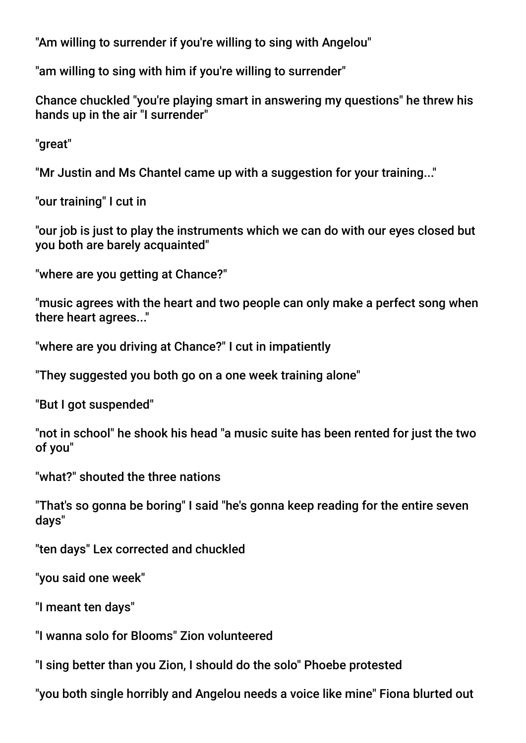"Am willing to surrender if you're willing to sing with Angelou"

"am willing to sing with him if you're willing to surrender"

Chance chuckled "you're playing smart in answering my questions" he threw his hands up in the air "I surrender"

"great"

"Mr Justin and Ms Chantel came up with a suggestion for your training..."

"our training" I cut in

"our job is just to play the instruments which we can do with our eyes closed but you both are barely acquainted"

"where are you getting at Chance?"

"music agrees with the heart and two people can only make a perfect song when there heart agrees..."

"where are you driving at Chance?" I cut in impatiently

"They suggested you both go on a one week training alone"

"But I got suspended"

"not in school" he shook his head "a music suite has been rented for just the two of you"

"what?" shouted the three nations

"That's so gonna be boring" I said "he's gonna keep reading for the entire seven days"

"ten days" Lex corrected and chuckled

"you said one week"

"I meant ten days"

"I wanna solo for Blooms" Zion volunteered

"I sing better than you Zion, I should do the solo" Phoebe protested

"you both single horribly and Angelou needs a voice like mine" Fiona blurted out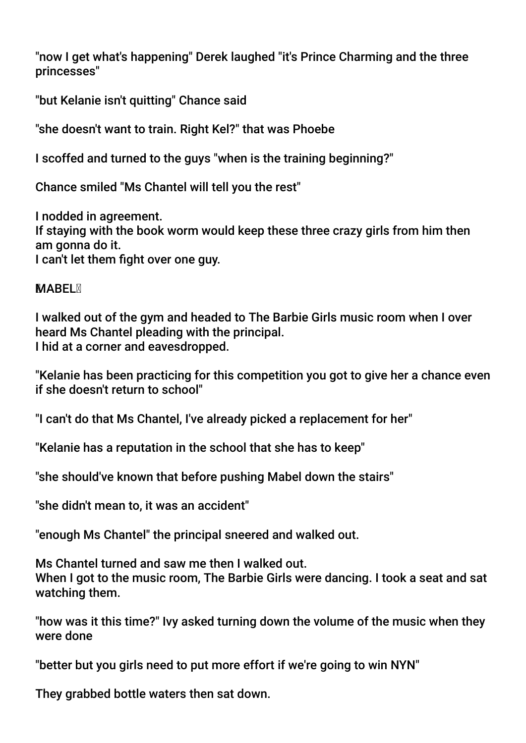"now I get what's happening" Derek laughed "it's Prince Charming and the three princesses"

"but Kelanie isn't quitting" Chance said

"she doesn't want to train. Right Kel?" that was Phoebe

I scoffed and turned to the guys "when is the training beginning?"

Chance smiled "Ms Chantel will tell you the rest"

I nodded in agreement. If staying with the book worm would keep these three crazy girls from him then am gonna do it. I can't let them fight over one guy.

### **MABEL**<sub>N</sub>

I walked out of the gym and headed to The Barbie Girls music room when I over heard Ms Chantel pleading with the principal. I hid at a corner and eavesdropped.

"Kelanie has been practicing for this competition you got to give her a chance even if she doesn't return to school"

"I can't do that Ms Chantel, I've already picked a replacement for her"

"Kelanie has a reputation in the school that she has to keep"

"she should've known that before pushing Mabel down the stairs"

"she didn't mean to, it was an accident"

"enough Ms Chantel" the principal sneered and walked out.

Ms Chantel turned and saw me then I walked out. When I got to the music room. The Barbie Girls were dancing. I took a seat and sat watching them.

"how was it this time?" Ivy asked turning down the volume of the music when they were done

"better but you girls need to put more effort if we're going to win NYN"

They grabbed bottle waters then sat down.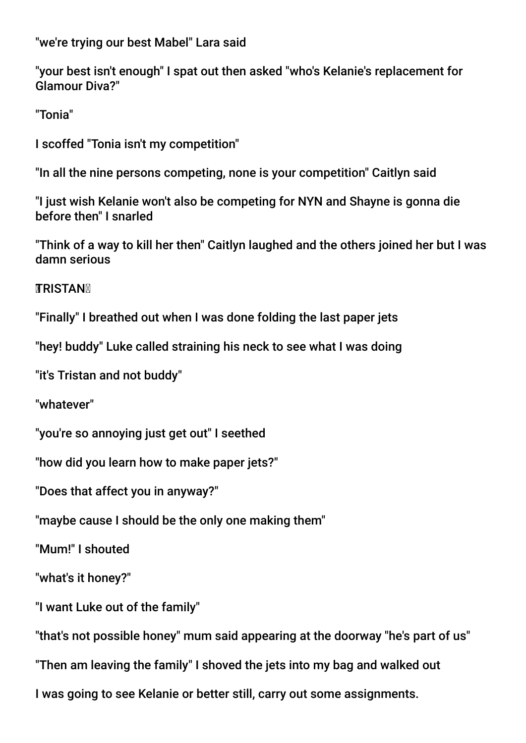"we're trying our best Mabel" Lara said

"your best isn't enough" I spat out then asked "who's Kelanie's replacement for Glamour Diva?"

"Tonia"

I scoffed "Tonia isn't my competition"

"In all the nine persons competing, none is your competition" Caitlyn said

"I just wish Kelanie won't also be competing for NYN and Shayne is gonna die before then" I snarled

"Think of a way to kill her then" Caitlyn laughed and the others joined her but I was damn serious

**TRISTAN** 

"Finally" I breathed out when I was done folding the last paper jets

"hey! buddy" Luke called straining his neck to see what I was doing

"it's Tristan and not buddy"

"whatever"

"you're so annoying just get out" I seethed

"how did you learn how to make paper jets?"

"Does that affect you in anyway?"

"maybe cause I should be the only one making them"

"Mum!" I shouted

"what's it honey?"

"I want Luke out of the family"

"that's not possible honey" mum said appearing at the doorway "he's part of us"

"Then am leaving the family" I shoved the jets into my bag and walked out

I was going to see Kelanie or better still, carry out some assignments.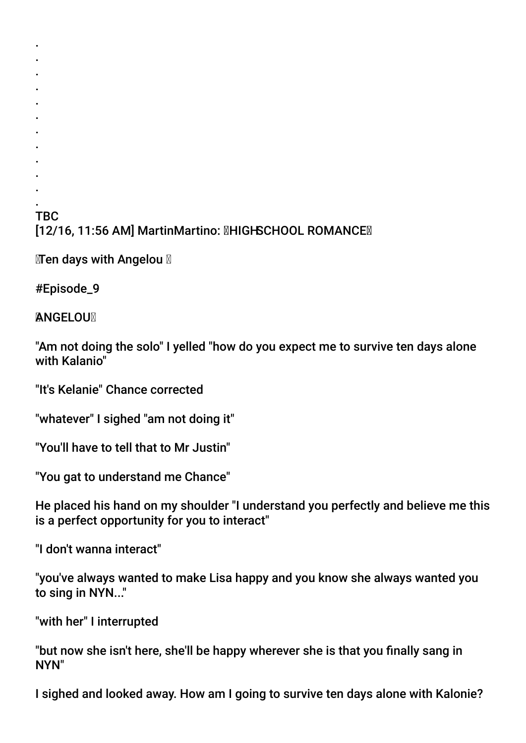### . TBC [12/16, 11:56 AM] MartinMartino: **MHIGHSCHOOL ROMANCE**

 $M$ Ten days with Angelou  $M$ 

#Episode\_9

. . . . . . . . . . .

**ANGELOUM** 

"Am not doing the solo" I yelled "how do you expect me to survive ten days alone with Kalanio"

"It's Kelanie" Chance corrected

"whatever" I sighed "am not doing it"

"You'll have to tell that to Mr Justin"

"You gat to understand me Chance"

He placed his hand on my shoulder "I understand you perfectly and believe me this is a perfect opportunity for you to interact"

"I don't wanna interact"

"you've always wanted to make Lisa happy and you know she always wanted you to sing in NYN..."

"with her" I interrupted

"but now she isn't here, she'll be happy wherever she is that you fnally sang in NYN"

I sighed and looked away. How am I going to survive ten days alone with Kalonie?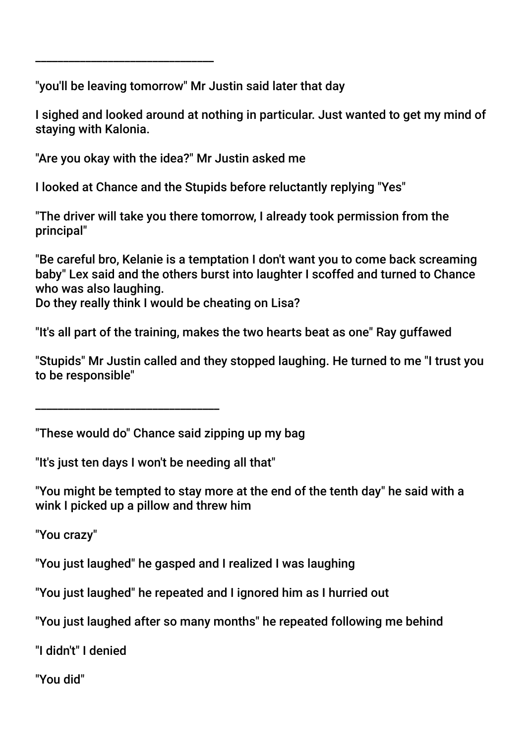"you'll be leaving tomorrow" Mr Justin said later that day

I sighed and looked around at nothing in particular. Just wanted to get my mind of staying with Kalonia.

"Are you okay with the idea?" Mr Justin asked me

\_\_\_\_\_\_\_\_\_\_\_\_\_\_\_\_\_\_\_\_\_\_\_\_\_\_\_\_\_\_\_\_

I looked at Chance and the Stupids before reluctantly replying "Yes"

"The driver will take you there tomorrow, I already took permission from the principal"

"Be careful bro, Kelanie is a temptation I don't want you to come back screaming baby" Lex said and the others burst into laughter I scoffed and turned to Chance who was also laughing.

Do they really think I would be cheating on Lisa?

"It's all part of the training, makes the two hearts beat as one" Ray guffawed

"Stupids" Mr Justin called and they stopped laughing. He turned to me "I trust you to be responsible"

\_\_\_\_\_\_\_\_\_\_\_\_\_\_\_\_\_\_\_\_\_\_\_\_\_\_\_\_\_\_\_\_\_

"These would do" Chance said zipping up my bag

"It's just ten days I won't be needing all that"

"You might be tempted to stay more at the end of the tenth day" he said with a wink I picked up a pillow and threw him

"You crazy"

"You just laughed" he gasped and I realized I was laughing

"You just laughed" he repeated and I ignored him as I hurried out

"You just laughed after so many months" he repeated following me behind

"I didn't" I denied

"You did"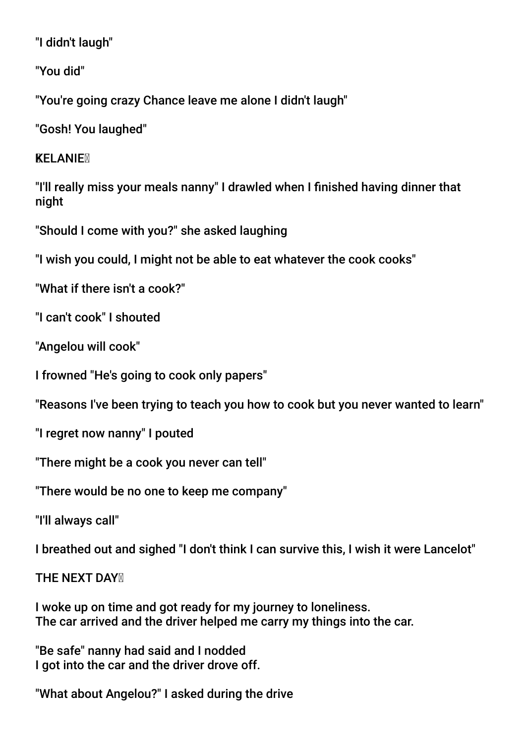"I didn't laugh"

"You did"

"You're going crazy Chance leave me alone I didn't laugh"

"Gosh! You laughed"

**KELANIEX** 

"I'll really miss your meals nanny" I drawled when I fnished having dinner that night

"Should I come with you?" she asked laughing

"I wish you could, I might not be able to eat whatever the cook cooks"

"What if there isn't a cook?"

"I can't cook" I shouted

"Angelou will cook"

I frowned "He's going to cook only papers"

"Reasons I've been trying to teach you how to cook but you never wanted to learn"

"I regret now nanny" I pouted

"There might be a cook you never can tell"

"There would be no one to keep me company"

"I'll always call"

I breathed out and sighed "I don't think I can survive this, I wish it were Lancelot"

**THE NEXT DAY N** 

I woke up on time and got ready for my journey to loneliness. The car arrived and the driver helped me carry my things into the car.

"Be safe" nanny had said and I nodded I got into the car and the driver drove off.

"What about Angelou?" I asked during the drive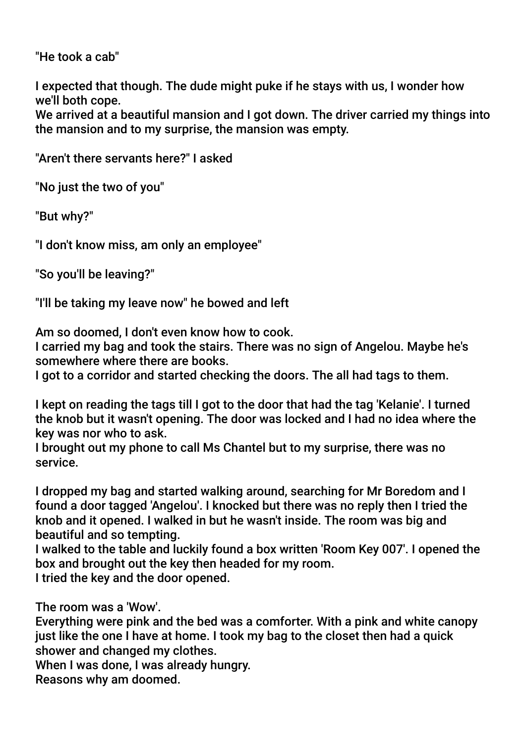"He took a cab"

I expected that though. The dude might puke if he stays with us, I wonder how we'll both cope.

We arrived at a beautiful mansion and I got down. The driver carried my things into the mansion and to my surprise, the mansion was empty.

"Aren't there servants here?" I asked

"No just the two of you"

"But why?"

"I don't know miss, am only an employee"

"So you'll be leaving?"

"I'll be taking my leave now" he bowed and left

Am so doomed, I don't even know how to cook.

I carried my bag and took the stairs. There was no sign of Angelou. Maybe he's somewhere where there are books.

I got to a corridor and started checking the doors. The all had tags to them.

I kept on reading the tags till I got to the door that had the tag 'Kelanie'. I turned the knob but it wasn't opening. The door was locked and I had no idea where the key was nor who to ask.

I brought out my phone to call Ms Chantel but to my surprise, there was no service.

I dropped my bag and started walking around, searching for Mr Boredom and I found a door tagged 'Angelou'. I knocked but there was no reply then I tried the knob and it opened. I walked in but he wasn't inside. The room was big and beautiful and so tempting.

I walked to the table and luckily found a box written 'Room Key 007'. I opened the box and brought out the key then headed for my room. I tried the key and the door opened.

The room was a 'Wow'.

Everything were pink and the bed was a comforter. With a pink and white canopy just like the one I have at home. I took my bag to the closet then had a quick shower and changed my clothes.

When I was done, I was already hungry. Reasons why am doomed.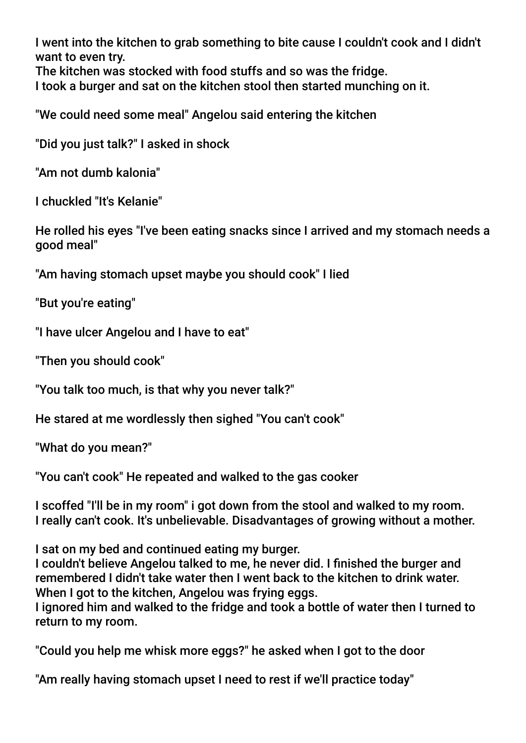I went into the kitchen to grab something to bite cause I couldn't cook and I didn't want to even try.

The kitchen was stocked with food stuffs and so was the fridge.

I took a burger and sat on the kitchen stool then started munching on it.

"We could need some meal" Angelou said entering the kitchen

"Did you just talk?" I asked in shock

"Am not dumb kalonia"

I chuckled "It's Kelanie"

He rolled his eyes "I've been eating snacks since I arrived and my stomach needs a good meal"

"Am having stomach upset maybe you should cook" I lied

"But you're eating"

"I have ulcer Angelou and I have to eat"

"Then you should cook"

"You talk too much, is that why you never talk?"

He stared at me wordlessly then sighed "You can't cook"

"What do you mean?"

"You can't cook" He repeated and walked to the gas cooker

I scoffed "I'll be in my room" i got down from the stool and walked to my room. I really can't cook. It's unbelievable. Disadvantages of growing without a mother.

I sat on my bed and continued eating my burger.

I couldn't believe Angelou talked to me, he never did. I fnished the burger and remembered I didn't take water then I went back to the kitchen to drink water. When I got to the kitchen, Angelou was frying eggs.

I ignored him and walked to the fridge and took a bottle of water then I turned to return to my room.

"Could you help me whisk more eggs?" he asked when I got to the door

"Am really having stomach upset I need to rest if we'll practice today"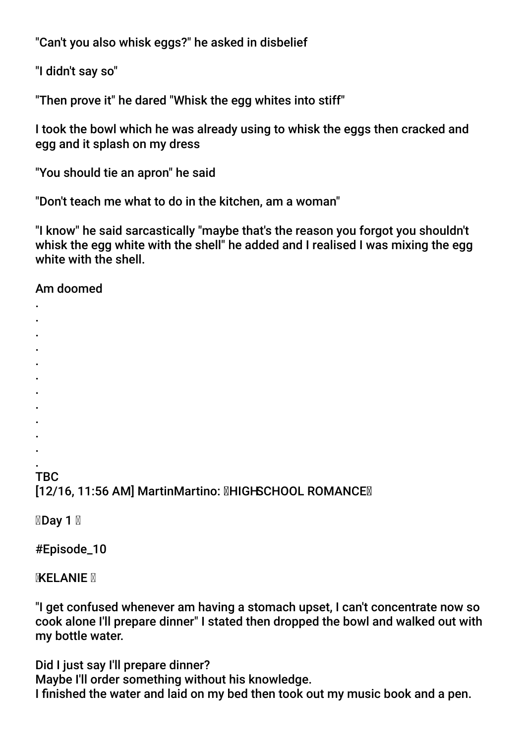"Can't you also whisk eggs?" he asked in disbelief

"I didn't say so"

"Then prove it" he dared "Whisk the egg whites into stiff"

I took the bowl which he was already using to whisk the eggs then cracked and egg and it splash on my dress

"You should tie an apron" he said

"Don't teach me what to do in the kitchen, am a woman"

"I know" he said sarcastically "maybe that's the reason you forgot you shouldn't whisk the egg white with the shell" he added and I realised I was mixing the egg white with the shell.

Am doomed

- .
- . .
- .
- .
- .
- .
- .
- .
- .
- .

. **TBC** [12/16, 11:56 AM] MartinMartino: **MHIGHSCHOOL ROMANCEM** 

**⊠Day 1**  ⊠

#Episode\_10

**KELANIE** 

"I get confused whenever am having a stomach upset, I can't concentrate now so cook alone I'll prepare dinner" I stated then dropped the bowl and walked out with my bottle water.

Did I just say I'll prepare dinner? Maybe I'll order something without his knowledge. I fnished the water and laid on my bed then took out my music book and a pen.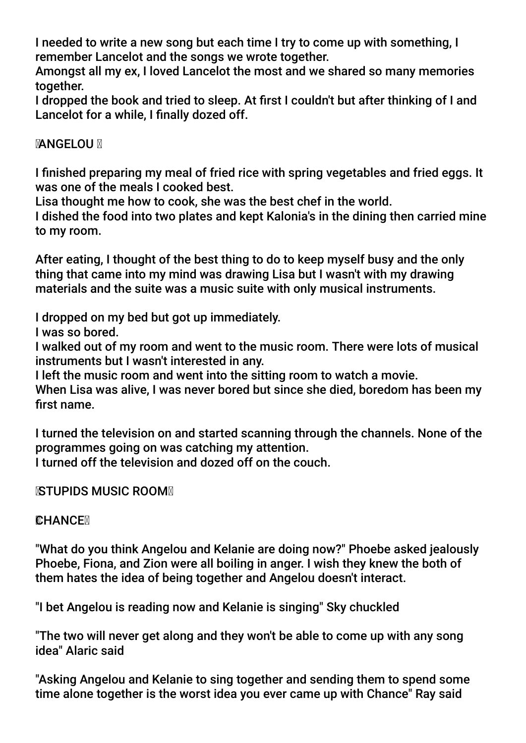I needed to write a new song but each time I try to come up with something, I remember Lancelot and the songs we wrote together.

Amongst all my ex, I loved Lancelot the most and we shared so many memories together.

I dropped the book and tried to sleep. At frst I couldn't but after thinking of I and Lancelot for a while, I finally dozed off.

### **MANGELOU**

I fnished preparing my meal of fried rice with spring vegetables and fried eggs. It was one of the meals I cooked best.

Lisa thought me how to cook, she was the best chef in the world.

I dished the food into two plates and kept Kalonia's in the dining then carried mine to my room.

After eating, I thought of the best thing to do to keep myself busy and the only thing that came into my mind was drawing Lisa but I wasn't with my drawing materials and the suite was a music suite with only musical instruments.

I dropped on my bed but got up immediately.

I was so bored.

I walked out of my room and went to the music room. There were lots of musical instruments but I wasn't interested in any.

I left the music room and went into the sitting room to watch a movie.

When Lisa was alive, I was never bored but since she died, boredom has been my first name.

I turned the television on and started scanning through the channels. None of the programmes going on was catching my attention.

I turned off the television and dozed off on the couch.

**KSTUPIDS MUSIC ROOM** 

### **CHANCEX**

"What do you think Angelou and Kelanie are doing now?" Phoebe asked jealously Phoebe, Fiona, and Zion were all boiling in anger. I wish they knew the both of them hates the idea of being together and Angelou doesn't interact.

"I bet Angelou is reading now and Kelanie is singing" Sky chuckled

"The two will never get along and they won't be able to come up with any song idea" Alaric said

"Asking Angelou and Kelanie to sing together and sending them to spend some time alone together is the worst idea you ever came up with Chance" Ray said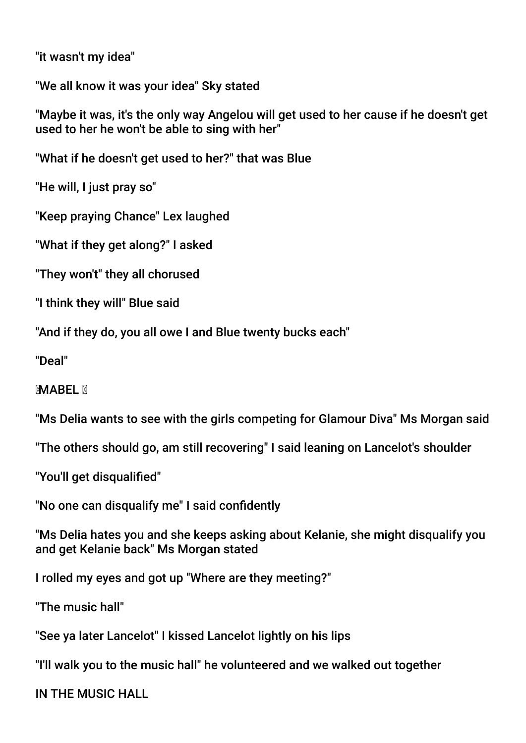"it wasn't my idea"

"We all know it was your idea" Sky stated

"Maybe it was, it's the only way Angelou will get used to her cause if he doesn't get used to her he won't be able to sing with her"

"What if he doesn't get used to her?" that was Blue

"He will, I just pray so"

"Keep praying Chance" Lex laughed

"What if they get along?" I asked

"They won't" they all chorused

"I think they will" Blue said

"And if they do, you all owe I and Blue twenty bucks each"

"Deal"

**MABEL N** 

"Ms Delia wants to see with the girls competing for Glamour Diva" Ms Morgan said

"The others should go, am still recovering" I said leaning on Lancelot's shoulder

"You'll get disqualifed"

"No one can disqualify me" I said confdently

"Ms Delia hates you and she keeps asking about Kelanie, she might disqualify you and get Kelanie back" Ms Morgan stated

I rolled my eyes and got up "Where are they meeting?"

"The music hall"

"See ya later Lancelot" I kissed Lancelot lightly on his lips

"I'll walk you to the music hall" he volunteered and we walked out together

IN THE MUSIC HALL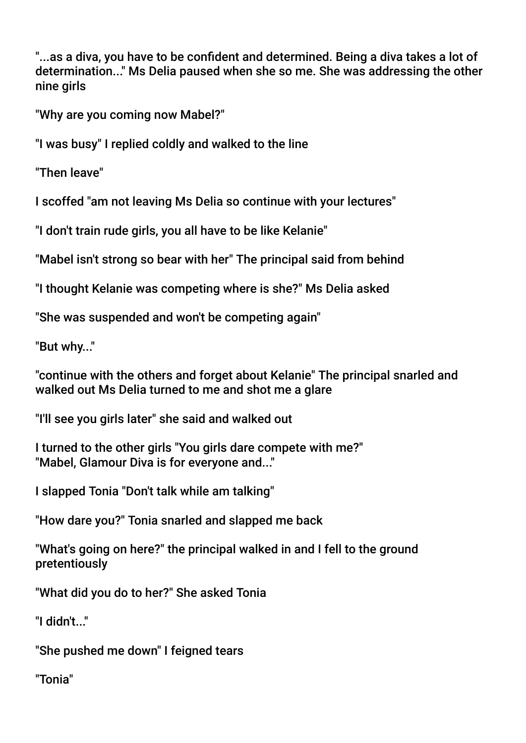"...as a diva, you have to be confdent and determined. Being a diva takes a lot of determination..." Ms Delia paused when she so me. She was addressing the other nine girls

"Why are you coming now Mabel?"

"I was busy" I replied coldly and walked to the line

"Then leave"

I scoffed "am not leaving Ms Delia so continue with your lectures"

"I don't train rude girls, you all have to be like Kelanie"

"Mabel isn't strong so bear with her" The principal said from behind

"I thought Kelanie was competing where is she?" Ms Delia asked

"She was suspended and won't be competing again"

"But why..."

"continue with the others and forget about Kelanie" The principal snarled and walked out Ms Delia turned to me and shot me a glare

"I'll see you girls later" she said and walked out

I turned to the other girls "You girls dare compete with me?" "Mabel, Glamour Diva is for everyone and..."

I slapped Tonia "Don't talk while am talking"

"How dare you?" Tonia snarled and slapped me back

"What's going on here?" the principal walked in and I fell to the ground pretentiously

"What did you do to her?" She asked Tonia

"I didn't..."

"She pushed me down" I feigned tears

"Tonia"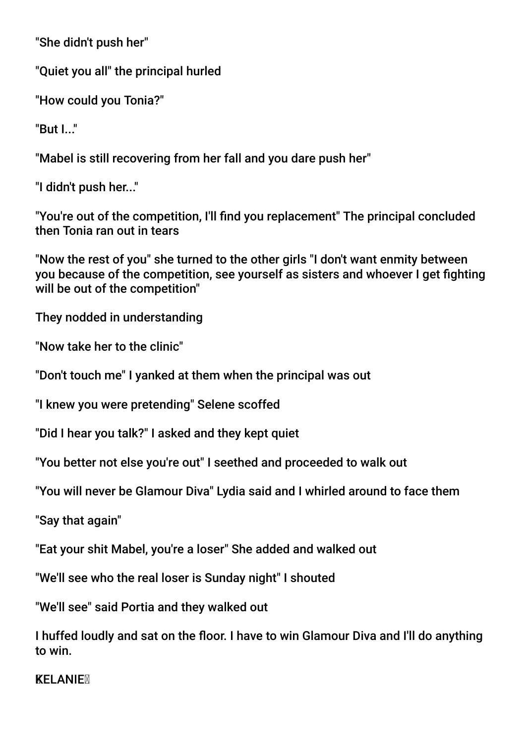"She didn't push her"

"Quiet you all" the principal hurled

"How could you Tonia?"

"But I. "

"Mabel is still recovering from her fall and you dare push her"

"I didn't push her..."

"You're out of the competition, I'll fnd you replacement" The principal concluded then Tonia ran out in tears

"Now the rest of you" she turned to the other girls "I don't want enmity between you because of the competition, see yourself as sisters and whoever I get fighting will be out of the competition"

They nodded in understanding

"Now take her to the clinic"

"Don't touch me" I yanked at them when the principal was out

"I knew you were pretending" Selene scoffed

"Did I hear you talk?" I asked and they kept quiet

"You better not else you're out" I seethed and proceeded to walk out

"You will never be Glamour Diva" Lydia said and I whirled around to face them

"Say that again"

"Eat your shit Mabel, you're a loser" She added and walked out

"We'll see who the real loser is Sunday night" I shouted

"We'll see" said Portia and they walked out

I huffed loudly and sat on the foor. I have to win Glamour Diva and I'll do anything to win.

**KELANIEM**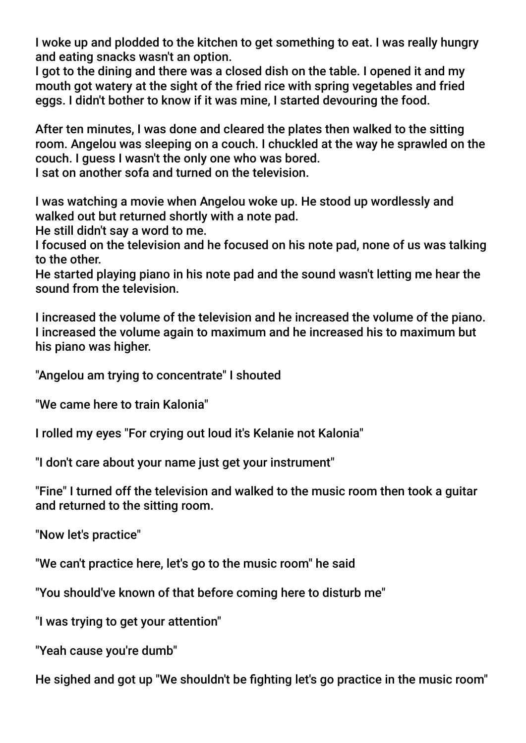I woke up and plodded to the kitchen to get something to eat. I was really hungry and eating snacks wasn't an option.

I got to the dining and there was a closed dish on the table. I opened it and my mouth got watery at the sight of the fried rice with spring vegetables and fried eggs. I didn't bother to know if it was mine, I started devouring the food.

After ten minutes, I was done and cleared the plates then walked to the sitting room. Angelou was sleeping on a couch. I chuckled at the way he sprawled on the couch. I guess I wasn't the only one who was bored.

I sat on another sofa and turned on the television.

I was watching a movie when Angelou woke up. He stood up wordlessly and walked out but returned shortly with a note pad.

He still didn't say a word to me.

I focused on the television and he focused on his note pad, none of us was talking to the other.

He started playing piano in his note pad and the sound wasn't letting me hear the sound from the television.

I increased the volume of the television and he increased the volume of the piano. I increased the volume again to maximum and he increased his to maximum but his piano was higher.

"Angelou am trying to concentrate" I shouted

"We came here to train Kalonia"

I rolled my eyes "For crying out loud it's Kelanie not Kalonia"

"I don't care about your name just get your instrument"

"Fine" I turned off the television and walked to the music room then took a guitar and returned to the sitting room.

"Now let's practice"

"We can't practice here, let's go to the music room" he said

"You should've known of that before coming here to disturb me"

"I was trying to get your attention"

"Yeah cause you're dumb"

He sighed and got up "We shouldn't be fighting let's go practice in the music room"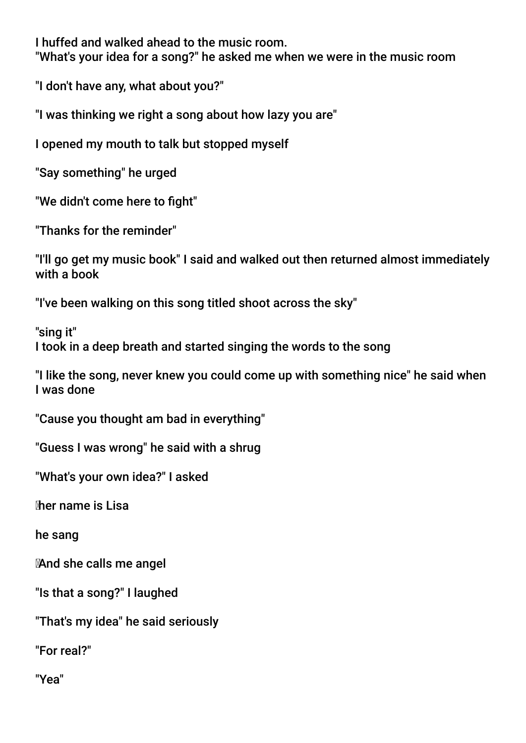I huffed and walked ahead to the music room.

"What's your idea for a song?" he asked me when we were in the music room

"I don't have any, what about you?"

"I was thinking we right a song about how lazy you are"

I opened my mouth to talk but stopped myself

"Say something" he urged

"We didn't come here to fight"

"Thanks for the reminder"

"I'll go get my music book" I said and walked out then returned almost immediately with a book

"I've been walking on this song titled shoot across the sky"

"sing it" I took in a deep breath and started singing the words to the song

"I like the song, never knew you could come up with something nice" he said when I was done

"Cause you thought am bad in everything"

"Guess I was wrong" he said with a shrug

"What's your own idea?" I asked

her name is Lisa

he sang

And she calls me angel

"Is that a song?" I laughed

"That's my idea" he said seriously

"For real?"

"Yea"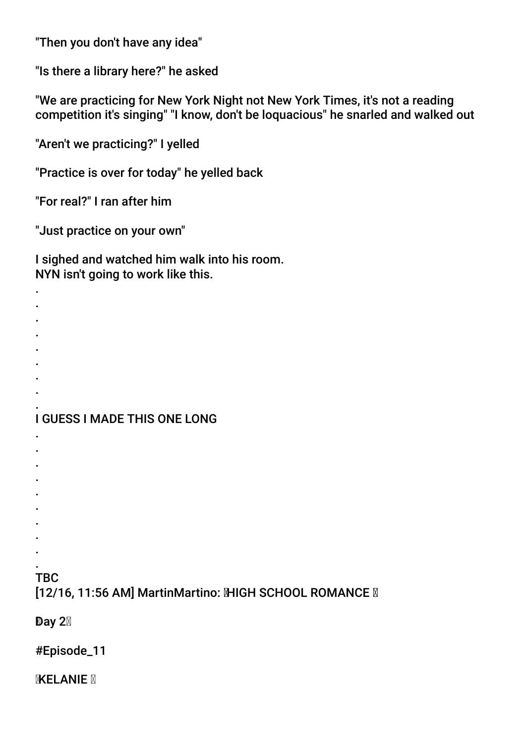"Then you don't have any idea"

"Is there a library here?" he asked

"We are practicing for New York Night not New York Times, it's not a reading competition it's singing" "I know, don't be loquacious" he snarled and walked out

"Aren't we practicing?" I yelled

"Practice is over for today" he yelled back

"For real?" I ran after him

"Just practice on your own"

I sighed and watched him walk into his room. NYN isn't going to work like this.

I GUESS I MADE THIS ONE LONG

- 
- . .
- .
- .
- .
- .
- . .

### TBC

. . . . . . . . .

. .

[12/16, 11:56 AM] MartinMartino: MHGH SCHOOL ROMANCE M

Day  $2\%$ 

#Episode\_11

**EXELANIE**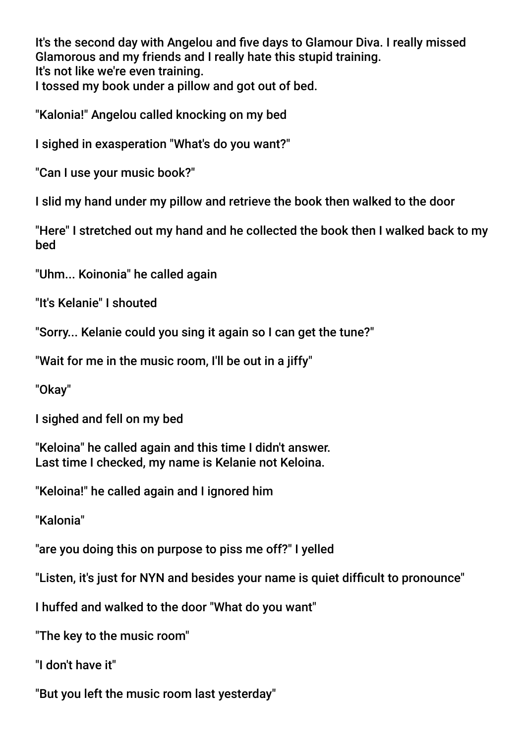It's the second day with Angelou and fve days to Glamour Diva. I really missed Glamorous and my friends and I really hate this stupid training. It's not like we're even training. I tossed my book under a pillow and got out of bed.

"Kalonia!" Angelou called knocking on my bed

I sighed in exasperation "What's do you want?"

"Can I use your music book?"

I slid my hand under my pillow and retrieve the book then walked to the door

"Here" I stretched out my hand and he collected the book then I walked back to my bed

"Uhm... Koinonia" he called again

"It's Kelanie" I shouted

"Sorry... Kelanie could you sing it again so I can get the tune?"

"Wait for me in the music room, I'll be out in a jiffy"

"Okay"

I sighed and fell on my bed

"Keloina" he called again and this time I didn't answer. Last time I checked, my name is Kelanie not Keloina.

"Keloina!" he called again and I ignored him

"Kalonia"

"are you doing this on purpose to piss me off?" I yelled

"Listen, it's just for NYN and besides your name is quiet difficult to pronounce"

I huffed and walked to the door "What do you want"

"The key to the music room"

"I don't have it"

"But you left the music room last yesterday"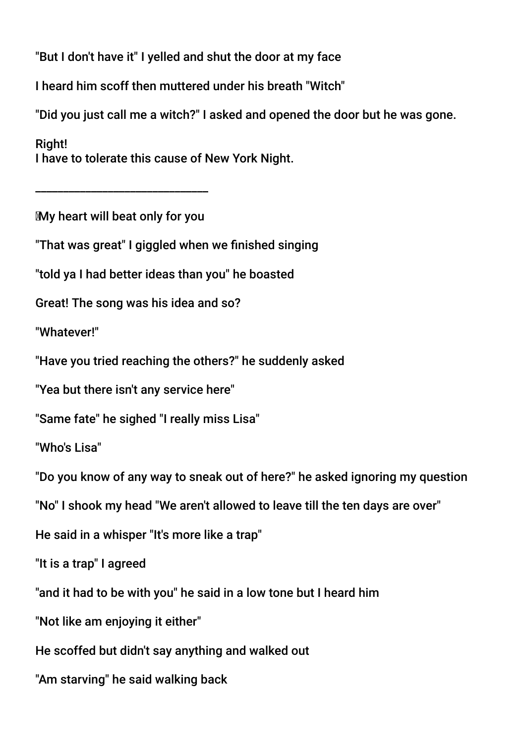"But I don't have it" I yelled and shut the door at my face

I heard him scoff then muttered under his breath "Witch"

"Did you just call me a witch?" I asked and opened the door but he was gone.

Right! I have to tolerate this cause of New York Night.

My heart will beat only for you

\_\_\_\_\_\_\_\_\_\_\_\_\_\_\_\_\_\_\_\_\_\_\_\_\_\_\_\_\_\_\_

"That was great" I giggled when we fnished singing

"told ya I had better ideas than you" he boasted

Great! The song was his idea and so?

"Whatever!"

"Have you tried reaching the others?" he suddenly asked

"Yea but there isn't any service here"

"Same fate" he sighed "I really miss Lisa"

"Who's Lisa"

"Do you know of any way to sneak out of here?" he asked ignoring my question

"No" I shook my head "We aren't allowed to leave till the ten days are over"

He said in a whisper "It's more like a trap"

"It is a trap" I agreed

"and it had to be with you" he said in a low tone but I heard him

"Not like am enjoying it either"

He scoffed but didn't say anything and walked out

"Am starving" he said walking back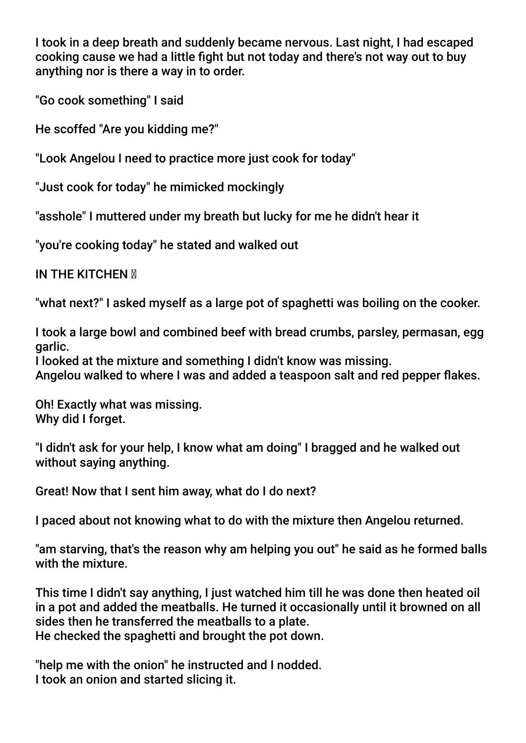I took in a deep breath and suddenly became nervous. Last night, I had escaped cooking cause we had a little fight but not today and there's not way out to buy anything nor is there a way in to order.

"Go cook something" I said

He scoffed "Are you kidding me?"

"Look Angelou I need to practice more just cook for today"

"Just cook for today" he mimicked mockingly

"asshole" I muttered under my breath but lucky for me he didn't hear it

"you're cooking today" he stated and walked out

IN THE KITCHEN **M** 

"what next?" I asked myself as a large pot of spaghetti was boiling on the cooker.

I took a large bowl and combined beef with bread crumbs, parsley, permasan, egg garlic.

I looked at the mixture and something I didn't know was missing.

Angelou walked to where I was and added a teaspoon salt and red pepper fakes.

Oh! Exactly what was missing. Why did I forget.

"I didn't ask for your help, I know what am doing" I bragged and he walked out without saying anything.

Great! Now that I sent him away, what do I do next?

I paced about not knowing what to do with the mixture then Angelou returned.

"am starving, that's the reason why am helping you out" he said as he formed balls with the mixture.

This time I didn't say anything, I just watched him till he was done then heated oil in a pot and added the meatballs. He turned it occasionally until it browned on all sides then he transferred the meatballs to a plate. He checked the spaghetti and brought the pot down.

"help me with the onion" he instructed and I nodded. I took an onion and started slicing it.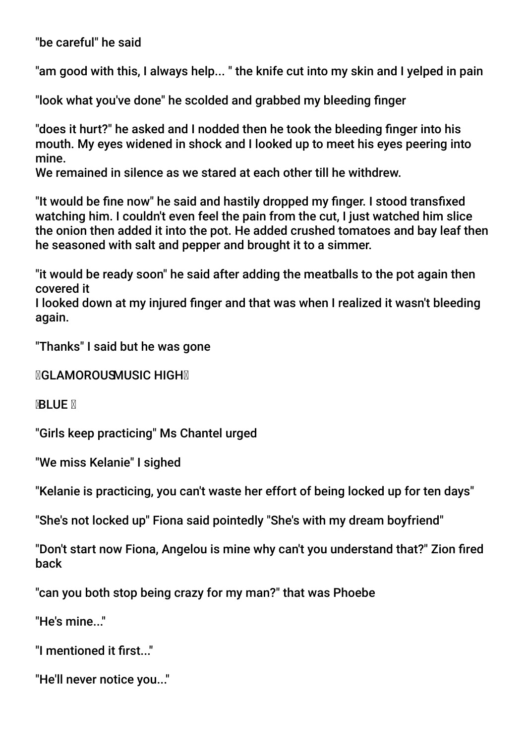"be careful" he said

"am good with this, I always help... " the knife cut into my skin and I yelped in pain

"look what you've done" he scolded and grabbed my bleeding fnger

"does it hurt?" he asked and I nodded then he took the bleeding fnger into his mouth. My eyes widened in shock and I looked up to meet his eyes peering into mine.

We remained in silence as we stared at each other till he withdrew.

"It would be fne now" he said and hastily dropped my fnger. I stood transfxed watching him. I couldn't even feel the pain from the cut, I just watched him slice the onion then added it into the pot. He added crushed tomatoes and bay leaf then he seasoned with salt and pepper and brought it to a simmer.

"it would be ready soon" he said after adding the meatballs to the pot again then covered it

I looked down at my injured fnger and that was when I realized it wasn't bleeding again.

"Thanks" I said but he was gone

**MGLAMOROUSMUSIC HIGHM** 

**BLUE X** 

"Girls keep practicing" Ms Chantel urged

"We miss Kelanie" I sighed

"Kelanie is practicing, you can't waste her effort of being locked up for ten days"

"She's not locked up" Fiona said pointedly "She's with my dream boyfriend"

"Don't start now Fiona, Angelou is mine why can't you understand that?" Zion fred back

"can you both stop being crazy for my man?" that was Phoebe

"He's mine..."

"I mentioned it frst..."

"He'll never notice you..."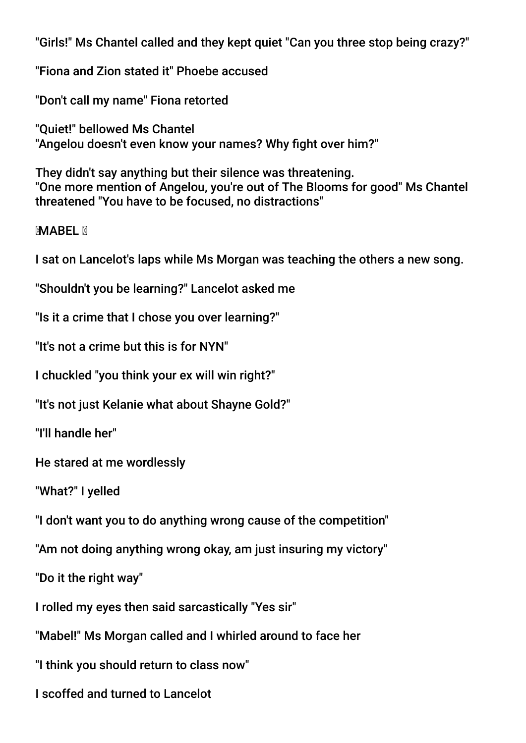"Girls!" Ms Chantel called and they kept quiet "Can you three stop being crazy?"

"Fiona and Zion stated it" Phoebe accused

"Don't call my name" Fiona retorted

"Quiet!" bellowed Ms Chantel "Angelou doesn't even know your names? Why fight over him?"

They didn't say anything but their silence was threatening. "One more mention of Angelou, you're out of The Blooms for good" Ms Chantel threatened "You have to be focused, no distractions"

**MARFI M** 

I sat on Lancelot's laps while Ms Morgan was teaching the others a new song.

"Shouldn't you be learning?" Lancelot asked me

"Is it a crime that I chose you over learning?"

"It's not a crime but this is for NYN"

I chuckled "you think your ex will win right?"

"It's not just Kelanie what about Shayne Gold?"

"I'll handle her"

He stared at me wordlessly

"What?" I yelled

"I don't want you to do anything wrong cause of the competition"

"Am not doing anything wrong okay, am just insuring my victory"

"Do it the right way"

I rolled my eyes then said sarcastically "Yes sir"

"Mabel!" Ms Morgan called and I whirled around to face her

"I think you should return to class now"

I scoffed and turned to Lancelot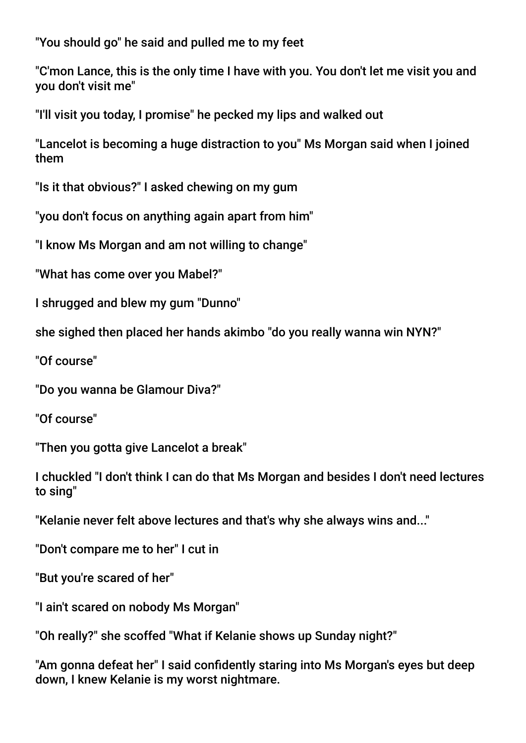"You should go" he said and pulled me to my feet

"C'mon Lance, this is the only time I have with you. You don't let me visit you and you don't visit me"

"I'll visit you today, I promise" he pecked my lips and walked out

"Lancelot is becoming a huge distraction to you" Ms Morgan said when I joined them

"Is it that obvious?" I asked chewing on my gum

"you don't focus on anything again apart from him"

"I know Ms Morgan and am not willing to change"

"What has come over you Mabel?"

I shrugged and blew my gum "Dunno"

she sighed then placed her hands akimbo "do you really wanna win NYN?"

"Of course"

"Do you wanna be Glamour Diva?"

"Of course"

"Then you gotta give Lancelot a break"

I chuckled "I don't think I can do that Ms Morgan and besides I don't need lectures to sing"

"Kelanie never felt above lectures and that's why she always wins and..."

"Don't compare me to her" I cut in

"But you're scared of her"

"I ain't scared on nobody Ms Morgan"

"Oh really?" she scoffed "What if Kelanie shows up Sunday night?"

"Am gonna defeat her" I said confdently staring into Ms Morgan's eyes but deep down, I knew Kelanie is my worst nightmare.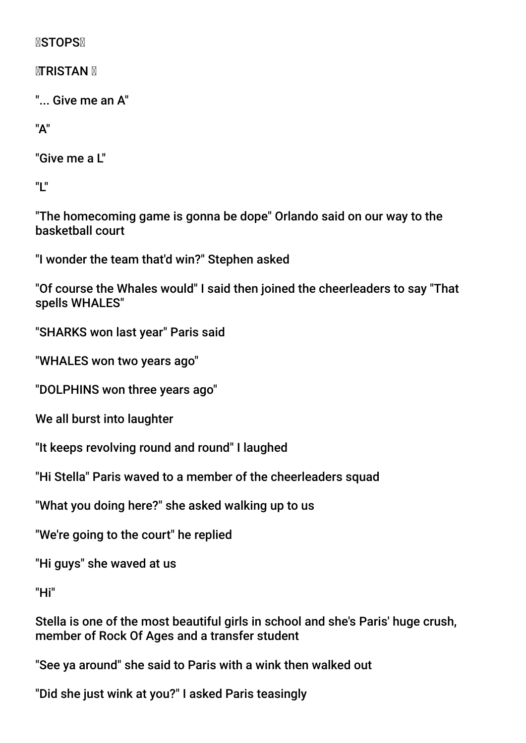**NSTOPSN** 

**<b>MTRISTAN** M

"... Give me an A"

"A"

"Give me a L"

"L"

"The homecoming game is gonna be dope" Orlando said on our way to the basketball court

"I wonder the team that'd win?" Stephen asked

"Of course the Whales would" I said then joined the cheerleaders to say "That spells WHALES"

"SHARKS won last year" Paris said

"WHALES won two years ago"

"DOLPHINS won three years ago"

We all burst into laughter

"It keeps revolving round and round" I laughed

"Hi Stella" Paris waved to a member of the cheerleaders squad

"What you doing here?" she asked walking up to us

"We're going to the court" he replied

"Hi guys" she waved at us

"Hi"

Stella is one of the most beautiful girls in school and she's Paris' huge crush, member of Rock Of Ages and a transfer student

"See ya around" she said to Paris with a wink then walked out

"Did she just wink at you?" I asked Paris teasingly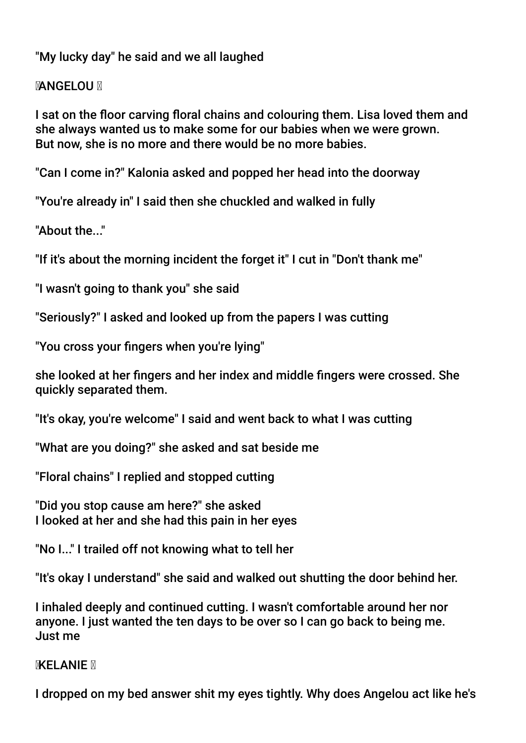"My lucky day" he said and we all laughed

## **MANGELOU M**

I sat on the foor carving foral chains and colouring them. Lisa loved them and she always wanted us to make some for our babies when we were grown. But now, she is no more and there would be no more babies.

"Can I come in?" Kalonia asked and popped her head into the doorway

"You're already in" I said then she chuckled and walked in fully

"About the "

"If it's about the morning incident the forget it" I cut in "Don't thank me"

"I wasn't going to thank you" she said

"Seriously?" I asked and looked up from the papers I was cutting

"You cross your fngers when you're lying"

she looked at her fngers and her index and middle fngers were crossed. She quickly separated them.

"It's okay, you're welcome" I said and went back to what I was cutting

"What are you doing?" she asked and sat beside me

"Floral chains" I replied and stopped cutting

"Did you stop cause am here?" she asked I looked at her and she had this pain in her eyes

"No I..." I trailed off not knowing what to tell her

"It's okay I understand" she said and walked out shutting the door behind her.

I inhaled deeply and continued cutting. I wasn't comfortable around her nor anyone. I just wanted the ten days to be over so I can go back to being me. Just me

**MELANIE N** 

I dropped on my bed answer shit my eyes tightly. Why does Angelou act like he's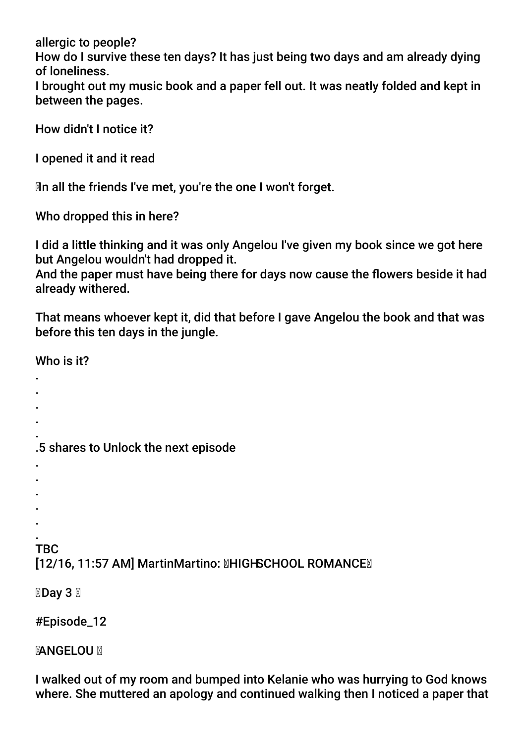allergic to people? How do I survive these ten days? It has just being two days and am already dying of loneliness. I brought out my music book and a paper fell out. It was neatly folded and kept in between the pages.

How didn't I notice it?

I opened it and it read

In all the friends I've met, you're the one I won't forget.

Who dropped this in here?

I did a little thinking and it was only Angelou I've given my book since we got here but Angelou wouldn't had dropped it.

And the paper must have being there for days now cause the flowers beside it had already withered.

That means whoever kept it, did that before I gave Angelou the book and that was before this ten days in the jungle.

Who is it?

- . .
- .
- .

. .5 shares to Unlock the next episode

- .
- .
- . .
- .

#### . **TBC**

# [12/16, 11:57 AM] MartinMartino: **MHIGHSCHOOL ROMANCEM**

**⊠Day 3 ⊠** 

# #Episode\_12

# **MANGELOU M**

I walked out of my room and bumped into Kelanie who was hurrying to God knows where. She muttered an apology and continued walking then I noticed a paper that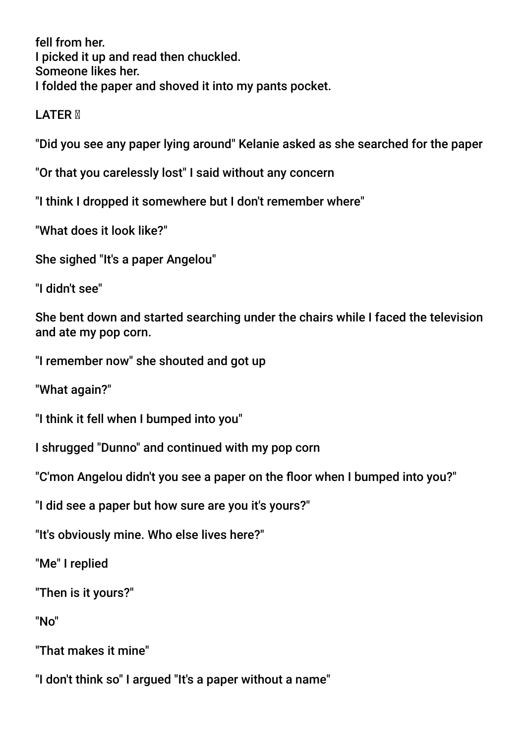fell from her. I picked it up and read then chuckled. Someone likes her. I folded the paper and shoved it into my pants pocket.

LATER **M** 

"Did you see any paper lying around" Kelanie asked as she searched for the paper

"Or that you carelessly lost" I said without any concern

"I think I dropped it somewhere but I don't remember where"

"What does it look like?"

She sighed "It's a paper Angelou"

"I didn't see"

She bent down and started searching under the chairs while I faced the television and ate my pop corn.

"I remember now" she shouted and got up

"What again?"

"I think it fell when I bumped into you"

I shrugged "Dunno" and continued with my pop corn

"C'mon Angelou didn't you see a paper on the foor when I bumped into you?"

"I did see a paper but how sure are you it's yours?"

"It's obviously mine. Who else lives here?"

"Me" I replied

"Then is it yours?"

"No"

"That makes it mine"

"I don't think so" I argued "It's a paper without a name"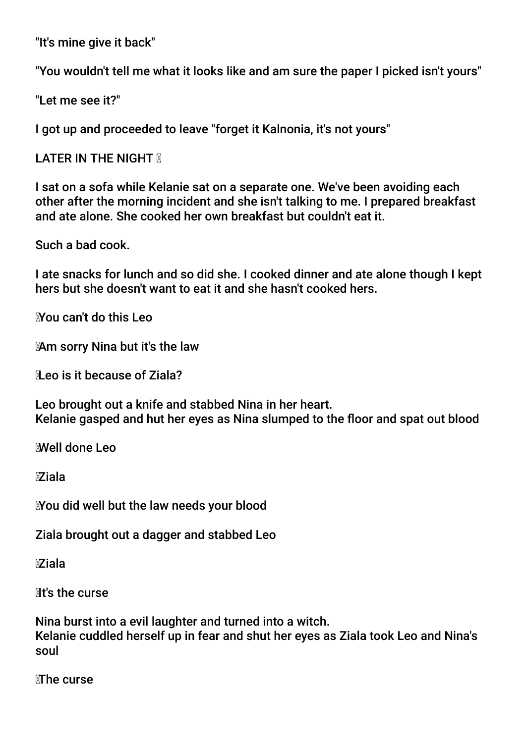"It's mine give it back"

"You wouldn't tell me what it looks like and am sure the paper I picked isn't yours"

"Let me see it?"

I got up and proceeded to leave "forget it Kalnonia, it's not yours"

LATER IN THE NIGHT **M** 

I sat on a sofa while Kelanie sat on a separate one. We've been avoiding each other after the morning incident and she isn't talking to me. I prepared breakfast and ate alone. She cooked her own breakfast but couldn't eat it.

Such a bad cook.

I ate snacks for lunch and so did she. I cooked dinner and ate alone though I kept hers but she doesn't want to eat it and she hasn't cooked hers.

You can't do this Leo

Am sorry Nina but it's the law

Leo is it because of Ziala?

Leo brought out a knife and stabbed Nina in her heart. Kelanie gasped and hut her eyes as Nina slumped to the floor and spat out blood

Well done Leo

Ziala

You did well but the law needs your blood

Ziala brought out a dagger and stabbed Leo

Ziala

**Nt's the curse** 

Nina burst into a evil laughter and turned into a witch. Kelanie cuddled herself up in fear and shut her eyes as Ziala took Leo and Nina's soul

MThe curse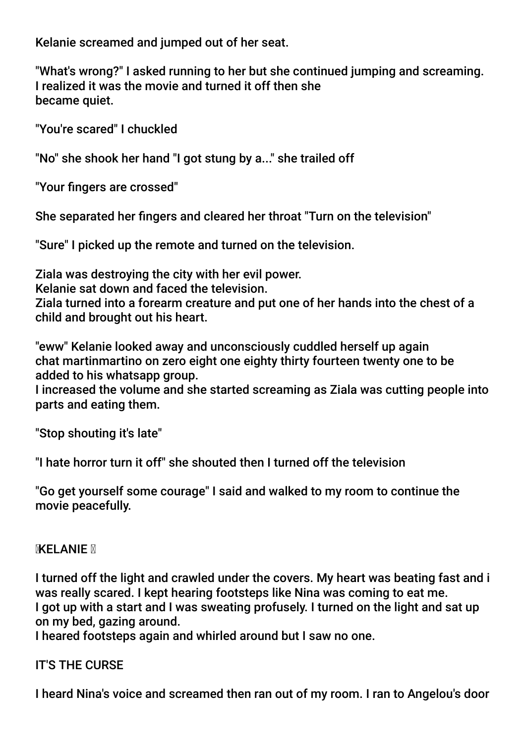Kelanie screamed and jumped out of her seat.

"What's wrong?" I asked running to her but she continued jumping and screaming. I realized it was the movie and turned it off then she became quiet.

"You're scared" I chuckled

"No" she shook her hand "I got stung by a..." she trailed off

"Your fngers are crossed"

She separated her fngers and cleared her throat "Turn on the television"

"Sure" I picked up the remote and turned on the television.

Ziala was destroying the city with her evil power.

Kelanie sat down and faced the television.

Ziala turned into a forearm creature and put one of her hands into the chest of a child and brought out his heart.

"eww" Kelanie looked away and unconsciously cuddled herself up again chat martinmartino on zero eight one eighty thirty fourteen twenty one to be added to his whatsapp group.

I increased the volume and she started screaming as Ziala was cutting people into parts and eating them.

"Stop shouting it's late"

"I hate horror turn it off" she shouted then I turned off the television

"Go get yourself some courage" I said and walked to my room to continue the movie peacefully.

### **MXELANIE M**

I turned off the light and crawled under the covers. My heart was beating fast and i was really scared. I kept hearing footsteps like Nina was coming to eat me. I got up with a start and I was sweating profusely. I turned on the light and sat up on my bed, gazing around.

I heared footsteps again and whirled around but I saw no one.

### IT'S THE CURSE

I heard Nina's voice and screamed then ran out of my room. I ran to Angelou's door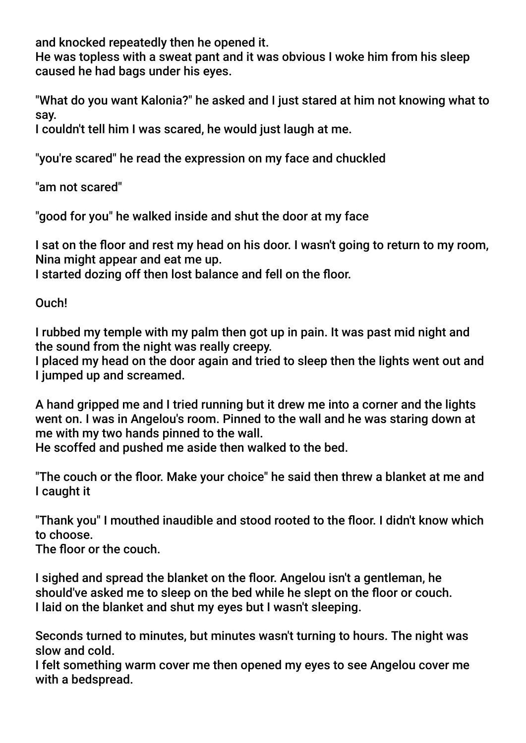and knocked repeatedly then he opened it.

He was topless with a sweat pant and it was obvious I woke him from his sleep caused he had bags under his eyes.

"What do you want Kalonia?" he asked and I just stared at him not knowing what to say.

I couldn't tell him I was scared, he would just laugh at me.

"you're scared" he read the expression on my face and chuckled

"am not scared"

"good for you" he walked inside and shut the door at my face

I sat on the floor and rest my head on his door. I wasn't going to return to my room, Nina might appear and eat me up.

I started dozing off then lost balance and fell on the foor.

Ouch!

I rubbed my temple with my palm then got up in pain. It was past mid night and the sound from the night was really creepy.

I placed my head on the door again and tried to sleep then the lights went out and I jumped up and screamed.

A hand gripped me and I tried running but it drew me into a corner and the lights went on. I was in Angelou's room. Pinned to the wall and he was staring down at me with my two hands pinned to the wall.

He scoffed and pushed me aside then walked to the bed.

"The couch or the foor. Make your choice" he said then threw a blanket at me and I caught it

"Thank you" I mouthed inaudible and stood rooted to the floor. I didn't know which to choose.

The floor or the couch.

I sighed and spread the blanket on the foor. Angelou isn't a gentleman, he should've asked me to sleep on the bed while he slept on the floor or couch. I laid on the blanket and shut my eyes but I wasn't sleeping.

Seconds turned to minutes, but minutes wasn't turning to hours. The night was slow and cold.

I felt something warm cover me then opened my eyes to see Angelou cover me with a bedspread.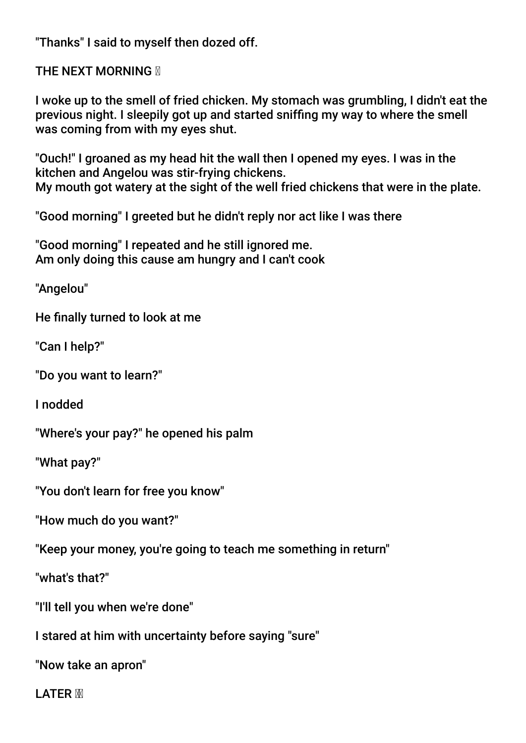"Thanks" I said to myself then dozed off.

**THE NEXT MORNING M** 

I woke up to the smell of fried chicken. My stomach was grumbling, I didn't eat the previous night. I sleepily got up and started sniffng my way to where the smell was coming from with my eyes shut.

"Ouch!" I groaned as my head hit the wall then I opened my eyes. I was in the kitchen and Angelou was stir-frying chickens. My mouth got watery at the sight of the well fried chickens that were in the plate.

"Good morning" I greeted but he didn't reply nor act like I was there

"Good morning" I repeated and he still ignored me. Am only doing this cause am hungry and I can't cook

"Angelou"

He fnally turned to look at me

"Can I help?"

"Do you want to learn?"

I nodded

"Where's your pay?" he opened his palm

"What pay?"

"You don't learn for free you know"

"How much do you want?"

"Keep your money, you're going to teach me something in return"

"what's that?"

"I'll tell you when we're done"

I stared at him with uncertainty before saying "sure"

"Now take an apron"

I ATFR M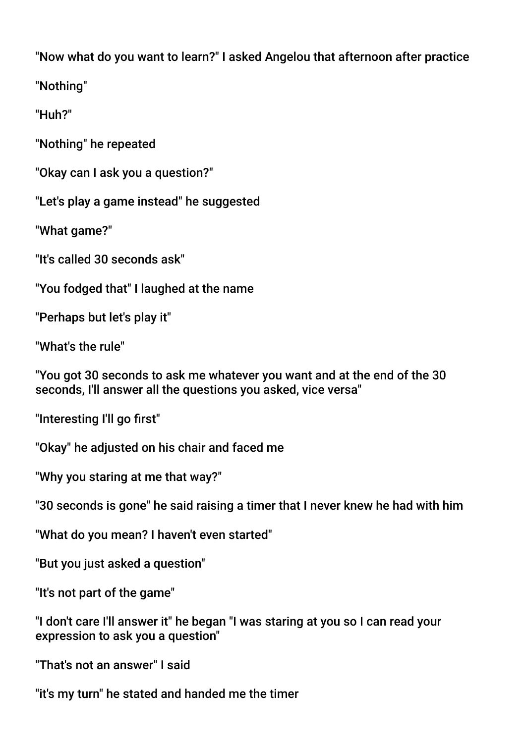"Now what do you want to learn?" I asked Angelou that afternoon after practice

"Nothing"

"Huh?"

"Nothing" he repeated

"Okay can I ask you a question?"

"Let's play a game instead" he suggested

"What game?"

"It's called 30 seconds ask"

"You fodged that" I laughed at the name

"Perhaps but let's play it"

"What's the rule"

"You got 30 seconds to ask me whatever you want and at the end of the 30 seconds, I'll answer all the questions you asked, vice versa"

"Interesting I'll go frst"

"Okay" he adjusted on his chair and faced me

"Why you staring at me that way?"

"30 seconds is gone" he said raising a timer that I never knew he had with him

"What do you mean? I haven't even started"

"But you just asked a question"

"It's not part of the game"

"I don't care I'll answer it" he began "I was staring at you so I can read your expression to ask you a question"

"That's not an answer" I said

"it's my turn" he stated and handed me the timer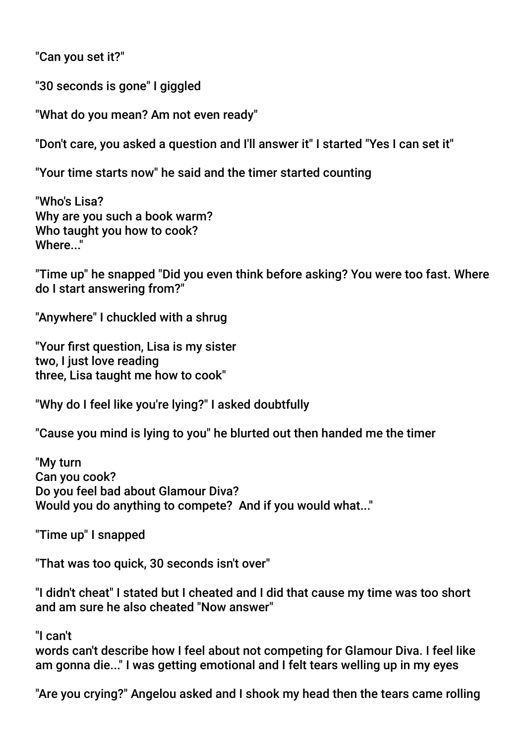"Can you set it?"

"30 seconds is gone" I giggled

"What do you mean? Am not even ready"

"Don't care, you asked a question and I'll answer it" I started "Yes I can set it"

"Your time starts now" he said and the timer started counting

"Who's Lisa? Why are you such a book warm? Who taught you how to cook? Where "

"Time up" he snapped "Did you even think before asking? You were too fast. Where do I start answering from?"

"Anywhere" I chuckled with a shrug

"Your frst question, Lisa is my sister two, I just love reading three, Lisa taught me how to cook"

"Why do I feel like you're lying?" I asked doubtfully

"Cause you mind is lying to you" he blurted out then handed me the timer

"My turn Can you cook? Do you feel bad about Glamour Diva? Would you do anything to compete? And if you would what..."

"Time up" I snapped

"That was too quick, 30 seconds isn't over"

"I didn't cheat" I stated but I cheated and I did that cause my time was too short and am sure he also cheated "Now answer"

"I can't

words can't describe how I feel about not competing for Glamour Diva. I feel like am gonna die..." I was getting emotional and I felt tears welling up in my eyes

"Are you crying?" Angelou asked and I shook my head then the tears came rolling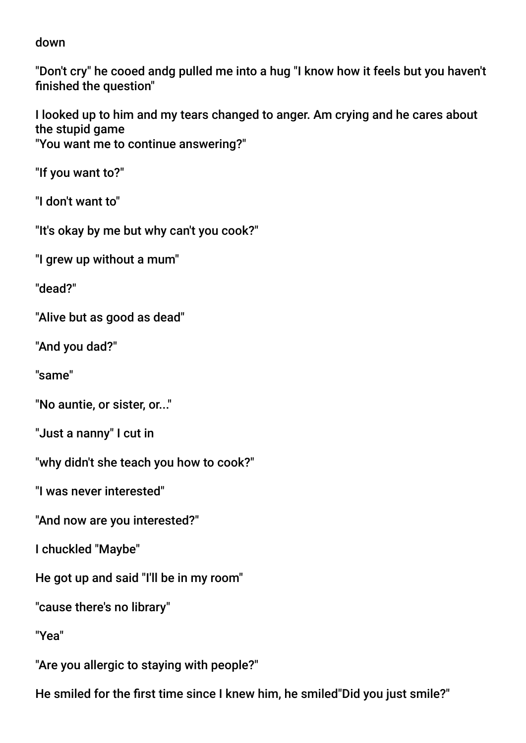down

"Don't cry" he cooed andg pulled me into a hug "I know how it feels but you haven't finished the question"

I looked up to him and my tears changed to anger. Am crying and he cares about the stupid game "You want me to continue answering?"

"If you want to?"

"I don't want to"

"It's okay by me but why can't you cook?"

"I grew up without a mum"

"dead?"

"Alive but as good as dead"

"And you dad?"

"same"

"No auntie, or sister, or..."

"Just a nanny" I cut in

"why didn't she teach you how to cook?"

"I was never interested"

"And now are you interested?"

I chuckled "Maybe"

He got up and said "I'll be in my room"

"cause there's no library"

"Yea"

"Are you allergic to staying with people?"

He smiled for the frst time since I knew him, he smiled"Did you just smile?"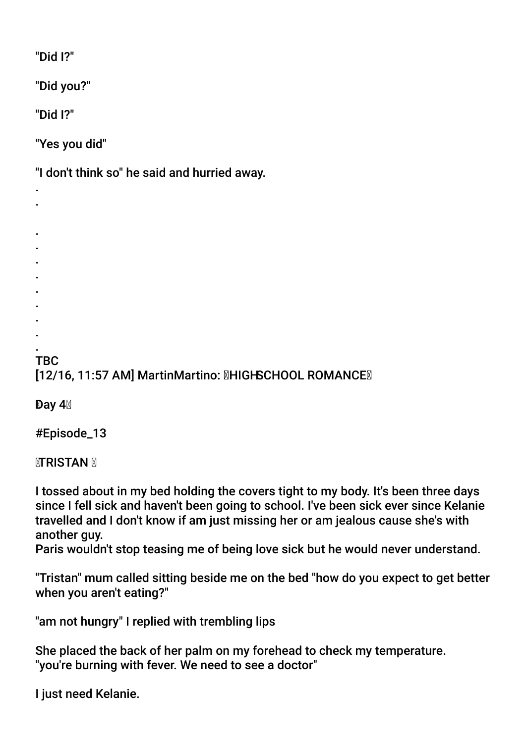"Did I?"

"Did you?"

"Did I?"

"Yes you did"

"I don't think so" he said and hurried away.

. . . . . .

- .
- .
- .
- . .

**TBC** [12/16, 11:57 AM] MartinMartino: **MHIGHSCHOOL ROMANCEM** 

Day 4

#Episode\_13

**<b>MTRISTAN** M

I tossed about in my bed holding the covers tight to my body. It's been three days since I fell sick and haven't been going to school. I've been sick ever since Kelanie travelled and I don't know if am just missing her or am jealous cause she's with another guy.

Paris wouldn't stop teasing me of being love sick but he would never understand.

"Tristan" mum called sitting beside me on the bed "how do you expect to get better when you aren't eating?"

"am not hungry" I replied with trembling lips

She placed the back of her palm on my forehead to check my temperature. "you're burning with fever. We need to see a doctor"

I just need Kelanie.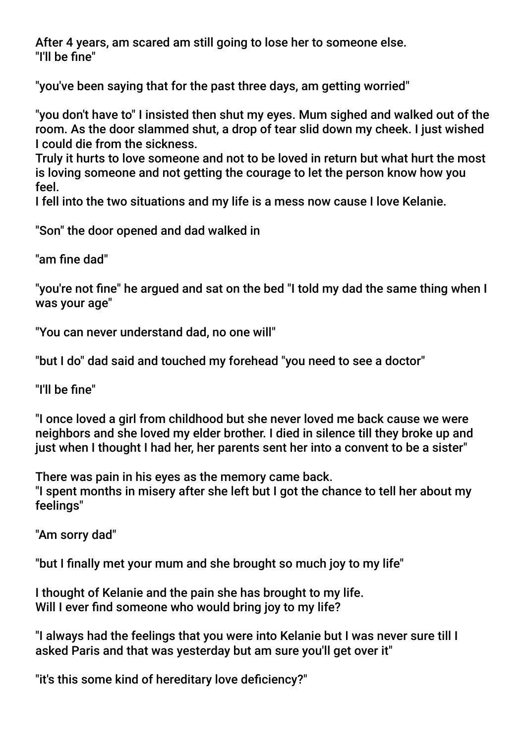After 4 years, am scared am still going to lose her to someone else. "I'll be fne"

"you've been saying that for the past three days, am getting worried"

"you don't have to" I insisted then shut my eyes. Mum sighed and walked out of the room. As the door slammed shut, a drop of tear slid down my cheek. I just wished I could die from the sickness.

Truly it hurts to love someone and not to be loved in return but what hurt the most is loving someone and not getting the courage to let the person know how you feel.

I fell into the two situations and my life is a mess now cause I love Kelanie.

"Son" the door opened and dad walked in

"am fine dad"

"you're not fne" he argued and sat on the bed "I told my dad the same thing when I was your age"

"You can never understand dad, no one will"

"but I do" dad said and touched my forehead "you need to see a doctor"

"I'll be fne"

"I once loved a girl from childhood but she never loved me back cause we were neighbors and she loved my elder brother. I died in silence till they broke up and just when I thought I had her, her parents sent her into a convent to be a sister"

There was pain in his eyes as the memory came back. "I spent months in misery after she left but I got the chance to tell her about my feelings"

"Am sorry dad"

"but I fnally met your mum and she brought so much joy to my life"

I thought of Kelanie and the pain she has brought to my life. Will I ever find someone who would bring joy to my life?

"I always had the feelings that you were into Kelanie but I was never sure till I asked Paris and that was yesterday but am sure you'll get over it"

"it's this some kind of hereditary love defciency?"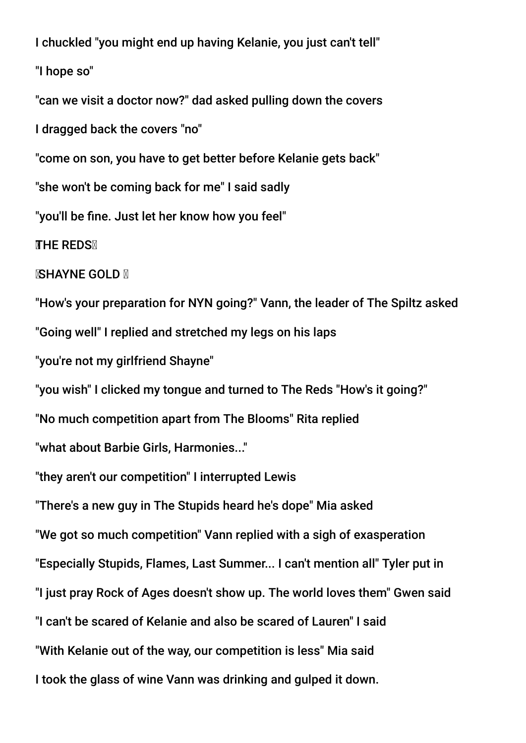I chuckled "you might end up having Kelanie, you just can't tell"

"I hope so"

"can we visit a doctor now?" dad asked pulling down the covers

I dragged back the covers "no"

"come on son, you have to get better before Kelanie gets back"

"she won't be coming back for me" I said sadly

"you'll be fne. Just let her know how you feel"

**THE REDSX** 

**ISHAYNE GOLD N** 

"How's your preparation for NYN going?" Vann, the leader of The Spiltz asked "Going well" I replied and stretched my legs on his laps

"you're not my girlfriend Shayne"

"you wish" I clicked my tongue and turned to The Reds "How's it going?"

"No much competition apart from The Blooms" Rita replied

"what about Barbie Girls, Harmonies..."

"they aren't our competition" I interrupted Lewis

"There's a new guy in The Stupids heard he's dope" Mia asked

"We got so much competition" Vann replied with a sigh of exasperation

"Especially Stupids, Flames, Last Summer... I can't mention all" Tyler put in

"I just pray Rock of Ages doesn't show up. The world loves them" Gwen said

"I can't be scared of Kelanie and also be scared of Lauren" I said

"With Kelanie out of the way, our competition is less" Mia said

I took the glass of wine Vann was drinking and gulped it down.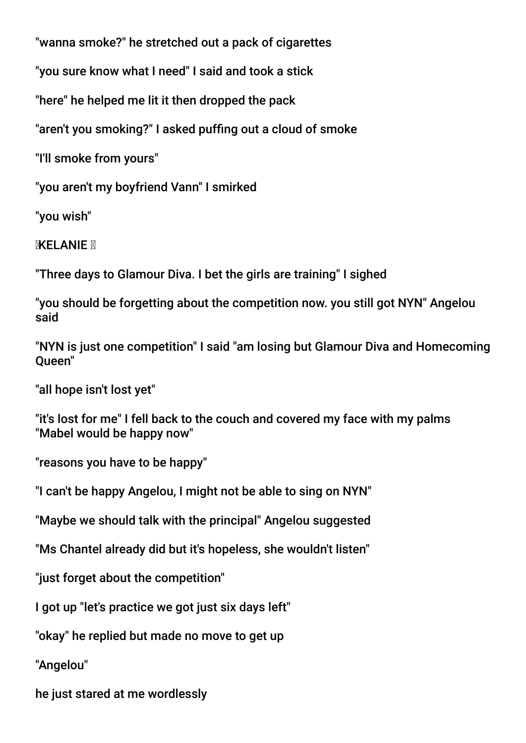"wanna smoke?" he stretched out a pack of cigarettes

"you sure know what I need" I said and took a stick

"here" he helped me lit it then dropped the pack

"aren't you smoking?" I asked puffng out a cloud of smoke

"I'll smoke from yours"

"you aren't my boyfriend Vann" I smirked

"you wish"

**MXELANIE** M

"Three days to Glamour Diva. I bet the girls are training" I sighed

"you should be forgetting about the competition now. you still got NYN" Angelou said

"NYN is just one competition" I said "am losing but Glamour Diva and Homecoming Queen"

"all hope isn't lost yet"

"it's lost for me" I fell back to the couch and covered my face with my palms "Mabel would be happy now"

"reasons you have to be happy"

"I can't be happy Angelou, I might not be able to sing on NYN"

"Maybe we should talk with the principal" Angelou suggested

"Ms Chantel already did but it's hopeless, she wouldn't listen"

"just forget about the competition"

I got up "let's practice we got just six days left"

"okay" he replied but made no move to get up

"Angelou"

he just stared at me wordlessly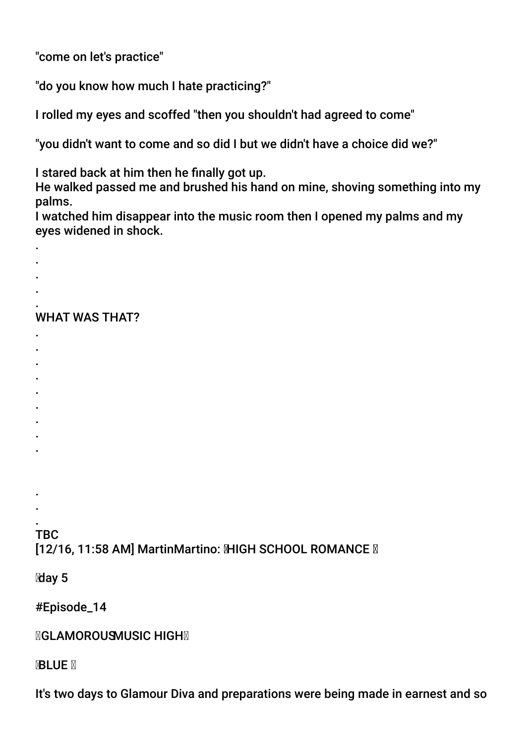"come on let's practice"

"do you know how much I hate practicing?"

I rolled my eyes and scoffed "then you shouldn't had agreed to come"

"you didn't want to come and so did I but we didn't have a choice did we?"

I stared back at him then he fnally got up.

He walked passed me and brushed his hand on mine, shoving something into my palms.

I watched him disappear into the music room then I opened my palms and my eyes widened in shock.

- .
- .
- . .

#### . WHAT WAS THAT?

- .
- . .
- .
- .
- .
- .
- .
- .
- 
- . .

. **TBC** [12/16, 11:58 AM] MartinMartino: MHGH SCHOOL ROMANCE M

day 5

#Episode\_14

**MGLAMOROUSMUSIC HIGHM** 

**BLUE X** 

It's two days to Glamour Diva and preparations were being made in earnest and so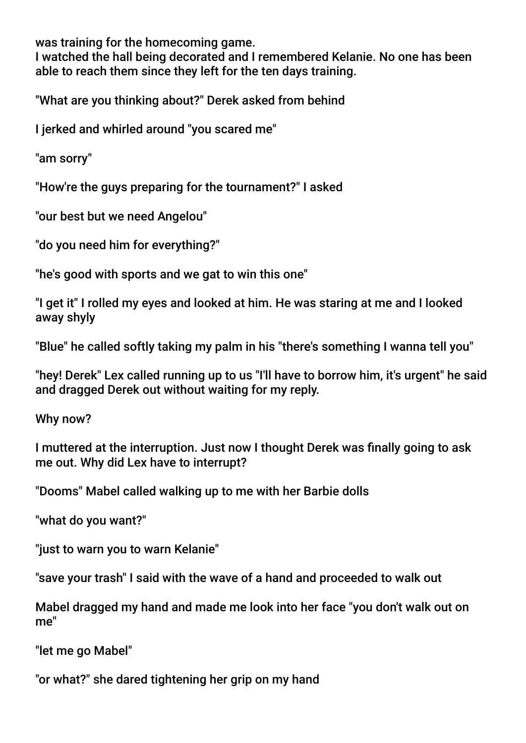was training for the homecoming game.

I watched the hall being decorated and I remembered Kelanie. No one has been able to reach them since they left for the ten days training.

"What are you thinking about?" Derek asked from behind

I jerked and whirled around "you scared me"

"am sorry"

"How're the guys preparing for the tournament?" I asked

"our best but we need Angelou"

"do you need him for everything?"

"he's good with sports and we gat to win this one"

"I get it" I rolled my eyes and looked at him. He was staring at me and I looked away shyly

"Blue" he called softly taking my palm in his "there's something I wanna tell you"

"hey! Derek" Lex called running up to us "I'll have to borrow him, it's urgent" he said and dragged Derek out without waiting for my reply.

Why now?

I muttered at the interruption. Just now I thought Derek was fnally going to ask me out. Why did Lex have to interrupt?

"Dooms" Mabel called walking up to me with her Barbie dolls

"what do you want?"

"just to warn you to warn Kelanie"

"save your trash" I said with the wave of a hand and proceeded to walk out

Mabel dragged my hand and made me look into her face "you don't walk out on me"

"let me go Mabel"

"or what?" she dared tightening her grip on my hand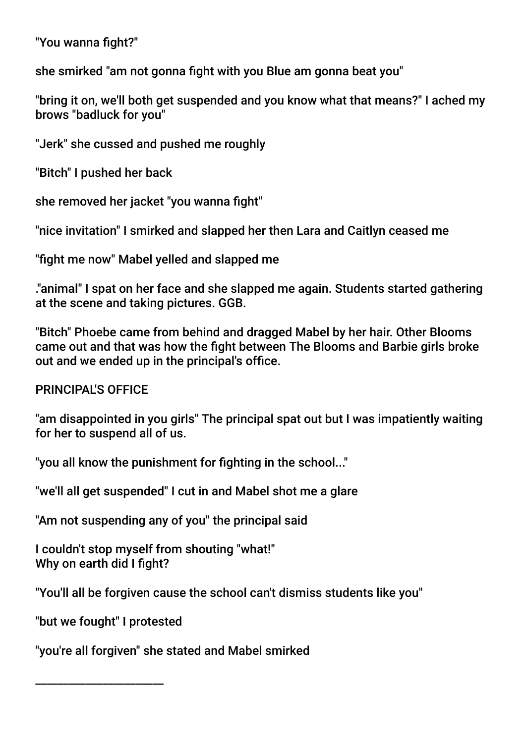"You wanna fight?"

she smirked "am not gonna fight with you Blue am gonna beat vou"

"bring it on, we'll both get suspended and you know what that means?" I ached my brows "badluck for you"

"Jerk" she cussed and pushed me roughly

"Bitch" I pushed her back

she removed her jacket "you wanna fight"

"nice invitation" I smirked and slapped her then Lara and Caitlyn ceased me

"fight me now" Mabel yelled and slapped me

."animal" I spat on her face and she slapped me again. Students started gathering at the scene and taking pictures. GGB.

"Bitch" Phoebe came from behind and dragged Mabel by her hair. Other Blooms came out and that was how the fight between The Blooms and Barbie girls broke out and we ended up in the principal's office.

PRINCIPAL'S OFFICE

"am disappointed in you girls" The principal spat out but I was impatiently waiting for her to suspend all of us.

"you all know the punishment for fighting in the school..."

"we'll all get suspended" I cut in and Mabel shot me a glare

"Am not suspending any of you" the principal said

I couldn't stop myself from shouting "what!" Why on earth did I fight?

"You'll all be forgiven cause the school can't dismiss students like you"

"but we fought" I protested

\_\_\_\_\_\_\_\_\_\_\_\_\_\_\_\_\_\_\_\_\_\_\_

"you're all forgiven" she stated and Mabel smirked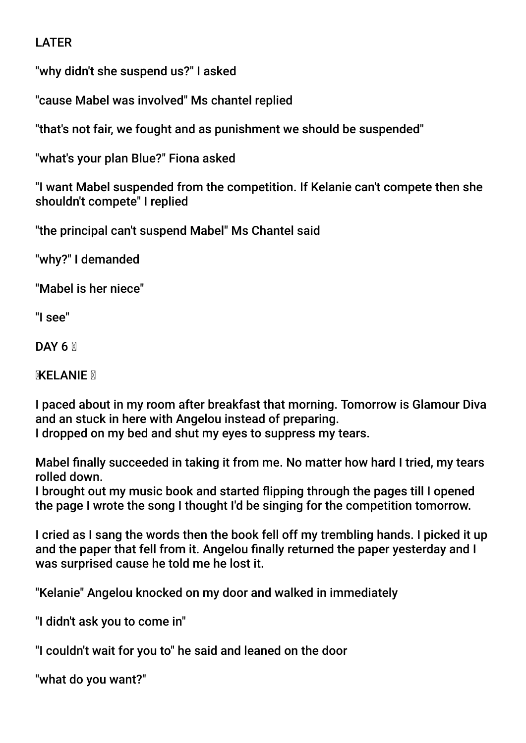## LATER

"why didn't she suspend us?" I asked

"cause Mabel was involved" Ms chantel replied

"that's not fair, we fought and as punishment we should be suspended"

"what's your plan Blue?" Fiona asked

"I want Mabel suspended from the competition. If Kelanie can't compete then she shouldn't compete" I replied

"the principal can't suspend Mabel" Ms Chantel said

"why?" I demanded

"Mabel is her niece"

"I see"

DAY 6  $\overline{M}$ 

**MXELANIE** M

I paced about in my room after breakfast that morning. Tomorrow is Glamour Diva and an stuck in here with Angelou instead of preparing. I dropped on my bed and shut my eyes to suppress my tears.

Mabel fnally succeeded in taking it from me. No matter how hard I tried, my tears rolled down.

I brought out my music book and started fipping through the pages till I opened the page I wrote the song I thought I'd be singing for the competition tomorrow.

I cried as I sang the words then the book fell off my trembling hands. I picked it up and the paper that fell from it. Angelou fnally returned the paper yesterday and I was surprised cause he told me he lost it.

"Kelanie" Angelou knocked on my door and walked in immediately

"I didn't ask you to come in"

"I couldn't wait for you to" he said and leaned on the door

"what do you want?"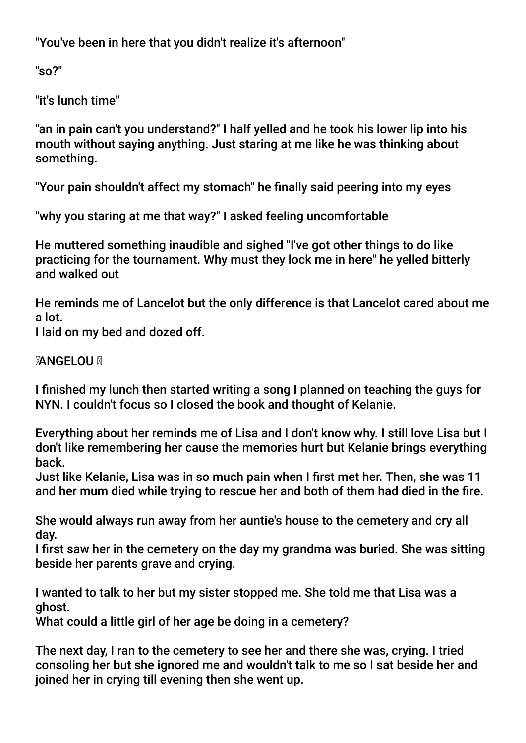"You've been in here that you didn't realize it's afternoon"

"so?"

"it's lunch time"

"an in pain can't you understand?" I half yelled and he took his lower lip into his mouth without saying anything. Just staring at me like he was thinking about something.

"Your pain shouldn't affect my stomach" he fnally said peering into my eyes

"why you staring at me that way?" I asked feeling uncomfortable

He muttered something inaudible and sighed "I've got other things to do like practicing for the tournament. Why must they lock me in here" he yelled bitterly and walked out

He reminds me of Lancelot but the only difference is that Lancelot cared about me a lot.

I laid on my bed and dozed off.

## **MANGELOU M**

I fnished my lunch then started writing a song I planned on teaching the guys for NYN. I couldn't focus so I closed the book and thought of Kelanie.

Everything about her reminds me of Lisa and I don't know why. I still love Lisa but I don't like remembering her cause the memories hurt but Kelanie brings everything back.

Just like Kelanie, Lisa was in so much pain when I frst met her. Then, she was 11 and her mum died while trying to rescue her and both of them had died in the fre.

She would always run away from her auntie's house to the cemetery and cry all day.

I frst saw her in the cemetery on the day my grandma was buried. She was sitting beside her parents grave and crying.

I wanted to talk to her but my sister stopped me. She told me that Lisa was a ghost.

What could a little girl of her age be doing in a cemetery?

The next day, I ran to the cemetery to see her and there she was, crying. I tried consoling her but she ignored me and wouldn't talk to me so I sat beside her and joined her in crying till evening then she went up.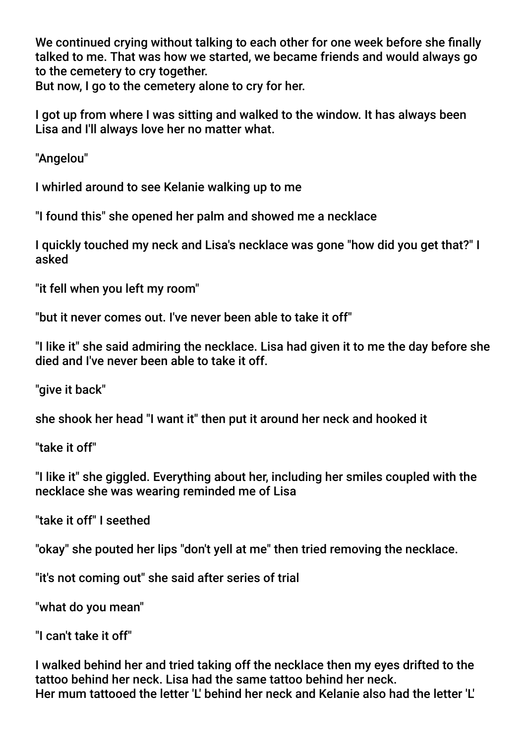We continued crying without talking to each other for one week before she fnally talked to me. That was how we started, we became friends and would always go to the cemetery to cry together.

But now, I go to the cemetery alone to cry for her.

I got up from where I was sitting and walked to the window. It has always been Lisa and I'll always love her no matter what.

"Angelou"

I whirled around to see Kelanie walking up to me

"I found this" she opened her palm and showed me a necklace

I quickly touched my neck and Lisa's necklace was gone "how did you get that?" I asked

"it fell when you left my room"

"but it never comes out. I've never been able to take it off"

"I like it" she said admiring the necklace. Lisa had given it to me the day before she died and I've never been able to take it off.

"give it back"

she shook her head "I want it" then put it around her neck and hooked it

"take it off"

"I like it" she giggled. Everything about her, including her smiles coupled with the necklace she was wearing reminded me of Lisa

"take it off" I seethed

"okay" she pouted her lips "don't yell at me" then tried removing the necklace.

"it's not coming out" she said after series of trial

"what do you mean"

"I can't take it off"

I walked behind her and tried taking off the necklace then my eyes drifted to the tattoo behind her neck. Lisa had the same tattoo behind her neck. Her mum tattooed the letter 'L' behind her neck and Kelanie also had the letter 'L'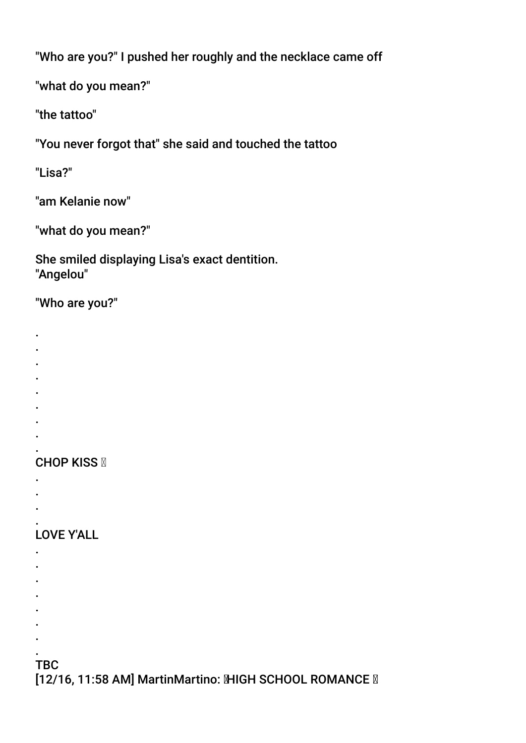"Who are you?" I pushed her roughly and the necklace came off

"what do you mean?"

"the tattoo"

"You never forgot that" she said and touched the tattoo

"Lisa?"

"am Kelanie now"

"what do you mean?"

She smiled displaying Lisa's exact dentition. "Angelou"

## "Who are you?"

- .
- . .
- 
- . .
- .
- .
- 
- . .

# **CHOP KISS N**

- .
- .
- .

#### . LOVE Y'ALL

- .
- .
- . .
- 
- 
- .
- . .

# **TBC**

.

[12/16, 11:58 AM] MartinMartino: MHGH SCHOOL ROMANCE M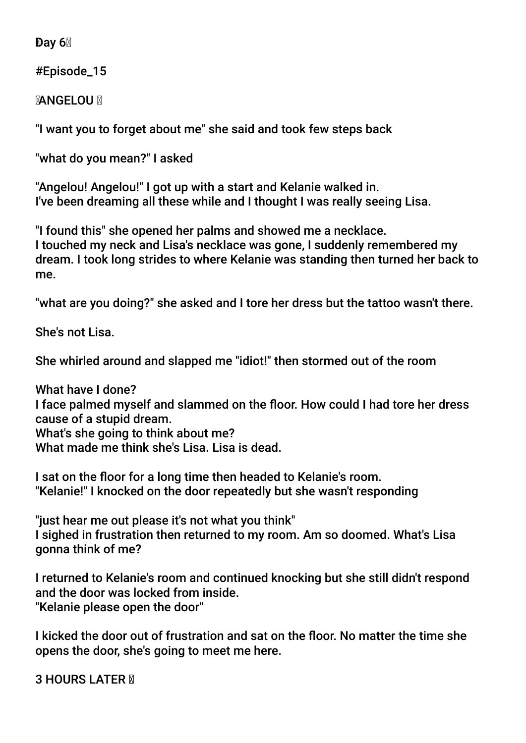Day  $6\%$ 

#Episode\_15

**MANGELOU M** 

"I want you to forget about me" she said and took few steps back

"what do you mean?" I asked

"Angelou! Angelou!" I got up with a start and Kelanie walked in. I've been dreaming all these while and I thought I was really seeing Lisa.

"I found this" she opened her palms and showed me a necklace. I touched my neck and Lisa's necklace was gone, I suddenly remembered my dream. I took long strides to where Kelanie was standing then turned her back to me.

"what are you doing?" she asked and I tore her dress but the tattoo wasn't there.

She's not Lisa.

She whirled around and slapped me "idiot!" then stormed out of the room

What have I done? I face palmed myself and slammed on the foor. How could I had tore her dress cause of a stupid dream. What's she going to think about me? What made me think she's Lisa. Lisa is dead.

I sat on the floor for a long time then headed to Kelanie's room. "Kelanie!" I knocked on the door repeatedly but she wasn't responding

"just hear me out please it's not what you think" I sighed in frustration then returned to my room. Am so doomed. What's Lisa gonna think of me?

I returned to Kelanie's room and continued knocking but she still didn't respond and the door was locked from inside. "Kelanie please open the door"

I kicked the door out of frustration and sat on the foor. No matter the time she opens the door, she's going to meet me here.

**3 HOURS LATER M**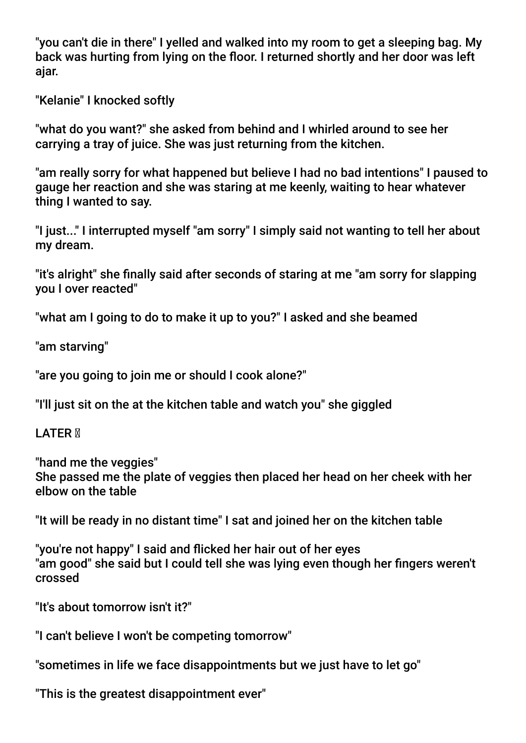"you can't die in there" I yelled and walked into my room to get a sleeping bag. My back was hurting from lying on the floor. I returned shortly and her door was left ajar.

"Kelanie" I knocked softly

"what do you want?" she asked from behind and I whirled around to see her carrying a tray of juice. She was just returning from the kitchen.

"am really sorry for what happened but believe I had no bad intentions" I paused to gauge her reaction and she was staring at me keenly, waiting to hear whatever thing I wanted to say.

"I just..." I interrupted myself "am sorry" I simply said not wanting to tell her about my dream.

"it's alright" she fnally said after seconds of staring at me "am sorry for slapping you I over reacted"

"what am I going to do to make it up to you?" I asked and she beamed

"am starving"

"are you going to join me or should I cook alone?"

"I'll just sit on the at the kitchen table and watch you" she giggled

LATER **M** 

"hand me the veggies" She passed me the plate of veggies then placed her head on her cheek with her elbow on the table

"It will be ready in no distant time" I sat and joined her on the kitchen table

"you're not happy" I said and ficked her hair out of her eyes "am good" she said but I could tell she was lying even though her fngers weren't crossed

"It's about tomorrow isn't it?"

"I can't believe I won't be competing tomorrow"

"sometimes in life we face disappointments but we just have to let go"

"This is the greatest disappointment ever"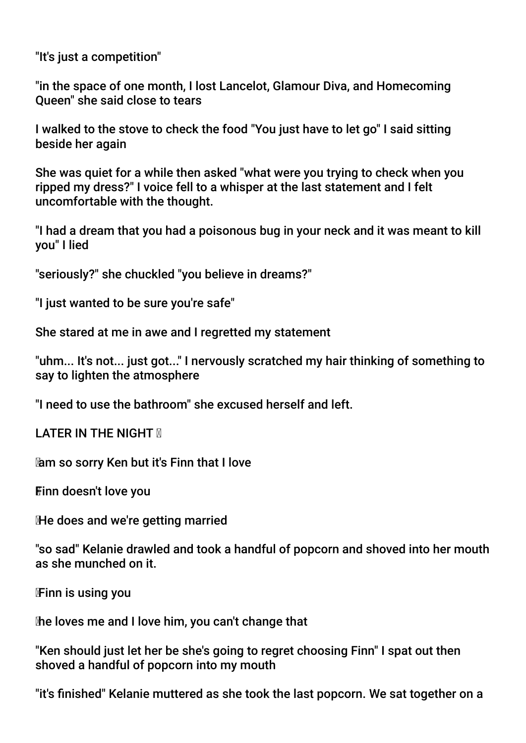"It's just a competition"

"in the space of one month, I lost Lancelot, Glamour Diva, and Homecoming Queen" she said close to tears

I walked to the stove to check the food "You just have to let go" I said sitting beside her again

She was quiet for a while then asked "what were you trying to check when you ripped my dress?" I voice fell to a whisper at the last statement and I felt uncomfortable with the thought.

"I had a dream that you had a poisonous bug in your neck and it was meant to kill you" I lied

"seriously?" she chuckled "you believe in dreams?"

"I just wanted to be sure you're safe"

She stared at me in awe and I regretted my statement

"uhm... It's not... just got..." I nervously scratched my hair thinking of something to say to lighten the atmosphere

"I need to use the bathroom" she excused herself and left.

**LATER IN THE NIGHT N** 

am so sorry Ken but it's Finn that I love

Finn doesn't love you

He does and we're getting married

"so sad" Kelanie drawled and took a handful of popcorn and shoved into her mouth as she munched on it.

Finn is using you

he loves me and I love him, you can't change that

"Ken should just let her be she's going to regret choosing Finn" I spat out then shoved a handful of popcorn into my mouth

"it's fnished" Kelanie muttered as she took the last popcorn. We sat together on a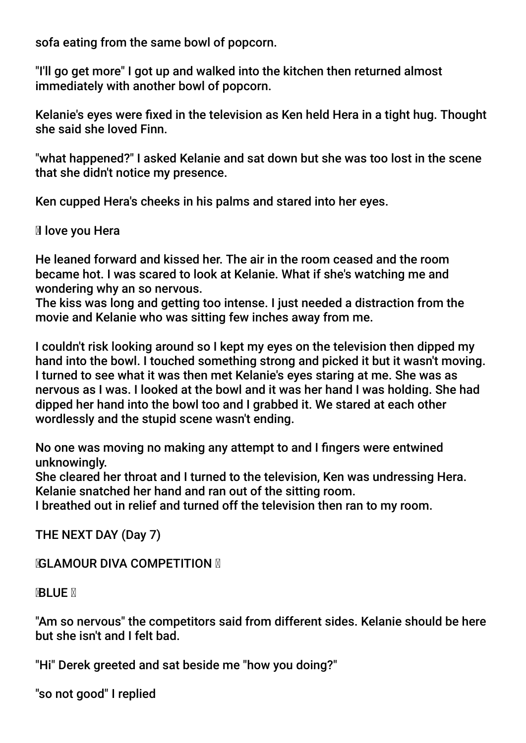sofa eating from the same bowl of popcorn.

"I'll go get more" I got up and walked into the kitchen then returned almost immediately with another bowl of popcorn.

Kelanie's eyes were fxed in the television as Ken held Hera in a tight hug. Thought she said she loved Finn.

"what happened?" I asked Kelanie and sat down but she was too lost in the scene that she didn't notice my presence.

Ken cupped Hera's cheeks in his palms and stared into her eyes.

**II** love you Hera

He leaned forward and kissed her. The air in the room ceased and the room became hot. I was scared to look at Kelanie. What if she's watching me and wondering why an so nervous.

The kiss was long and getting too intense. I just needed a distraction from the movie and Kelanie who was sitting few inches away from me.

I couldn't risk looking around so I kept my eyes on the television then dipped my hand into the bowl. I touched something strong and picked it but it wasn't moving. I turned to see what it was then met Kelanie's eyes staring at me. She was as nervous as I was. I looked at the bowl and it was her hand I was holding. She had dipped her hand into the bowl too and I grabbed it. We stared at each other wordlessly and the stupid scene wasn't ending.

No one was moving no making any attempt to and I fngers were entwined unknowingly.

She cleared her throat and I turned to the television, Ken was undressing Hera. Kelanie snatched her hand and ran out of the sitting room.

I breathed out in relief and turned off the television then ran to my room.

THE NEXT DAY (Day 7)

*NGLAMOUR DIVA COMPETITION* 

**BLUE X** 

"Am so nervous" the competitors said from different sides. Kelanie should be here but she isn't and I felt bad.

"Hi" Derek greeted and sat beside me "how you doing?"

"so not good" I replied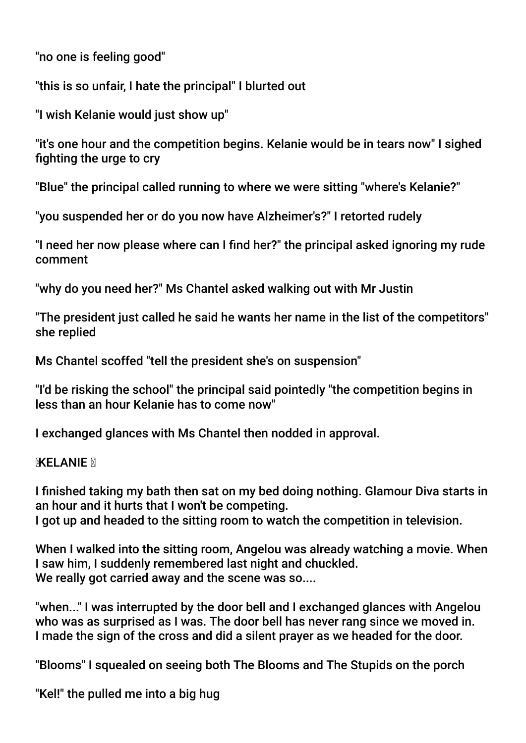"no one is feeling good"

"this is so unfair, I hate the principal" I blurted out

"I wish Kelanie would just show up"

"it's one hour and the competition begins. Kelanie would be in tears now" I sighed fighting the urge to cry

"Blue" the principal called running to where we were sitting "where's Kelanie?"

"you suspended her or do you now have Alzheimer's?" I retorted rudely

"I need her now please where can I fnd her?" the principal asked ignoring my rude comment

"why do you need her?" Ms Chantel asked walking out with Mr Justin

"The president just called he said he wants her name in the list of the competitors" she replied

Ms Chantel scoffed "tell the president she's on suspension"

"I'd be risking the school" the principal said pointedly "the competition begins in less than an hour Kelanie has to come now"

I exchanged glances with Ms Chantel then nodded in approval.

## **KELANIE**

I fnished taking my bath then sat on my bed doing nothing. Glamour Diva starts in an hour and it hurts that I won't be competing. I got up and headed to the sitting room to watch the competition in television.

When I walked into the sitting room, Angelou was already watching a movie. When I saw him, I suddenly remembered last night and chuckled. We really got carried away and the scene was so....

"when..." I was interrupted by the door bell and I exchanged glances with Angelou who was as surprised as I was. The door bell has never rang since we moved in. I made the sign of the cross and did a silent prayer as we headed for the door.

"Blooms" I squealed on seeing both The Blooms and The Stupids on the porch

"Kel!" the pulled me into a big hug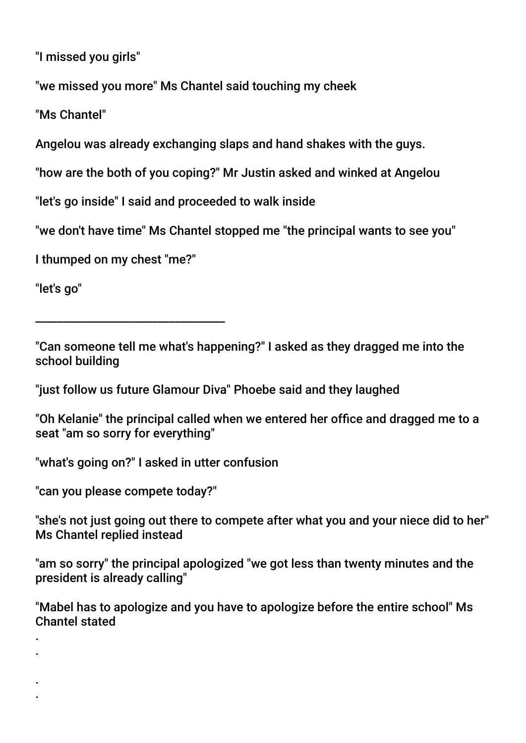"I missed you girls"

"we missed you more" Ms Chantel said touching my cheek

"Ms Chantel"

Angelou was already exchanging slaps and hand shakes with the guys.

"how are the both of you coping?" Mr Justin asked and winked at Angelou

"let's go inside" I said and proceeded to walk inside

"we don't have time" Ms Chantel stopped me "the principal wants to see you"

I thumped on my chest "me?"

\_\_\_\_\_\_\_\_\_\_\_\_\_\_\_\_\_\_\_\_\_\_\_\_\_\_\_\_\_\_\_\_\_\_

"let's go"

. .

. .

"Can someone tell me what's happening?" I asked as they dragged me into the school building

"just follow us future Glamour Diva" Phoebe said and they laughed

"Oh Kelanie" the principal called when we entered her office and dragged me to a seat "am so sorry for everything"

"what's going on?" I asked in utter confusion

"can you please compete today?"

"she's not just going out there to compete after what you and your niece did to her" Ms Chantel replied instead

"am so sorry" the principal apologized "we got less than twenty minutes and the president is already calling"

"Mabel has to apologize and you have to apologize before the entire school" Ms Chantel stated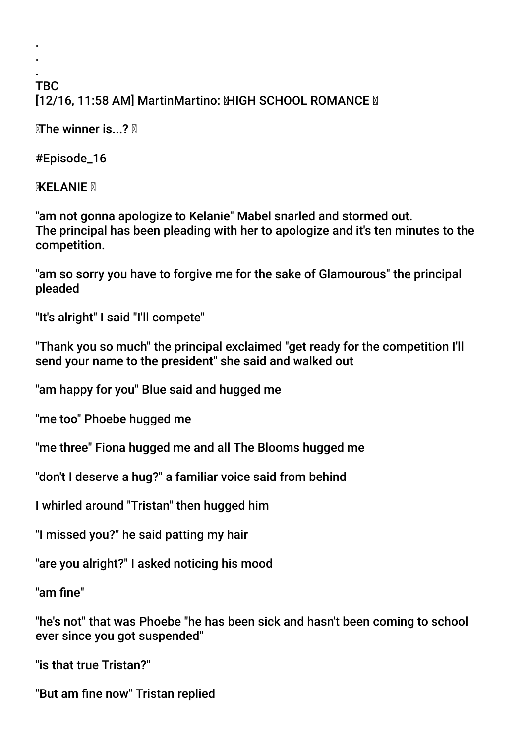#### . TBC [12/16, 11:58 AM] MartinMartino: MHGH SCHOOL ROMANCE M

 $M$ The winner is...?

#Episode\_16

. .

**KELANIE X** 

"am not gonna apologize to Kelanie" Mabel snarled and stormed out. The principal has been pleading with her to apologize and it's ten minutes to the competition.

"am so sorry you have to forgive me for the sake of Glamourous" the principal pleaded

"It's alright" I said "I'll compete"

"Thank you so much" the principal exclaimed "get ready for the competition I'll send your name to the president" she said and walked out

"am happy for you" Blue said and hugged me

"me too" Phoebe hugged me

"me three" Fiona hugged me and all The Blooms hugged me

"don't I deserve a hug?" a familiar voice said from behind

I whirled around "Tristan" then hugged him

"I missed you?" he said patting my hair

"are you alright?" I asked noticing his mood

"am fne"

"he's not" that was Phoebe "he has been sick and hasn't been coming to school ever since you got suspended"

"is that true Tristan?"

"But am fne now" Tristan replied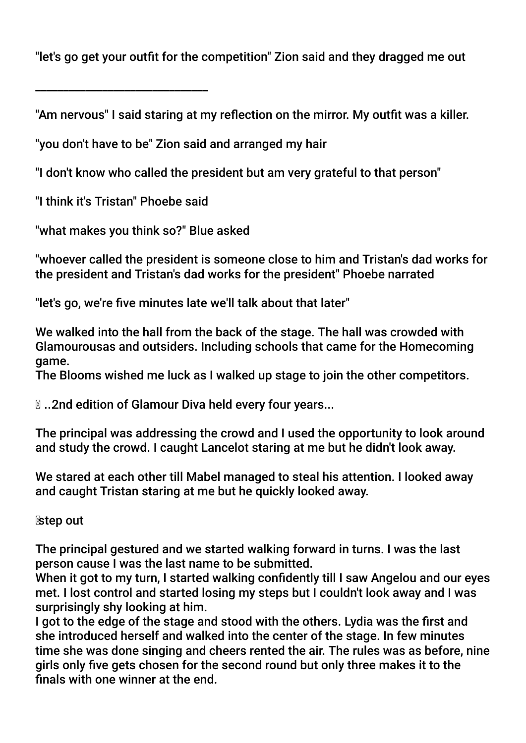"let's go get your outft for the competition" Zion said and they dragged me out

"Am nervous" I said staring at my reflection on the mirror. My outfit was a killer.

"you don't have to be" Zion said and arranged my hair

"I don't know who called the president but am very grateful to that person"

"I think it's Tristan" Phoebe said

\_\_\_\_\_\_\_\_\_\_\_\_\_\_\_\_\_\_\_\_\_\_\_\_\_\_\_\_\_\_\_

"what makes you think so?" Blue asked

"whoever called the president is someone close to him and Tristan's dad works for the president and Tristan's dad works for the president" Phoebe narrated

"let's go, we're fve minutes late we'll talk about that later"

We walked into the hall from the back of the stage. The hall was crowded with Glamourousas and outsiders. Including schools that came for the Homecoming game.

The Blooms wished me luck as I walked up stage to join the other competitors.

**I.a. 2nd edition of Glamour Diva held every four years...** 

The principal was addressing the crowd and I used the opportunity to look around and study the crowd. I caught Lancelot staring at me but he didn't look away.

We stared at each other till Mabel managed to steal his attention. I looked away and caught Tristan staring at me but he quickly looked away.

step out

The principal gestured and we started walking forward in turns. I was the last person cause I was the last name to be submitted.

When it got to my turn, I started walking confidently till I saw Angelou and our eyes met. I lost control and started losing my steps but I couldn't look away and I was surprisingly shy looking at him.

I got to the edge of the stage and stood with the others. Lydia was the first and she introduced herself and walked into the center of the stage. In few minutes time she was done singing and cheers rented the air. The rules was as before, nine girls only fve gets chosen for the second round but only three makes it to the fnals with one winner at the end.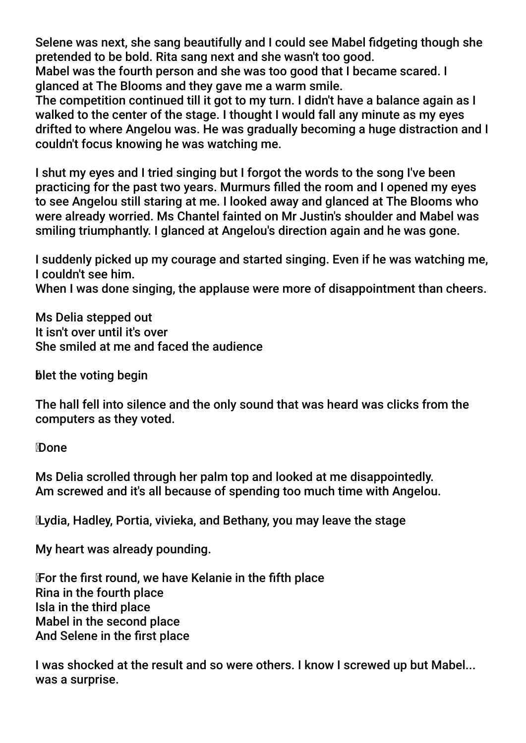Selene was next, she sang beautifully and I could see Mabel fdgeting though she pretended to be bold. Rita sang next and she wasn't too good.

Mabel was the fourth person and she was too good that I became scared. I glanced at The Blooms and they gave me a warm smile.

The competition continued till it got to my turn. I didn't have a balance again as I walked to the center of the stage. I thought I would fall any minute as my eyes drifted to where Angelou was. He was gradually becoming a huge distraction and I couldn't focus knowing he was watching me.

I shut my eyes and I tried singing but I forgot the words to the song I've been practicing for the past two years. Murmurs flled the room and I opened my eyes to see Angelou still staring at me. I looked away and glanced at The Blooms who were already worried. Ms Chantel fainted on Mr Justin's shoulder and Mabel was smiling triumphantly. I glanced at Angelou's direction again and he was gone.

I suddenly picked up my courage and started singing. Even if he was watching me, I couldn't see him.

When I was done singing, the applause were more of disappointment than cheers.

Ms Delia stepped out It isn't over until it's over She smiled at me and faced the audience

blet the voting begin

The hall fell into silence and the only sound that was heard was clicks from the computers as they voted.

**Done** 

Ms Delia scrolled through her palm top and looked at me disappointedly. Am screwed and it's all because of spending too much time with Angelou.

Lydia, Hadley, Portia, vivieka, and Bethany, you may leave the stage

My heart was already pounding.

 For the frst round, we have Kelanie in the ffth place Rina in the fourth place Isla in the third place Mabel in the second place And Selene in the frst place

I was shocked at the result and so were others. I know I screwed up but Mabel... was a surprise.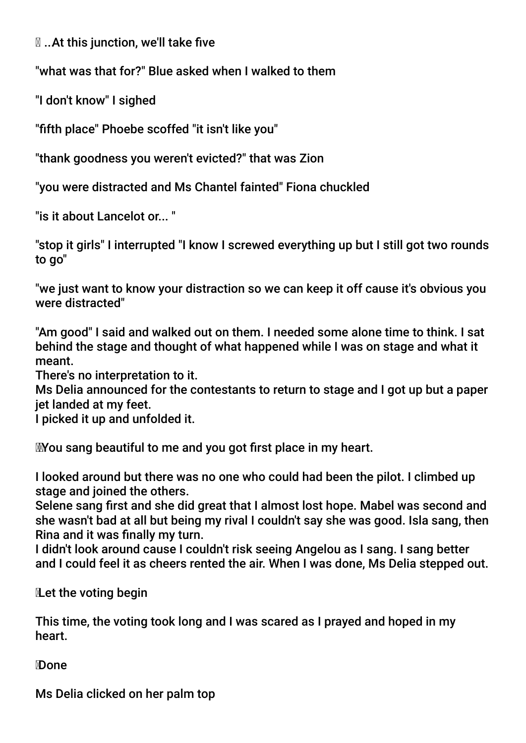$\mathbb N$  ... At this junction, we'll take five

"what was that for?" Blue asked when I walked to them

"I don't know" I sighed

"ffth place" Phoebe scoffed "it isn't like you"

"thank goodness you weren't evicted?" that was Zion

"you were distracted and Ms Chantel fainted" Fiona chuckled

"is it about Lancelot or... "

"stop it girls" I interrupted "I know I screwed everything up but I still got two rounds to go"

"we just want to know your distraction so we can keep it off cause it's obvious you were distracted"

"Am good" I said and walked out on them. I needed some alone time to think. I sat behind the stage and thought of what happened while I was on stage and what it meant.

There's no interpretation to it.

Ms Delia announced for the contestants to return to stage and I got up but a paper jet landed at my feet.

I picked it up and unfolded it.

You sang beautiful to me and you got frst place in my heart.

I looked around but there was no one who could had been the pilot. I climbed up stage and joined the others.

Selene sang frst and she did great that I almost lost hope. Mabel was second and she wasn't bad at all but being my rival I couldn't say she was good. Isla sang, then Rina and it was fnally my turn.

I didn't look around cause I couldn't risk seeing Angelou as I sang. I sang better and I could feel it as cheers rented the air. When I was done, Ms Delia stepped out.

Let the voting begin

This time, the voting took long and I was scared as I prayed and hoped in my heart.

Done

Ms Delia clicked on her palm top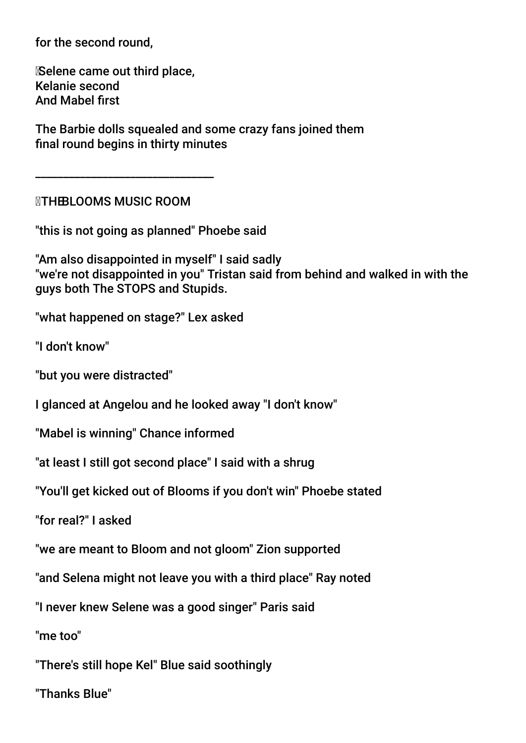for the second round,

 Selene came out third place, Kelanie second And Mabel frst

The Barbie dolls squealed and some crazy fans joined them fnal round begins in thirty minutes

**NTHE BLOOMS MUSIC ROOM** 

\_\_\_\_\_\_\_\_\_\_\_\_\_\_\_\_\_\_\_\_\_\_\_\_\_\_\_\_\_\_\_\_

"this is not going as planned" Phoebe said

"Am also disappointed in myself" I said sadly "we're not disappointed in you" Tristan said from behind and walked in with the guys both The STOPS and Stupids.

"what happened on stage?" Lex asked

"I don't know"

"but you were distracted"

I glanced at Angelou and he looked away "I don't know"

"Mabel is winning" Chance informed

"at least I still got second place" I said with a shrug

"You'll get kicked out of Blooms if you don't win" Phoebe stated

"for real?" I asked

"we are meant to Bloom and not gloom" Zion supported

"and Selena might not leave you with a third place" Ray noted

"I never knew Selene was a good singer" Paris said

"me too"

"There's still hope Kel" Blue said soothingly

"Thanks Blue"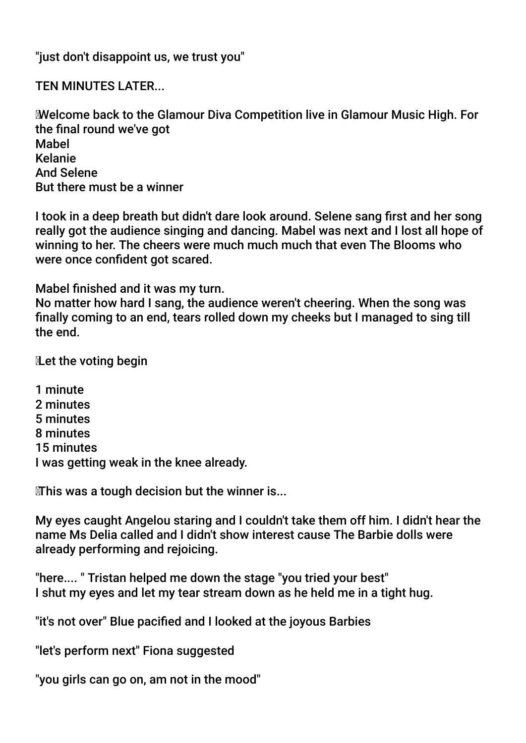"just don't disappoint us, we trust you"

TEN MINUTES LATER...

 Welcome back to the Glamour Diva Competition live in Glamour Music High. For the fnal round we've got Mabel Kelanie And Selene But there must be a winner

I took in a deep breath but didn't dare look around. Selene sang frst and her song really got the audience singing and dancing. Mabel was next and I lost all hope of winning to her. The cheers were much much much that even The Blooms who were once confident got scared.

Mabel fnished and it was my turn.

No matter how hard I sang, the audience weren't cheering. When the song was fnally coming to an end, tears rolled down my cheeks but I managed to sing till the end.

Let the voting begin

1 minute 2 minutes 5 minutes 8 minutes 15 minutes I was getting weak in the knee already.

This was a tough decision but the winner is...

My eyes caught Angelou staring and I couldn't take them off him. I didn't hear the name Ms Delia called and I didn't show interest cause The Barbie dolls were already performing and rejoicing.

"here.... " Tristan helped me down the stage "you tried your best" I shut my eyes and let my tear stream down as he held me in a tight hug.

"it's not over" Blue pacifed and I looked at the joyous Barbies

"let's perform next" Fiona suggested

"you girls can go on, am not in the mood"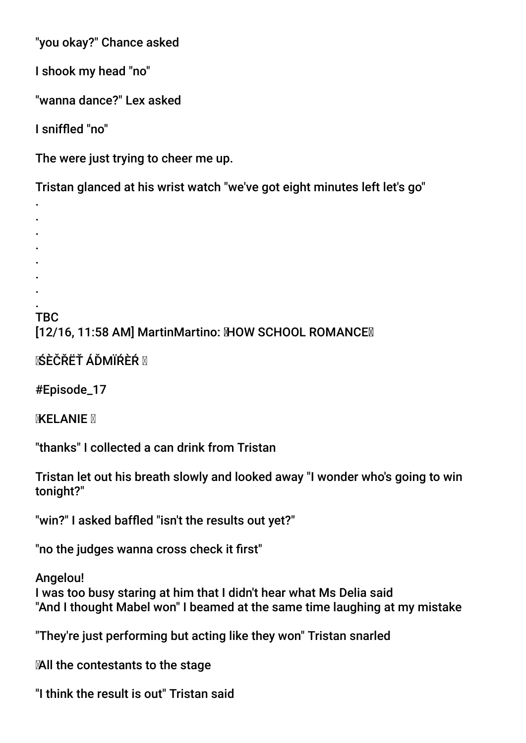"you okay?" Chance asked

I shook my head "no"

"wanna dance?" Lex asked

I sniffed "no"

. . . . .

The were just trying to cheer me up.

Tristan glanced at his wrist watch "we've got eight minutes left let's go"

. . . TBC

[12/16, 11:58 AM] MartinMartino: MOW SCHOOL ROMANCE

**ī∕ŚÈČŘËŤ ÁĎMÏŔÈŔ ⊠** 

#Episode\_17

**MXELANIE** M

"thanks" I collected a can drink from Tristan

Tristan let out his breath slowly and looked away "I wonder who's going to win tonight?"

"win?" I asked baffed "isn't the results out yet?"

"no the judges wanna cross check it frst"

Angelou! I was too busy staring at him that I didn't hear what Ms Delia said "And I thought Mabel won" I beamed at the same time laughing at my mistake

"They're just performing but acting like they won" Tristan snarled

All the contestants to the stage

"I think the result is out" Tristan said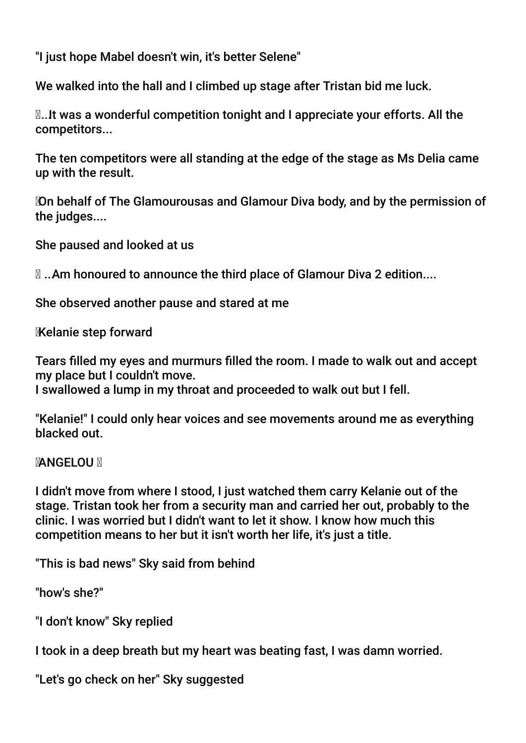"I just hope Mabel doesn't win, it's better Selene"

We walked into the hall and I climbed up stage after Tristan bid me luck.

**N...It was a wonderful competition tonight and I appreciate your efforts. All the** competitors...

The ten competitors were all standing at the edge of the stage as Ms Delia came up with the result.

 On behalf of The Glamourousas and Glamour Diva body, and by the permission of the judges....

She paused and looked at us

... Am honoured to announce the third place of Glamour Diva 2 edition....

She observed another pause and stared at me

Kelanie step forward

Tears flled my eyes and murmurs flled the room. I made to walk out and accept my place but I couldn't move.

I swallowed a lump in my throat and proceeded to walk out but I fell.

"Kelanie!" I could only hear voices and see movements around me as everything blacked out.

**MANGELOU M** 

I didn't move from where I stood, I just watched them carry Kelanie out of the stage. Tristan took her from a security man and carried her out, probably to the clinic. I was worried but I didn't want to let it show. I know how much this competition means to her but it isn't worth her life, it's just a title.

"This is bad news" Sky said from behind

"how's she?"

"I don't know" Sky replied

I took in a deep breath but my heart was beating fast, I was damn worried.

"Let's go check on her" Sky suggested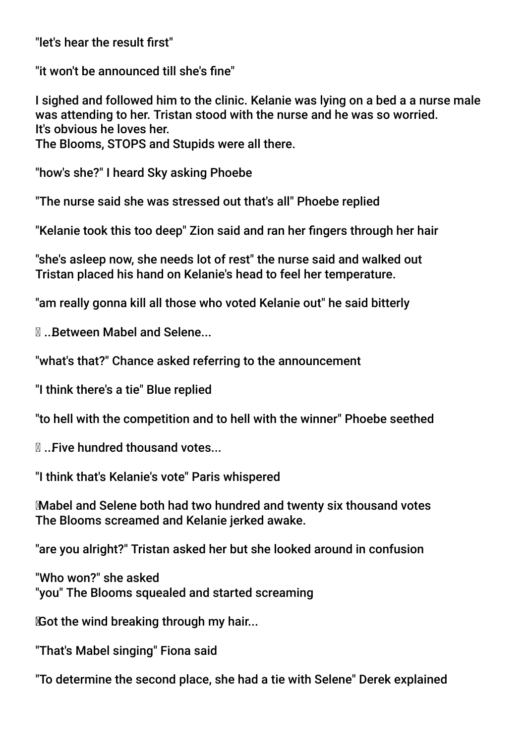"let's hear the result frst"

"it won't be announced till she's fne"

I sighed and followed him to the clinic. Kelanie was lying on a bed a a nurse male was attending to her. Tristan stood with the nurse and he was so worried. It's obvious he loves her.

The Blooms, STOPS and Stupids were all there.

"how's she?" I heard Sky asking Phoebe

"The nurse said she was stressed out that's all" Phoebe replied

"Kelanie took this too deep" Zion said and ran her fngers through her hair

"she's asleep now, she needs lot of rest" the nurse said and walked out Tristan placed his hand on Kelanie's head to feel her temperature.

"am really gonna kill all those who voted Kelanie out" he said bitterly

... Between Mabel and Selene...

"what's that?" Chance asked referring to the announcement

"I think there's a tie" Blue replied

"to hell with the competition and to hell with the winner" Phoebe seethed

... Five hundred thousand votes...

"I think that's Kelanie's vote" Paris whispered

 Mabel and Selene both had two hundred and twenty six thousand votes The Blooms screamed and Kelanie jerked awake.

"are you alright?" Tristan asked her but she looked around in confusion

"Who won?" she asked "you" The Blooms squealed and started screaming

Got the wind breaking through my hair...

"That's Mabel singing" Fiona said

"To determine the second place, she had a tie with Selene" Derek explained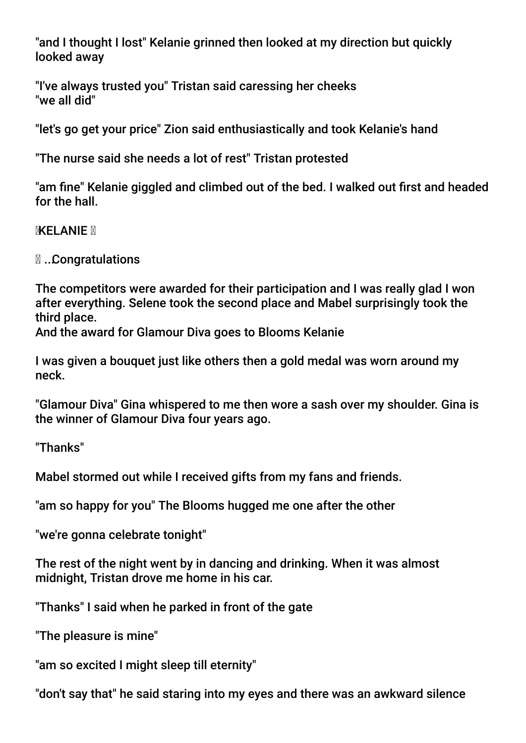"and I thought I lost" Kelanie grinned then looked at my direction but quickly looked away

"I've always trusted you" Tristan said caressing her cheeks "we all did"

"let's go get your price" Zion said enthusiastically and took Kelanie's hand

"The nurse said she needs a lot of rest" Tristan protested

"am fne" Kelanie giggled and climbed out of the bed. I walked out frst and headed for the hall.

**MXELANIE** 

... Congratulations

The competitors were awarded for their participation and I was really glad I won after everything. Selene took the second place and Mabel surprisingly took the third place.

And the award for Glamour Diva goes to Blooms Kelanie

I was given a bouquet just like others then a gold medal was worn around my neck.

"Glamour Diva" Gina whispered to me then wore a sash over my shoulder. Gina is the winner of Glamour Diva four years ago.

"Thanks"

Mabel stormed out while I received gifts from my fans and friends.

"am so happy for you" The Blooms hugged me one after the other

"we're gonna celebrate tonight"

The rest of the night went by in dancing and drinking. When it was almost midnight, Tristan drove me home in his car.

"Thanks" I said when he parked in front of the gate

"The pleasure is mine"

"am so excited I might sleep till eternity"

"don't say that" he said staring into my eyes and there was an awkward silence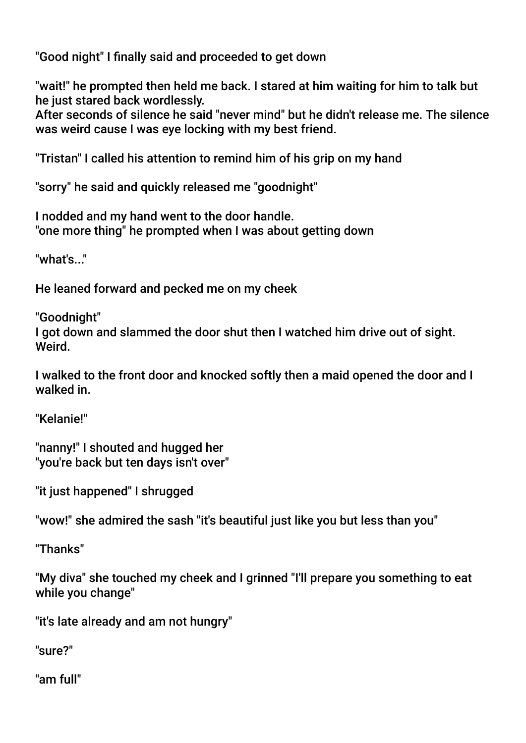"Good night" I fnally said and proceeded to get down

"wait!" he prompted then held me back. I stared at him waiting for him to talk but he just stared back wordlessly.

After seconds of silence he said "never mind" but he didn't release me. The silence was weird cause I was eye locking with my best friend.

"Tristan" I called his attention to remind him of his grip on my hand

"sorry" he said and quickly released me "goodnight"

I nodded and my hand went to the door handle. "one more thing" he prompted when I was about getting down

"what's..."

He leaned forward and pecked me on my cheek

"Goodnight"

I got down and slammed the door shut then I watched him drive out of sight. Weird.

I walked to the front door and knocked softly then a maid opened the door and I walked in.

"Kelanie!"

"nanny!" I shouted and hugged her "you're back but ten days isn't over"

"it just happened" I shrugged

"wow!" she admired the sash "it's beautiful just like you but less than you"

"Thanks"

"My diva" she touched my cheek and I grinned "I'll prepare you something to eat while you change"

"it's late already and am not hungry"

"sure?"

"am full"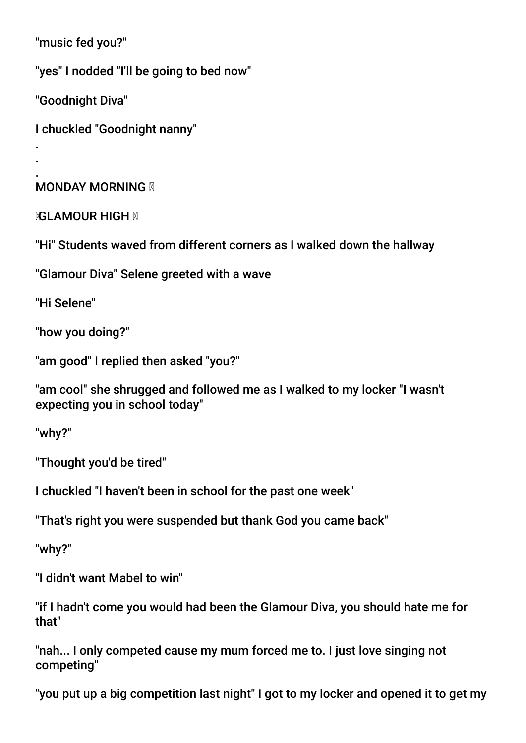"music fed you?"

"yes" I nodded "I'll be going to bed now"

"Goodnight Diva"

. .

I chuckled "Goodnight nanny"

#### . **MONDAY MORNING X**

**MGLAMOUR HIGH M** 

"Hi" Students waved from different corners as I walked down the hallway

"Glamour Diva" Selene greeted with a wave

"Hi Selene"

"how you doing?"

"am good" I replied then asked "you?"

"am cool" she shrugged and followed me as I walked to my locker "I wasn't expecting you in school today"

"why?"

"Thought you'd be tired"

I chuckled "I haven't been in school for the past one week"

"That's right you were suspended but thank God you came back"

"why?"

"I didn't want Mabel to win"

"if I hadn't come you would had been the Glamour Diva, you should hate me for that"

"nah... I only competed cause my mum forced me to. I just love singing not competing"

"you put up a big competition last night" I got to my locker and opened it to get my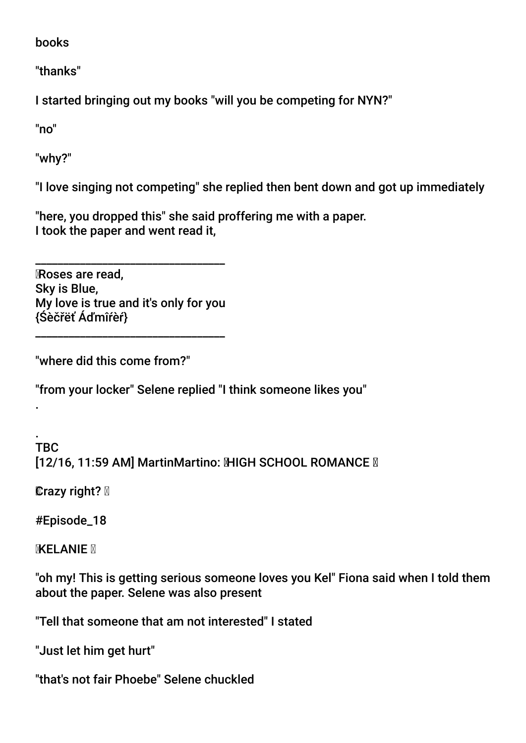books

"thanks"

I started bringing out my books "will you be competing for NYN?"

"no"

"why?"

"I love singing not competing" she replied then bent down and got up immediately

"here, you dropped this" she said proffering me with a paper. I took the paper and went read it,

\_\_\_\_\_\_\_\_\_\_\_\_\_\_\_\_\_\_\_\_\_\_\_\_\_\_\_\_\_\_\_\_\_\_ Roses are read, Sky is Blue, My love is true and it's only for you {Śèčřëť Áďmîŕèŕ}

\_\_\_\_\_\_\_\_\_\_\_\_\_\_\_\_\_\_\_\_\_\_\_\_\_\_\_\_\_\_\_\_\_\_

"where did this come from?"

"from your locker" Selene replied "I think someone likes you"

. TBC **[12/16, 11:59 AM] MartinMartino: MHGH SCHOOL ROMANCE M** 

**Crazy right? ⊠** 

.

#Episode\_18

**MXELANIE M** 

"oh my! This is getting serious someone loves you Kel" Fiona said when I told them about the paper. Selene was also present

"Tell that someone that am not interested" I stated

"Just let him get hurt"

"that's not fair Phoebe" Selene chuckled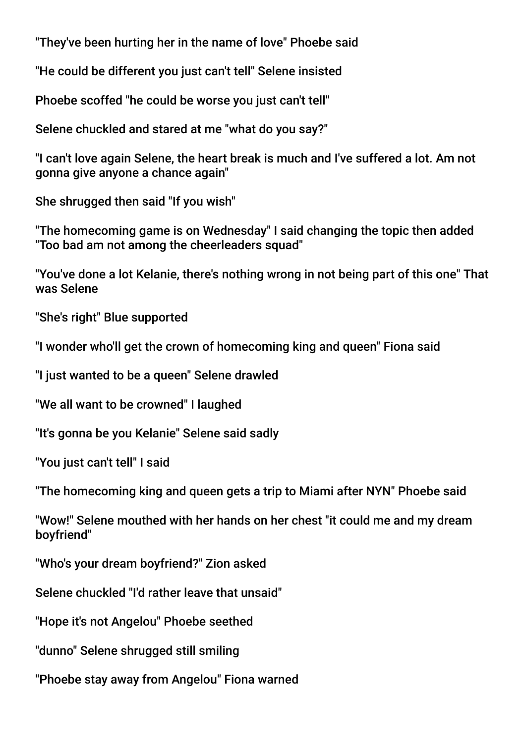"They've been hurting her in the name of love" Phoebe said

"He could be different you just can't tell" Selene insisted

Phoebe scoffed "he could be worse you just can't tell"

Selene chuckled and stared at me "what do you say?"

"I can't love again Selene, the heart break is much and I've suffered a lot. Am not gonna give anyone a chance again"

She shrugged then said "If you wish"

"The homecoming game is on Wednesday" I said changing the topic then added "Too bad am not among the cheerleaders squad"

"You've done a lot Kelanie, there's nothing wrong in not being part of this one" That was Selene

"She's right" Blue supported

"I wonder who'll get the crown of homecoming king and queen" Fiona said

"I just wanted to be a queen" Selene drawled

"We all want to be crowned" I laughed

"It's gonna be you Kelanie" Selene said sadly

"You just can't tell" I said

"The homecoming king and queen gets a trip to Miami after NYN" Phoebe said

"Wow!" Selene mouthed with her hands on her chest "it could me and my dream boyfriend"

"Who's your dream boyfriend?" Zion asked

Selene chuckled "I'd rather leave that unsaid"

"Hope it's not Angelou" Phoebe seethed

"dunno" Selene shrugged still smiling

"Phoebe stay away from Angelou" Fiona warned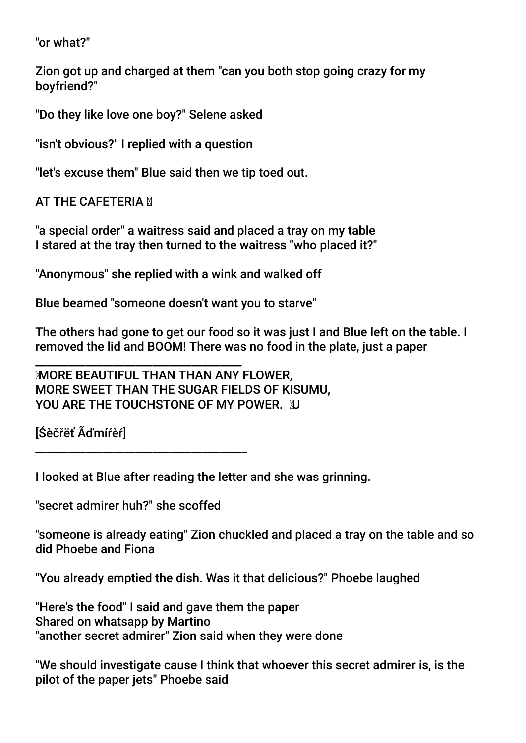"or what?"

Zion got up and charged at them "can you both stop going crazy for my boyfriend?"

"Do they like love one boy?" Selene asked

"isn't obvious?" I replied with a question

"let's excuse them" Blue said then we tip toed out.

**AT THE CAFETERIA M** 

"a special order" a waitress said and placed a tray on my table I stared at the tray then turned to the waitress "who placed it?"

"Anonymous" she replied with a wink and walked off

Blue beamed "someone doesn't want you to starve"

The others had gone to get our food so it was just I and Blue left on the table. I removed the lid and BOOM! There was no food in the plate, just a paper

 MORE BEAUTIFUL THAN THAN ANY FLOWER, MORE SWEET THAN THE SUGAR FIELDS OF KISUMU, YOU ARE THE TOUCHSTONE OF MY POWER. NJ

[Śèčřëť Ãďmíŕèŕ]

I looked at Blue after reading the letter and she was grinning.

"secret admirer huh?" she scoffed

\_\_\_\_\_\_\_\_\_\_\_\_\_\_\_\_\_\_\_\_\_\_\_\_\_\_\_\_\_\_\_\_\_\_\_\_\_

\_\_\_\_\_\_\_\_\_\_\_\_\_\_\_\_\_\_\_\_ \_\_\_\_\_\_\_\_\_\_\_\_\_\_\_\_\_\_

"someone is already eating" Zion chuckled and placed a tray on the table and so did Phoebe and Fiona

"You already emptied the dish. Was it that delicious?" Phoebe laughed

"Here's the food" I said and gave them the paper Shared on whatsapp by Martino "another secret admirer" Zion said when they were done

"We should investigate cause I think that whoever this secret admirer is, is the pilot of the paper jets" Phoebe said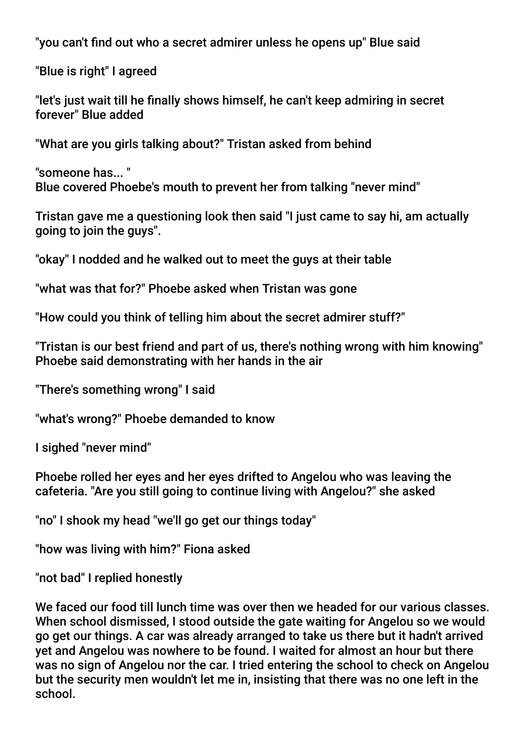"you can't fnd out who a secret admirer unless he opens up" Blue said

"Blue is right" I agreed

"let's just wait till he fnally shows himself, he can't keep admiring in secret forever" Blue added

"What are you girls talking about?" Tristan asked from behind

"someone has... " Blue covered Phoebe's mouth to prevent her from talking "never mind"

Tristan gave me a questioning look then said "I just came to say hi, am actually going to join the guys".

"okay" I nodded and he walked out to meet the guys at their table

"what was that for?" Phoebe asked when Tristan was gone

"How could you think of telling him about the secret admirer stuff?"

"Tristan is our best friend and part of us, there's nothing wrong with him knowing" Phoebe said demonstrating with her hands in the air

"There's something wrong" I said

"what's wrong?" Phoebe demanded to know

I sighed "never mind"

Phoebe rolled her eyes and her eyes drifted to Angelou who was leaving the cafeteria. "Are you still going to continue living with Angelou?" she asked

"no" I shook my head "we'll go get our things today"

"how was living with him?" Fiona asked

"not bad" I replied honestly

We faced our food till lunch time was over then we headed for our various classes. When school dismissed, I stood outside the gate waiting for Angelou so we would go get our things. A car was already arranged to take us there but it hadn't arrived yet and Angelou was nowhere to be found. I waited for almost an hour but there was no sign of Angelou nor the car. I tried entering the school to check on Angelou but the security men wouldn't let me in, insisting that there was no one left in the school.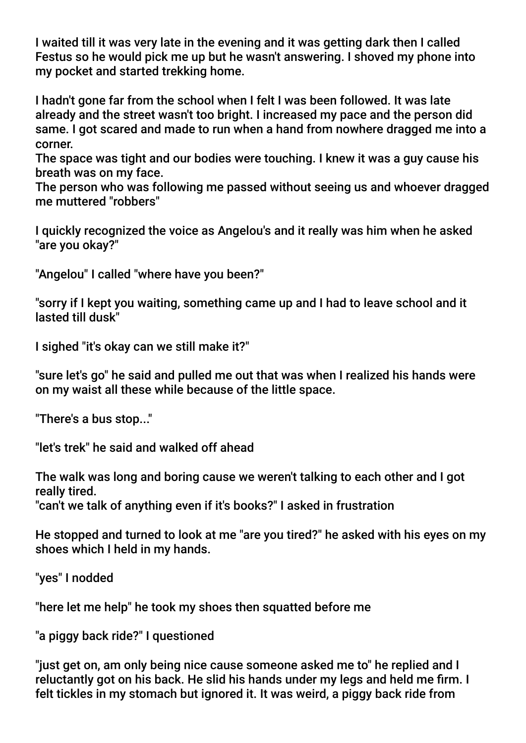I waited till it was very late in the evening and it was getting dark then I called Festus so he would pick me up but he wasn't answering. I shoved my phone into my pocket and started trekking home.

I hadn't gone far from the school when I felt I was been followed. It was late already and the street wasn't too bright. I increased my pace and the person did same. I got scared and made to run when a hand from nowhere dragged me into a corner.

The space was tight and our bodies were touching. I knew it was a guy cause his breath was on my face.

The person who was following me passed without seeing us and whoever dragged me muttered "robbers"

I quickly recognized the voice as Angelou's and it really was him when he asked "are you okay?"

"Angelou" I called "where have you been?"

"sorry if I kept you waiting, something came up and I had to leave school and it lasted till dusk"

I sighed "it's okay can we still make it?"

"sure let's go" he said and pulled me out that was when I realized his hands were on my waist all these while because of the little space.

"There's a bus stop..."

"let's trek" he said and walked off ahead

The walk was long and boring cause we weren't talking to each other and I got really tired.

"can't we talk of anything even if it's books?" I asked in frustration

He stopped and turned to look at me "are you tired?" he asked with his eyes on my shoes which I held in my hands.

"yes" I nodded

"here let me help" he took my shoes then squatted before me

"a piggy back ride?" I questioned

"just get on, am only being nice cause someone asked me to" he replied and I reluctantly got on his back. He slid his hands under my legs and held me frm. I felt tickles in my stomach but ignored it. It was weird, a piggy back ride from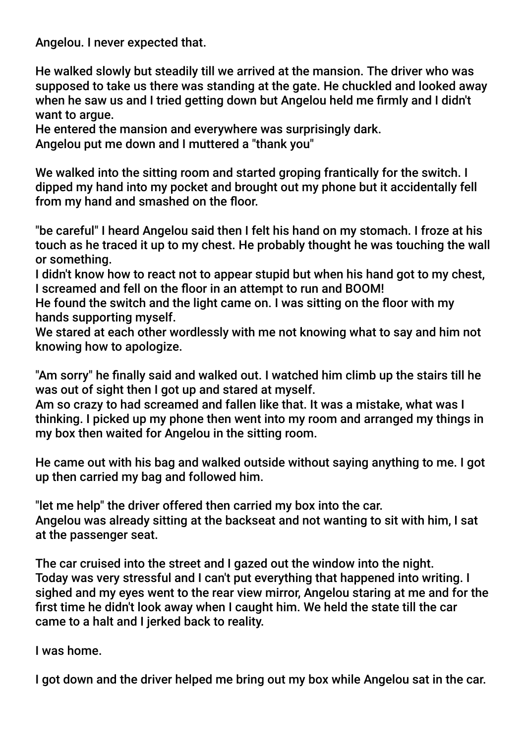Angelou. I never expected that.

He walked slowly but steadily till we arrived at the mansion. The driver who was supposed to take us there was standing at the gate. He chuckled and looked away when he saw us and I tried getting down but Angelou held me frmly and I didn't want to argue.

He entered the mansion and everywhere was surprisingly dark. Angelou put me down and I muttered a "thank you"

We walked into the sitting room and started groping frantically for the switch. I dipped my hand into my pocket and brought out my phone but it accidentally fell from my hand and smashed on the floor.

"be careful" I heard Angelou said then I felt his hand on my stomach. I froze at his touch as he traced it up to my chest. He probably thought he was touching the wall or something.

I didn't know how to react not to appear stupid but when his hand got to my chest, I screamed and fell on the foor in an attempt to run and BOOM!

He found the switch and the light came on. I was sitting on the foor with my hands supporting myself.

We stared at each other wordlessly with me not knowing what to say and him not knowing how to apologize.

"Am sorry" he fnally said and walked out. I watched him climb up the stairs till he was out of sight then I got up and stared at myself.

Am so crazy to had screamed and fallen like that. It was a mistake, what was I thinking. I picked up my phone then went into my room and arranged my things in my box then waited for Angelou in the sitting room.

He came out with his bag and walked outside without saying anything to me. I got up then carried my bag and followed him.

"let me help" the driver offered then carried my box into the car. Angelou was already sitting at the backseat and not wanting to sit with him, I sat at the passenger seat.

The car cruised into the street and I gazed out the window into the night. Today was very stressful and I can't put everything that happened into writing. I sighed and my eyes went to the rear view mirror, Angelou staring at me and for the frst time he didn't look away when I caught him. We held the state till the car came to a halt and I jerked back to reality.

I was home.

I got down and the driver helped me bring out my box while Angelou sat in the car.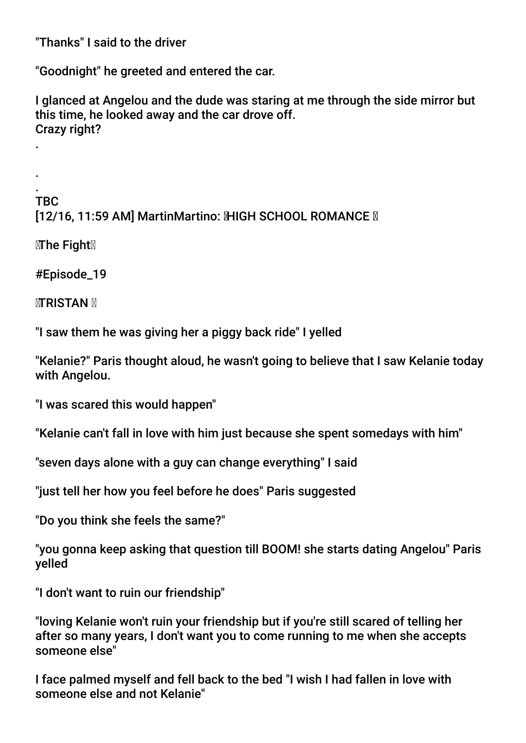"Thanks" I said to the driver

"Goodnight" he greeted and entered the car.

I glanced at Angelou and the dude was staring at me through the side mirror but this time, he looked away and the car drove off. Crazy right?

. TBC [12/16, 11:59 AM] MartinMartino: MHGH SCHOOL ROMANCE M

 $\mathbb{Z}$ The Fight $\mathbb Z$ 

.

.

#Episode\_19

**MTRISTAN M** 

"I saw them he was giving her a piggy back ride" I yelled

"Kelanie?" Paris thought aloud, he wasn't going to believe that I saw Kelanie today with Angelou.

"I was scared this would happen"

"Kelanie can't fall in love with him just because she spent somedays with him"

"seven days alone with a guy can change everything" I said

"just tell her how you feel before he does" Paris suggested

"Do you think she feels the same?"

"you gonna keep asking that question till BOOM! she starts dating Angelou" Paris yelled

"I don't want to ruin our friendship"

"loving Kelanie won't ruin your friendship but if you're still scared of telling her after so many years, I don't want you to come running to me when she accepts someone else"

I face palmed myself and fell back to the bed "I wish I had fallen in love with someone else and not Kelanie"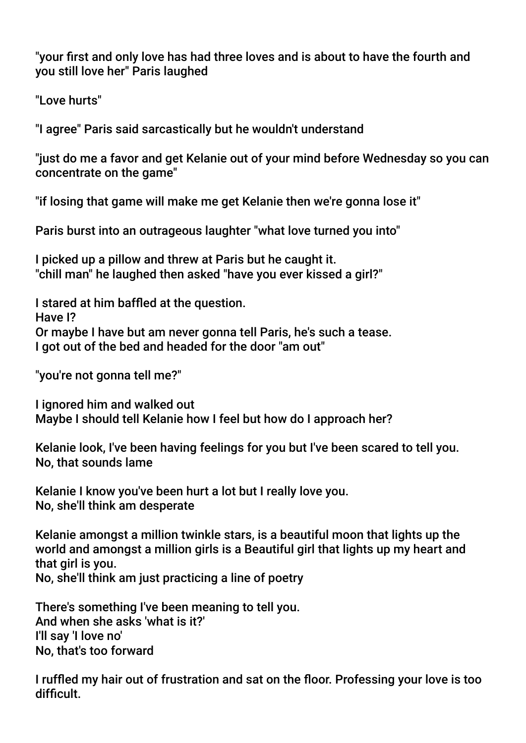"your frst and only love has had three loves and is about to have the fourth and you still love her" Paris laughed

"Love hurts"

"I agree" Paris said sarcastically but he wouldn't understand

"just do me a favor and get Kelanie out of your mind before Wednesday so you can concentrate on the game"

"if losing that game will make me get Kelanie then we're gonna lose it"

Paris burst into an outrageous laughter "what love turned you into"

I picked up a pillow and threw at Paris but he caught it. "chill man" he laughed then asked "have you ever kissed a girl?"

I stared at him baffed at the question. Have I? Or maybe I have but am never gonna tell Paris, he's such a tease. I got out of the bed and headed for the door "am out"

"you're not gonna tell me?"

I ignored him and walked out Maybe I should tell Kelanie how I feel but how do I approach her?

Kelanie look, I've been having feelings for you but I've been scared to tell you. No, that sounds lame

Kelanie I know you've been hurt a lot but I really love you. No, she'll think am desperate

Kelanie amongst a million twinkle stars, is a beautiful moon that lights up the world and amongst a million girls is a Beautiful girl that lights up my heart and that girl is you. No, she'll think am just practicing a line of poetry

There's something I've been meaning to tell you. And when she asks 'what is it?' I'll say 'I love no' No, that's too forward

I ruffed my hair out of frustration and sat on the foor. Professing your love is too difficult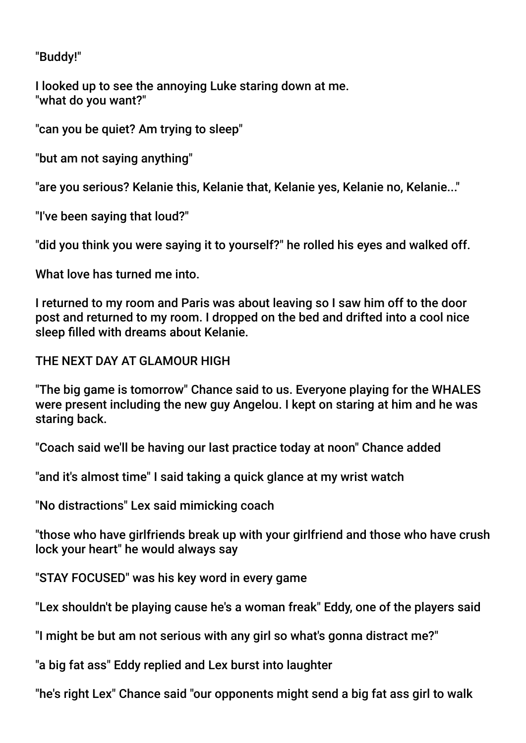"Buddy!"

I looked up to see the annoying Luke staring down at me. "what do you want?"

"can you be quiet? Am trying to sleep"

"but am not saying anything"

"are you serious? Kelanie this, Kelanie that, Kelanie yes, Kelanie no, Kelanie..."

"I've been saying that loud?"

"did you think you were saying it to yourself?" he rolled his eyes and walked off.

What love has turned me into.

I returned to my room and Paris was about leaving so I saw him off to the door post and returned to my room. I dropped on the bed and drifted into a cool nice sleep flled with dreams about Kelanie.

THE NEXT DAY AT GLAMOUR HIGH

"The big game is tomorrow" Chance said to us. Everyone playing for the WHALES were present including the new guy Angelou. I kept on staring at him and he was staring back.

"Coach said we'll be having our last practice today at noon" Chance added

"and it's almost time" I said taking a quick glance at my wrist watch

"No distractions" Lex said mimicking coach

"those who have girlfriends break up with your girlfriend and those who have crush lock your heart" he would always say

"STAY FOCUSED" was his key word in every game

"Lex shouldn't be playing cause he's a woman freak" Eddy, one of the players said

"I might be but am not serious with any girl so what's gonna distract me?"

"a big fat ass" Eddy replied and Lex burst into laughter

"he's right Lex" Chance said "our opponents might send a big fat ass girl to walk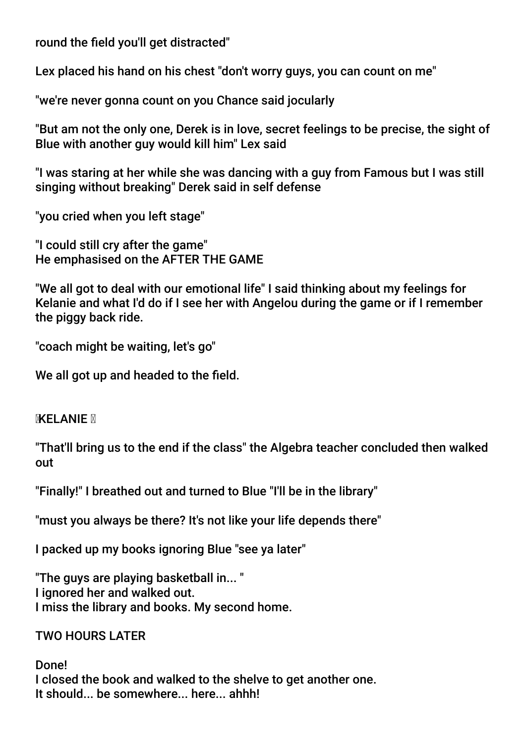round the field you'll get distracted"

Lex placed his hand on his chest "don't worry guys, you can count on me"

"we're never gonna count on you Chance said jocularly

"But am not the only one, Derek is in love, secret feelings to be precise, the sight of Blue with another guy would kill him" Lex said

"I was staring at her while she was dancing with a guy from Famous but I was still singing without breaking" Derek said in self defense

"you cried when you left stage"

"I could still cry after the game" He emphasised on the AFTER THE GAME

"We all got to deal with our emotional life" I said thinking about my feelings for Kelanie and what I'd do if I see her with Angelou during the game or if I remember the piggy back ride.

"coach might be waiting, let's go"

We all got up and headed to the field.

### **MELANIE N**

"That'll bring us to the end if the class" the Algebra teacher concluded then walked out

"Finally!" I breathed out and turned to Blue "I'll be in the library"

"must you always be there? It's not like your life depends there"

I packed up my books ignoring Blue "see ya later"

"The guys are playing basketball in... " I ignored her and walked out. I miss the library and books. My second home.

### TWO HOURS LATER

Done! I closed the book and walked to the shelve to get another one. It should... be somewhere... here... ahhh!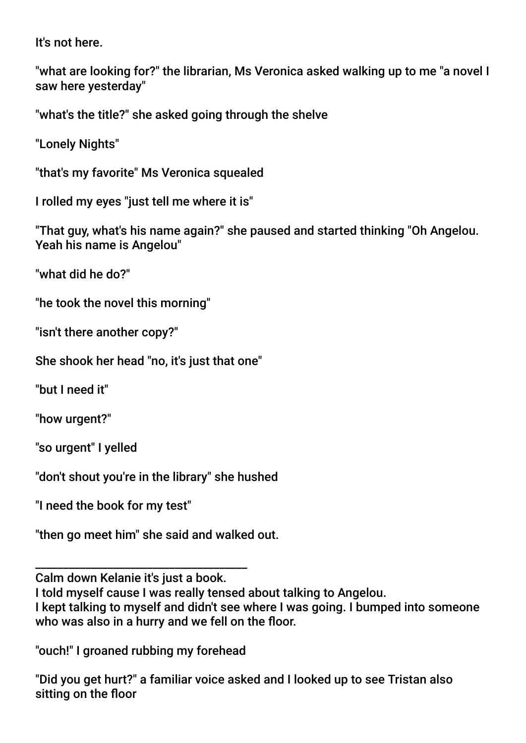It's not here.

"what are looking for?" the librarian, Ms Veronica asked walking up to me "a novel I saw here yesterday"

"what's the title?" she asked going through the shelve

"Lonely Nights"

"that's my favorite" Ms Veronica squealed

I rolled my eyes "just tell me where it is"

"That guy, what's his name again?" she paused and started thinking "Oh Angelou. Yeah his name is Angelou"

"what did he do?"

"he took the novel this morning"

"isn't there another copy?"

She shook her head "no, it's just that one"

"but I need it"

"how urgent?"

"so urgent" I yelled

"don't shout you're in the library" she hushed

"I need the book for my test"

"then go meet him" she said and walked out.

\_\_\_\_\_\_\_\_\_\_\_\_\_\_\_\_\_\_\_\_ \_\_\_\_\_\_\_\_\_\_\_\_\_\_\_\_\_\_ Calm down Kelanie it's just a book.

I told myself cause I was really tensed about talking to Angelou.

I kept talking to myself and didn't see where I was going. I bumped into someone who was also in a hurry and we fell on the floor.

"ouch!" I groaned rubbing my forehead

"Did you get hurt?" a familiar voice asked and I looked up to see Tristan also sitting on the floor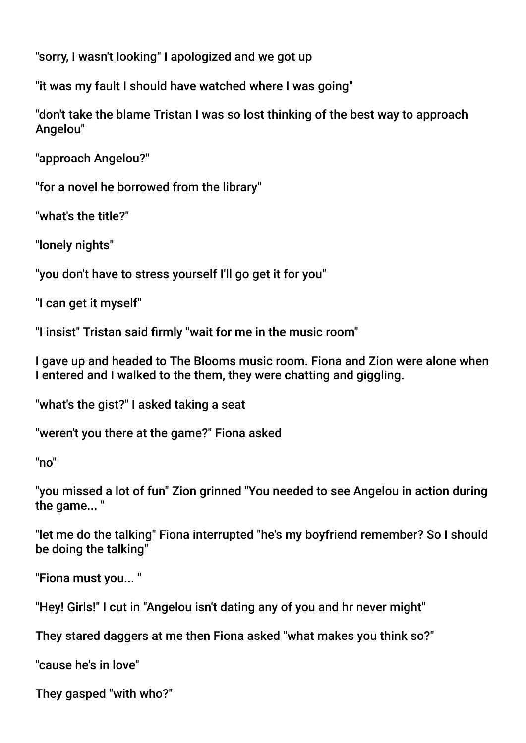"sorry, I wasn't looking" I apologized and we got up

"it was my fault I should have watched where I was going"

"don't take the blame Tristan I was so lost thinking of the best way to approach Angelou"

"approach Angelou?"

"for a novel he borrowed from the library"

"what's the title?"

"lonely nights"

"you don't have to stress yourself I'll go get it for you"

"I can get it myself"

"I insist" Tristan said frmly "wait for me in the music room"

I gave up and headed to The Blooms music room. Fiona and Zion were alone when I entered and I walked to the them, they were chatting and giggling.

"what's the gist?" I asked taking a seat

"weren't you there at the game?" Fiona asked

"no"

"you missed a lot of fun" Zion grinned "You needed to see Angelou in action during the game... "

"let me do the talking" Fiona interrupted "he's my boyfriend remember? So I should be doing the talking"

"Fiona must you... "

"Hey! Girls!" I cut in "Angelou isn't dating any of you and hr never might"

They stared daggers at me then Fiona asked "what makes you think so?"

"cause he's in love"

They gasped "with who?"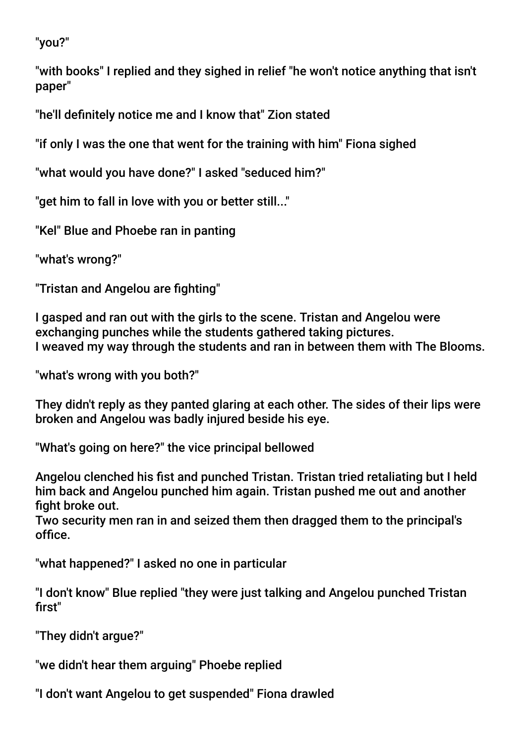"you?"

"with books" I replied and they sighed in relief "he won't notice anything that isn't paper"

"he'll defnitely notice me and I know that" Zion stated

"if only I was the one that went for the training with him" Fiona sighed

"what would you have done?" I asked "seduced him?"

"get him to fall in love with you or better still..."

"Kel" Blue and Phoebe ran in panting

"what's wrong?"

"Tristan and Angelou are fighting"

I gasped and ran out with the girls to the scene. Tristan and Angelou were exchanging punches while the students gathered taking pictures. I weaved my way through the students and ran in between them with The Blooms.

"what's wrong with you both?"

They didn't reply as they panted glaring at each other. The sides of their lips were broken and Angelou was badly injured beside his eye.

"What's going on here?" the vice principal bellowed

Angelou clenched his fist and punched Tristan. Tristan tried retaliating but I held him back and Angelou punched him again. Tristan pushed me out and another fight broke out.

Two security men ran in and seized them then dragged them to the principal's office.

"what happened?" I asked no one in particular

"I don't know" Blue replied "they were just talking and Angelou punched Tristan first"

"They didn't argue?"

"we didn't hear them arguing" Phoebe replied

"I don't want Angelou to get suspended" Fiona drawled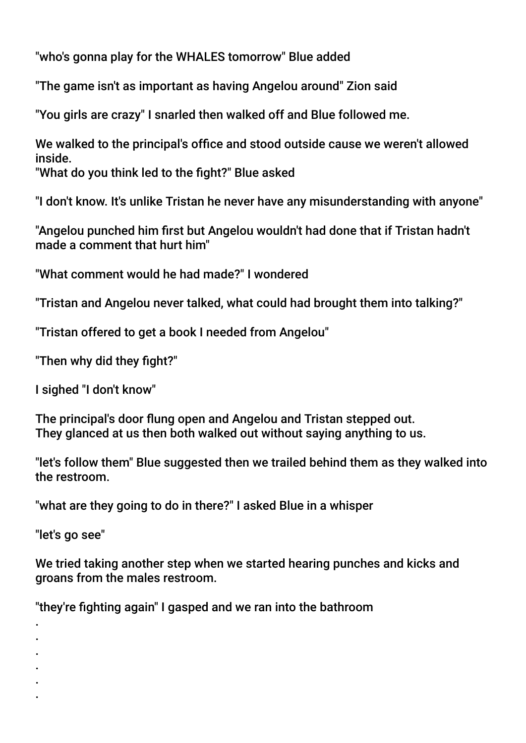"who's gonna play for the WHALES tomorrow" Blue added

"The game isn't as important as having Angelou around" Zion said

"You girls are crazy" I snarled then walked off and Blue followed me.

We walked to the principal's office and stood outside cause we weren't allowed inside.

"What do you think led to the fight?" Blue asked

"I don't know. It's unlike Tristan he never have any misunderstanding with anyone"

"Angelou punched him frst but Angelou wouldn't had done that if Tristan hadn't made a comment that hurt him"

"What comment would he had made?" I wondered

"Tristan and Angelou never talked, what could had brought them into talking?"

"Tristan offered to get a book I needed from Angelou"

"Then why did they fight?"

I sighed "I don't know"

The principal's door fung open and Angelou and Tristan stepped out. They glanced at us then both walked out without saying anything to us.

"let's follow them" Blue suggested then we trailed behind them as they walked into the restroom.

"what are they going to do in there?" I asked Blue in a whisper

"let's go see"

We tried taking another step when we started hearing punches and kicks and groans from the males restroom.

"they're fighting again" I gasped and we ran into the bathroom

. .

.

- .
- .
- .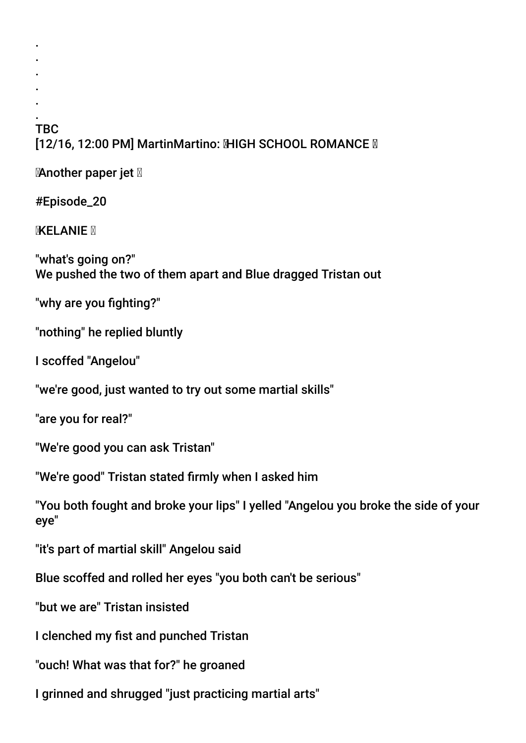#### . **TBC** [12/16, 12:00 PM] MartinMartino: MHGH SCHOOL ROMANCE M

**Manother paper jet** 

#Episode\_20

. . . . .

**MXELANIE** 

"what's going on?" We pushed the two of them apart and Blue dragged Tristan out

"why are you fighting?"

"nothing" he replied bluntly

I scoffed "Angelou"

"we're good, just wanted to try out some martial skills"

"are you for real?"

"We're good you can ask Tristan"

"We're good" Tristan stated frmly when I asked him

"You both fought and broke your lips" I yelled "Angelou you broke the side of your eye"

"it's part of martial skill" Angelou said

Blue scoffed and rolled her eyes "you both can't be serious"

"but we are" Tristan insisted

I clenched my fist and punched Tristan

"ouch! What was that for?" he groaned

I grinned and shrugged "just practicing martial arts"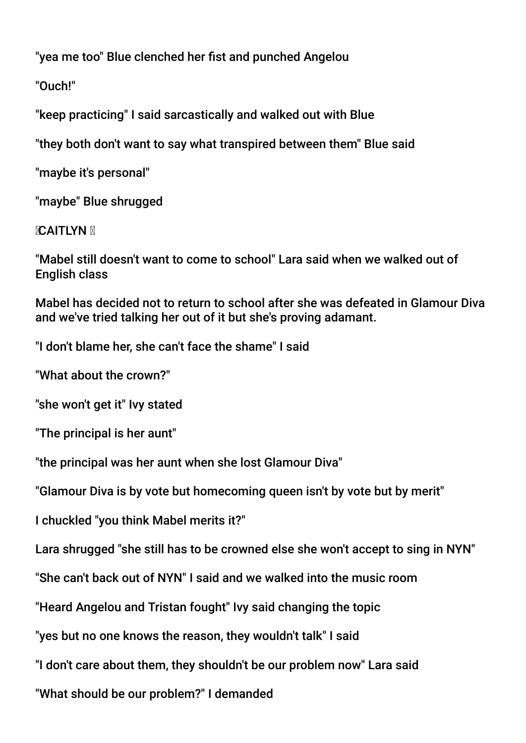"yea me too" Blue clenched her fist and punched Angelou

"Ouch!"

"keep practicing" I said sarcastically and walked out with Blue

"they both don't want to say what transpired between them" Blue said

"maybe it's personal"

"maybe" Blue shrugged

# **MCAITLYN**

"Mabel still doesn't want to come to school" Lara said when we walked out of English class

Mabel has decided not to return to school after she was defeated in Glamour Diva and we've tried talking her out of it but she's proving adamant.

"I don't blame her, she can't face the shame" I said

"What about the crown?"

"she won't get it" Ivy stated

"The principal is her aunt"

"the principal was her aunt when she lost Glamour Diva"

"Glamour Diva is by vote but homecoming queen isn't by vote but by merit"

I chuckled "you think Mabel merits it?"

Lara shrugged "she still has to be crowned else she won't accept to sing in NYN"

"She can't back out of NYN" I said and we walked into the music room

"Heard Angelou and Tristan fought" Ivy said changing the topic

"yes but no one knows the reason, they wouldn't talk" I said

"I don't care about them, they shouldn't be our problem now" Lara said

"What should be our problem?" I demanded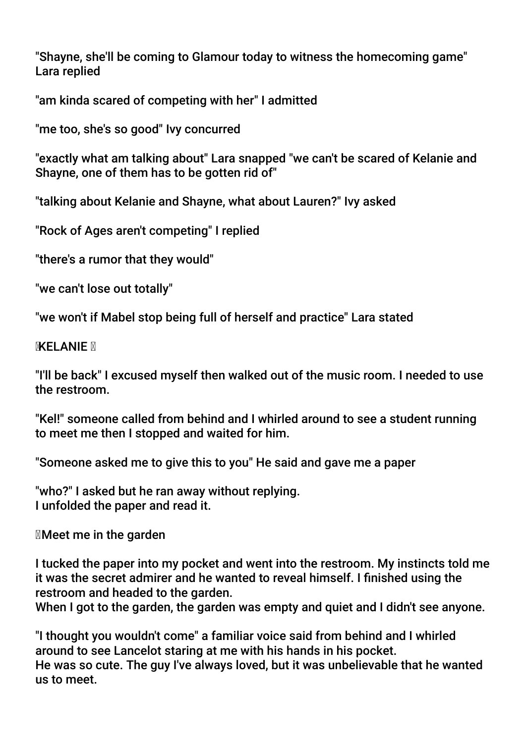"Shayne, she'll be coming to Glamour today to witness the homecoming game" Lara replied

"am kinda scared of competing with her" I admitted

"me too, she's so good" Ivy concurred

"exactly what am talking about" Lara snapped "we can't be scared of Kelanie and Shayne, one of them has to be gotten rid of"

"talking about Kelanie and Shayne, what about Lauren?" Ivy asked

"Rock of Ages aren't competing" I replied

"there's a rumor that they would"

"we can't lose out totally"

"we won't if Mabel stop being full of herself and practice" Lara stated

**MKELANIE** 

"I'll be back" I excused myself then walked out of the music room. I needed to use the restroom.

"Kel!" someone called from behind and I whirled around to see a student running to meet me then I stopped and waited for him.

"Someone asked me to give this to you" He said and gave me a paper

"who?" I asked but he ran away without replying. I unfolded the paper and read it.

Meet me in the garden

I tucked the paper into my pocket and went into the restroom. My instincts told me it was the secret admirer and he wanted to reveal himself. I fnished using the restroom and headed to the garden.

When I got to the garden, the garden was empty and quiet and I didn't see anyone.

"I thought you wouldn't come" a familiar voice said from behind and I whirled around to see Lancelot staring at me with his hands in his pocket. He was so cute. The guy I've always loved, but it was unbelievable that he wanted us to meet.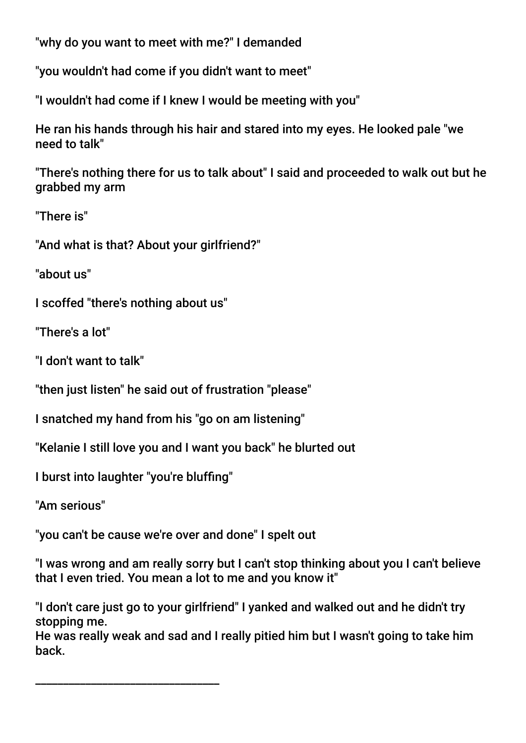"why do you want to meet with me?" I demanded

"you wouldn't had come if you didn't want to meet"

"I wouldn't had come if I knew I would be meeting with you"

He ran his hands through his hair and stared into my eyes. He looked pale "we need to talk"

"There's nothing there for us to talk about" I said and proceeded to walk out but he grabbed my arm

"There is"

"And what is that? About your girlfriend?"

"about us"

I scoffed "there's nothing about us"

"There's a lot"

"I don't want to talk"

"then just listen" he said out of frustration "please"

I snatched my hand from his "go on am listening"

"Kelanie I still love you and I want you back" he blurted out

I burst into laughter "you're bluffng"

"Am serious"

"you can't be cause we're over and done" I spelt out

"I was wrong and am really sorry but I can't stop thinking about you I can't believe that I even tried. You mean a lot to me and you know it"

"I don't care just go to your girlfriend" I yanked and walked out and he didn't try stopping me.

He was really weak and sad and I really pitied him but I wasn't going to take him back.

\_\_\_\_\_\_\_\_\_\_\_\_\_\_\_\_\_\_\_\_\_\_\_\_\_\_\_\_\_\_\_\_\_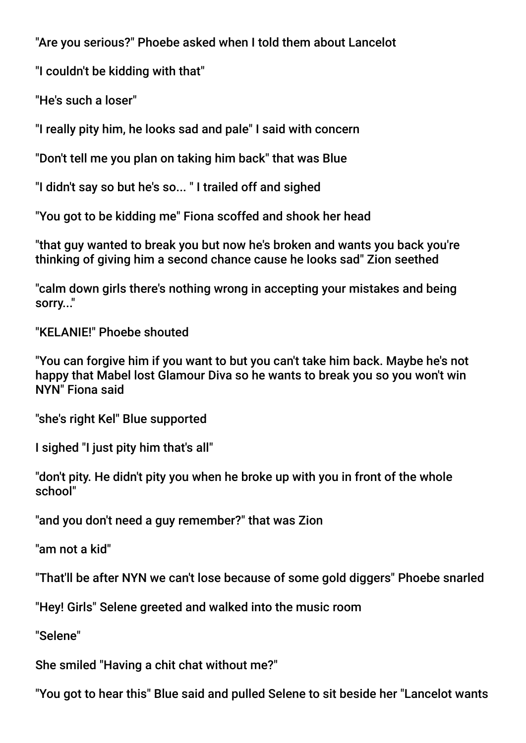"Are you serious?" Phoebe asked when I told them about Lancelot

"I couldn't be kidding with that"

"He's such a loser"

"I really pity him, he looks sad and pale" I said with concern

"Don't tell me you plan on taking him back" that was Blue

"I didn't say so but he's so... " I trailed off and sighed

"You got to be kidding me" Fiona scoffed and shook her head

"that guy wanted to break you but now he's broken and wants you back you're thinking of giving him a second chance cause he looks sad" Zion seethed

"calm down girls there's nothing wrong in accepting your mistakes and being sorry..."

"KELANIE!" Phoebe shouted

"You can forgive him if you want to but you can't take him back. Maybe he's not happy that Mabel lost Glamour Diva so he wants to break you so you won't win NYN" Fiona said

"she's right Kel" Blue supported

I sighed "I just pity him that's all"

"don't pity. He didn't pity you when he broke up with you in front of the whole school"

"and you don't need a guy remember?" that was Zion

"am not a kid"

"That'll be after NYN we can't lose because of some gold diggers" Phoebe snarled

"Hey! Girls" Selene greeted and walked into the music room

"Selene"

She smiled "Having a chit chat without me?"

"You got to hear this" Blue said and pulled Selene to sit beside her "Lancelot wants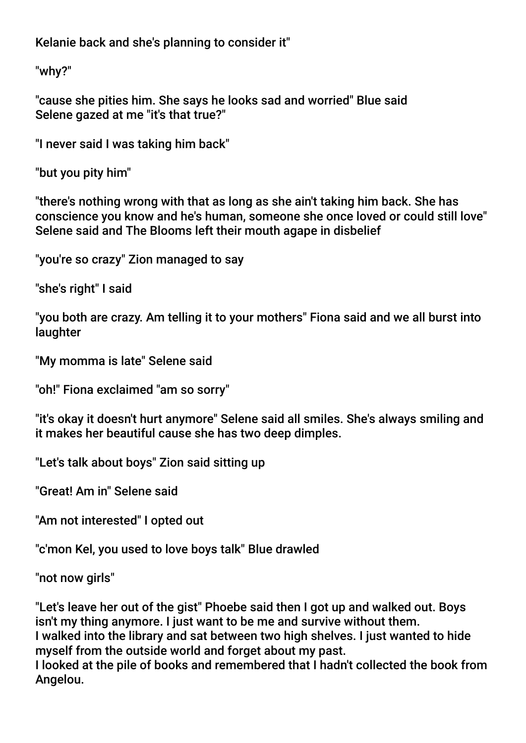Kelanie back and she's planning to consider it"

"why?"

"cause she pities him. She says he looks sad and worried" Blue said Selene gazed at me "it's that true?"

"I never said I was taking him back"

"but you pity him"

"there's nothing wrong with that as long as she ain't taking him back. She has conscience you know and he's human, someone she once loved or could still love" Selene said and The Blooms left their mouth agape in disbelief

"you're so crazy" Zion managed to say

"she's right" I said

"you both are crazy. Am telling it to your mothers" Fiona said and we all burst into laughter

"My momma is late" Selene said

"oh!" Fiona exclaimed "am so sorry"

"it's okay it doesn't hurt anymore" Selene said all smiles. She's always smiling and it makes her beautiful cause she has two deep dimples.

"Let's talk about boys" Zion said sitting up

"Great! Am in" Selene said

"Am not interested" I opted out

"c'mon Kel, you used to love boys talk" Blue drawled

"not now girls"

"Let's leave her out of the gist" Phoebe said then I got up and walked out. Boys isn't my thing anymore. I just want to be me and survive without them. I walked into the library and sat between two high shelves. I just wanted to hide myself from the outside world and forget about my past. I looked at the pile of books and remembered that I hadn't collected the book from

Angelou.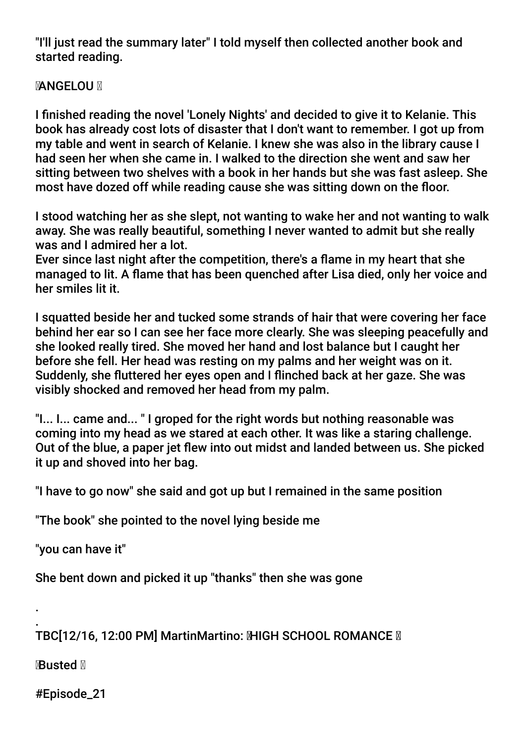"I'll just read the summary later" I told myself then collected another book and started reading.

# **MANGELOU M**

I fnished reading the novel 'Lonely Nights' and decided to give it to Kelanie. This book has already cost lots of disaster that I don't want to remember. I got up from my table and went in search of Kelanie. I knew she was also in the library cause I had seen her when she came in. I walked to the direction she went and saw her sitting between two shelves with a book in her hands but she was fast asleep. She most have dozed off while reading cause she was sitting down on the foor.

I stood watching her as she slept, not wanting to wake her and not wanting to walk away. She was really beautiful, something I never wanted to admit but she really was and I admired her a lot.

Ever since last night after the competition, there's a fame in my heart that she managed to lit. A fame that has been quenched after Lisa died, only her voice and her smiles lit it.

I squatted beside her and tucked some strands of hair that were covering her face behind her ear so I can see her face more clearly. She was sleeping peacefully and she looked really tired. She moved her hand and lost balance but I caught her before she fell. Her head was resting on my palms and her weight was on it. Suddenly, she futtered her eyes open and I finched back at her gaze. She was visibly shocked and removed her head from my palm.

"I... I... came and... " I groped for the right words but nothing reasonable was coming into my head as we stared at each other. It was like a staring challenge. Out of the blue, a paper jet flew into out midst and landed between us. She picked it up and shoved into her bag.

"I have to go now" she said and got up but I remained in the same position

"The book" she pointed to the novel lying beside me

"you can have it"

She bent down and picked it up "thanks" then she was gone

. TBC[12/16, 12:00 PM] MartinMartino: MHGH SCHOOL ROMANCE **M** 

**R**Busted **M** 

.

#Episode\_21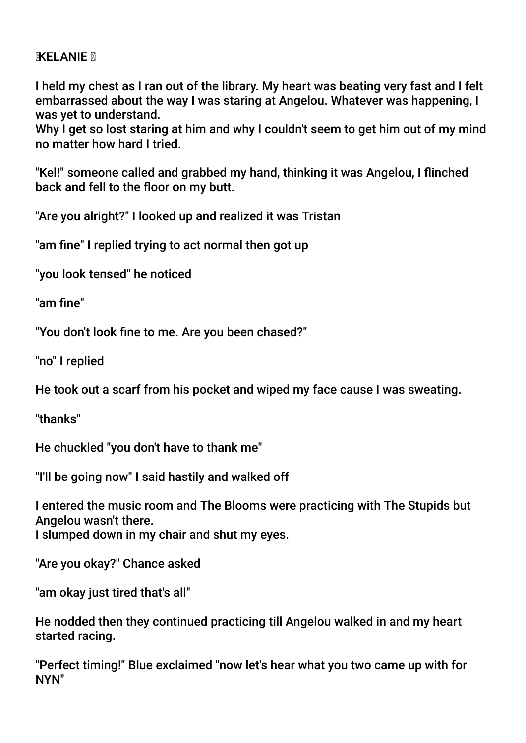#### **MXELANIE** M

I held my chest as I ran out of the library. My heart was beating very fast and I felt embarrassed about the way I was staring at Angelou. Whatever was happening, I was yet to understand.

Why I get so lost staring at him and why I couldn't seem to get him out of my mind no matter how hard I tried.

"Kel!" someone called and grabbed my hand, thinking it was Angelou, I finched back and fell to the floor on my butt.

"Are you alright?" I looked up and realized it was Tristan

"am fne" I replied trying to act normal then got up

"you look tensed" he noticed

"am fine"

"You don't look fne to me. Are you been chased?"

"no" I replied

He took out a scarf from his pocket and wiped my face cause I was sweating.

"thanks"

He chuckled "you don't have to thank me"

"I'll be going now" I said hastily and walked off

I entered the music room and The Blooms were practicing with The Stupids but Angelou wasn't there. I slumped down in my chair and shut my eyes.

"Are you okay?" Chance asked

"am okay just tired that's all"

He nodded then they continued practicing till Angelou walked in and my heart started racing.

"Perfect timing!" Blue exclaimed "now let's hear what you two came up with for NYN"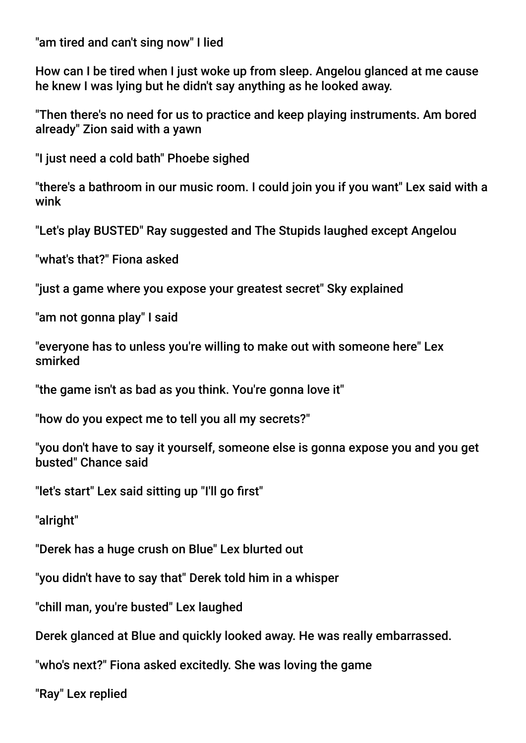"am tired and can't sing now" I lied

How can I be tired when I just woke up from sleep. Angelou glanced at me cause he knew I was lying but he didn't say anything as he looked away.

"Then there's no need for us to practice and keep playing instruments. Am bored already" Zion said with a yawn

"I just need a cold bath" Phoebe sighed

"there's a bathroom in our music room. I could join you if you want" Lex said with a wink

"Let's play BUSTED" Ray suggested and The Stupids laughed except Angelou

"what's that?" Fiona asked

"just a game where you expose your greatest secret" Sky explained

"am not gonna play" I said

"everyone has to unless you're willing to make out with someone here" Lex smirked

"the game isn't as bad as you think. You're gonna love it"

"how do you expect me to tell you all my secrets?"

"you don't have to say it yourself, someone else is gonna expose you and you get busted" Chance said

"let's start" Lex said sitting up "I'll go frst"

"alright"

"Derek has a huge crush on Blue" Lex blurted out

"you didn't have to say that" Derek told him in a whisper

"chill man, you're busted" Lex laughed

Derek glanced at Blue and quickly looked away. He was really embarrassed.

"who's next?" Fiona asked excitedly. She was loving the game

"Ray" Lex replied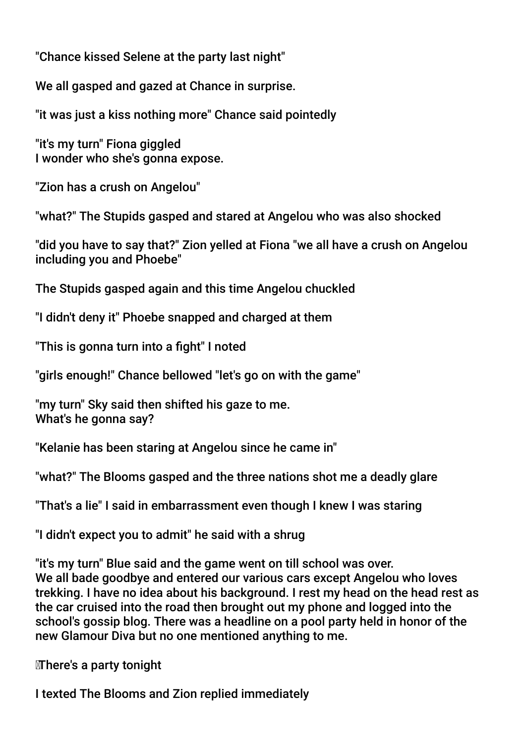"Chance kissed Selene at the party last night"

We all gasped and gazed at Chance in surprise.

"it was just a kiss nothing more" Chance said pointedly

"it's my turn" Fiona giggled I wonder who she's gonna expose.

"Zion has a crush on Angelou"

"what?" The Stupids gasped and stared at Angelou who was also shocked

"did you have to say that?" Zion yelled at Fiona "we all have a crush on Angelou including you and Phoebe"

The Stupids gasped again and this time Angelou chuckled

"I didn't deny it" Phoebe snapped and charged at them

"This is gonna turn into a fight" I noted

"girls enough!" Chance bellowed "let's go on with the game"

"my turn" Sky said then shifted his gaze to me. What's he gonna say?

"Kelanie has been staring at Angelou since he came in"

"what?" The Blooms gasped and the three nations shot me a deadly glare

"That's a lie" I said in embarrassment even though I knew I was staring

"I didn't expect you to admit" he said with a shrug

"it's my turn" Blue said and the game went on till school was over. We all bade goodbye and entered our various cars except Angelou who loves trekking. I have no idea about his background. I rest my head on the head rest as the car cruised into the road then brought out my phone and logged into the school's gossip blog. There was a headline on a pool party held in honor of the new Glamour Diva but no one mentioned anything to me.

There's a party tonight

I texted The Blooms and Zion replied immediately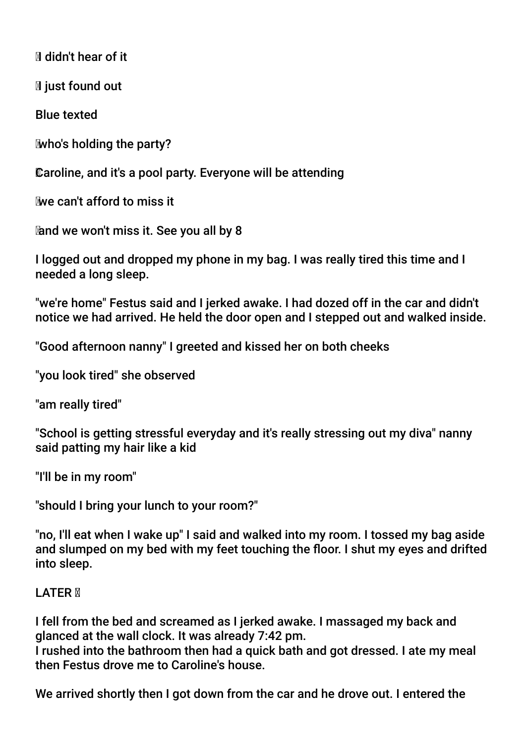Ididn't hear of it

**I**I just found out

Blue texted

who's holding the party?

Caroline, and it's a pool party. Everyone will be attending

we can't afford to miss it

and we won't miss it. See you all by 8

I logged out and dropped my phone in my bag. I was really tired this time and I needed a long sleep.

"we're home" Festus said and I jerked awake. I had dozed off in the car and didn't notice we had arrived. He held the door open and I stepped out and walked inside.

"Good afternoon nanny" I greeted and kissed her on both cheeks

"you look tired" she observed

"am really tired"

"School is getting stressful everyday and it's really stressing out my diva" nanny said patting my hair like a kid

"I'll be in my room"

"should I bring your lunch to your room?"

"no, I'll eat when I wake up" I said and walked into my room. I tossed my bag aside and slumped on my bed with my feet touching the floor. I shut my eyes and drifted into sleep.

# LATER **M**

I fell from the bed and screamed as I jerked awake. I massaged my back and glanced at the wall clock. It was already 7:42 pm.

I rushed into the bathroom then had a quick bath and got dressed. I ate my meal then Festus drove me to Caroline's house.

We arrived shortly then I got down from the car and he drove out. I entered the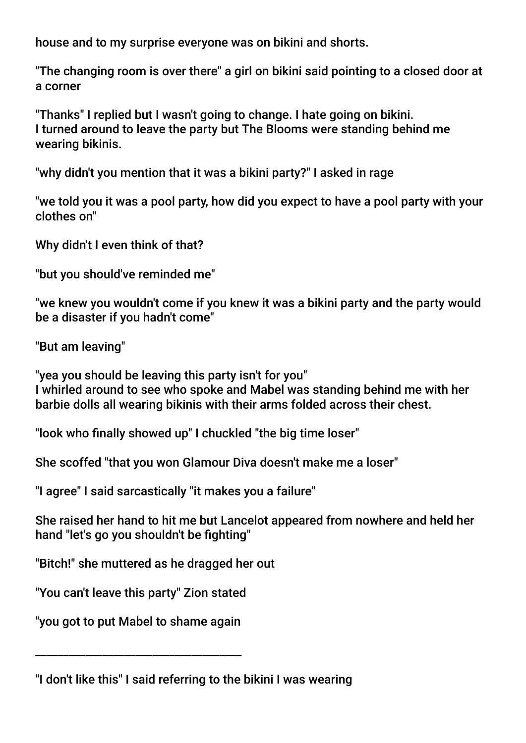house and to my surprise everyone was on bikini and shorts.

"The changing room is over there" a girl on bikini said pointing to a closed door at a corner

"Thanks" I replied but I wasn't going to change. I hate going on bikini. I turned around to leave the party but The Blooms were standing behind me wearing bikinis.

"why didn't you mention that it was a bikini party?" I asked in rage

"we told you it was a pool party, how did you expect to have a pool party with your clothes on"

Why didn't I even think of that?

"but you should've reminded me"

"we knew you wouldn't come if you knew it was a bikini party and the party would be a disaster if you hadn't come"

"But am leaving"

"yea you should be leaving this party isn't for you" I whirled around to see who spoke and Mabel was standing behind me with her barbie dolls all wearing bikinis with their arms folded across their chest.

"look who fnally showed up" I chuckled "the big time loser"

She scoffed "that you won Glamour Diva doesn't make me a loser"

"I agree" I said sarcastically "it makes you a failure"

She raised her hand to hit me but Lancelot appeared from nowhere and held her hand "let's go you shouldn't be fighting"

"Bitch!" she muttered as he dragged her out

"You can't leave this party" Zion stated

"you got to put Mabel to shame again

\_\_\_\_\_\_\_\_\_\_\_\_\_\_\_\_\_\_\_\_\_\_\_\_\_\_\_\_\_\_\_\_\_\_\_\_\_

<sup>&</sup>quot;I don't like this" I said referring to the bikini I was wearing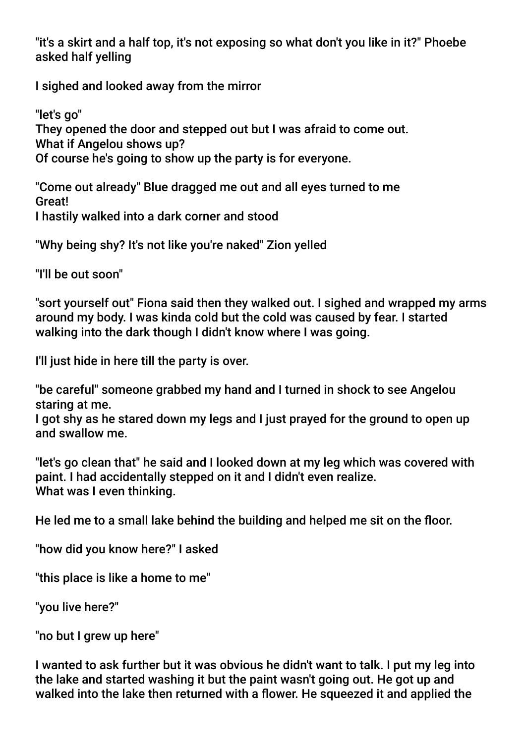"it's a skirt and a half top, it's not exposing so what don't you like in it?" Phoebe asked half yelling

I sighed and looked away from the mirror

"let's go" They opened the door and stepped out but I was afraid to come out. What if Angelou shows up? Of course he's going to show up the party is for everyone.

"Come out already" Blue dragged me out and all eyes turned to me Great! I hastily walked into a dark corner and stood

"Why being shy? It's not like you're naked" Zion yelled

"I'll be out soon"

"sort yourself out" Fiona said then they walked out. I sighed and wrapped my arms around my body. I was kinda cold but the cold was caused by fear. I started walking into the dark though I didn't know where I was going.

I'll just hide in here till the party is over.

"be careful" someone grabbed my hand and I turned in shock to see Angelou staring at me.

I got shy as he stared down my legs and I just prayed for the ground to open up and swallow me.

"let's go clean that" he said and I looked down at my leg which was covered with paint. I had accidentally stepped on it and I didn't even realize. What was I even thinking.

He led me to a small lake behind the building and helped me sit on the foor.

"how did you know here?" I asked

"this place is like a home to me"

"you live here?"

"no but I grew up here"

I wanted to ask further but it was obvious he didn't want to talk. I put my leg into the lake and started washing it but the paint wasn't going out. He got up and walked into the lake then returned with a flower. He squeezed it and applied the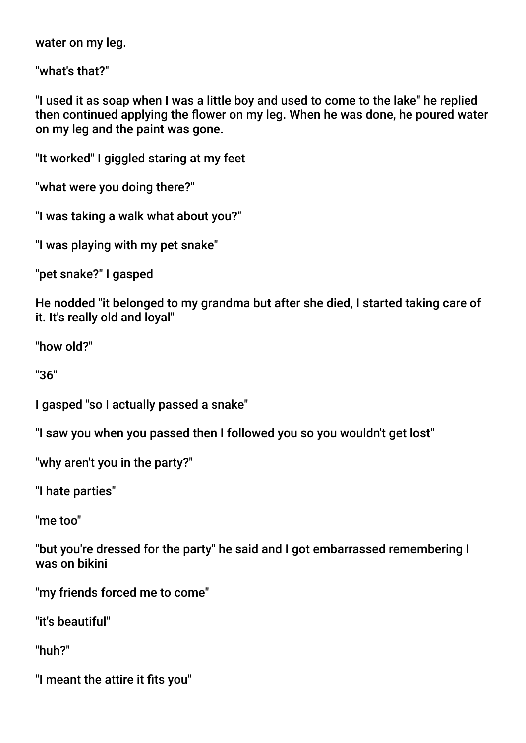water on my leg.

"what's that?"

"I used it as soap when I was a little boy and used to come to the lake" he replied then continued applying the flower on my leg. When he was done, he poured water on my leg and the paint was gone.

"It worked" I giggled staring at my feet

"what were you doing there?"

"I was taking a walk what about you?"

"I was playing with my pet snake"

"pet snake?" I gasped

He nodded "it belonged to my grandma but after she died, I started taking care of it. It's really old and loyal"

"how old?"

"36"

I gasped "so I actually passed a snake"

"I saw you when you passed then I followed you so you wouldn't get lost"

"why aren't you in the party?"

"I hate parties"

"me too"

"but you're dressed for the party" he said and I got embarrassed remembering I was on bikini

"my friends forced me to come"

"it's beautiful"

"huh?"

"I meant the attire it fits you"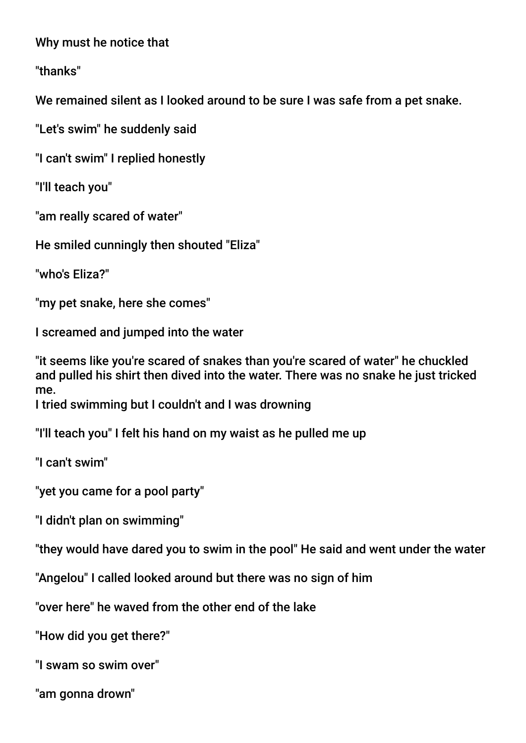Why must he notice that

"thanks"

We remained silent as I looked around to be sure I was safe from a pet snake.

"Let's swim" he suddenly said

"I can't swim" I replied honestly

"I'll teach you"

"am really scared of water"

He smiled cunningly then shouted "Eliza"

"who's Eliza?"

"my pet snake, here she comes"

I screamed and jumped into the water

"it seems like you're scared of snakes than you're scared of water" he chuckled and pulled his shirt then dived into the water. There was no snake he just tricked me.

I tried swimming but I couldn't and I was drowning

"I'll teach you" I felt his hand on my waist as he pulled me up

"I can't swim"

"yet you came for a pool party"

"I didn't plan on swimming"

"they would have dared you to swim in the pool" He said and went under the water

"Angelou" I called looked around but there was no sign of him

"over here" he waved from the other end of the lake

"How did you get there?"

"I swam so swim over"

"am gonna drown"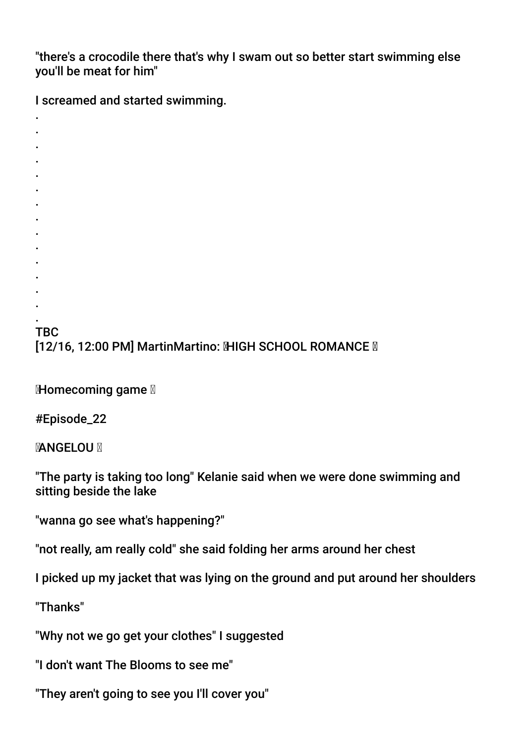"there's a crocodile there that's why I swam out so better start swimming else you'll be meat for him"

I screamed and started swimming.

- . .
- .
- .
- . .
- .
- .
- .
- .
- .
- .
- .
- . .

TBC **[12/16, 12:00 PM] MartinMartino: MHGH SCHOOL ROMANCE M** 

Momecoming game **N** 

#Episode\_22

**MANGELOU M** 

"The party is taking too long" Kelanie said when we were done swimming and sitting beside the lake

"wanna go see what's happening?"

"not really, am really cold" she said folding her arms around her chest

I picked up my jacket that was lying on the ground and put around her shoulders

"Thanks"

"Why not we go get your clothes" I suggested

"I don't want The Blooms to see me"

"They aren't going to see you I'll cover you"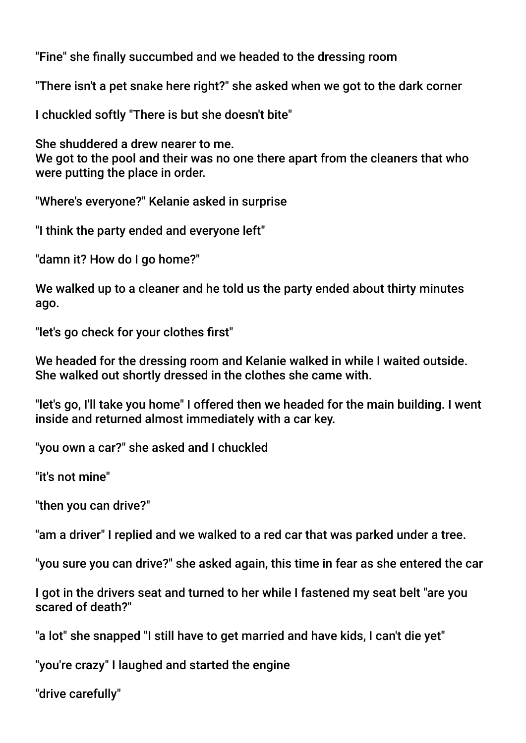"Fine" she fnally succumbed and we headed to the dressing room

"There isn't a pet snake here right?" she asked when we got to the dark corner

I chuckled softly "There is but she doesn't bite"

She shuddered a drew nearer to me. We got to the pool and their was no one there apart from the cleaners that who were putting the place in order.

"Where's everyone?" Kelanie asked in surprise

"I think the party ended and everyone left"

"damn it? How do I go home?"

We walked up to a cleaner and he told us the party ended about thirty minutes ago.

"let's go check for your clothes frst"

We headed for the dressing room and Kelanie walked in while I waited outside. She walked out shortly dressed in the clothes she came with.

"let's go, I'll take you home" I offered then we headed for the main building. I went inside and returned almost immediately with a car key.

"you own a car?" she asked and I chuckled

"it's not mine"

"then you can drive?"

"am a driver" I replied and we walked to a red car that was parked under a tree.

"you sure you can drive?" she asked again, this time in fear as she entered the car

I got in the drivers seat and turned to her while I fastened my seat belt "are you scared of death?"

"a lot" she snapped "I still have to get married and have kids, I can't die yet"

"you're crazy" I laughed and started the engine

"drive carefully"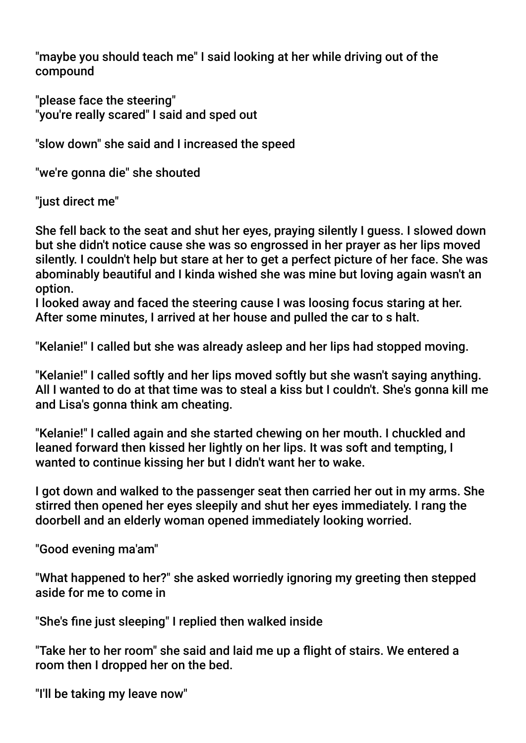"maybe you should teach me" I said looking at her while driving out of the compound

"please face the steering" "you're really scared" I said and sped out

"slow down" she said and I increased the speed

"we're gonna die" she shouted

"just direct me"

She fell back to the seat and shut her eyes, praying silently I guess. I slowed down but she didn't notice cause she was so engrossed in her prayer as her lips moved silently. I couldn't help but stare at her to get a perfect picture of her face. She was abominably beautiful and I kinda wished she was mine but loving again wasn't an option.

I looked away and faced the steering cause I was loosing focus staring at her. After some minutes, I arrived at her house and pulled the car to s halt.

"Kelanie!" I called but she was already asleep and her lips had stopped moving.

"Kelanie!" I called softly and her lips moved softly but she wasn't saying anything. All I wanted to do at that time was to steal a kiss but I couldn't. She's gonna kill me and Lisa's gonna think am cheating.

"Kelanie!" I called again and she started chewing on her mouth. I chuckled and leaned forward then kissed her lightly on her lips. It was soft and tempting, I wanted to continue kissing her but I didn't want her to wake.

I got down and walked to the passenger seat then carried her out in my arms. She stirred then opened her eyes sleepily and shut her eyes immediately. I rang the doorbell and an elderly woman opened immediately looking worried.

"Good evening ma'am"

"What happened to her?" she asked worriedly ignoring my greeting then stepped aside for me to come in

"She's fne just sleeping" I replied then walked inside

"Take her to her room" she said and laid me up a fight of stairs. We entered a room then I dropped her on the bed.

"I'll be taking my leave now"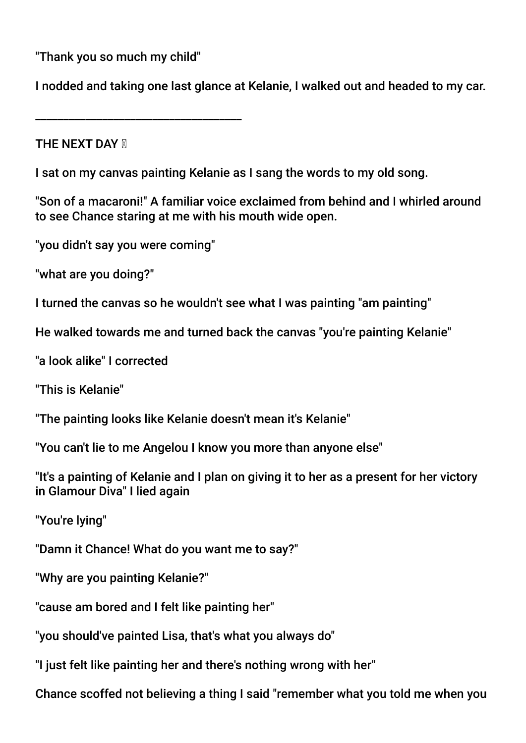"Thank you so much my child"

\_\_\_\_\_\_\_\_\_\_\_\_\_\_\_\_\_\_\_\_\_\_\_\_\_\_\_\_\_\_\_\_\_\_\_\_\_

I nodded and taking one last glance at Kelanie, I walked out and headed to my car.

**THE NEXT DAY M** 

I sat on my canvas painting Kelanie as I sang the words to my old song.

"Son of a macaroni!" A familiar voice exclaimed from behind and I whirled around to see Chance staring at me with his mouth wide open.

"you didn't say you were coming"

"what are you doing?"

I turned the canvas so he wouldn't see what I was painting "am painting"

He walked towards me and turned back the canvas "you're painting Kelanie"

"a look alike" I corrected

"This is Kelanie"

"The painting looks like Kelanie doesn't mean it's Kelanie"

"You can't lie to me Angelou I know you more than anyone else"

"It's a painting of Kelanie and I plan on giving it to her as a present for her victory in Glamour Diva" I lied again

"You're lying"

"Damn it Chance! What do you want me to say?"

"Why are you painting Kelanie?"

"cause am bored and I felt like painting her"

"you should've painted Lisa, that's what you always do"

"I just felt like painting her and there's nothing wrong with her"

Chance scoffed not believing a thing I said "remember what you told me when you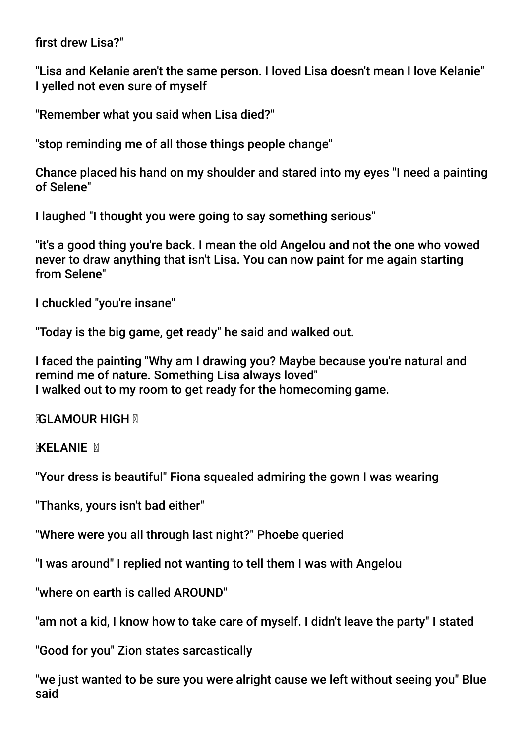first drew Lisa?"

"Lisa and Kelanie aren't the same person. I loved Lisa doesn't mean I love Kelanie" I yelled not even sure of myself

"Remember what you said when Lisa died?"

"stop reminding me of all those things people change"

Chance placed his hand on my shoulder and stared into my eyes "I need a painting of Selene"

I laughed "I thought you were going to say something serious"

"it's a good thing you're back. I mean the old Angelou and not the one who vowed never to draw anything that isn't Lisa. You can now paint for me again starting from Selene"

I chuckled "you're insane"

"Today is the big game, get ready" he said and walked out.

I faced the painting "Why am I drawing you? Maybe because you're natural and remind me of nature. Something Lisa always loved" I walked out to my room to get ready for the homecoming game.

**NGLAMOUR HIGH N** 

**MKELANIE** M

"Your dress is beautiful" Fiona squealed admiring the gown I was wearing

"Thanks, yours isn't bad either"

"Where were you all through last night?" Phoebe queried

"I was around" I replied not wanting to tell them I was with Angelou

"where on earth is called AROUND"

"am not a kid, I know how to take care of myself. I didn't leave the party" I stated

"Good for you" Zion states sarcastically

"we just wanted to be sure you were alright cause we left without seeing you" Blue said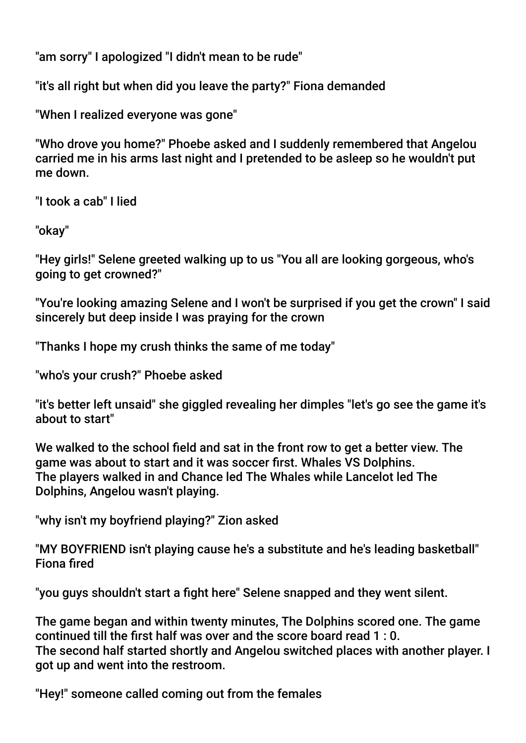"am sorry" I apologized "I didn't mean to be rude"

"it's all right but when did you leave the party?" Fiona demanded

"When I realized everyone was gone"

"Who drove you home?" Phoebe asked and I suddenly remembered that Angelou carried me in his arms last night and I pretended to be asleep so he wouldn't put me down.

"I took a cab" I lied

"okay"

"Hey girls!" Selene greeted walking up to us "You all are looking gorgeous, who's going to get crowned?"

"You're looking amazing Selene and I won't be surprised if you get the crown" I said sincerely but deep inside I was praying for the crown

"Thanks I hope my crush thinks the same of me today"

"who's your crush?" Phoebe asked

"it's better left unsaid" she giggled revealing her dimples "let's go see the game it's about to start"

We walked to the school field and sat in the front row to get a better view. The game was about to start and it was soccer frst. Whales VS Dolphins. The players walked in and Chance led The Whales while Lancelot led The Dolphins, Angelou wasn't playing.

"why isn't my boyfriend playing?" Zion asked

"MY BOYFRIEND isn't playing cause he's a substitute and he's leading basketball" Fiona fred

"you guys shouldn't start a fight here" Selene snapped and they went silent.

The game began and within twenty minutes, The Dolphins scored one. The game continued till the frst half was over and the score board read 1 : 0. The second half started shortly and Angelou switched places with another player. I got up and went into the restroom.

"Hey!" someone called coming out from the females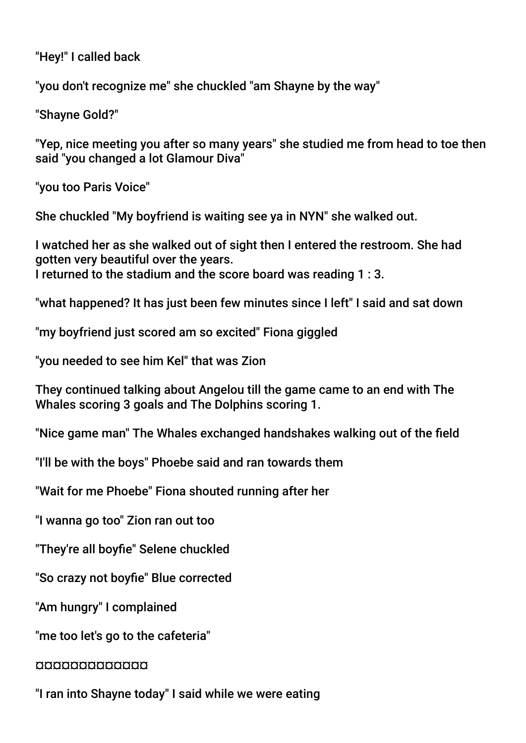"Hey!" I called back

"you don't recognize me" she chuckled "am Shayne by the way"

"Shayne Gold?"

"Yep, nice meeting you after so many years" she studied me from head to toe then said "you changed a lot Glamour Diva"

"you too Paris Voice"

She chuckled "My boyfriend is waiting see ya in NYN" she walked out.

I watched her as she walked out of sight then I entered the restroom. She had gotten very beautiful over the years. I returned to the stadium and the score board was reading 1 : 3.

"what happened? It has just been few minutes since I left" I said and sat down

"my boyfriend just scored am so excited" Fiona giggled

"you needed to see him Kel" that was Zion

They continued talking about Angelou till the game came to an end with The Whales scoring 3 goals and The Dolphins scoring 1.

"Nice game man" The Whales exchanged handshakes walking out of the feld

"I'll be with the boys" Phoebe said and ran towards them

"Wait for me Phoebe" Fiona shouted running after her

"I wanna go too" Zion ran out too

"They're all boyfie" Selene chuckled

"So crazy not boyfie" Blue corrected

"Am hungry" I complained

"me too let's go to the cafeteria"

# ¤¤¤¤¤¤¤¤¤¤¤¤¤

"I ran into Shayne today" I said while we were eating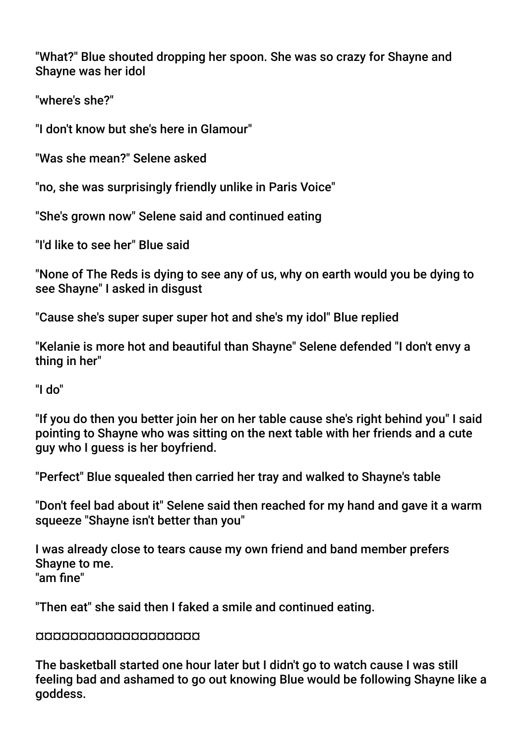"What?" Blue shouted dropping her spoon. She was so crazy for Shayne and Shayne was her idol

"where's she?"

"I don't know but she's here in Glamour"

"Was she mean?" Selene asked

"no, she was surprisingly friendly unlike in Paris Voice"

"She's grown now" Selene said and continued eating

"I'd like to see her" Blue said

"None of The Reds is dying to see any of us, why on earth would you be dying to see Shayne" I asked in disgust

"Cause she's super super super hot and she's my idol" Blue replied

"Kelanie is more hot and beautiful than Shayne" Selene defended "I don't envy a thing in her"

"I do"

"If you do then you better join her on her table cause she's right behind you" I said pointing to Shayne who was sitting on the next table with her friends and a cute guy who I guess is her boyfriend.

"Perfect" Blue squealed then carried her tray and walked to Shayne's table

"Don't feel bad about it" Selene said then reached for my hand and gave it a warm squeeze "Shayne isn't better than you"

I was already close to tears cause my own friend and band member prefers Shayne to me. "am fne"

"Then eat" she said then I faked a smile and continued eating.

# ¤¤¤¤¤¤¤¤¤¤¤¤¤¤¤¤¤¤¤

The basketball started one hour later but I didn't go to watch cause I was still feeling bad and ashamed to go out knowing Blue would be following Shayne like a goddess.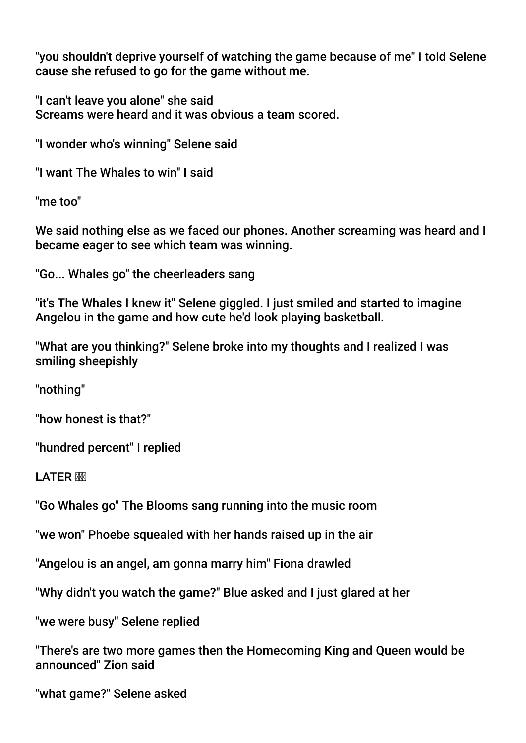"you shouldn't deprive yourself of watching the game because of me" I told Selene cause she refused to go for the game without me.

"I can't leave you alone" she said Screams were heard and it was obvious a team scored.

"I wonder who's winning" Selene said

"I want The Whales to win" I said

"me too"

We said nothing else as we faced our phones. Another screaming was heard and I became eager to see which team was winning.

"Go... Whales go" the cheerleaders sang

"it's The Whales I knew it" Selene giggled. I just smiled and started to imagine Angelou in the game and how cute he'd look playing basketball.

"What are you thinking?" Selene broke into my thoughts and I realized I was smiling sheepishly

"nothing"

"how honest is that?"

"hundred percent" I replied

LATER MM

"Go Whales go" The Blooms sang running into the music room

"we won" Phoebe squealed with her hands raised up in the air

"Angelou is an angel, am gonna marry him" Fiona drawled

"Why didn't you watch the game?" Blue asked and I just glared at her

"we were busy" Selene replied

"There's are two more games then the Homecoming King and Queen would be announced" Zion said

"what game?" Selene asked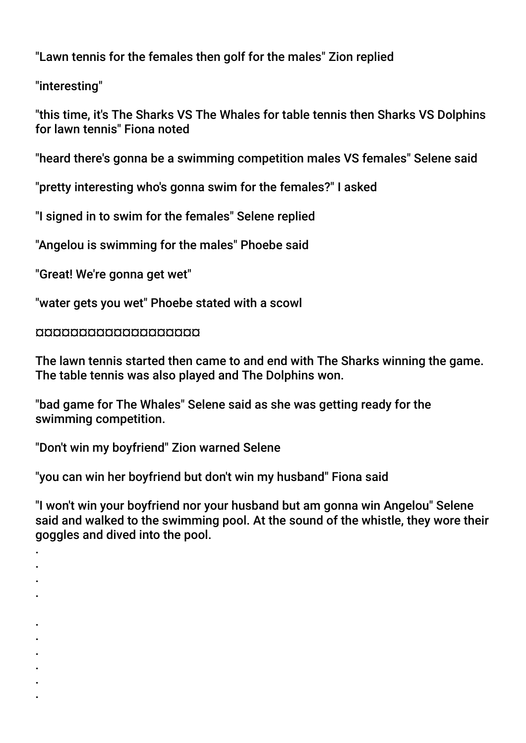"Lawn tennis for the females then golf for the males" Zion replied

"interesting"

"this time, it's The Sharks VS The Whales for table tennis then Sharks VS Dolphins for lawn tennis" Fiona noted

"heard there's gonna be a swimming competition males VS females" Selene said

"pretty interesting who's gonna swim for the females?" I asked

"I signed in to swim for the females" Selene replied

"Angelou is swimming for the males" Phoebe said

"Great! We're gonna get wet"

"water gets you wet" Phoebe stated with a scowl

¤¤¤¤¤¤¤¤¤¤¤¤¤¤¤¤¤¤¤

The lawn tennis started then came to and end with The Sharks winning the game. The table tennis was also played and The Dolphins won.

"bad game for The Whales" Selene said as she was getting ready for the swimming competition.

"Don't win my boyfriend" Zion warned Selene

"you can win her boyfriend but don't win my husband" Fiona said

"I won't win your boyfriend nor your husband but am gonna win Angelou" Selene said and walked to the swimming pool. At the sound of the whistle, they wore their goggles and dived into the pool.

- . .
- .
- .
	-
- . .
- 
- . .
- .
- .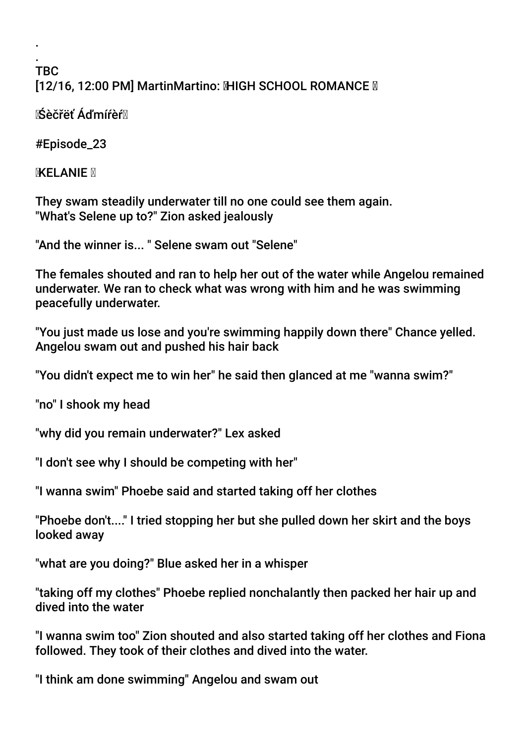### . TBC [12/16, 12:00 PM] MartinMartino: MHGH SCHOOL ROMANCE M

Śèčřëť Áďmíŕèŕ

#Episode\_23

.

**KELANIE** 

They swam steadily underwater till no one could see them again. "What's Selene up to?" Zion asked jealously

"And the winner is... " Selene swam out "Selene"

The females shouted and ran to help her out of the water while Angelou remained underwater. We ran to check what was wrong with him and he was swimming peacefully underwater.

"You just made us lose and you're swimming happily down there" Chance yelled. Angelou swam out and pushed his hair back

"You didn't expect me to win her" he said then glanced at me "wanna swim?"

"no" I shook my head

"why did you remain underwater?" Lex asked

"I don't see why I should be competing with her"

"I wanna swim" Phoebe said and started taking off her clothes

"Phoebe don't...." I tried stopping her but she pulled down her skirt and the boys looked away

"what are you doing?" Blue asked her in a whisper

"taking off my clothes" Phoebe replied nonchalantly then packed her hair up and dived into the water

"I wanna swim too" Zion shouted and also started taking off her clothes and Fiona followed. They took of their clothes and dived into the water.

"I think am done swimming" Angelou and swam out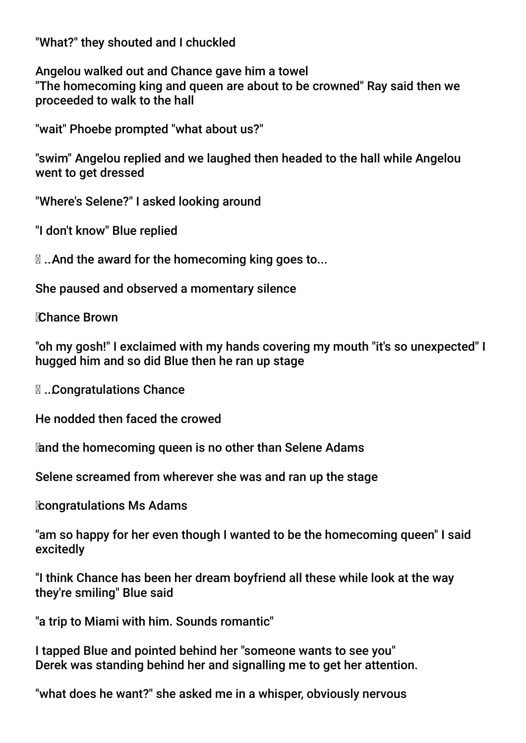"What?" they shouted and I chuckled

Angelou walked out and Chance gave him a towel "The homecoming king and queen are about to be crowned" Ray said then we proceeded to walk to the hall

"wait" Phoebe prompted "what about us?"

"swim" Angelou replied and we laughed then headed to the hall while Angelou went to get dressed

"Where's Selene?" I asked looking around

"I don't know" Blue replied

 $\mathbb{Z}$ **... And the award for the homecoming king goes to...** 

She paused and observed a momentary silence

Chance Brown

"oh my gosh!" I exclaimed with my hands covering my mouth "it's so unexpected" I hugged him and so did Blue then he ran up stage

... Congratulations Chance

He nodded then faced the crowed

and the homecoming queen is no other than Selene Adams

Selene screamed from wherever she was and ran up the stage

**Congratulations Ms Adams** 

"am so happy for her even though I wanted to be the homecoming queen" I said excitedly

"I think Chance has been her dream boyfriend all these while look at the way they're smiling" Blue said

"a trip to Miami with him. Sounds romantic"

I tapped Blue and pointed behind her "someone wants to see you" Derek was standing behind her and signalling me to get her attention.

"what does he want?" she asked me in a whisper, obviously nervous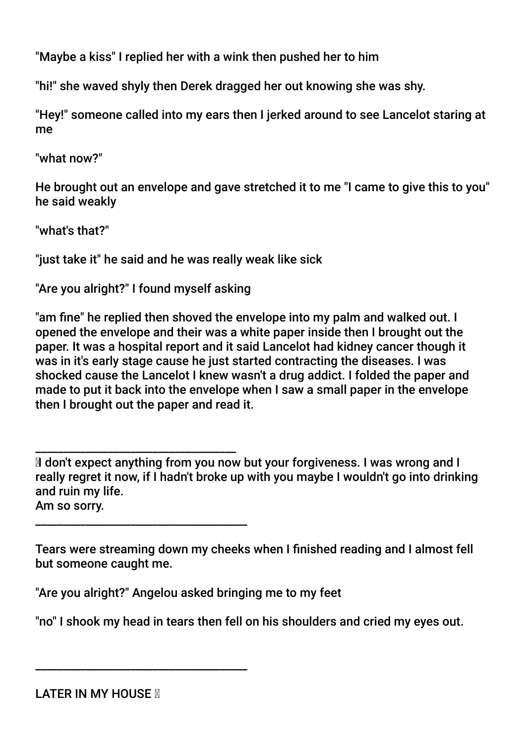"Maybe a kiss" I replied her with a wink then pushed her to him

"hi!" she waved shyly then Derek dragged her out knowing she was shy.

"Hey!" someone called into my ears then I jerked around to see Lancelot staring at me

"what now?"

He brought out an envelope and gave stretched it to me "I came to give this to you" he said weakly

"what's that?"

"just take it" he said and he was really weak like sick

"Are you alright?" I found myself asking

\_\_\_\_\_\_\_\_\_\_\_\_\_\_\_\_\_\_\_\_\_\_\_\_\_\_\_\_\_\_\_\_\_\_\_\_\_\_

\_\_\_\_\_\_\_\_\_\_\_\_\_\_\_\_\_\_\_\_\_\_\_\_\_\_\_\_\_\_\_\_\_\_\_\_\_\_

"am fne" he replied then shoved the envelope into my palm and walked out. I opened the envelope and their was a white paper inside then I brought out the paper. It was a hospital report and it said Lancelot had kidney cancer though it was in it's early stage cause he just started contracting the diseases. I was shocked cause the Lancelot I knew wasn't a drug addict. I folded the paper and made to put it back into the envelope when I saw a small paper in the envelope then I brought out the paper and read it.

\_\_\_\_\_\_\_\_\_\_\_\_\_\_\_\_\_\_\_\_\_\_\_\_\_\_\_\_\_\_\_\_\_\_\_\_ Idon't expect anything from you now but your forgiveness. I was wrong and I really regret it now, if I hadn't broke up with you maybe I wouldn't go into drinking and ruin my life. Am so sorry.

Tears were streaming down my cheeks when I fnished reading and I almost fell but someone caught me.

"Are you alright?" Angelou asked bringing me to my feet

"no" I shook my head in tears then fell on his shoulders and cried my eyes out.

**LATER IN MY HOUSE M**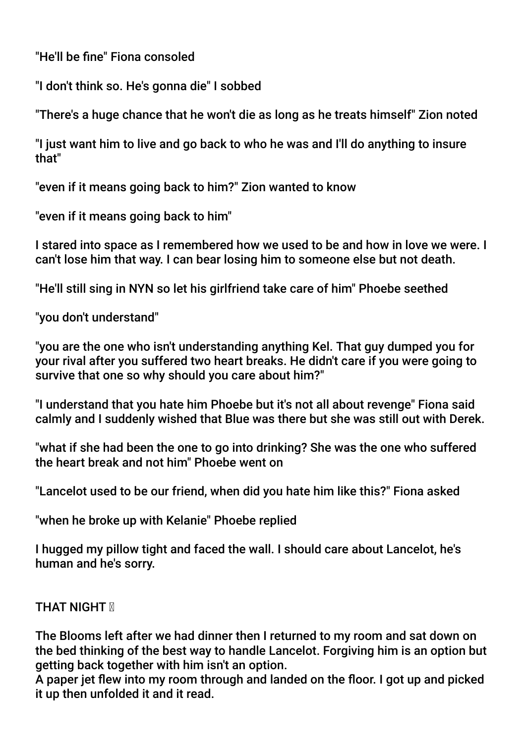"He'll be fne" Fiona consoled

"I don't think so. He's gonna die" I sobbed

"There's a huge chance that he won't die as long as he treats himself" Zion noted

"I just want him to live and go back to who he was and I'll do anything to insure that"

"even if it means going back to him?" Zion wanted to know

"even if it means going back to him"

I stared into space as I remembered how we used to be and how in love we were. I can't lose him that way. I can bear losing him to someone else but not death.

"He'll still sing in NYN so let his girlfriend take care of him" Phoebe seethed

"you don't understand"

"you are the one who isn't understanding anything Kel. That guy dumped you for your rival after you suffered two heart breaks. He didn't care if you were going to survive that one so why should you care about him?"

"I understand that you hate him Phoebe but it's not all about revenge" Fiona said calmly and I suddenly wished that Blue was there but she was still out with Derek.

"what if she had been the one to go into drinking? She was the one who suffered the heart break and not him" Phoebe went on

"Lancelot used to be our friend, when did you hate him like this?" Fiona asked

"when he broke up with Kelanie" Phoebe replied

I hugged my pillow tight and faced the wall. I should care about Lancelot, he's human and he's sorry.

# **THAT NIGHT M**

The Blooms left after we had dinner then I returned to my room and sat down on the bed thinking of the best way to handle Lancelot. Forgiving him is an option but getting back together with him isn't an option.

A paper jet few into my room through and landed on the foor. I got up and picked it up then unfolded it and it read.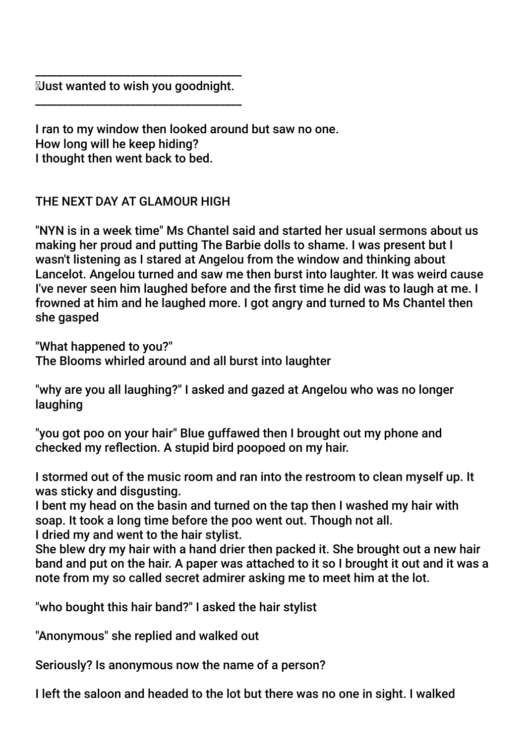\_\_\_\_\_\_\_\_\_\_\_\_\_\_\_\_\_\_\_\_\_\_\_\_\_\_\_\_\_\_\_\_\_\_\_\_\_ Just wanted to wish you goodnight. \_\_\_\_\_\_\_\_\_\_\_\_\_\_\_\_\_\_\_\_\_\_\_\_\_\_\_\_\_\_\_\_\_\_\_\_\_

I ran to my window then looked around but saw no one. How long will he keep hiding? I thought then went back to bed.

THE NEXT DAY AT GLAMOUR HIGH

"NYN is in a week time" Ms Chantel said and started her usual sermons about us making her proud and putting The Barbie dolls to shame. I was present but I wasn't listening as I stared at Angelou from the window and thinking about Lancelot. Angelou turned and saw me then burst into laughter. It was weird cause I've never seen him laughed before and the frst time he did was to laugh at me. I frowned at him and he laughed more. I got angry and turned to Ms Chantel then she gasped

"What happened to you?"

The Blooms whirled around and all burst into laughter

"why are you all laughing?" I asked and gazed at Angelou who was no longer laughing

"you got poo on your hair" Blue guffawed then I brought out my phone and checked my refection. A stupid bird poopoed on my hair.

I stormed out of the music room and ran into the restroom to clean myself up. It was sticky and disgusting.

I bent my head on the basin and turned on the tap then I washed my hair with soap. It took a long time before the poo went out. Though not all. I dried my and went to the hair stylist.

She blew dry my hair with a hand drier then packed it. She brought out a new hair band and put on the hair. A paper was attached to it so I brought it out and it was a note from my so called secret admirer asking me to meet him at the lot.

"who bought this hair band?" I asked the hair stylist

"Anonymous" she replied and walked out

Seriously? Is anonymous now the name of a person?

I left the saloon and headed to the lot but there was no one in sight. I walked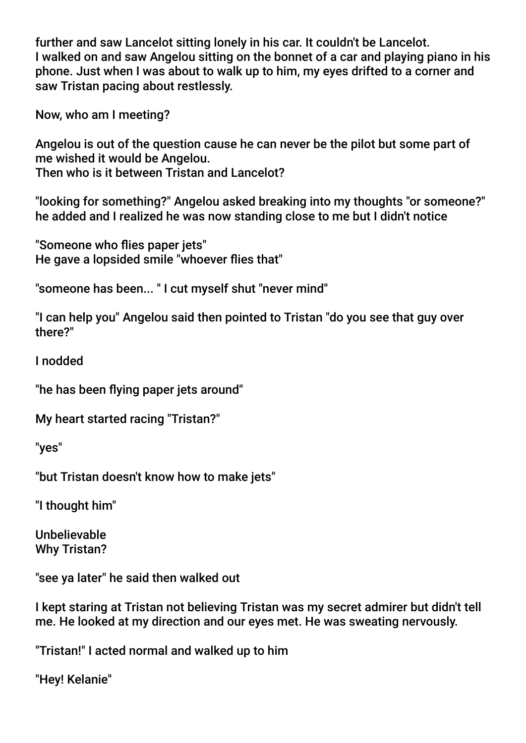further and saw Lancelot sitting lonely in his car. It couldn't be Lancelot. I walked on and saw Angelou sitting on the bonnet of a car and playing piano in his phone. Just when I was about to walk up to him, my eyes drifted to a corner and saw Tristan pacing about restlessly.

Now, who am I meeting?

Angelou is out of the question cause he can never be the pilot but some part of me wished it would be Angelou. Then who is it between Tristan and Lancelot?

"looking for something?" Angelou asked breaking into my thoughts "or someone?" he added and I realized he was now standing close to me but I didn't notice

"Someone who fies paper jets" He gave a lopsided smile "whoever fies that"

"someone has been... " I cut myself shut "never mind"

"I can help you" Angelou said then pointed to Tristan "do you see that guy over there?"

I nodded

"he has been fying paper jets around"

My heart started racing "Tristan?"

"yes"

"but Tristan doesn't know how to make jets"

"I thought him"

Unbelievable Why Tristan?

"see ya later" he said then walked out

I kept staring at Tristan not believing Tristan was my secret admirer but didn't tell me. He looked at my direction and our eyes met. He was sweating nervously.

"Tristan!" I acted normal and walked up to him

"Hey! Kelanie"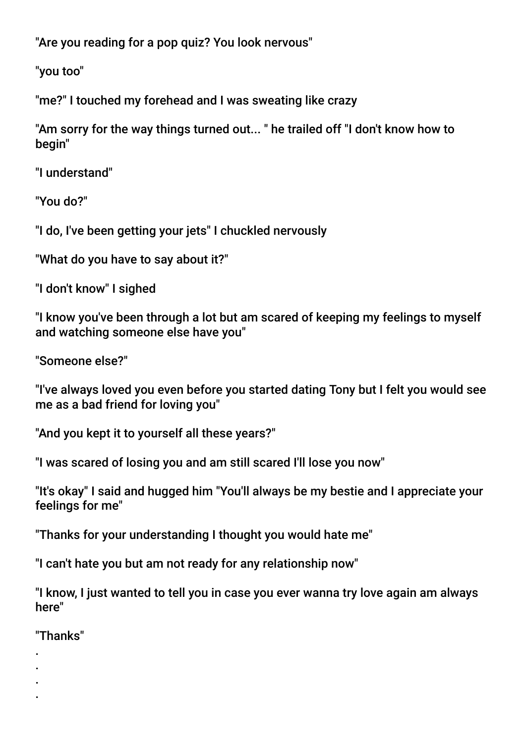"Are you reading for a pop quiz? You look nervous"

"you too"

"me?" I touched my forehead and I was sweating like crazy

"Am sorry for the way things turned out... " he trailed off "I don't know how to begin"

"I understand"

"You do?"

"I do, I've been getting your jets" I chuckled nervously

"What do you have to say about it?"

"I don't know" I sighed

"I know you've been through a lot but am scared of keeping my feelings to myself and watching someone else have you"

"Someone else?"

"I've always loved you even before you started dating Tony but I felt you would see me as a bad friend for loving you"

"And you kept it to yourself all these years?"

"I was scared of losing you and am still scared I'll lose you now"

"It's okay" I said and hugged him "You'll always be my bestie and I appreciate your feelings for me"

"Thanks for your understanding I thought you would hate me"

"I can't hate you but am not ready for any relationship now"

"I know, I just wanted to tell you in case you ever wanna try love again am always here"

"Thanks"

. . . .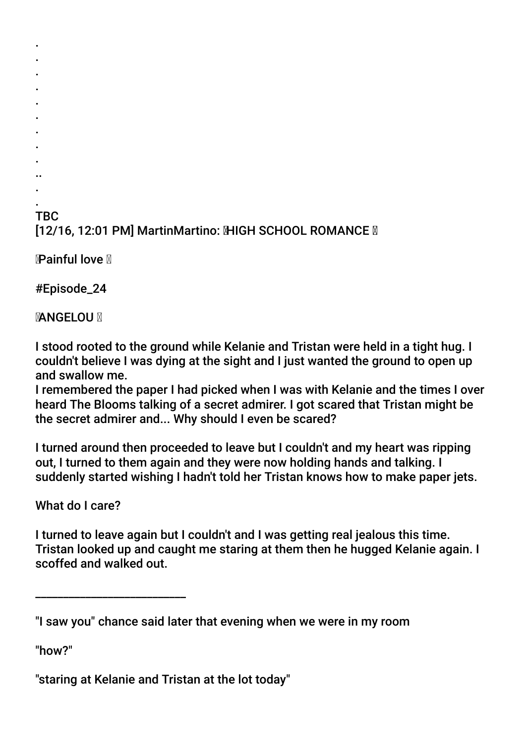## . TBC [12/16, 12:01 PM] MartinMartino: MHGH SCHOOL ROMANCE M

Painful love

. . . . . . . . . .. .

#Episode\_24

**MANGELOUM** 

I stood rooted to the ground while Kelanie and Tristan were held in a tight hug. I couldn't believe I was dying at the sight and I just wanted the ground to open up and swallow me.

I remembered the paper I had picked when I was with Kelanie and the times I over heard The Blooms talking of a secret admirer. I got scared that Tristan might be the secret admirer and... Why should I even be scared?

I turned around then proceeded to leave but I couldn't and my heart was ripping out, I turned to them again and they were now holding hands and talking. I suddenly started wishing I hadn't told her Tristan knows how to make paper jets.

What do I care?

\_\_\_\_\_\_\_\_\_\_\_\_\_\_\_\_\_\_\_\_\_\_\_\_\_\_\_

I turned to leave again but I couldn't and I was getting real jealous this time. Tristan looked up and caught me staring at them then he hugged Kelanie again. I scoffed and walked out.

"how?"

"staring at Kelanie and Tristan at the lot today"

<sup>&</sup>quot;I saw you" chance said later that evening when we were in my room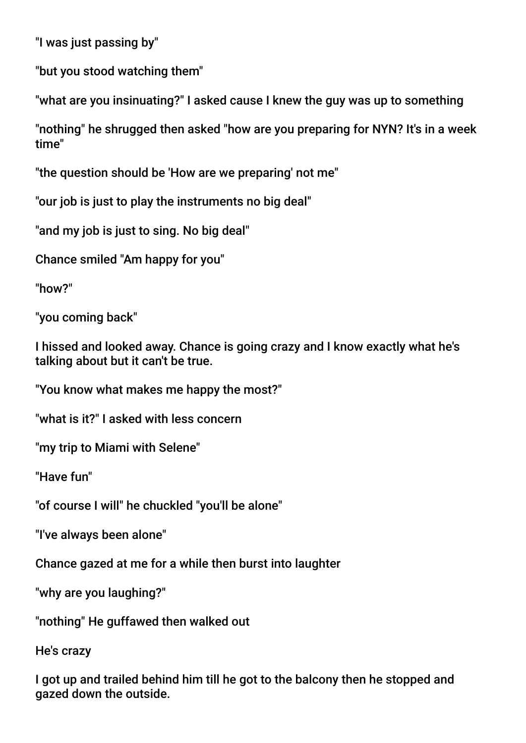"I was just passing by"

"but you stood watching them"

"what are you insinuating?" I asked cause I knew the guy was up to something

"nothing" he shrugged then asked "how are you preparing for NYN? It's in a week time"

"the question should be 'How are we preparing' not me"

"our job is just to play the instruments no big deal"

"and my job is just to sing. No big deal"

Chance smiled "Am happy for you"

"how?"

"you coming back"

I hissed and looked away. Chance is going crazy and I know exactly what he's talking about but it can't be true.

"You know what makes me happy the most?"

"what is it?" I asked with less concern

"my trip to Miami with Selene"

"Have fun"

"of course I will" he chuckled "you'll be alone"

"I've always been alone"

Chance gazed at me for a while then burst into laughter

"why are you laughing?"

"nothing" He guffawed then walked out

He's crazy

I got up and trailed behind him till he got to the balcony then he stopped and gazed down the outside.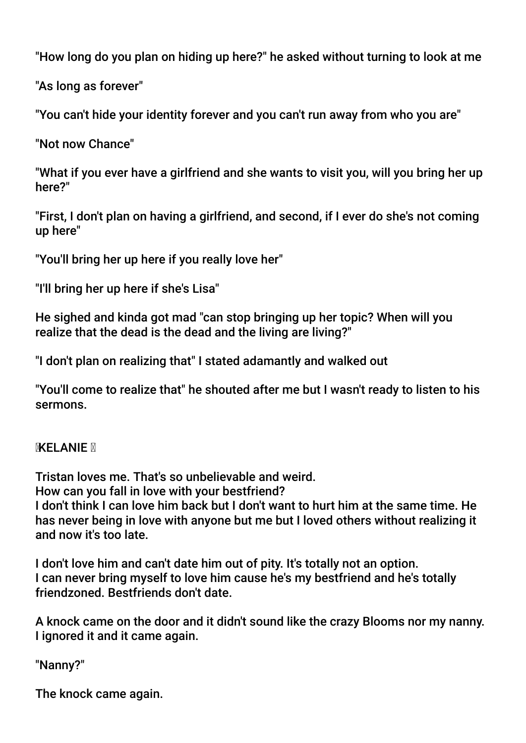"How long do you plan on hiding up here?" he asked without turning to look at me

"As long as forever"

"You can't hide your identity forever and you can't run away from who you are"

"Not now Chance"

"What if you ever have a girlfriend and she wants to visit you, will you bring her up here?"

"First, I don't plan on having a girlfriend, and second, if I ever do she's not coming up here"

"You'll bring her up here if you really love her"

"I'll bring her up here if she's Lisa"

He sighed and kinda got mad "can stop bringing up her topic? When will you realize that the dead is the dead and the living are living?"

"I don't plan on realizing that" I stated adamantly and walked out

"You'll come to realize that" he shouted after me but I wasn't ready to listen to his sermons.

**KELANIE** M

Tristan loves me. That's so unbelievable and weird. How can you fall in love with your bestfriend? I don't think I can love him back but I don't want to hurt him at the same time. He has never being in love with anyone but me but I loved others without realizing it and now it's too late.

I don't love him and can't date him out of pity. It's totally not an option. I can never bring myself to love him cause he's my bestfriend and he's totally friendzoned. Bestfriends don't date.

A knock came on the door and it didn't sound like the crazy Blooms nor my nanny. I ignored it and it came again.

"Nanny?"

The knock came again.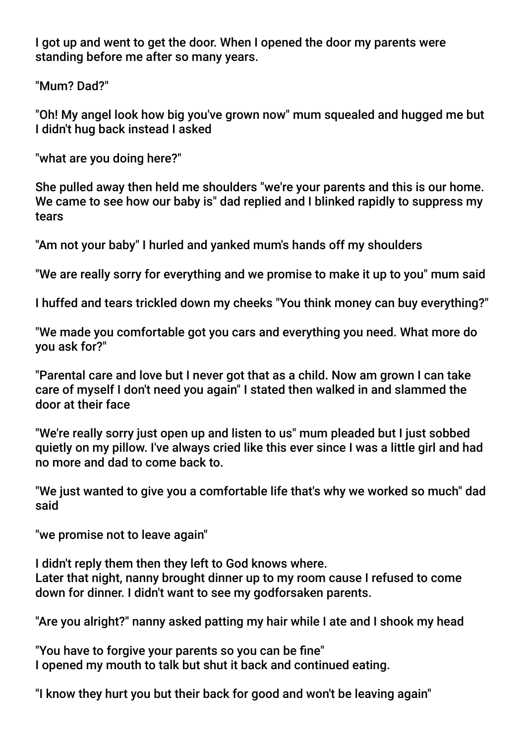I got up and went to get the door. When I opened the door my parents were standing before me after so many years.

"Mum? Dad?"

"Oh! My angel look how big you've grown now" mum squealed and hugged me but I didn't hug back instead I asked

"what are you doing here?"

She pulled away then held me shoulders "we're your parents and this is our home. We came to see how our baby is" dad replied and I blinked rapidly to suppress my tears

"Am not your baby" I hurled and yanked mum's hands off my shoulders

"We are really sorry for everything and we promise to make it up to you" mum said

I huffed and tears trickled down my cheeks "You think money can buy everything?"

"We made you comfortable got you cars and everything you need. What more do you ask for?"

"Parental care and love but I never got that as a child. Now am grown I can take care of myself I don't need you again" I stated then walked in and slammed the door at their face

"We're really sorry just open up and listen to us" mum pleaded but I just sobbed quietly on my pillow. I've always cried like this ever since I was a little girl and had no more and dad to come back to.

"We just wanted to give you a comfortable life that's why we worked so much" dad said

"we promise not to leave again"

I didn't reply them then they left to God knows where. Later that night, nanny brought dinner up to my room cause I refused to come down for dinner. I didn't want to see my godforsaken parents.

"Are you alright?" nanny asked patting my hair while I ate and I shook my head

"You have to forgive your parents so you can be fne" I opened my mouth to talk but shut it back and continued eating.

"I know they hurt you but their back for good and won't be leaving again"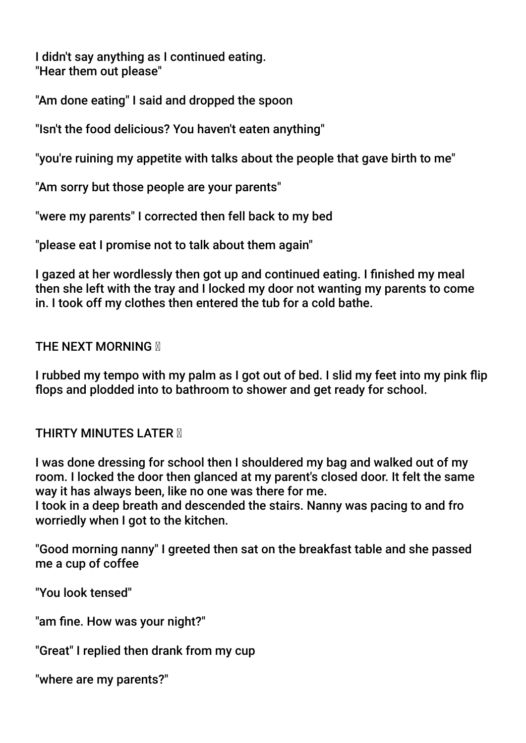I didn't say anything as I continued eating. "Hear them out please"

"Am done eating" I said and dropped the spoon

"Isn't the food delicious? You haven't eaten anything"

"you're ruining my appetite with talks about the people that gave birth to me"

"Am sorry but those people are your parents"

"were my parents" I corrected then fell back to my bed

"please eat I promise not to talk about them again"

I gazed at her wordlessly then got up and continued eating. I finished my meal then she left with the tray and I locked my door not wanting my parents to come in. I took off my clothes then entered the tub for a cold bathe.

**THE NEXT MORNING M** 

I rubbed my tempo with my palm as I got out of bed. I slid my feet into my pink fip flops and plodded into to bathroom to shower and get ready for school.

**THIRTY MINUTES LATER N** 

I was done dressing for school then I shouldered my bag and walked out of my room. I locked the door then glanced at my parent's closed door. It felt the same way it has always been, like no one was there for me.

I took in a deep breath and descended the stairs. Nanny was pacing to and fro worriedly when I got to the kitchen.

"Good morning nanny" I greeted then sat on the breakfast table and she passed me a cup of coffee

"You look tensed"

"am fne. How was your night?"

"Great" I replied then drank from my cup

"where are my parents?"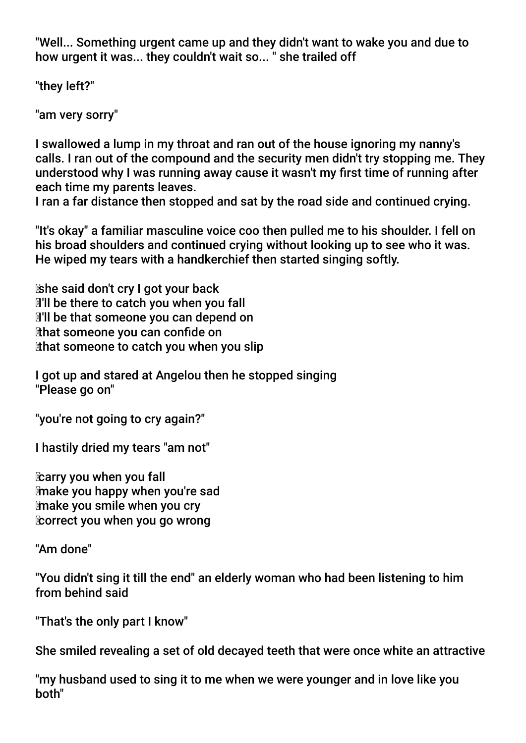"Well... Something urgent came up and they didn't want to wake you and due to how urgent it was... they couldn't wait so... " she trailed off

"they left?"

"am very sorry"

I swallowed a lump in my throat and ran out of the house ignoring my nanny's calls. I ran out of the compound and the security men didn't try stopping me. They understood why I was running away cause it wasn't my frst time of running after each time my parents leaves.

I ran a far distance then stopped and sat by the road side and continued crying.

"It's okay" a familiar masculine voice coo then pulled me to his shoulder. I fell on his broad shoulders and continued crying without looking up to see who it was. He wiped my tears with a handkerchief then started singing softly.

 she said don't cry I got your back **I'll be there to catch you when you fall I'll be that someone you can depend on**  that someone you can confde on that someone to catch you when you slip

I got up and stared at Angelou then he stopped singing "Please go on"

"you're not going to cry again?"

I hastily dried my tears "am not"

**Carry you when you fall**  make you happy when you're sad make you smile when you cry correct you when you go wrong

"Am done"

"You didn't sing it till the end" an elderly woman who had been listening to him from behind said

"That's the only part I know"

She smiled revealing a set of old decayed teeth that were once white an attractive

"my husband used to sing it to me when we were younger and in love like you both"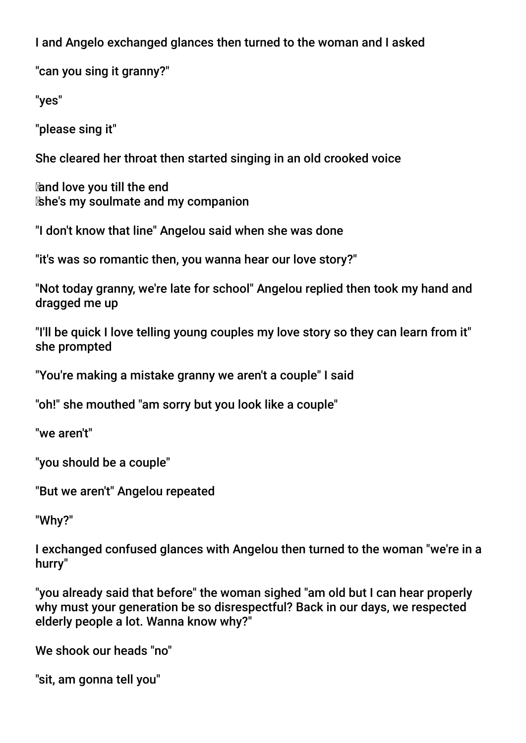I and Angelo exchanged glances then turned to the woman and I asked

"can you sing it granny?"

"yes"

"please sing it"

She cleared her throat then started singing in an old crooked voice

 and love you till the end she's my soulmate and my companion

"I don't know that line" Angelou said when she was done

"it's was so romantic then, you wanna hear our love story?"

"Not today granny, we're late for school" Angelou replied then took my hand and dragged me up

"I'll be quick I love telling young couples my love story so they can learn from it" she prompted

"You're making a mistake granny we aren't a couple" I said

"oh!" she mouthed "am sorry but you look like a couple"

"we aren't"

"you should be a couple"

"But we aren't" Angelou repeated

"Why?"

I exchanged confused glances with Angelou then turned to the woman "we're in a hurry"

"you already said that before" the woman sighed "am old but I can hear properly why must your generation be so disrespectful? Back in our days, we respected elderly people a lot. Wanna know why?"

We shook our heads "no"

"sit, am gonna tell you"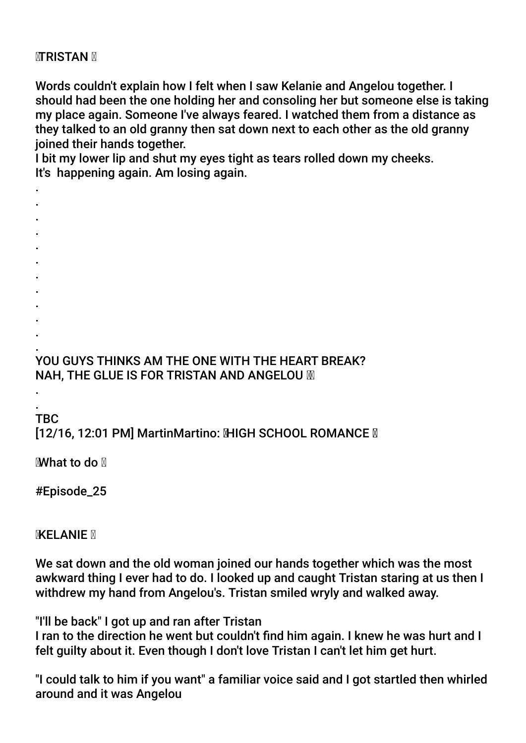## **MTRISTAN M**

Words couldn't explain how I felt when I saw Kelanie and Angelou together. I should had been the one holding her and consoling her but someone else is taking my place again. Someone I've always feared. I watched them from a distance as they talked to an old granny then sat down next to each other as the old granny joined their hands together.

I bit my lower lip and shut my eyes tight as tears rolled down my cheeks. It's happening again. Am losing again.

- . .
- .
- .
- .
- .
- .
- .
- .
- .
- .

## . YOU GUYS THINKS AM THE ONE WITH THE HEART BREAK? NAH, THE GLUE IS FOR TRISTAN AND ANGELOU M

#### . TBC

.

# [12/16, 12:01 PM] MartinMartino: MHGH SCHOOL ROMANCE M

What to do

# #Episode\_25

# **KELANIE N**

We sat down and the old woman joined our hands together which was the most awkward thing I ever had to do. I looked up and caught Tristan staring at us then I withdrew my hand from Angelou's. Tristan smiled wryly and walked away.

"I'll be back" I got up and ran after Tristan

I ran to the direction he went but couldn't fnd him again. I knew he was hurt and I felt guilty about it. Even though I don't love Tristan I can't let him get hurt.

"I could talk to him if you want" a familiar voice said and I got startled then whirled around and it was Angelou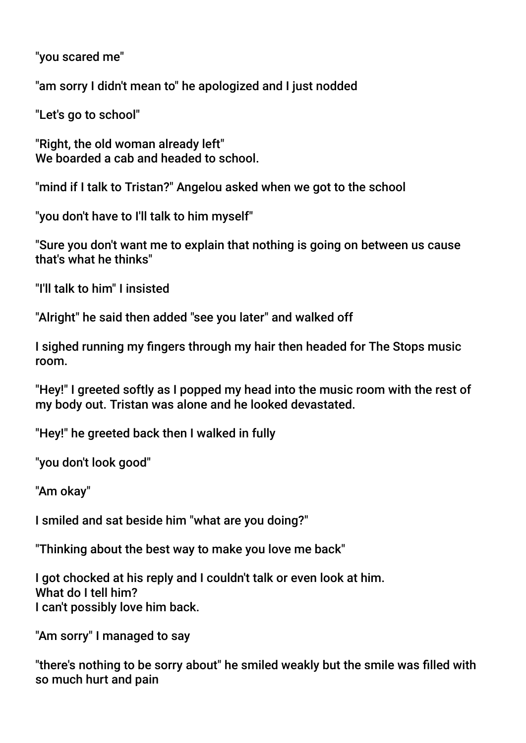"you scared me"

"am sorry I didn't mean to" he apologized and I just nodded

"Let's go to school"

"Right, the old woman already left" We boarded a cab and headed to school.

"mind if I talk to Tristan?" Angelou asked when we got to the school

"you don't have to I'll talk to him myself"

"Sure you don't want me to explain that nothing is going on between us cause that's what he thinks"

"I'll talk to him" I insisted

"Alright" he said then added "see you later" and walked off

I sighed running my fngers through my hair then headed for The Stops music room.

"Hey!" I greeted softly as I popped my head into the music room with the rest of my body out. Tristan was alone and he looked devastated.

"Hey!" he greeted back then I walked in fully

"you don't look good"

"Am okay"

I smiled and sat beside him "what are you doing?"

"Thinking about the best way to make you love me back"

I got chocked at his reply and I couldn't talk or even look at him. What do I tell him? I can't possibly love him back.

"Am sorry" I managed to say

"there's nothing to be sorry about" he smiled weakly but the smile was flled with so much hurt and pain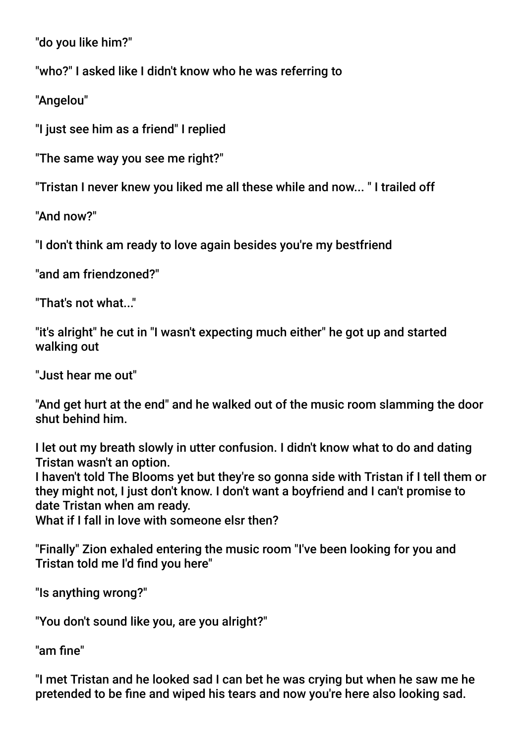"do you like him?"

"who?" I asked like I didn't know who he was referring to

"Angelou"

"I just see him as a friend" I replied

"The same way you see me right?"

"Tristan I never knew you liked me all these while and now... " I trailed off

"And now?"

"I don't think am ready to love again besides you're my bestfriend

"and am friendzoned?"

"That's not what..."

"it's alright" he cut in "I wasn't expecting much either" he got up and started walking out

"Just hear me out"

"And get hurt at the end" and he walked out of the music room slamming the door shut behind him.

I let out my breath slowly in utter confusion. I didn't know what to do and dating Tristan wasn't an option.

I haven't told The Blooms yet but they're so gonna side with Tristan if I tell them or they might not, I just don't know. I don't want a boyfriend and I can't promise to date Tristan when am ready.

What if I fall in love with someone elsr then?

"Finally" Zion exhaled entering the music room "I've been looking for you and Tristan told me I'd fnd you here"

"Is anything wrong?"

"You don't sound like you, are you alright?"

"am fine"

"I met Tristan and he looked sad I can bet he was crying but when he saw me he pretended to be fne and wiped his tears and now you're here also looking sad.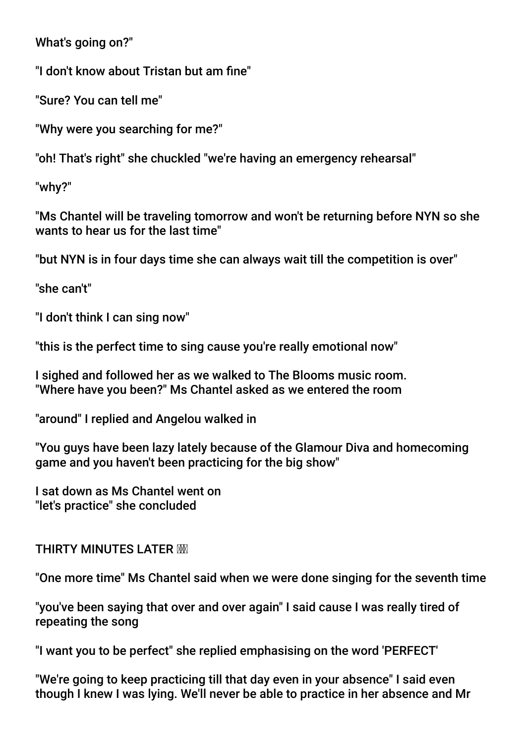What's going on?"

"I don't know about Tristan but am fne"

"Sure? You can tell me"

"Why were you searching for me?"

"oh! That's right" she chuckled "we're having an emergency rehearsal"

"why?"

"Ms Chantel will be traveling tomorrow and won't be returning before NYN so she wants to hear us for the last time"

"but NYN is in four days time she can always wait till the competition is over"

"she can't"

"I don't think I can sing now"

"this is the perfect time to sing cause you're really emotional now"

I sighed and followed her as we walked to The Blooms music room. "Where have you been?" Ms Chantel asked as we entered the room

"around" I replied and Angelou walked in

"You guys have been lazy lately because of the Glamour Diva and homecoming game and you haven't been practicing for the big show"

I sat down as Ms Chantel went on "let's practice" she concluded

## THIRTY MINUTES LATER

"One more time" Ms Chantel said when we were done singing for the seventh time

"you've been saying that over and over again" I said cause I was really tired of repeating the song

"I want you to be perfect" she replied emphasising on the word 'PERFECT'

"We're going to keep practicing till that day even in your absence" I said even though I knew I was lying. We'll never be able to practice in her absence and Mr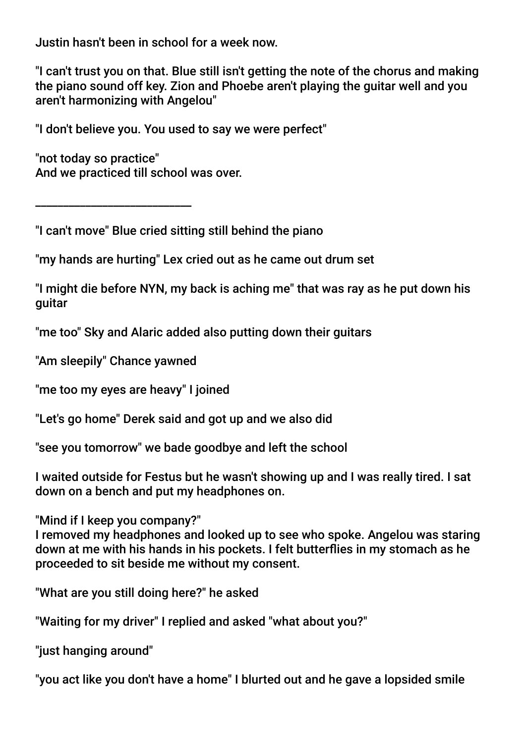Justin hasn't been in school for a week now.

"I can't trust you on that. Blue still isn't getting the note of the chorus and making the piano sound off key. Zion and Phoebe aren't playing the guitar well and you aren't harmonizing with Angelou"

"I don't believe you. You used to say we were perfect"

"not today so practice" And we practiced till school was over.

\_\_\_\_\_\_\_\_\_\_\_\_\_\_\_\_\_\_\_\_\_\_\_\_\_\_\_\_

"I can't move" Blue cried sitting still behind the piano

"my hands are hurting" Lex cried out as he came out drum set

"I might die before NYN, my back is aching me" that was ray as he put down his guitar

"me too" Sky and Alaric added also putting down their guitars

"Am sleepily" Chance yawned

"me too my eyes are heavy" I joined

"Let's go home" Derek said and got up and we also did

"see you tomorrow" we bade goodbye and left the school

I waited outside for Festus but he wasn't showing up and I was really tired. I sat down on a bench and put my headphones on.

"Mind if I keep you company?"

I removed my headphones and looked up to see who spoke. Angelou was staring down at me with his hands in his pockets. I felt butterfies in my stomach as he proceeded to sit beside me without my consent.

"What are you still doing here?" he asked

"Waiting for my driver" I replied and asked "what about you?"

"just hanging around"

"you act like you don't have a home" I blurted out and he gave a lopsided smile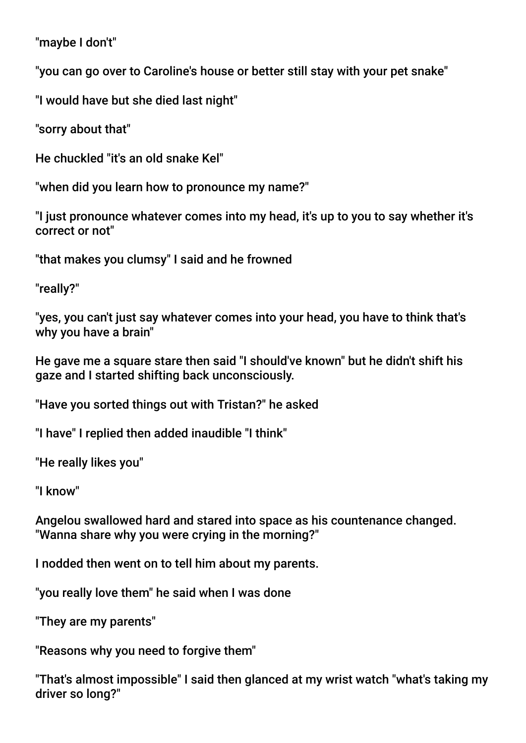"maybe I don't"

"you can go over to Caroline's house or better still stay with your pet snake"

"I would have but she died last night"

"sorry about that"

He chuckled "it's an old snake Kel"

"when did you learn how to pronounce my name?"

"I just pronounce whatever comes into my head, it's up to you to say whether it's correct or not"

"that makes you clumsy" I said and he frowned

"really?"

"yes, you can't just say whatever comes into your head, you have to think that's why you have a brain"

He gave me a square stare then said "I should've known" but he didn't shift his gaze and I started shifting back unconsciously.

"Have you sorted things out with Tristan?" he asked

"I have" I replied then added inaudible "I think"

"He really likes you"

"I know"

Angelou swallowed hard and stared into space as his countenance changed. "Wanna share why you were crying in the morning?"

I nodded then went on to tell him about my parents.

"you really love them" he said when I was done

"They are my parents"

"Reasons why you need to forgive them"

"That's almost impossible" I said then glanced at my wrist watch "what's taking my driver so long?"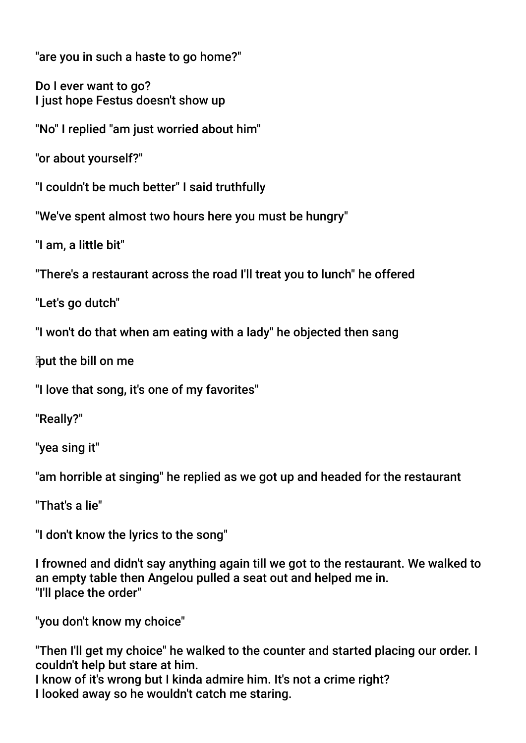"are you in such a haste to go home?"

Do I ever want to go? I just hope Festus doesn't show up

"No" I replied "am just worried about him"

"or about yourself?"

"I couldn't be much better" I said truthfully

"We've spent almost two hours here you must be hungry"

"I am, a little bit"

"There's a restaurant across the road I'll treat you to lunch" he offered

"Let's go dutch"

"I won't do that when am eating with a lady" he objected then sang

put the bill on me

"I love that song, it's one of my favorites"

"Really?"

"yea sing it"

"am horrible at singing" he replied as we got up and headed for the restaurant

"That's a lie"

"I don't know the lyrics to the song"

I frowned and didn't say anything again till we got to the restaurant. We walked to an empty table then Angelou pulled a seat out and helped me in. "I'll place the order"

"you don't know my choice"

"Then I'll get my choice" he walked to the counter and started placing our order. I couldn't help but stare at him.

I know of it's wrong but I kinda admire him. It's not a crime right? I looked away so he wouldn't catch me staring.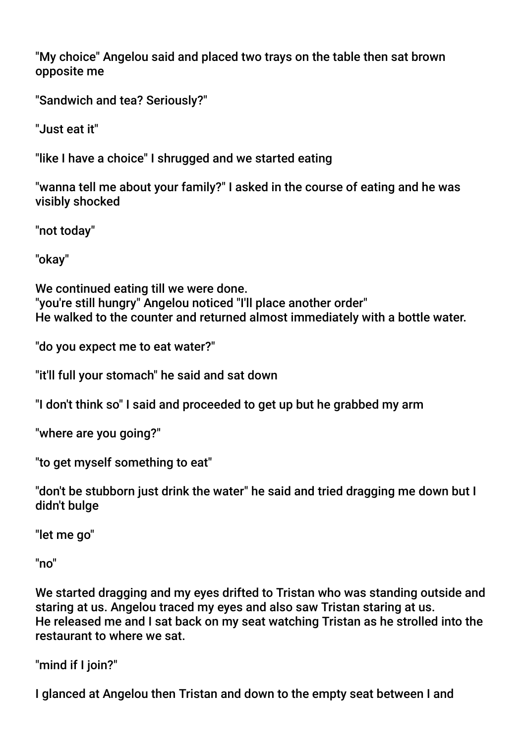"My choice" Angelou said and placed two trays on the table then sat brown opposite me

"Sandwich and tea? Seriously?"

"Just eat it"

"like I have a choice" I shrugged and we started eating

"wanna tell me about your family?" I asked in the course of eating and he was visibly shocked

"not today"

"okay"

We continued eating till we were done. "you're still hungry" Angelou noticed "I'll place another order" He walked to the counter and returned almost immediately with a bottle water.

"do you expect me to eat water?"

"it'll full your stomach" he said and sat down

"I don't think so" I said and proceeded to get up but he grabbed my arm

"where are you going?"

"to get myself something to eat"

"don't be stubborn just drink the water" he said and tried dragging me down but I didn't bulge

"let me go"

"no"

We started dragging and my eyes drifted to Tristan who was standing outside and staring at us. Angelou traced my eyes and also saw Tristan staring at us. He released me and I sat back on my seat watching Tristan as he strolled into the restaurant to where we sat.

"mind if I join?"

I glanced at Angelou then Tristan and down to the empty seat between I and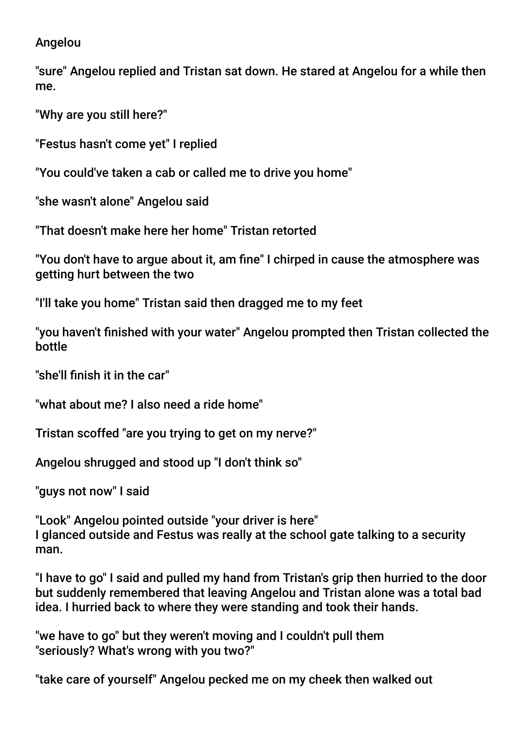## Angelou

"sure" Angelou replied and Tristan sat down. He stared at Angelou for a while then me.

"Why are you still here?"

"Festus hasn't come yet" I replied

"You could've taken a cab or called me to drive you home"

"she wasn't alone" Angelou said

"That doesn't make here her home" Tristan retorted

"You don't have to argue about it, am fne" I chirped in cause the atmosphere was getting hurt between the two

"I'll take you home" Tristan said then dragged me to my feet

"you haven't fnished with your water" Angelou prompted then Tristan collected the bottle

"she'll fnish it in the car"

"what about me? I also need a ride home"

Tristan scoffed "are you trying to get on my nerve?"

Angelou shrugged and stood up "I don't think so"

"guys not now" I said

"Look" Angelou pointed outside "your driver is here" I glanced outside and Festus was really at the school gate talking to a security man.

"I have to go" I said and pulled my hand from Tristan's grip then hurried to the door but suddenly remembered that leaving Angelou and Tristan alone was a total bad idea. I hurried back to where they were standing and took their hands.

"we have to go" but they weren't moving and I couldn't pull them "seriously? What's wrong with you two?"

"take care of yourself" Angelou pecked me on my cheek then walked out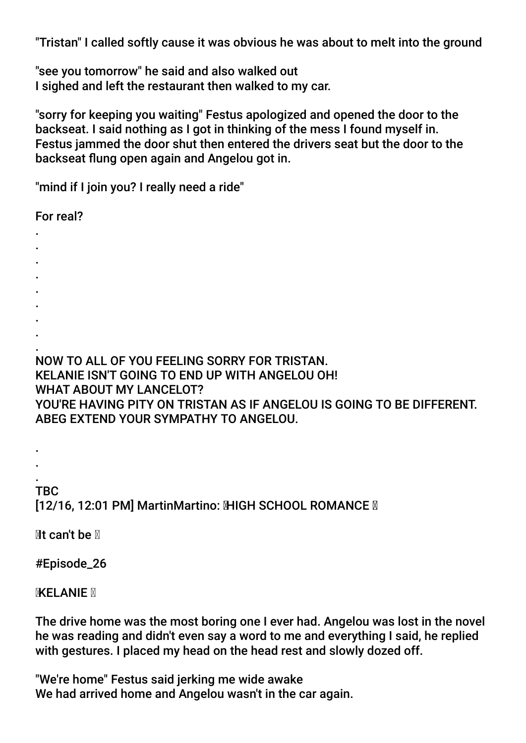"Tristan" I called softly cause it was obvious he was about to melt into the ground

"see you tomorrow" he said and also walked out I sighed and left the restaurant then walked to my car.

"sorry for keeping you waiting" Festus apologized and opened the door to the backseat. I said nothing as I got in thinking of the mess I found myself in. Festus jammed the door shut then entered the drivers seat but the door to the backseat fung open again and Angelou got in.

"mind if I join you? I really need a ride"

For real?

- .
- .
- .
- .
- .
- .
- .
- . .

NOW TO ALL OF YOU FEELING SORRY FOR TRISTAN. KELANIE ISN'T GOING TO END UP WITH ANGELOU OH!

WHAT ABOUT MY LANCELOT?

YOU'RE HAVING PITY ON TRISTAN AS IF ANGELOU IS GOING TO BE DIFFERENT. ABEG EXTEND YOUR SYMPATHY TO ANGELOU.

. TBC [12/16, 12:01 PM] MartinMartino: MHGH SCHOOL ROMANCE M

 $Mt$  can't be  $N$ 

. .

#Episode\_26

**MXELANIE** 

The drive home was the most boring one I ever had. Angelou was lost in the novel he was reading and didn't even say a word to me and everything I said, he replied with gestures. I placed my head on the head rest and slowly dozed off.

"We're home" Festus said jerking me wide awake We had arrived home and Angelou wasn't in the car again.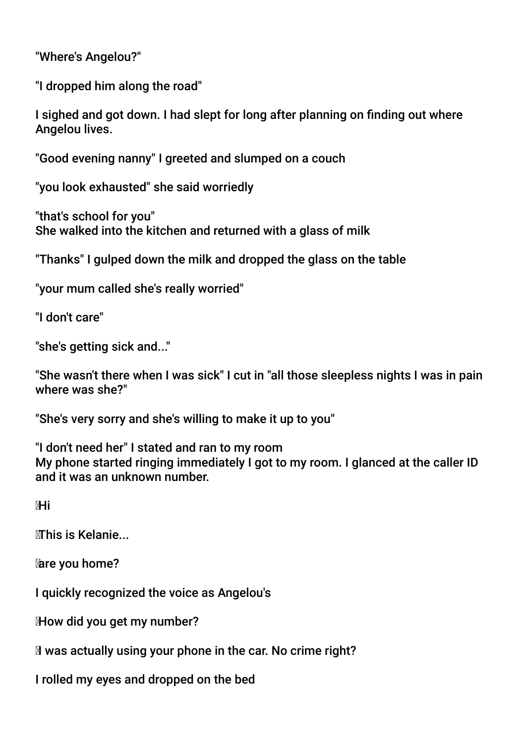"Where's Angelou?"

"I dropped him along the road"

I sighed and got down. I had slept for long after planning on fnding out where Angelou lives.

"Good evening nanny" I greeted and slumped on a couch

"you look exhausted" she said worriedly

"that's school for you" She walked into the kitchen and returned with a glass of milk

"Thanks" I gulped down the milk and dropped the glass on the table

"your mum called she's really worried"

"I don't care"

"she's getting sick and..."

"She wasn't there when I was sick" I cut in "all those sleepless nights I was in pain where was she?"

"She's very sorry and she's willing to make it up to you"

"I don't need her" I stated and ran to my room My phone started ringing immediately I got to my room. I glanced at the caller ID and it was an unknown number.

⊠Hi

This is Kelanie...

are you home?

I quickly recognized the voice as Angelou's

How did you get my number?

Iwas actually using your phone in the car. No crime right?

I rolled my eyes and dropped on the bed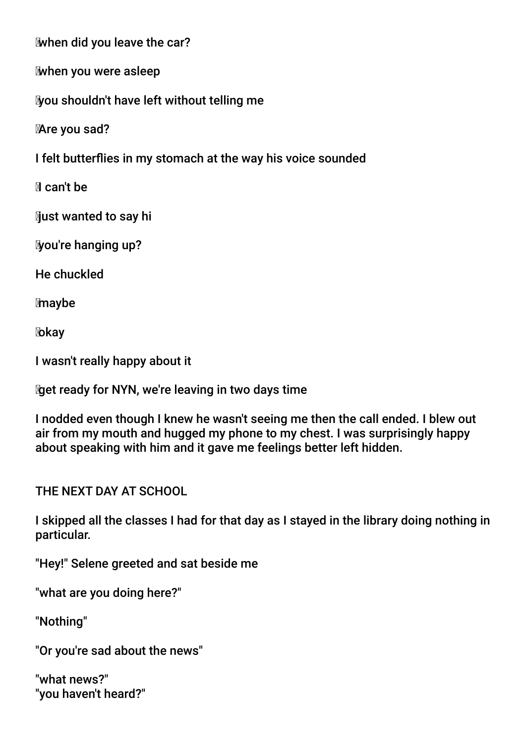when did you leave the car?

when you were asleep

you shouldn't have left without telling me

Are you sad?

I felt butterfies in my stomach at the way his voice sounded

Ican't be

**Must wanted to say hill** 

you're hanging up?

He chuckled

maybe

**X**bkay

I wasn't really happy about it

get ready for NYN, we're leaving in two days time

I nodded even though I knew he wasn't seeing me then the call ended. I blew out air from my mouth and hugged my phone to my chest. I was surprisingly happy about speaking with him and it gave me feelings better left hidden.

THE NEXT DAY AT SCHOOL

I skipped all the classes I had for that day as I stayed in the library doing nothing in particular.

"Hey!" Selene greeted and sat beside me

"what are you doing here?"

"Nothing"

"Or you're sad about the news"

"what news?" "you haven't heard?"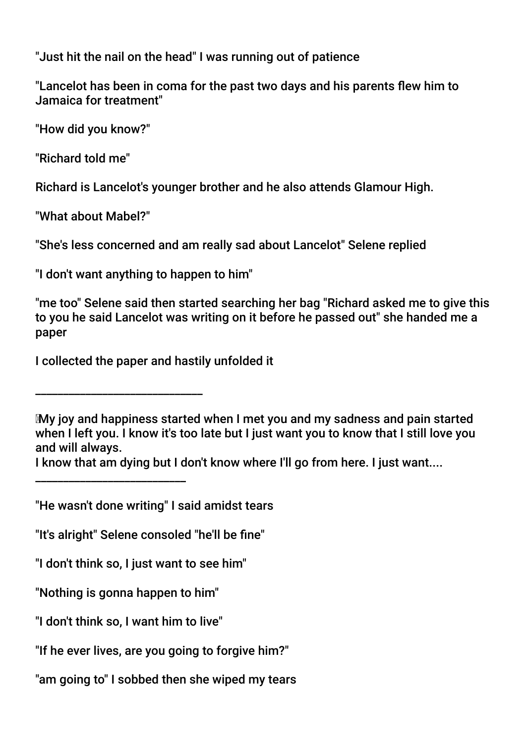"Just hit the nail on the head" I was running out of patience

"Lancelot has been in coma for the past two days and his parents flew him to Jamaica for treatment"

"How did you know?"

"Richard told me"

Richard is Lancelot's younger brother and he also attends Glamour High.

"What about Mabel?"

"She's less concerned and am really sad about Lancelot" Selene replied

"I don't want anything to happen to him"

"me too" Selene said then started searching her bag "Richard asked me to give this to you he said Lancelot was writing on it before he passed out" she handed me a paper

I collected the paper and hastily unfolded it

\_\_\_\_\_\_\_\_\_\_\_\_\_\_\_\_\_\_\_\_\_\_\_\_\_\_\_\_\_\_

\_\_\_\_\_\_\_\_\_\_\_\_\_\_\_\_\_\_\_\_\_\_\_\_\_\_\_

"He wasn't done writing" I said amidst tears

"It's alright" Selene consoled "he'll be fne"

"I don't think so, I just want to see him"

"Nothing is gonna happen to him"

"I don't think so, I want him to live"

"If he ever lives, are you going to forgive him?"

"am going to" I sobbed then she wiped my tears

My joy and happiness started when I met you and my sadness and pain started when I left you. I know it's too late but I just want you to know that I still love you and will always.

I know that am dying but I don't know where I'll go from here. I just want....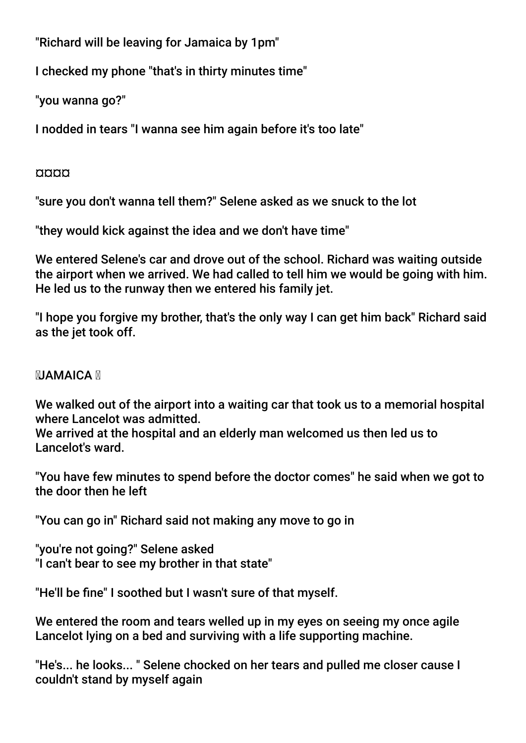"Richard will be leaving for Jamaica by 1pm"

I checked my phone "that's in thirty minutes time"

"you wanna go?"

I nodded in tears "I wanna see him again before it's too late"

#### ¤¤¤¤

"sure you don't wanna tell them?" Selene asked as we snuck to the lot

"they would kick against the idea and we don't have time"

We entered Selene's car and drove out of the school. Richard was waiting outside the airport when we arrived. We had called to tell him we would be going with him. He led us to the runway then we entered his family jet.

"I hope you forgive my brother, that's the only way I can get him back" Richard said as the jet took off.

# **NJAMAICA N**

We walked out of the airport into a waiting car that took us to a memorial hospital where Lancelot was admitted.

We arrived at the hospital and an elderly man welcomed us then led us to Lancelot's ward.

"You have few minutes to spend before the doctor comes" he said when we got to the door then he left

"You can go in" Richard said not making any move to go in

"you're not going?" Selene asked "I can't bear to see my brother in that state"

"He'll be fne" I soothed but I wasn't sure of that myself.

We entered the room and tears welled up in my eyes on seeing my once agile Lancelot lying on a bed and surviving with a life supporting machine.

"He's... he looks... " Selene chocked on her tears and pulled me closer cause I couldn't stand by myself again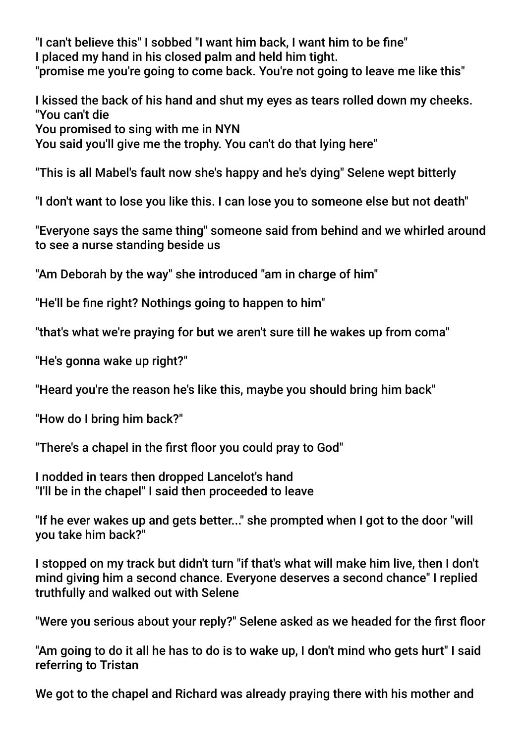"I can't believe this" I sobbed "I want him back, I want him to be fne" I placed my hand in his closed palm and held him tight. "promise me you're going to come back. You're not going to leave me like this"

I kissed the back of his hand and shut my eyes as tears rolled down my cheeks. "You can't die You promised to sing with me in NYN You said you'll give me the trophy. You can't do that lying here"

"This is all Mabel's fault now she's happy and he's dying" Selene wept bitterly

"I don't want to lose you like this. I can lose you to someone else but not death"

"Everyone says the same thing" someone said from behind and we whirled around to see a nurse standing beside us

"Am Deborah by the way" she introduced "am in charge of him"

"He'll be fne right? Nothings going to happen to him"

"that's what we're praying for but we aren't sure till he wakes up from coma"

"He's gonna wake up right?"

"Heard you're the reason he's like this, maybe you should bring him back"

"How do I bring him back?"

"There's a chapel in the frst foor you could pray to God"

I nodded in tears then dropped Lancelot's hand "I'll be in the chapel" I said then proceeded to leave

"If he ever wakes up and gets better..." she prompted when I got to the door "will you take him back?"

I stopped on my track but didn't turn "if that's what will make him live, then I don't mind giving him a second chance. Everyone deserves a second chance" I replied truthfully and walked out with Selene

"Were you serious about your reply?" Selene asked as we headed for the frst foor

"Am going to do it all he has to do is to wake up, I don't mind who gets hurt" I said referring to Tristan

We got to the chapel and Richard was already praying there with his mother and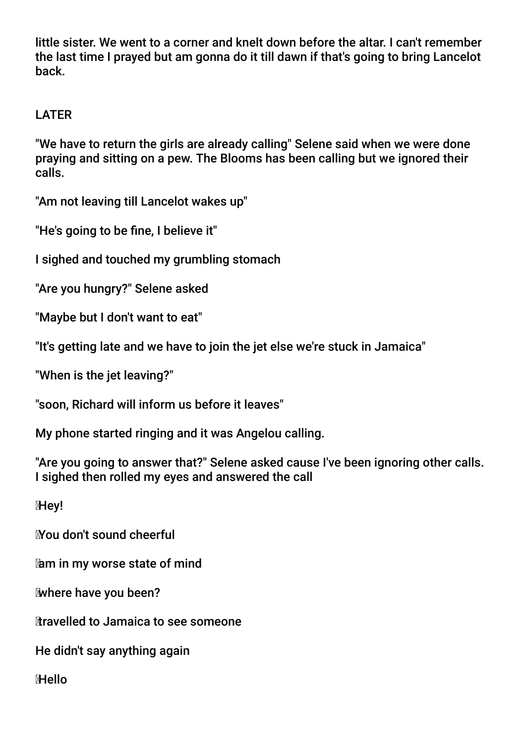little sister. We went to a corner and knelt down before the altar. I can't remember the last time I prayed but am gonna do it till dawn if that's going to bring Lancelot back.

# LATER

"We have to return the girls are already calling" Selene said when we were done praying and sitting on a pew. The Blooms has been calling but we ignored their calls.

"Am not leaving till Lancelot wakes up"

"He's going to be fne, I believe it"

I sighed and touched my grumbling stomach

"Are you hungry?" Selene asked

"Maybe but I don't want to eat"

"It's getting late and we have to join the jet else we're stuck in Jamaica"

"When is the jet leaving?"

"soon, Richard will inform us before it leaves"

My phone started ringing and it was Angelou calling.

"Are you going to answer that?" Selene asked cause I've been ignoring other calls. I sighed then rolled my eyes and answered the call

Hey!

You don't sound cheerful

am in my worse state of mind

where have you been?

travelled to Jamaica to see someone

He didn't say anything again

Hello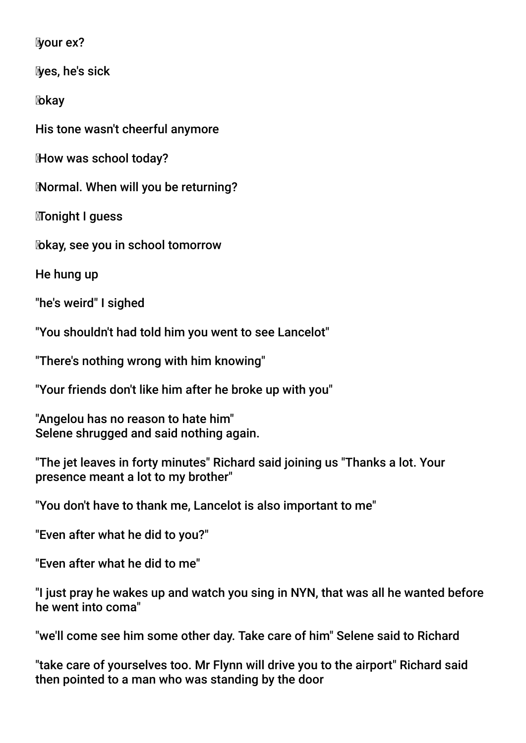your ex?

yes, he's sick

okay

His tone wasn't cheerful anymore

How was school today?

Normal. When will you be returning?

Tonight I guess

okay, see you in school tomorrow

He hung up

"he's weird" I sighed

"You shouldn't had told him you went to see Lancelot"

"There's nothing wrong with him knowing"

"Your friends don't like him after he broke up with you"

"Angelou has no reason to hate him" Selene shrugged and said nothing again.

"The jet leaves in forty minutes" Richard said joining us "Thanks a lot. Your presence meant a lot to my brother"

"You don't have to thank me, Lancelot is also important to me"

"Even after what he did to you?"

"Even after what he did to me"

"I just pray he wakes up and watch you sing in NYN, that was all he wanted before he went into coma"

"we'll come see him some other day. Take care of him" Selene said to Richard

"take care of yourselves too. Mr Flynn will drive you to the airport" Richard said then pointed to a man who was standing by the door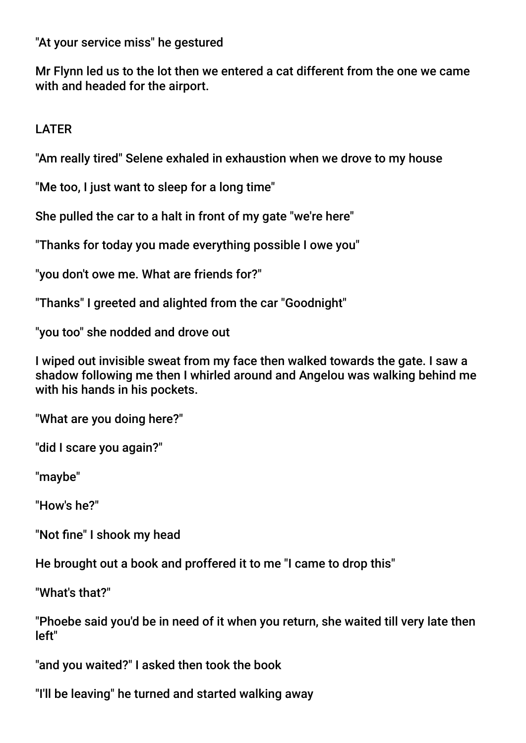"At your service miss" he gestured

Mr Flynn led us to the lot then we entered a cat different from the one we came with and headed for the airport.

LATER

"Am really tired" Selene exhaled in exhaustion when we drove to my house

"Me too, I just want to sleep for a long time"

She pulled the car to a halt in front of my gate "we're here"

"Thanks for today you made everything possible I owe you"

"you don't owe me. What are friends for?"

"Thanks" I greeted and alighted from the car "Goodnight"

"you too" she nodded and drove out

I wiped out invisible sweat from my face then walked towards the gate. I saw a shadow following me then I whirled around and Angelou was walking behind me with his hands in his pockets.

"What are you doing here?"

"did I scare you again?"

"maybe"

"How's he?"

"Not fne" I shook my head

He brought out a book and proffered it to me "I came to drop this"

"What's that?"

"Phoebe said you'd be in need of it when you return, she waited till very late then left"

"and you waited?" I asked then took the book

"I'll be leaving" he turned and started walking away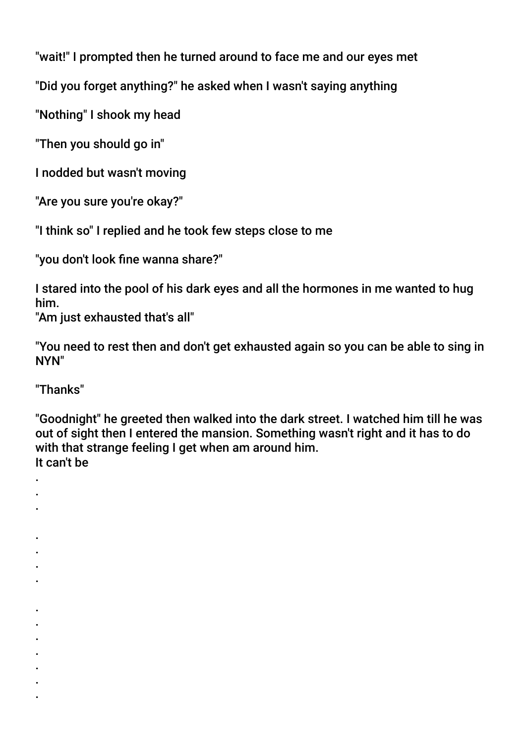"wait!" I prompted then he turned around to face me and our eyes met

"Did you forget anything?" he asked when I wasn't saying anything

"Nothing" I shook my head

"Then you should go in"

I nodded but wasn't moving

"Are you sure you're okay?"

"I think so" I replied and he took few steps close to me

"you don't look fine wanna share?"

I stared into the pool of his dark eyes and all the hormones in me wanted to hug him.

"Am just exhausted that's all"

"You need to rest then and don't get exhausted again so you can be able to sing in NYN"

"Thanks"

. . .

. . . .

. . . . . . .

"Goodnight" he greeted then walked into the dark street. I watched him till he was out of sight then I entered the mansion. Something wasn't right and it has to do with that strange feeling I get when am around him. It can't be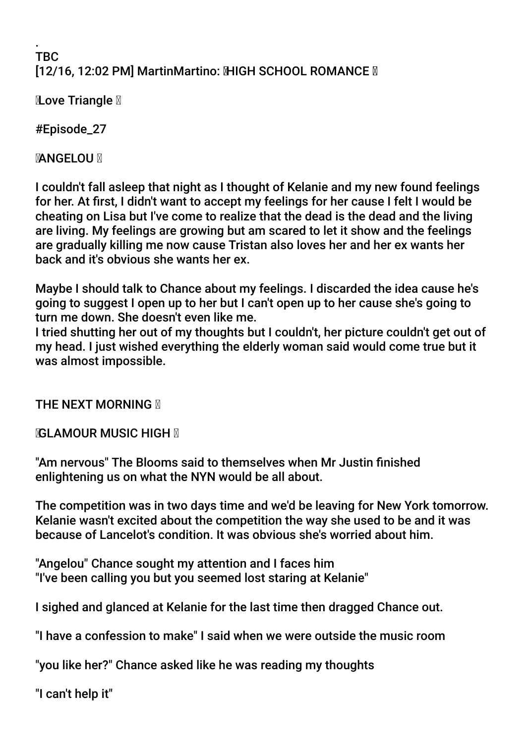#### . TBC **[12/16, 12:02 PM] MartinMartino: MHGH SCHOOL ROMANCE M**

**Love Triangle <u>⊠</u>** 

#Episode\_27

**MANGELOU M** 

I couldn't fall asleep that night as I thought of Kelanie and my new found feelings for her. At frst, I didn't want to accept my feelings for her cause I felt I would be cheating on Lisa but I've come to realize that the dead is the dead and the living are living. My feelings are growing but am scared to let it show and the feelings are gradually killing me now cause Tristan also loves her and her ex wants her back and it's obvious she wants her ex.

Maybe I should talk to Chance about my feelings. I discarded the idea cause he's going to suggest I open up to her but I can't open up to her cause she's going to turn me down. She doesn't even like me.

I tried shutting her out of my thoughts but I couldn't, her picture couldn't get out of my head. I just wished everything the elderly woman said would come true but it was almost impossible.

**THE NEXT MORNING N** 

*NGLAMOUR MUSIC HIGH* **N** 

"Am nervous" The Blooms said to themselves when Mr Justin fnished enlightening us on what the NYN would be all about.

The competition was in two days time and we'd be leaving for New York tomorrow. Kelanie wasn't excited about the competition the way she used to be and it was because of Lancelot's condition. It was obvious she's worried about him.

"Angelou" Chance sought my attention and I faces him "I've been calling you but you seemed lost staring at Kelanie"

I sighed and glanced at Kelanie for the last time then dragged Chance out.

"I have a confession to make" I said when we were outside the music room

"you like her?" Chance asked like he was reading my thoughts

"I can't help it"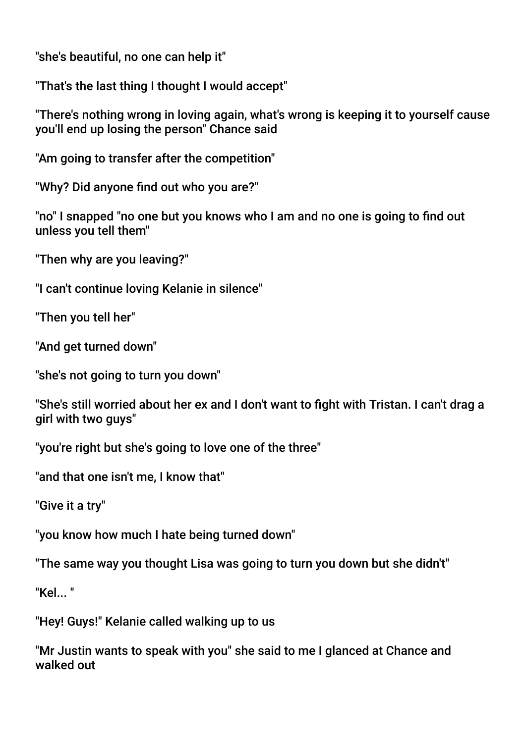"she's beautiful, no one can help it"

"That's the last thing I thought I would accept"

"There's nothing wrong in loving again, what's wrong is keeping it to yourself cause you'll end up losing the person" Chance said

"Am going to transfer after the competition"

"Why? Did anyone fnd out who you are?"

"no" I snapped "no one but you knows who I am and no one is going to fnd out unless you tell them"

"Then why are you leaving?"

"I can't continue loving Kelanie in silence"

"Then you tell her"

"And get turned down"

"she's not going to turn you down"

"She's still worried about her ex and I don't want to fight with Tristan. I can't drag a girl with two guys"

"you're right but she's going to love one of the three"

"and that one isn't me, I know that"

"Give it a try"

"you know how much I hate being turned down"

"The same way you thought Lisa was going to turn you down but she didn't"

 $"$ Kel $"$ 

"Hey! Guys!" Kelanie called walking up to us

"Mr Justin wants to speak with you" she said to me I glanced at Chance and walked out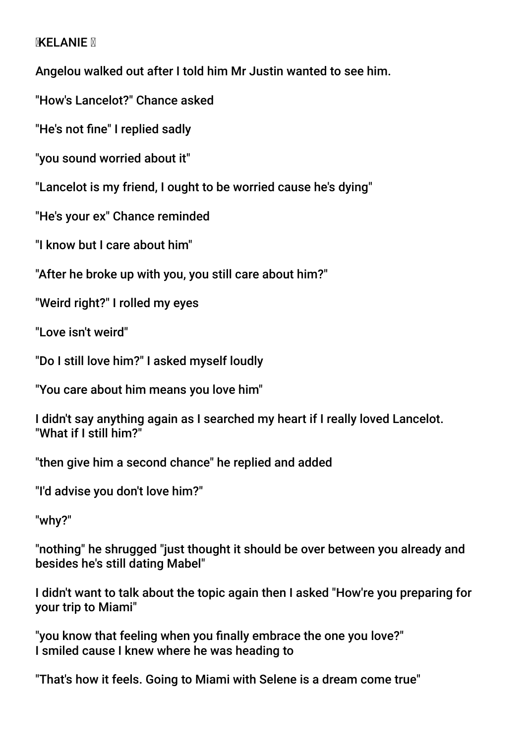#### **MELANIE N**

Angelou walked out after I told him Mr Justin wanted to see him.

"How's Lancelot?" Chance asked

"He's not fne" I replied sadly

"you sound worried about it"

"Lancelot is my friend, I ought to be worried cause he's dying"

"He's your ex" Chance reminded

"I know but I care about him"

"After he broke up with you, you still care about him?"

"Weird right?" I rolled my eyes

"Love isn't weird"

"Do I still love him?" I asked myself loudly

"You care about him means you love him"

I didn't say anything again as I searched my heart if I really loved Lancelot. "What if I still him?"

"then give him a second chance" he replied and added

"I'd advise you don't love him?"

"why?"

"nothing" he shrugged "just thought it should be over between you already and besides he's still dating Mabel"

I didn't want to talk about the topic again then I asked "How're you preparing for your trip to Miami"

"you know that feeling when you fnally embrace the one you love?" I smiled cause I knew where he was heading to

"That's how it feels. Going to Miami with Selene is a dream come true"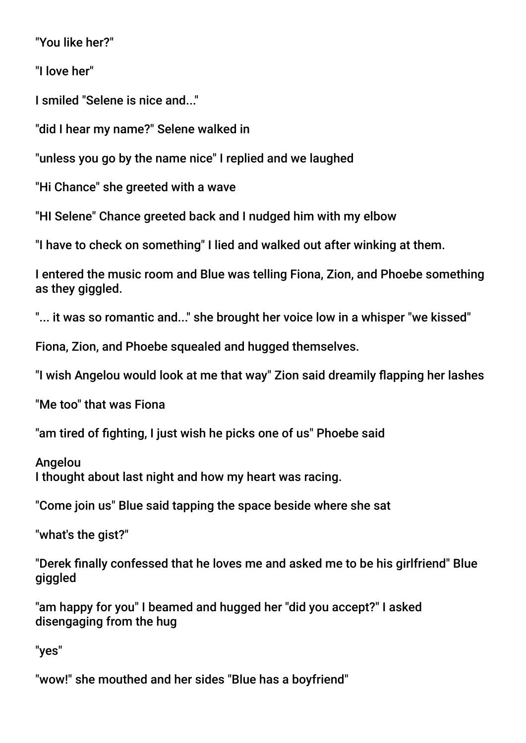"You like her?"

"I love her"

I smiled "Selene is nice and..."

"did I hear my name?" Selene walked in

"unless you go by the name nice" I replied and we laughed

"Hi Chance" she greeted with a wave

"HI Selene" Chance greeted back and I nudged him with my elbow

"I have to check on something" I lied and walked out after winking at them.

I entered the music room and Blue was telling Fiona, Zion, and Phoebe something as they giggled.

"... it was so romantic and..." she brought her voice low in a whisper "we kissed"

Fiona, Zion, and Phoebe squealed and hugged themselves.

"I wish Angelou would look at me that way" Zion said dreamily fapping her lashes

"Me too" that was Fiona

"am tired of fghting, I just wish he picks one of us" Phoebe said

**Angelou** I thought about last night and how my heart was racing.

"Come join us" Blue said tapping the space beside where she sat

"what's the gist?"

"Derek fnally confessed that he loves me and asked me to be his girlfriend" Blue giggled

"am happy for you" I beamed and hugged her "did you accept?" I asked disengaging from the hug

"yes"

"wow!" she mouthed and her sides "Blue has a boyfriend"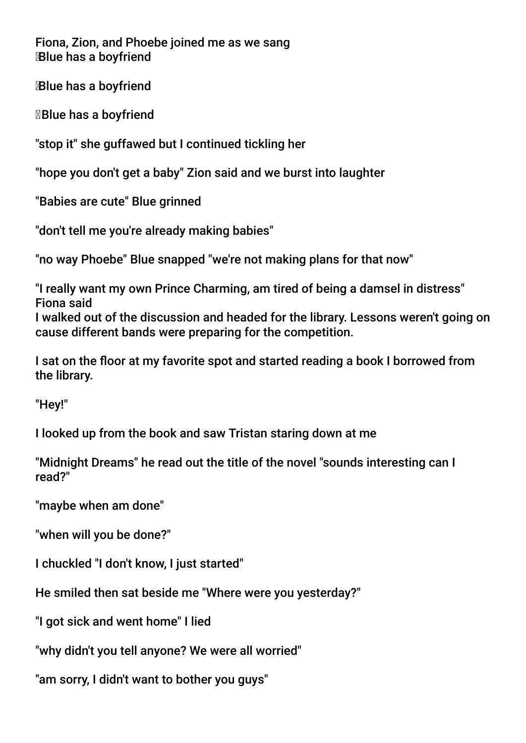Fiona, Zion, and Phoebe joined me as we sang Blue has a boyfriend

Blue has a boyfriend

Blue has a boyfriend

"stop it" she guffawed but I continued tickling her

"hope you don't get a baby" Zion said and we burst into laughter

"Babies are cute" Blue grinned

"don't tell me you're already making babies"

"no way Phoebe" Blue snapped "we're not making plans for that now"

"I really want my own Prince Charming, am tired of being a damsel in distress" Fiona said I walked out of the discussion and headed for the library. Lessons weren't going on cause different bands were preparing for the competition.

I sat on the floor at my favorite spot and started reading a book I borrowed from the library.

"Hey!"

I looked up from the book and saw Tristan staring down at me

"Midnight Dreams" he read out the title of the novel "sounds interesting can I read?"

"maybe when am done"

"when will you be done?"

I chuckled "I don't know, I just started"

He smiled then sat beside me "Where were you yesterday?"

"I got sick and went home" I lied

"why didn't you tell anyone? We were all worried"

"am sorry, I didn't want to bother you guys"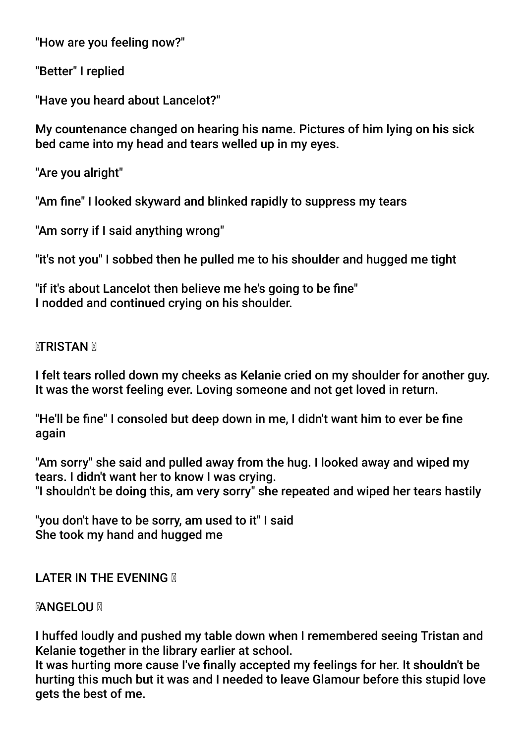"How are you feeling now?"

"Better" I replied

"Have you heard about Lancelot?"

My countenance changed on hearing his name. Pictures of him lying on his sick bed came into my head and tears welled up in my eyes.

"Are you alright"

"Am fne" I looked skyward and blinked rapidly to suppress my tears

"Am sorry if I said anything wrong"

"it's not you" I sobbed then he pulled me to his shoulder and hugged me tight

"if it's about Lancelot then believe me he's going to be fne" I nodded and continued crying on his shoulder.

## **<b>***MERISTAN* **M**

I felt tears rolled down my cheeks as Kelanie cried on my shoulder for another guy. It was the worst feeling ever. Loving someone and not get loved in return.

"He'll be fne" I consoled but deep down in me, I didn't want him to ever be fne again

"Am sorry" she said and pulled away from the hug. I looked away and wiped my tears. I didn't want her to know I was crying. "I shouldn't be doing this, am very sorry" she repeated and wiped her tears hastily

"you don't have to be sorry, am used to it" I said She took my hand and hugged me

## **LATER IN THE EVENING M**

#### **MANGELOU M**

I huffed loudly and pushed my table down when I remembered seeing Tristan and Kelanie together in the library earlier at school.

It was hurting more cause I've fnally accepted my feelings for her. It shouldn't be hurting this much but it was and I needed to leave Glamour before this stupid love gets the best of me.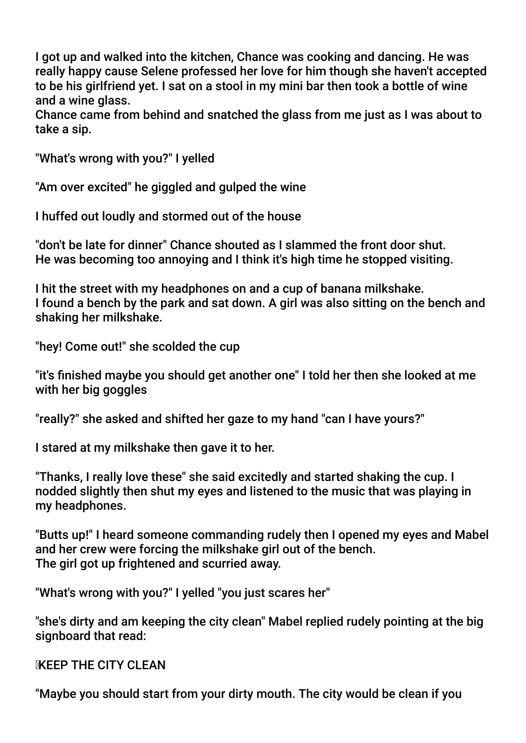I got up and walked into the kitchen, Chance was cooking and dancing. He was really happy cause Selene professed her love for him though she haven't accepted to be his girlfriend yet. I sat on a stool in my mini bar then took a bottle of wine and a wine glass.

Chance came from behind and snatched the glass from me just as I was about to take a sip.

"What's wrong with you?" I yelled

"Am over excited" he giggled and gulped the wine

I huffed out loudly and stormed out of the house

"don't be late for dinner" Chance shouted as I slammed the front door shut. He was becoming too annoying and I think it's high time he stopped visiting.

I hit the street with my headphones on and a cup of banana milkshake. I found a bench by the park and sat down. A girl was also sitting on the bench and shaking her milkshake.

"hey! Come out!" she scolded the cup

"it's fnished maybe you should get another one" I told her then she looked at me with her big goggles

"really?" she asked and shifted her gaze to my hand "can I have yours?"

I stared at my milkshake then gave it to her.

"Thanks, I really love these" she said excitedly and started shaking the cup. I nodded slightly then shut my eyes and listened to the music that was playing in my headphones.

"Butts up!" I heard someone commanding rudely then I opened my eyes and Mabel and her crew were forcing the milkshake girl out of the bench. The girl got up frightened and scurried away.

"What's wrong with you?" I yelled "you just scares her"

"she's dirty and am keeping the city clean" Mabel replied rudely pointing at the big signboard that read:

**KEEP THE CITY CLEAN** 

"Maybe you should start from your dirty mouth. The city would be clean if you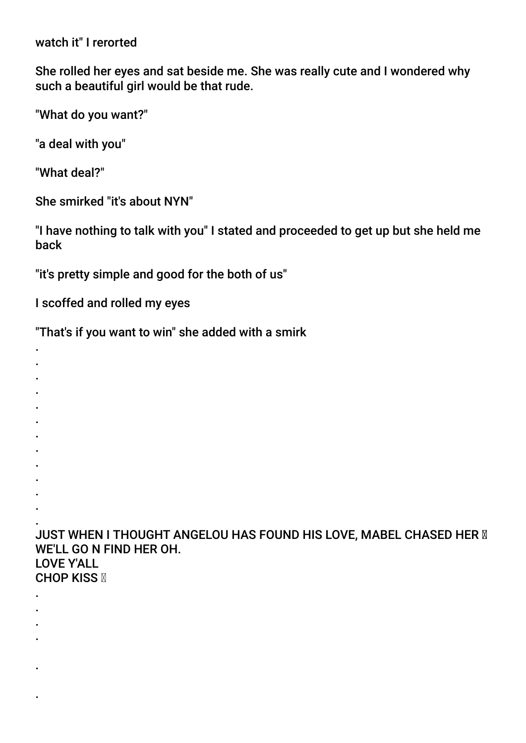watch it" I rerorted

She rolled her eyes and sat beside me. She was really cute and I wondered why such a beautiful girl would be that rude.

"What do you want?"

"a deal with you"

"What deal?"

.

.

.

She smirked "it's about NYN"

"I have nothing to talk with you" I stated and proceeded to get up but she held me back

"it's pretty simple and good for the both of us"

I scoffed and rolled my eyes

"That's if you want to win" she added with a smirk

. . . . . . . . . . . . JUST WHEN I THOUGHT ANGELOU HAS FOUND HIS LOVE, MABEL CHASED HER **M** WE'LL GO N FIND HER OH. LOVE Y'ALL **CHOP KISS &** . . . .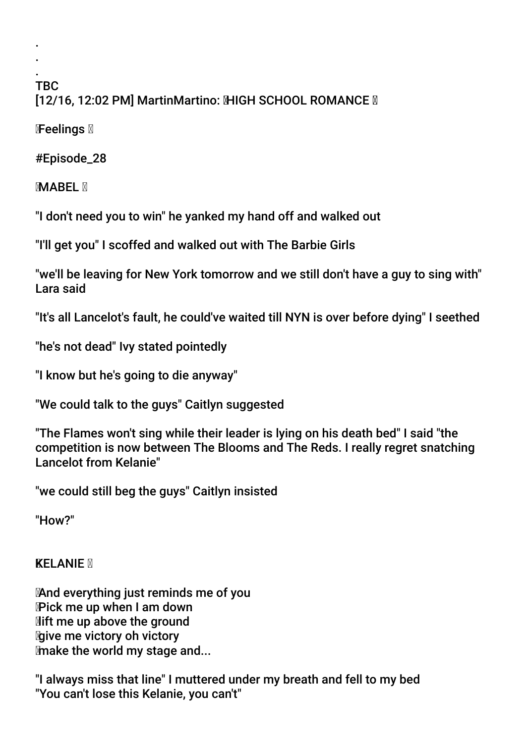#### . TBC [12/16, 12:02 PM] MartinMartino: MHGH SCHOOL ROMANCE M

Feelings

. .

#Episode\_28

**MABEL X** 

"I don't need you to win" he yanked my hand off and walked out

"I'll get you" I scoffed and walked out with The Barbie Girls

"we'll be leaving for New York tomorrow and we still don't have a guy to sing with" Lara said

"It's all Lancelot's fault, he could've waited till NYN is over before dying" I seethed

"he's not dead" Ivy stated pointedly

"I know but he's going to die anyway"

"We could talk to the guys" Caitlyn suggested

"The Flames won't sing while their leader is lying on his death bed" I said "the competition is now between The Blooms and The Reds. I really regret snatching Lancelot from Kelanie"

"we could still beg the guys" Caitlyn insisted

"How?"

**KELANIE M** 

 And everything just reminds me of you Pick me up when I am down **Mift me up above the ground give me victory oh victory** make the world my stage and...

"I always miss that line" I muttered under my breath and fell to my bed "You can't lose this Kelanie, you can't"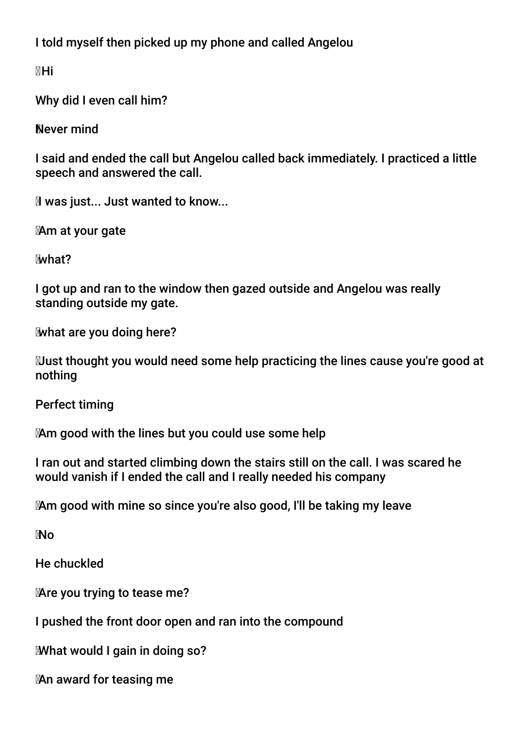I told myself then picked up my phone and called Angelou

Hi

Why did I even call him?

Never mind

I said and ended the call but Angelou called back immediately. I practiced a little speech and answered the call.

**M** was just... Just wanted to know...

Am at your gate

what?

I got up and ran to the window then gazed outside and Angelou was really standing outside my gate.

what are you doing here?

 Just thought you would need some help practicing the lines cause you're good at nothing

Perfect timing

Am good with the lines but you could use some help

I ran out and started climbing down the stairs still on the call. I was scared he would vanish if I ended the call and I really needed his company

Am good with mine so since you're also good, I'll be taking my leave

No

He chuckled

Are you trying to tease me?

I pushed the front door open and ran into the compound

What would I gain in doing so?

An award for teasing me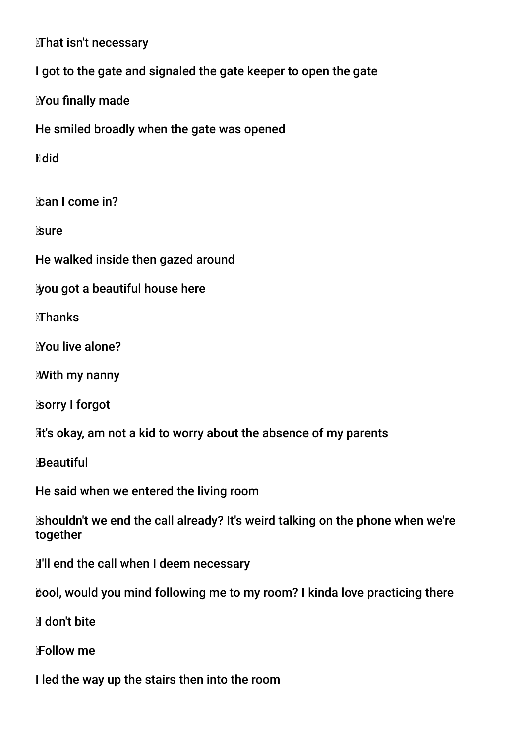**That isn't necessary** 

I got to the gate and signaled the gate keeper to open the gate

**Mou finally made** 

He smiled broadly when the gate was opened

**N**did

**Can I come in?** 

**Sure** 

He walked inside then gazed around

you got a beautiful house here

**MThanks** 

You live alone?

With my nanny

sorry I forgot

Mt's okay, am not a kid to worry about the absence of my parents

Beautiful

He said when we entered the living room

 shouldn't we end the call already? It's weird talking on the phone when we're together

**I'll end the call when I deem necessary** 

cool, would you mind following me to my room? I kinda love practicing there

Idon't bite

Follow me

I led the way up the stairs then into the room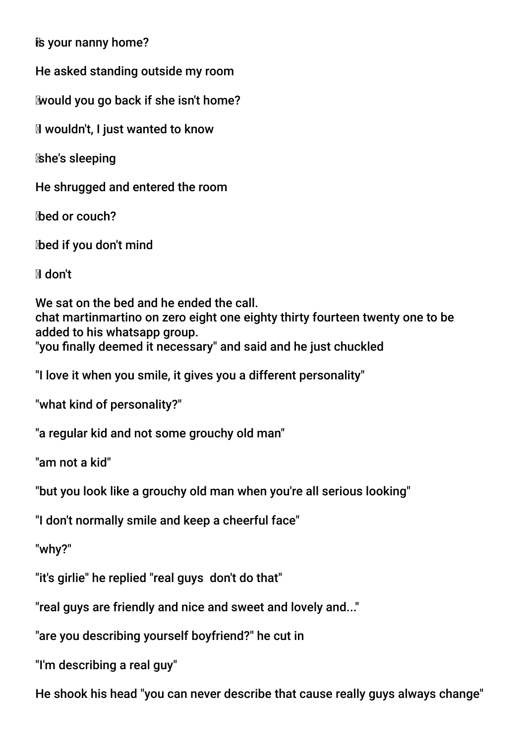is your nanny home?

He asked standing outside my room

would you go back if she isn't home?

Iwouldn't, I just wanted to know

she's sleeping

He shrugged and entered the room

bed or couch?

bed if you don't mind

Idon't

We sat on the bed and he ended the call. chat martinmartino on zero eight one eighty thirty fourteen twenty one to be added to his whatsapp group. "you fnally deemed it necessary" and said and he just chuckled

"I love it when you smile, it gives you a different personality"

"what kind of personality?"

"a regular kid and not some grouchy old man"

"am not a kid"

"but you look like a grouchy old man when you're all serious looking"

"I don't normally smile and keep a cheerful face"

"why?"

"it's girlie" he replied "real guys don't do that"

"real guys are friendly and nice and sweet and lovely and..."

"are you describing yourself boyfriend?" he cut in

"I'm describing a real guy"

He shook his head "you can never describe that cause really guys always change"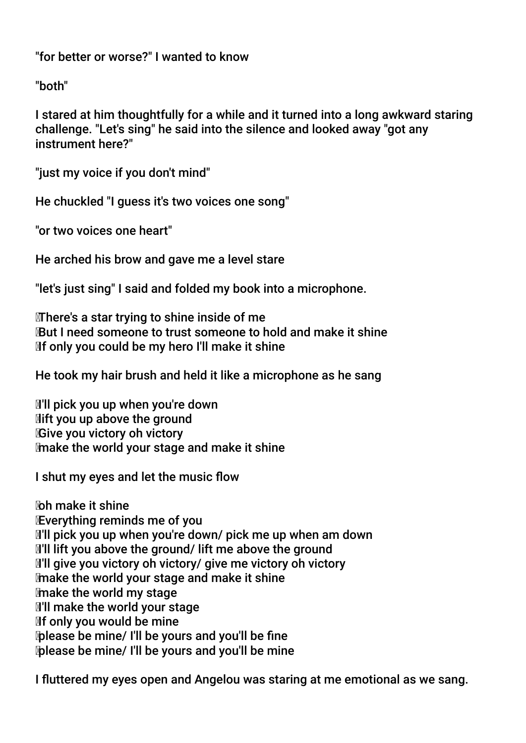"for better or worse?" I wanted to know

"both"

I stared at him thoughtfully for a while and it turned into a long awkward staring challenge. "Let's sing" he said into the silence and looked away "got any instrument here?"

"just my voice if you don't mind"

He chuckled "I guess it's two voices one song"

"or two voices one heart"

He arched his brow and gave me a level stare

"let's just sing" I said and folded my book into a microphone.

 There's a star trying to shine inside of me But I need someone to trust someone to hold and make it shine If only you could be my hero I'll make it shine

He took my hair brush and held it like a microphone as he sang

 I'll pick you up when you're down **Mift you up above the ground Give you victory oh victory** make the world your stage and make it shine

I shut my eyes and let the music flow

 oh make it shine Everything reminds me of you I'll pick you up when you're down/ pick me up when am down I'll lift you above the ground/ lift me above the ground **I'll give you victory oh victory/ give me victory oh victory**  make the world your stage and make it shine make the world my stage **I'll make the world your stage**  If only you would be mine please be mine/ I'll be yours and you'll be fne please be mine/ I'll be yours and you'll be mine

I futtered my eyes open and Angelou was staring at me emotional as we sang.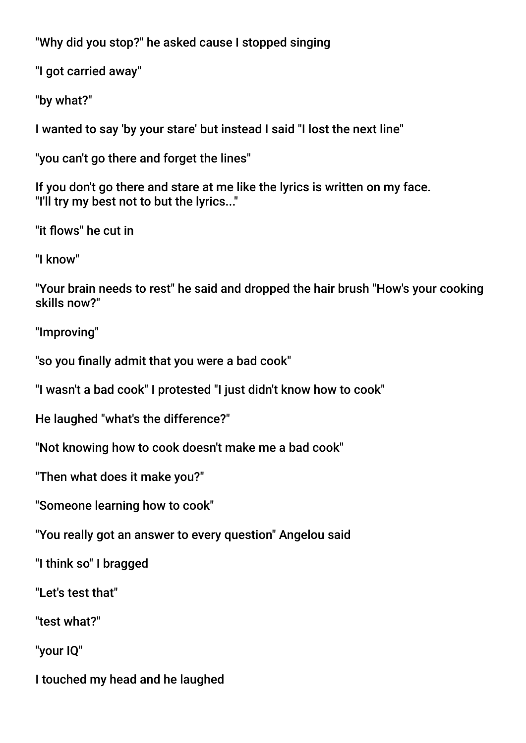"Why did you stop?" he asked cause I stopped singing

"I got carried away"

"by what?"

I wanted to say 'by your stare' but instead I said "I lost the next line"

"you can't go there and forget the lines"

If you don't go there and stare at me like the lyrics is written on my face. "I'll try my best not to but the lyrics..."

"it fows" he cut in

"I know"

"Your brain needs to rest" he said and dropped the hair brush "How's your cooking skills now?"

"Improving"

"so you finally admit that you were a bad cook"

"I wasn't a bad cook" I protested "I just didn't know how to cook"

He laughed "what's the difference?"

"Not knowing how to cook doesn't make me a bad cook"

"Then what does it make you?"

"Someone learning how to cook"

"You really got an answer to every question" Angelou said

"I think so" I bragged

"Let's test that"

"test what?"

"your IQ"

I touched my head and he laughed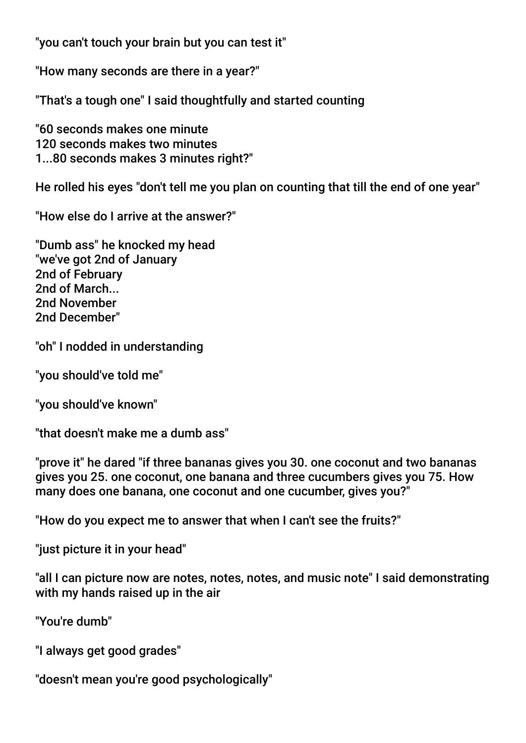"you can't touch your brain but you can test it"

"How many seconds are there in a year?"

"That's a tough one" I said thoughtfully and started counting

"60 seconds makes one minute 120 seconds makes two minutes 1...80 seconds makes 3 minutes right?"

He rolled his eyes "don't tell me you plan on counting that till the end of one year"

"How else do I arrive at the answer?"

"Dumb ass" he knocked my head "we've got 2nd of January 2nd of February 2nd of March... 2nd November 2nd December"

"oh" I nodded in understanding

"you should've told me"

"you should've known"

"that doesn't make me a dumb ass"

"prove it" he dared "if three bananas gives you 30. one coconut and two bananas gives you 25. one coconut, one banana and three cucumbers gives you 75. How many does one banana, one coconut and one cucumber, gives you?"

"How do you expect me to answer that when I can't see the fruits?"

"just picture it in your head"

"all I can picture now are notes, notes, notes, and music note" I said demonstrating with my hands raised up in the air

"You're dumb"

"I always get good grades"

"doesn't mean you're good psychologically"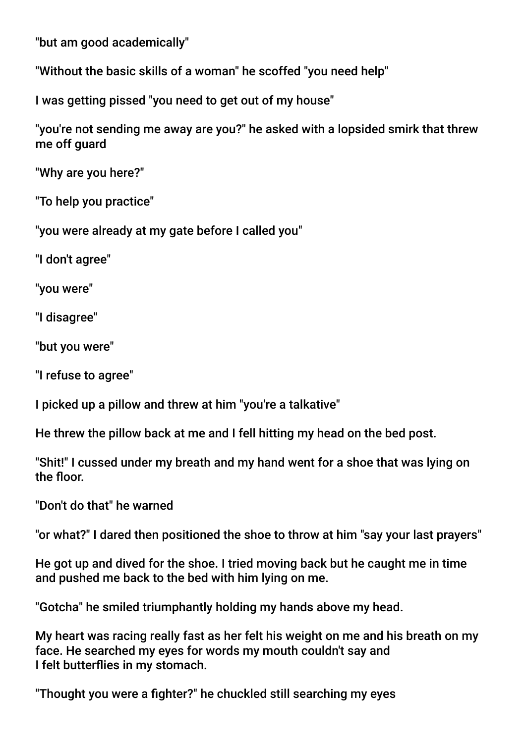"but am good academically"

"Without the basic skills of a woman" he scoffed "you need help"

I was getting pissed "you need to get out of my house"

"you're not sending me away are you?" he asked with a lopsided smirk that threw me off guard

"Why are you here?"

"To help you practice"

"you were already at my gate before I called you"

"I don't agree"

"you were"

"I disagree"

"but you were"

"I refuse to agree"

I picked up a pillow and threw at him "you're a talkative"

He threw the pillow back at me and I fell hitting my head on the bed post.

"Shit!" I cussed under my breath and my hand went for a shoe that was lying on the floor.

"Don't do that" he warned

"or what?" I dared then positioned the shoe to throw at him "say your last prayers"

He got up and dived for the shoe. I tried moving back but he caught me in time and pushed me back to the bed with him lying on me.

"Gotcha" he smiled triumphantly holding my hands above my head.

My heart was racing really fast as her felt his weight on me and his breath on my face. He searched my eyes for words my mouth couldn't say and I felt butterfies in my stomach.

"Thought you were a fghter?" he chuckled still searching my eyes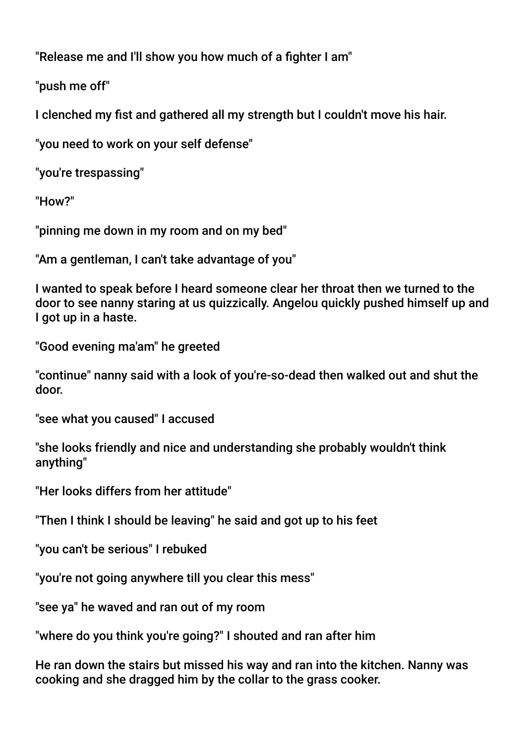"Release me and I'll show you how much of a fighter I am"

"push me off"

I clenched my fist and gathered all my strength but I couldn't move his hair.

"you need to work on your self defense"

"you're trespassing"

"How?"

"pinning me down in my room and on my bed"

"Am a gentleman, I can't take advantage of you"

I wanted to speak before I heard someone clear her throat then we turned to the door to see nanny staring at us quizzically. Angelou quickly pushed himself up and I got up in a haste.

```
"Good evening ma'am" he greeted
```
"continue" nanny said with a look of you're-so-dead then walked out and shut the door.

"see what you caused" I accused

"she looks friendly and nice and understanding she probably wouldn't think anything"

"Her looks differs from her attitude"

"Then I think I should be leaving" he said and got up to his feet

"you can't be serious" I rebuked

"you're not going anywhere till you clear this mess"

"see ya" he waved and ran out of my room

"where do you think you're going?" I shouted and ran after him

He ran down the stairs but missed his way and ran into the kitchen. Nanny was cooking and she dragged him by the collar to the grass cooker.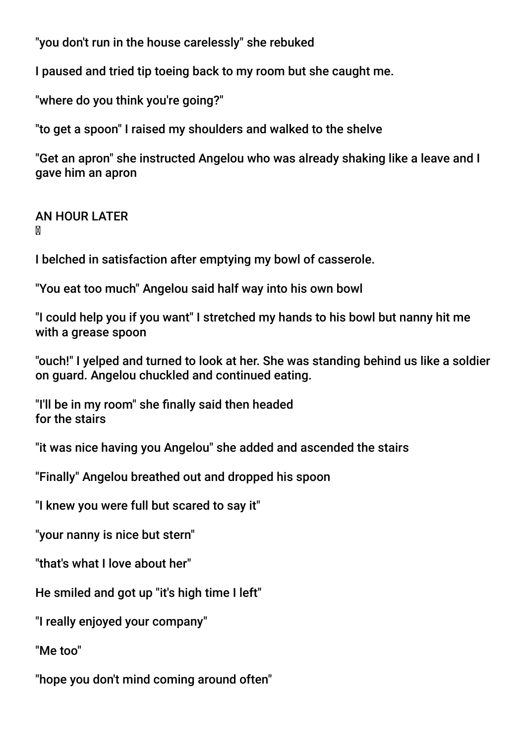"you don't run in the house carelessly" she rebuked

I paused and tried tip toeing back to my room but she caught me.

"where do you think you're going?"

"to get a spoon" I raised my shoulders and walked to the shelve

"Get an apron" she instructed Angelou who was already shaking like a leave and I gave him an apron

AN HOUR LATER M

I belched in satisfaction after emptying my bowl of casserole.

"You eat too much" Angelou said half way into his own bowl

"I could help you if you want" I stretched my hands to his bowl but nanny hit me with a grease spoon

"ouch!" I yelped and turned to look at her. She was standing behind us like a soldier on guard. Angelou chuckled and continued eating.

"I'll be in my room" she fnally said then headed for the stairs

"it was nice having you Angelou" she added and ascended the stairs

"Finally" Angelou breathed out and dropped his spoon

"I knew you were full but scared to say it"

"your nanny is nice but stern"

"that's what I love about her"

He smiled and got up "it's high time I left"

"I really enjoyed your company"

"Me too"

"hope you don't mind coming around often"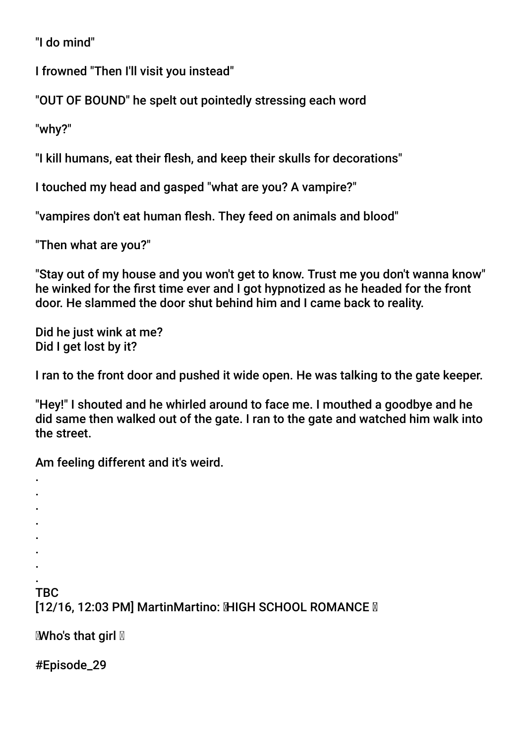"I do mind"

I frowned "Then I'll visit you instead"

"OUT OF BOUND" he spelt out pointedly stressing each word

"why?"

"I kill humans, eat their fesh, and keep their skulls for decorations"

I touched my head and gasped "what are you? A vampire?"

"vampires don't eat human flesh. They feed on animals and blood"

"Then what are you?"

"Stay out of my house and you won't get to know. Trust me you don't wanna know" he winked for the frst time ever and I got hypnotized as he headed for the front door. He slammed the door shut behind him and I came back to reality.

Did he just wink at me? Did I get lost by it?

I ran to the front door and pushed it wide open. He was talking to the gate keeper.

"Hey!" I shouted and he whirled around to face me. I mouthed a goodbye and he did same then walked out of the gate. I ran to the gate and watched him walk into the street.

Am feeling different and it's weird.

. TBC [12/16, 12:03 PM] MartinMartino: MHGH SCHOOL ROMANCE M

**Mho's that girl** 

#Episode\_29

. . . . . . .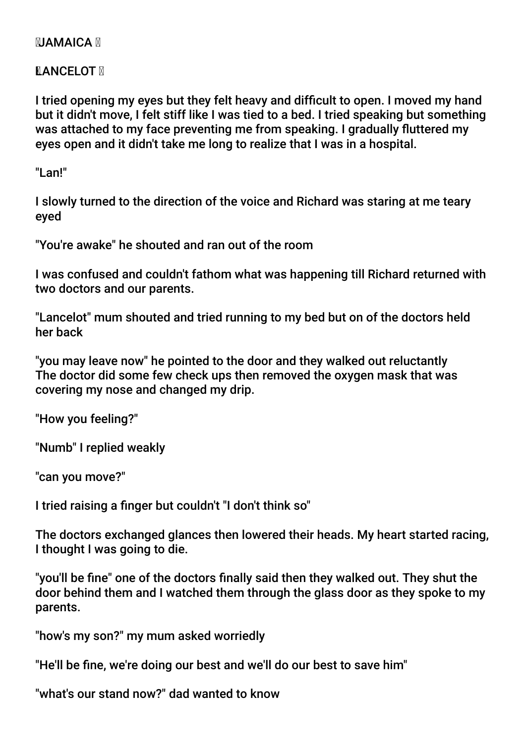## **NJAMAICA N**

**NANCELOT M** 

I tried opening my eyes but they felt heavy and diffcult to open. I moved my hand but it didn't move, I felt stiff like I was tied to a bed. I tried speaking but something was attached to my face preventing me from speaking. I gradually futtered my eyes open and it didn't take me long to realize that I was in a hospital.

"Lan!"

I slowly turned to the direction of the voice and Richard was staring at me teary eyed

"You're awake" he shouted and ran out of the room

I was confused and couldn't fathom what was happening till Richard returned with two doctors and our parents.

"Lancelot" mum shouted and tried running to my bed but on of the doctors held her back

"you may leave now" he pointed to the door and they walked out reluctantly The doctor did some few check ups then removed the oxygen mask that was covering my nose and changed my drip.

"How you feeling?"

"Numb" I replied weakly

"can you move?"

I tried raising a fnger but couldn't "I don't think so"

The doctors exchanged glances then lowered their heads. My heart started racing, I thought I was going to die.

"you'll be fne" one of the doctors fnally said then they walked out. They shut the door behind them and I watched them through the glass door as they spoke to my parents.

"how's my son?" my mum asked worriedly

"He'll be fne, we're doing our best and we'll do our best to save him"

"what's our stand now?" dad wanted to know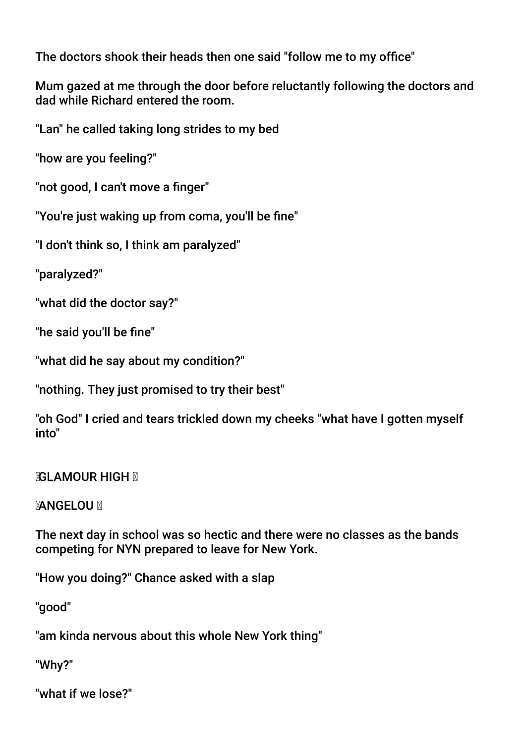The doctors shook their heads then one said "follow me to my office"

Mum gazed at me through the door before reluctantly following the doctors and dad while Richard entered the room.

"Lan" he called taking long strides to my bed

"how are you feeling?"

"not good, I can't move a fnger"

"You're just waking up from coma, you'll be fne"

"I don't think so, I think am paralyzed"

"paralyzed?"

"what did the doctor say?"

"he said you'll be fne"

"what did he say about my condition?"

"nothing. They just promised to try their best"

"oh God" I cried and tears trickled down my cheeks "what have I gotten myself into"

**NGLAMOUR HIGH N** 

**MANGELOU M** 

The next day in school was so hectic and there were no classes as the bands competing for NYN prepared to leave for New York.

"How you doing?" Chance asked with a slap

"good"

"am kinda nervous about this whole New York thing"

"Why?"

"what if we lose?"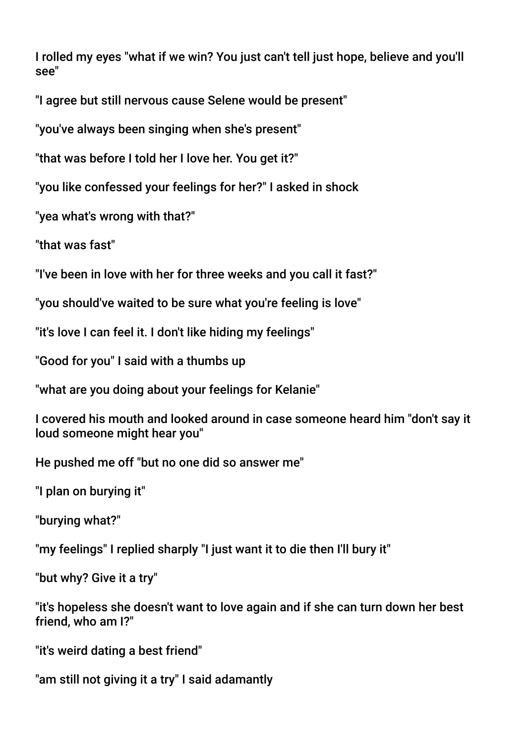I rolled my eyes "what if we win? You just can't tell just hope, believe and you'll see"

"I agree but still nervous cause Selene would be present"

"you've always been singing when she's present"

"that was before I told her I love her. You get it?"

"you like confessed your feelings for her?" I asked in shock

"yea what's wrong with that?"

"that was fast"

"I've been in love with her for three weeks and you call it fast?"

"you should've waited to be sure what you're feeling is love"

"it's love I can feel it. I don't like hiding my feelings"

"Good for you" I said with a thumbs up

"what are you doing about your feelings for Kelanie"

I covered his mouth and looked around in case someone heard him "don't say it loud someone might hear you"

He pushed me off "but no one did so answer me"

"I plan on burying it"

"burying what?"

"my feelings" I replied sharply "I just want it to die then I'll bury it"

"but why? Give it a try"

"it's hopeless she doesn't want to love again and if she can turn down her best friend, who am I?"

"it's weird dating a best friend"

"am still not giving it a try" I said adamantly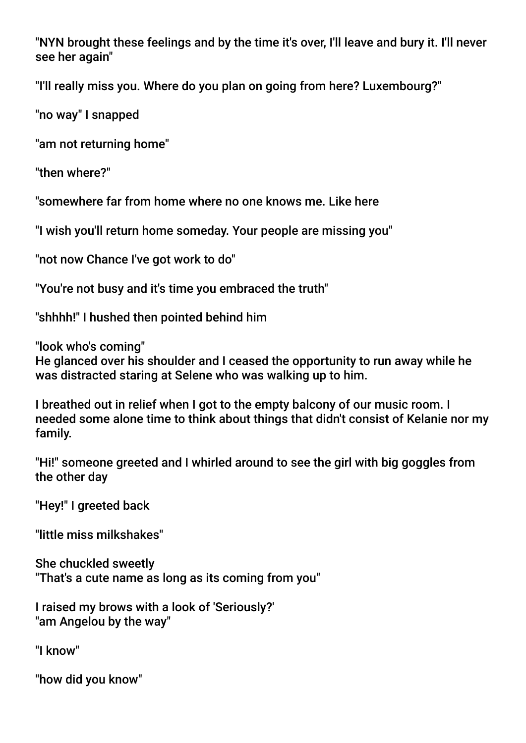"NYN brought these feelings and by the time it's over, I'll leave and bury it. I'll never see her again"

"I'll really miss you. Where do you plan on going from here? Luxembourg?"

"no way" I snapped

"am not returning home"

"then where?"

"somewhere far from home where no one knows me. Like here

"I wish you'll return home someday. Your people are missing you"

"not now Chance I've got work to do"

"You're not busy and it's time you embraced the truth"

"shhhh!" I hushed then pointed behind him

"look who's coming"

He glanced over his shoulder and I ceased the opportunity to run away while he was distracted staring at Selene who was walking up to him.

I breathed out in relief when I got to the empty balcony of our music room. I needed some alone time to think about things that didn't consist of Kelanie nor my family.

"Hi!" someone greeted and I whirled around to see the girl with big goggles from the other day

"Hey!" I greeted back

"little miss milkshakes"

She chuckled sweetly "That's a cute name as long as its coming from you"

I raised my brows with a look of 'Seriously?' "am Angelou by the way"

"I know"

"how did you know"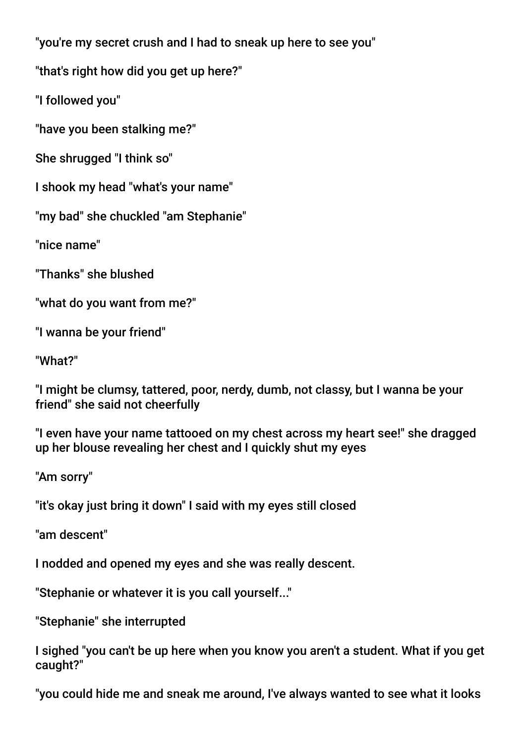"you're my secret crush and I had to sneak up here to see you"

"that's right how did you get up here?"

"I followed you"

"have you been stalking me?"

She shrugged "I think so"

I shook my head "what's your name"

"my bad" she chuckled "am Stephanie"

"nice name"

"Thanks" she blushed

"what do you want from me?"

"I wanna be your friend"

"What?"

"I might be clumsy, tattered, poor, nerdy, dumb, not classy, but I wanna be your friend" she said not cheerfully

"I even have your name tattooed on my chest across my heart see!" she dragged up her blouse revealing her chest and I quickly shut my eyes

"Am sorry"

"it's okay just bring it down" I said with my eyes still closed

"am descent"

I nodded and opened my eyes and she was really descent.

"Stephanie or whatever it is you call yourself..."

"Stephanie" she interrupted

I sighed "you can't be up here when you know you aren't a student. What if you get caught?"

"you could hide me and sneak me around, I've always wanted to see what it looks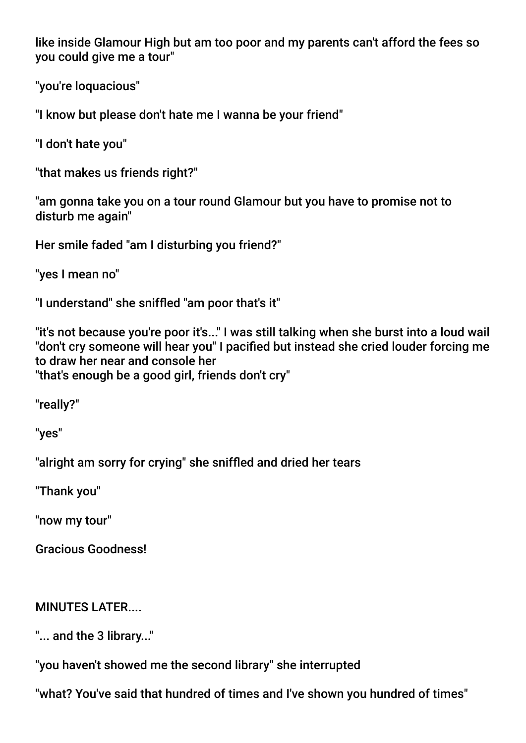like inside Glamour High but am too poor and my parents can't afford the fees so you could give me a tour"

"you're loquacious"

"I know but please don't hate me I wanna be your friend"

"I don't hate you"

"that makes us friends right?"

"am gonna take you on a tour round Glamour but you have to promise not to disturb me again"

Her smile faded "am I disturbing you friend?"

"yes I mean no"

"I understand" she sniffed "am poor that's it"

"it's not because you're poor it's..." I was still talking when she burst into a loud wail "don't cry someone will hear you" I pacifed but instead she cried louder forcing me to draw her near and console her "that's enough be a good girl, friends don't cry"

"really?"

"yes"

"alright am sorry for crying" she sniffed and dried her tears

"Thank you"

"now my tour"

Gracious Goodness!

## MINUTES LATER....

"... and the 3 library..."

"you haven't showed me the second library" she interrupted

"what? You've said that hundred of times and I've shown you hundred of times"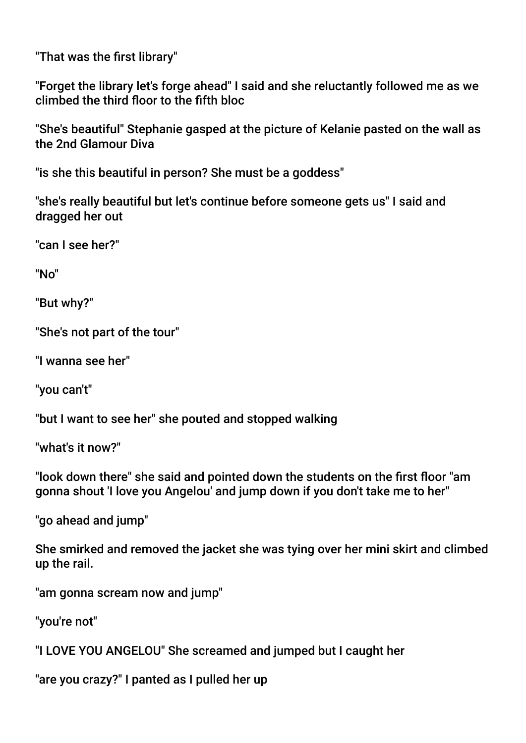"That was the frst library"

"Forget the library let's forge ahead" I said and she reluctantly followed me as we climbed the third foor to the ffth bloc

"She's beautiful" Stephanie gasped at the picture of Kelanie pasted on the wall as the 2nd Glamour Diva

"is she this beautiful in person? She must be a goddess"

"she's really beautiful but let's continue before someone gets us" I said and dragged her out

"can I see her?"

"No"

"But why?"

"She's not part of the tour"

"I wanna see her"

"you can't"

"but I want to see her" she pouted and stopped walking

"what's it now?"

"look down there" she said and pointed down the students on the frst foor "am gonna shout 'I love you Angelou' and jump down if you don't take me to her"

"go ahead and jump"

She smirked and removed the jacket she was tying over her mini skirt and climbed up the rail.

"am gonna scream now and jump"

"you're not"

"I LOVE YOU ANGELOU" She screamed and jumped but I caught her

"are you crazy?" I panted as I pulled her up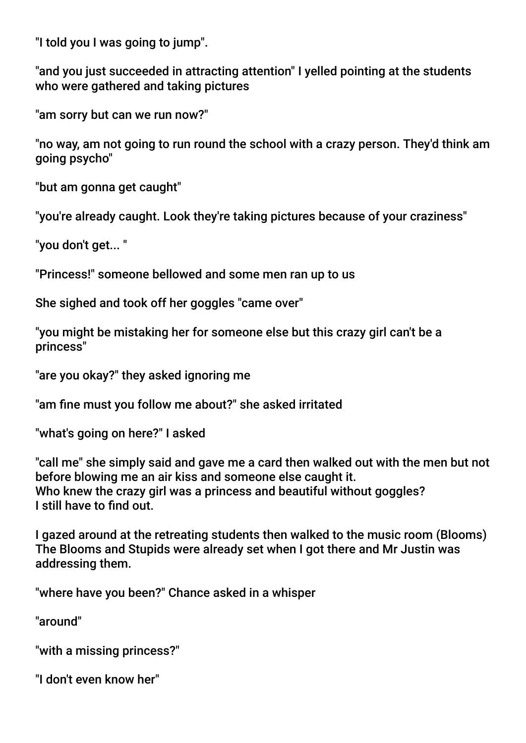"I told you I was going to jump".

"and you just succeeded in attracting attention" I yelled pointing at the students who were gathered and taking pictures

"am sorry but can we run now?"

"no way, am not going to run round the school with a crazy person. They'd think am going psycho"

"but am gonna get caught"

"you're already caught. Look they're taking pictures because of your craziness"

"you don't get... "

"Princess!" someone bellowed and some men ran up to us

She sighed and took off her goggles "came over"

"you might be mistaking her for someone else but this crazy girl can't be a princess"

"are you okay?" they asked ignoring me

"am fne must you follow me about?" she asked irritated

"what's going on here?" I asked

"call me" she simply said and gave me a card then walked out with the men but not before blowing me an air kiss and someone else caught it. Who knew the crazy girl was a princess and beautiful without goggles? I still have to fnd out.

I gazed around at the retreating students then walked to the music room (Blooms) The Blooms and Stupids were already set when I got there and Mr Justin was addressing them.

"where have you been?" Chance asked in a whisper

"around"

"with a missing princess?"

"I don't even know her"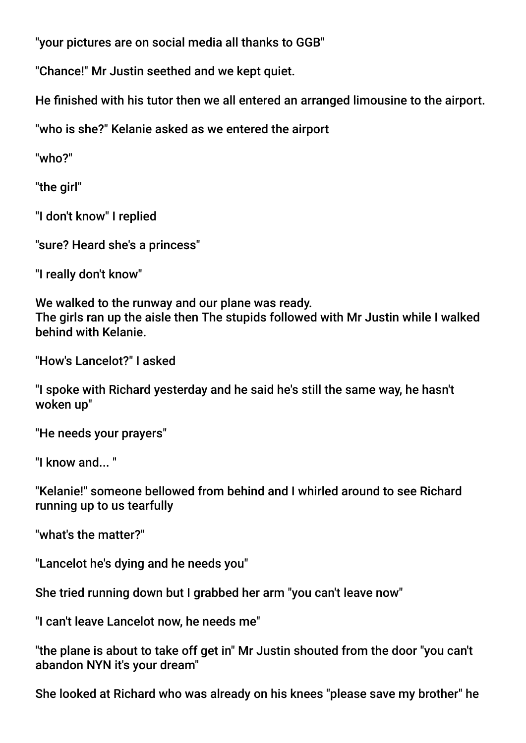"your pictures are on social media all thanks to GGB"

"Chance!" Mr Justin seethed and we kept quiet.

He fnished with his tutor then we all entered an arranged limousine to the airport.

"who is she?" Kelanie asked as we entered the airport

"who?"

"the girl"

"I don't know" I replied

"sure? Heard she's a princess"

"I really don't know"

We walked to the runway and our plane was ready. The girls ran up the aisle then The stupids followed with Mr Justin while I walked behind with Kelanie.

"How's Lancelot?" I asked

"I spoke with Richard yesterday and he said he's still the same way, he hasn't woken up"

"He needs your prayers"

"I know and  $"$ 

"Kelanie!" someone bellowed from behind and I whirled around to see Richard running up to us tearfully

"what's the matter?"

"Lancelot he's dying and he needs you"

She tried running down but I grabbed her arm "you can't leave now"

"I can't leave Lancelot now, he needs me"

"the plane is about to take off get in" Mr Justin shouted from the door "you can't abandon NYN it's your dream"

She looked at Richard who was already on his knees "please save my brother" he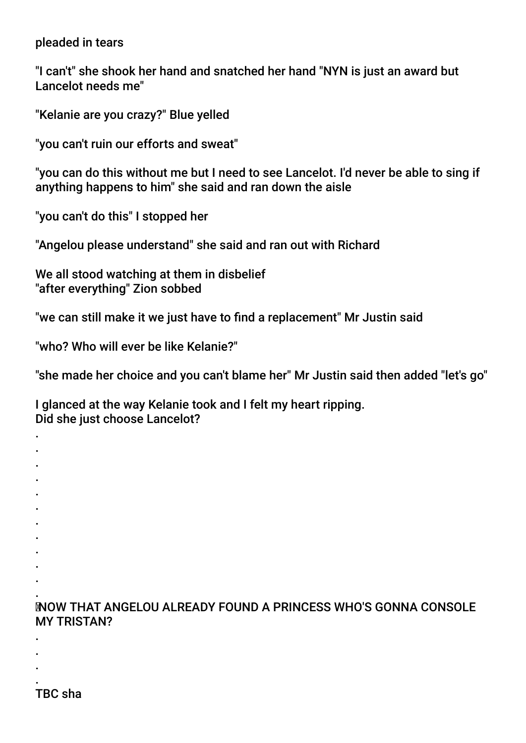#### pleaded in tears

"I can't" she shook her hand and snatched her hand "NYN is just an award but Lancelot needs me"

"Kelanie are you crazy?" Blue yelled

"you can't ruin our efforts and sweat"

"you can do this without me but I need to see Lancelot. I'd never be able to sing if anything happens to him" she said and ran down the aisle

"you can't do this" I stopped her

"Angelou please understand" she said and ran out with Richard

We all stood watching at them in disbelief "after everything" Zion sobbed

"we can still make it we just have to fnd a replacement" Mr Justin said

"who? Who will ever be like Kelanie?"

"she made her choice and you can't blame her" Mr Justin said then added "let's go"

I glanced at the way Kelanie took and I felt my heart ripping. Did she just choose Lancelot?

. NOW THAT ANGELOU ALREADY FOUND A PRINCESS WHO'S GONNA CONSOLE MY TRISTAN?

. TBC sha

. . .

. . . . . . . . . . .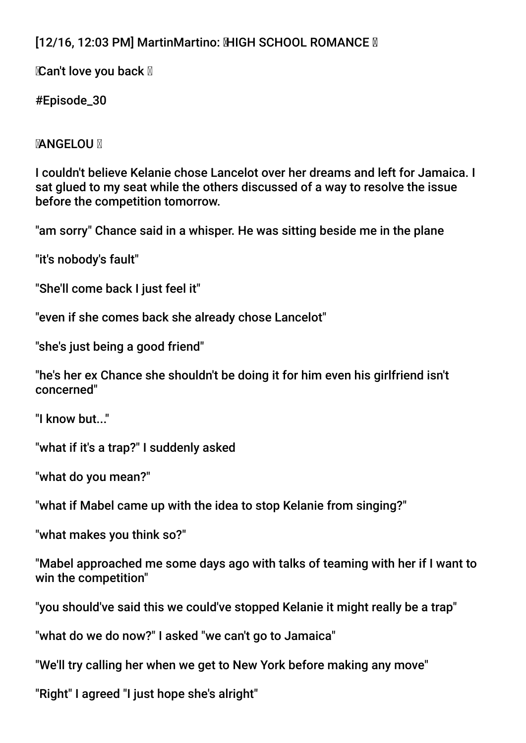# [12/16, 12:03 PM] MartinMartino: MHGH SCHOOL ROMANCE M

**Can't love you back** 

#Episode\_30

# **MANGELOU M**

I couldn't believe Kelanie chose Lancelot over her dreams and left for Jamaica. I sat glued to my seat while the others discussed of a way to resolve the issue before the competition tomorrow.

"am sorry" Chance said in a whisper. He was sitting beside me in the plane

"it's nobody's fault"

"She'll come back I just feel it"

"even if she comes back she already chose Lancelot"

"she's just being a good friend"

"he's her ex Chance she shouldn't be doing it for him even his girlfriend isn't concerned"

"I know but..."

"what if it's a trap?" I suddenly asked

"what do you mean?"

"what if Mabel came up with the idea to stop Kelanie from singing?"

"what makes you think so?"

"Mabel approached me some days ago with talks of teaming with her if I want to win the competition"

"you should've said this we could've stopped Kelanie it might really be a trap"

"what do we do now?" I asked "we can't go to Jamaica"

"We'll try calling her when we get to New York before making any move"

"Right" I agreed "I just hope she's alright"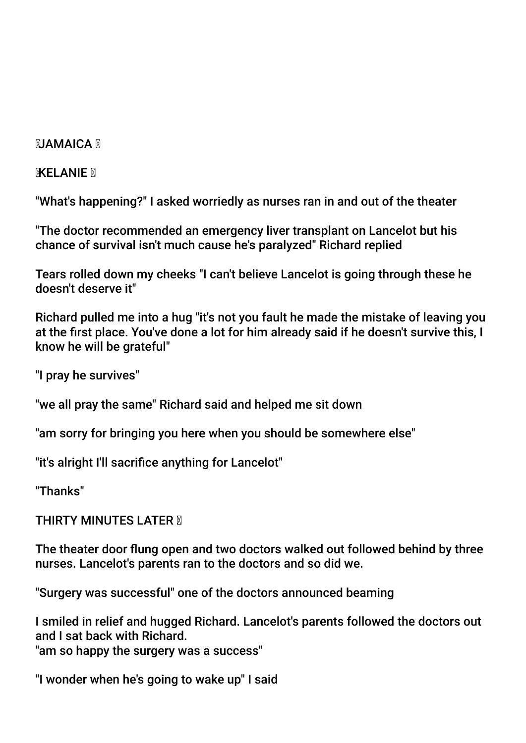### **MIAMAICA**

**KELANIE** 

"What's happening?" I asked worriedly as nurses ran in and out of the theater

"The doctor recommended an emergency liver transplant on Lancelot but his chance of survival isn't much cause he's paralyzed" Richard replied

Tears rolled down my cheeks "I can't believe Lancelot is going through these he doesn't deserve it"

Richard pulled me into a hug "it's not you fault he made the mistake of leaving you at the frst place. You've done a lot for him already said if he doesn't survive this, I know he will be grateful"

"I pray he survives"

"we all pray the same" Richard said and helped me sit down

"am sorry for bringing you here when you should be somewhere else"

"it's alright I'll sacrifce anything for Lancelot"

"Thanks"

**THIRTY MINUTES LATER M** 

The theater door fung open and two doctors walked out followed behind by three nurses. Lancelot's parents ran to the doctors and so did we.

"Surgery was successful" one of the doctors announced beaming

I smiled in relief and hugged Richard. Lancelot's parents followed the doctors out and I sat back with Richard.

"am so happy the surgery was a success"

"I wonder when he's going to wake up" I said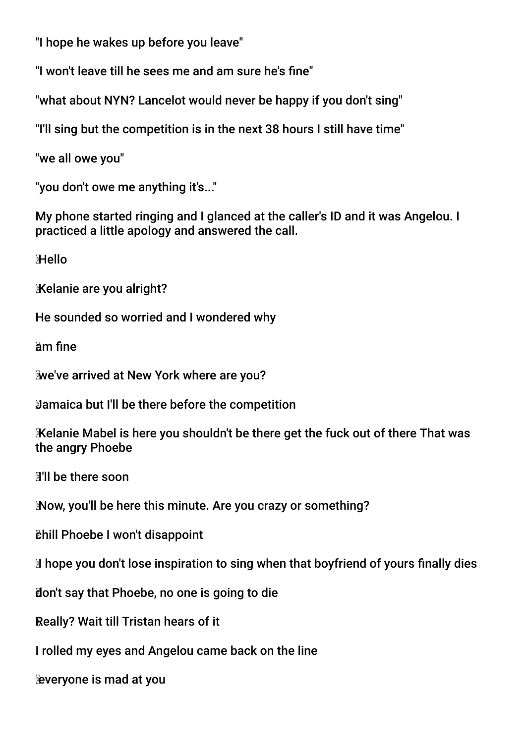"I hope he wakes up before you leave"

"I won't leave till he sees me and am sure he's fne"

"what about NYN? Lancelot would never be happy if you don't sing"

"I'll sing but the competition is in the next 38 hours I still have time"

"we all owe you"

"you don't owe me anything it's..."

My phone started ringing and I glanced at the caller's ID and it was Angelou. I practiced a little apology and answered the call.

**Hello** 

Kelanie are you alright?

He sounded so worried and I wondered why

am fne

we've arrived at New York where are you?

Jamaica but I'll be there before the competition

 Kelanie Mabel is here you shouldn't be there get the fuck out of there That was the angry Phoebe

I'll be there soon

Now, you'll be here this minute. Are you crazy or something?

chill Phoebe I won't disappoint

Ihope you don't lose inspiration to sing when that boyfriend of yours fnally dies

don't say that Phoebe, no one is going to die

Really? Wait till Tristan hears of it

I rolled my eyes and Angelou came back on the line

everyone is mad at you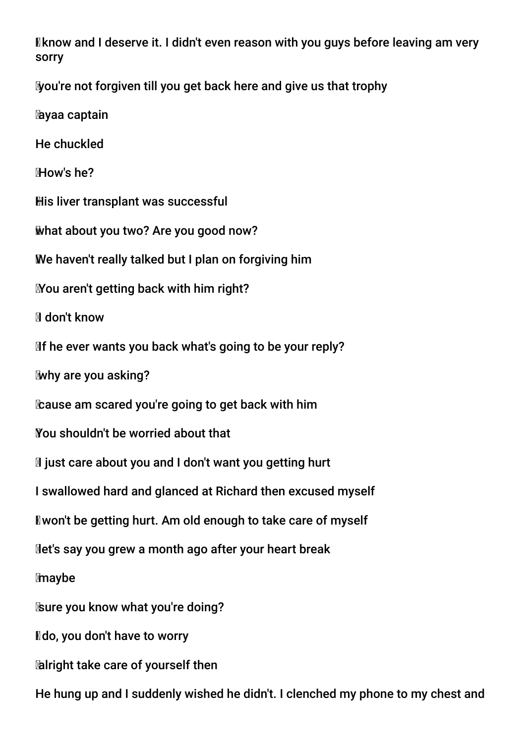I know and I deserve it. I didn't even reason with you guys before leaving am very sorry

you're not forgiven till you get back here and give us that trophy

ayaa captain

He chuckled

How's he?

His liver transplant was successful

what about you two? Are you good now?

We haven't really talked but I plan on forgiving him

You aren't getting back with him right?

Idon't know

If he ever wants you back what's going to be your reply?

why are you asking?

cause am scared you're going to get back with him

You shouldn't be worried about that

If just care about you and I don't want you getting hurt

I swallowed hard and glanced at Richard then excused myself

I won't be getting hurt. Am old enough to take care of myself

let's say you grew a month ago after your heart break

maybe

sure you know what you're doing?

**I** do, you don't have to worry

alright take care of yourself then

He hung up and I suddenly wished he didn't. I clenched my phone to my chest and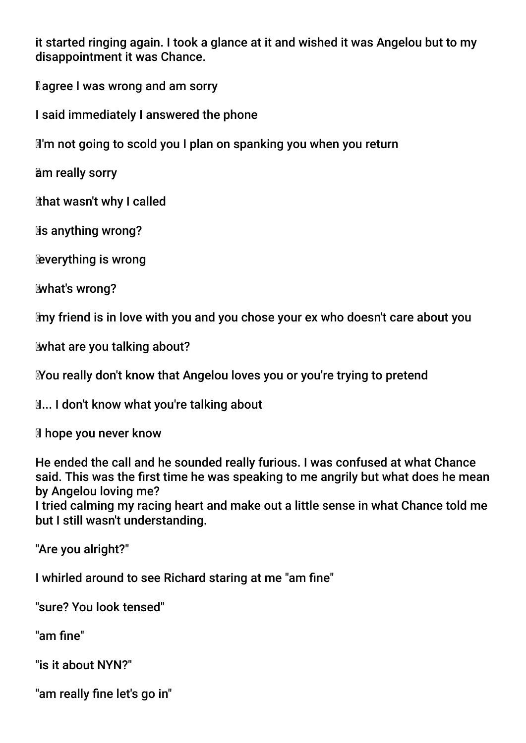it started ringing again. I took a glance at it and wished it was Angelou but to my disappointment it was Chance.

**Nagree I was wrong and am sorry** 

I said immediately I answered the phone

I'm not going to scold you I plan on spanking you when you return

am really sorry

that wasn't why I called

**Mis anything wrong?** 

everything is wrong

what's wrong?

my friend is in love with you and you chose your ex who doesn't care about you

what are you talking about?

You really don't know that Angelou loves you or you're trying to pretend

**M... I don't know what you're talking about** 

Ihope you never know

He ended the call and he sounded really furious. I was confused at what Chance said. This was the frst time he was speaking to me angrily but what does he mean by Angelou loving me?

I tried calming my racing heart and make out a little sense in what Chance told me but I still wasn't understanding.

"Are you alright?"

I whirled around to see Richard staring at me "am fne"

"sure? You look tensed"

"am fne"

"is it about NYN?"

"am really fine let's go in"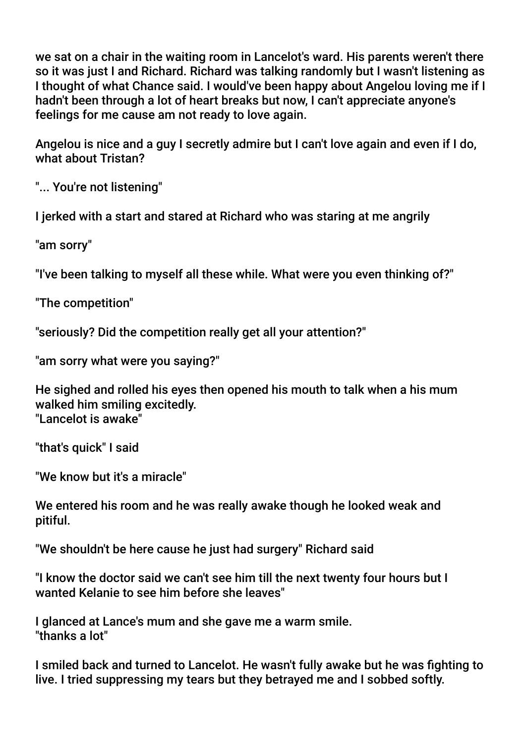we sat on a chair in the waiting room in Lancelot's ward. His parents weren't there so it was just I and Richard. Richard was talking randomly but I wasn't listening as I thought of what Chance said. I would've been happy about Angelou loving me if I hadn't been through a lot of heart breaks but now, I can't appreciate anyone's feelings for me cause am not ready to love again.

Angelou is nice and a guy I secretly admire but I can't love again and even if I do, what about Tristan?

"... You're not listening"

I jerked with a start and stared at Richard who was staring at me angrily

"am sorry"

"I've been talking to myself all these while. What were you even thinking of?"

"The competition"

"seriously? Did the competition really get all your attention?"

"am sorry what were you saying?"

He sighed and rolled his eyes then opened his mouth to talk when a his mum walked him smiling excitedly. "Lancelot is awake"

"that's quick" I said

"We know but it's a miracle"

We entered his room and he was really awake though he looked weak and pitiful.

"We shouldn't be here cause he just had surgery" Richard said

"I know the doctor said we can't see him till the next twenty four hours but I wanted Kelanie to see him before she leaves"

I glanced at Lance's mum and she gave me a warm smile. "thanks a lot"

I smiled back and turned to Lancelot. He wasn't fully awake but he was fghting to live. I tried suppressing my tears but they betrayed me and I sobbed softly.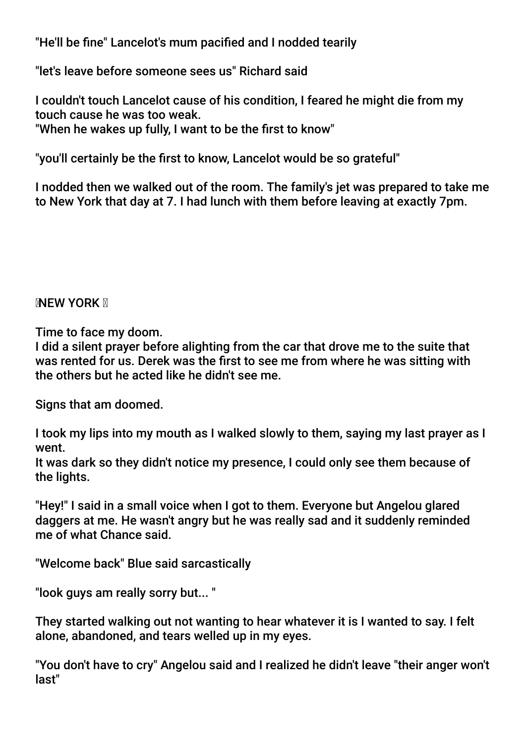"He'll be fne" Lancelot's mum pacifed and I nodded tearily

"let's leave before someone sees us" Richard said

I couldn't touch Lancelot cause of his condition, I feared he might die from my touch cause he was too weak.

"When he wakes up fully, I want to be the first to know"

"you'll certainly be the frst to know, Lancelot would be so grateful"

I nodded then we walked out of the room. The family's jet was prepared to take me to New York that day at 7. I had lunch with them before leaving at exactly 7pm.

### **NEW YORK N**

Time to face my doom.

I did a silent prayer before alighting from the car that drove me to the suite that was rented for us. Derek was the frst to see me from where he was sitting with the others but he acted like he didn't see me.

Signs that am doomed.

I took my lips into my mouth as I walked slowly to them, saying my last prayer as I went.

It was dark so they didn't notice my presence, I could only see them because of the lights.

"Hey!" I said in a small voice when I got to them. Everyone but Angelou glared daggers at me. He wasn't angry but he was really sad and it suddenly reminded me of what Chance said.

"Welcome back" Blue said sarcastically

"look guys am really sorry but... "

They started walking out not wanting to hear whatever it is I wanted to say. I felt alone, abandoned, and tears welled up in my eyes.

"You don't have to cry" Angelou said and I realized he didn't leave "their anger won't last"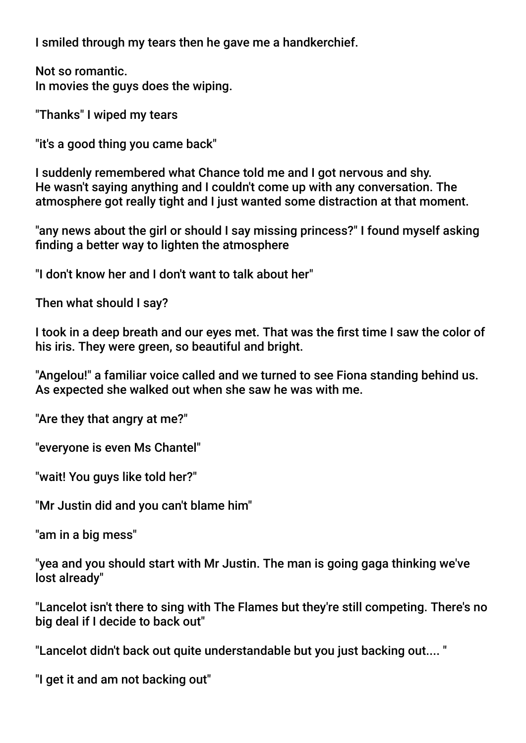I smiled through my tears then he gave me a handkerchief.

Not so romantic. In movies the guys does the wiping.

"Thanks" I wiped my tears

"it's a good thing you came back"

I suddenly remembered what Chance told me and I got nervous and shy. He wasn't saying anything and I couldn't come up with any conversation. The atmosphere got really tight and I just wanted some distraction at that moment.

"any news about the girl or should I say missing princess?" I found myself asking fnding a better way to lighten the atmosphere

"I don't know her and I don't want to talk about her"

Then what should I say?

I took in a deep breath and our eyes met. That was the first time I saw the color of his iris. They were green, so beautiful and bright.

"Angelou!" a familiar voice called and we turned to see Fiona standing behind us. As expected she walked out when she saw he was with me.

"Are they that angry at me?"

"everyone is even Ms Chantel"

"wait! You guys like told her?"

"Mr Justin did and you can't blame him"

"am in a big mess"

"yea and you should start with Mr Justin. The man is going gaga thinking we've lost already"

"Lancelot isn't there to sing with The Flames but they're still competing. There's no big deal if I decide to back out"

"Lancelot didn't back out quite understandable but you just backing out.... "

"I get it and am not backing out"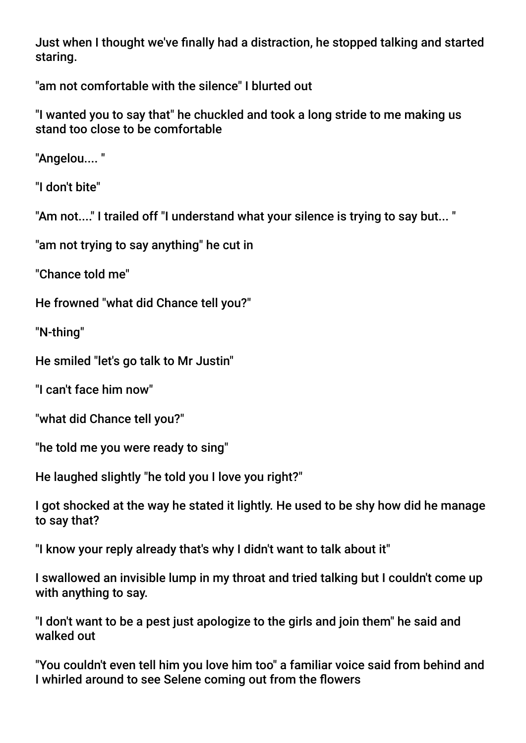Just when I thought we've fnally had a distraction, he stopped talking and started staring.

"am not comfortable with the silence" I blurted out

"I wanted you to say that" he chuckled and took a long stride to me making us stand too close to be comfortable

"Angelou.... "

"I don't bite"

"Am not...." I trailed off "I understand what your silence is trying to say but... "

"am not trying to say anything" he cut in

"Chance told me"

He frowned "what did Chance tell you?"

"N-thing"

He smiled "let's go talk to Mr Justin"

"I can't face him now"

"what did Chance tell you?"

"he told me you were ready to sing"

He laughed slightly "he told you I love you right?"

I got shocked at the way he stated it lightly. He used to be shy how did he manage to say that?

"I know your reply already that's why I didn't want to talk about it"

I swallowed an invisible lump in my throat and tried talking but I couldn't come up with anything to say.

"I don't want to be a pest just apologize to the girls and join them" he said and walked out

"You couldn't even tell him you love him too" a familiar voice said from behind and I whirled around to see Selene coming out from the fowers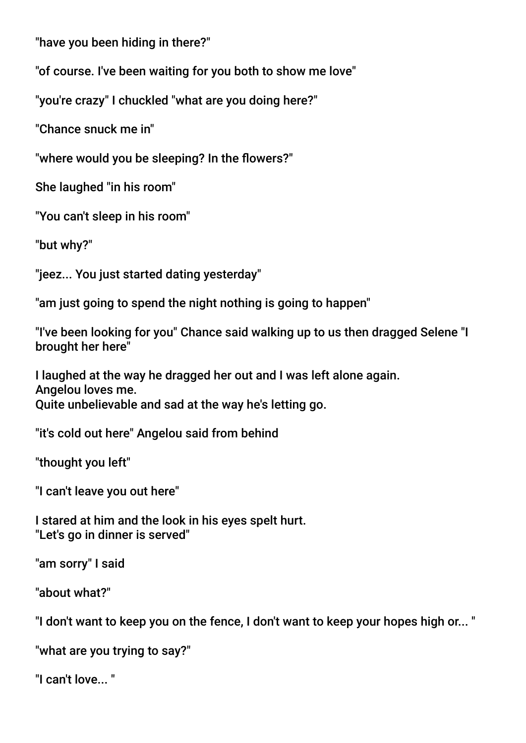"have you been hiding in there?"

"of course. I've been waiting for you both to show me love"

"you're crazy" I chuckled "what are you doing here?"

"Chance snuck me in"

"where would you be sleeping? In the flowers?"

She laughed "in his room"

"You can't sleep in his room"

"but why?"

"jeez... You just started dating yesterday"

"am just going to spend the night nothing is going to happen"

"I've been looking for you" Chance said walking up to us then dragged Selene "I brought her here"

I laughed at the way he dragged her out and I was left alone again. Angelou loves me. Quite unbelievable and sad at the way he's letting go.

"it's cold out here" Angelou said from behind

"thought you left"

"I can't leave you out here"

I stared at him and the look in his eyes spelt hurt. "Let's go in dinner is served"

"am sorry" I said

"about what?"

"I don't want to keep you on the fence, I don't want to keep your hopes high or... "

"what are you trying to say?"

"I can't love... "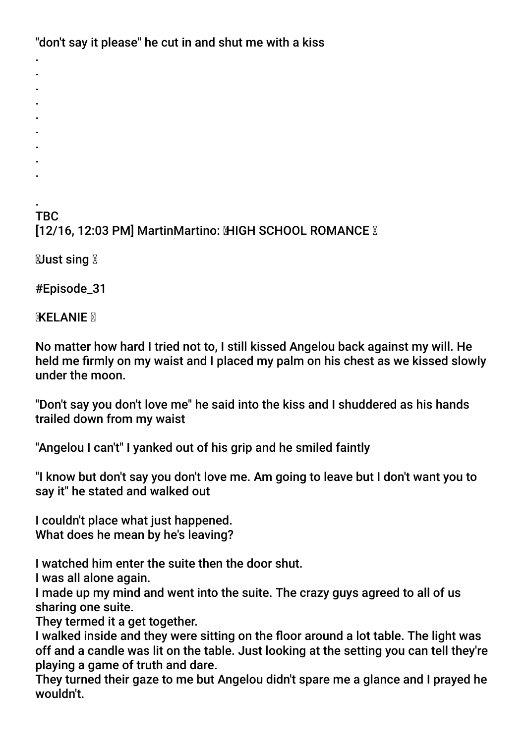"don't say it please" he cut in and shut me with a kiss

- . . . .
- .
- .
- .
- .
- .

. TBC [12/16, 12:03 PM] MartinMartino: MHGH SCHOOL ROMANCE M

 $\mathbb N$ ust sing  $\mathbb N$ 

#Episode\_31

**MELANIE** M

No matter how hard I tried not to, I still kissed Angelou back against my will. He held me frmly on my waist and I placed my palm on his chest as we kissed slowly under the moon.

"Don't say you don't love me" he said into the kiss and I shuddered as his hands trailed down from my waist

"Angelou I can't" I yanked out of his grip and he smiled faintly

"I know but don't say you don't love me. Am going to leave but I don't want you to say it" he stated and walked out

I couldn't place what just happened. What does he mean by he's leaving?

I watched him enter the suite then the door shut.

I was all alone again.

I made up my mind and went into the suite. The crazy guys agreed to all of us sharing one suite.

They termed it a get together.

I walked inside and they were sitting on the foor around a lot table. The light was off and a candle was lit on the table. Just looking at the setting you can tell they're playing a game of truth and dare.

They turned their gaze to me but Angelou didn't spare me a glance and I prayed he wouldn't.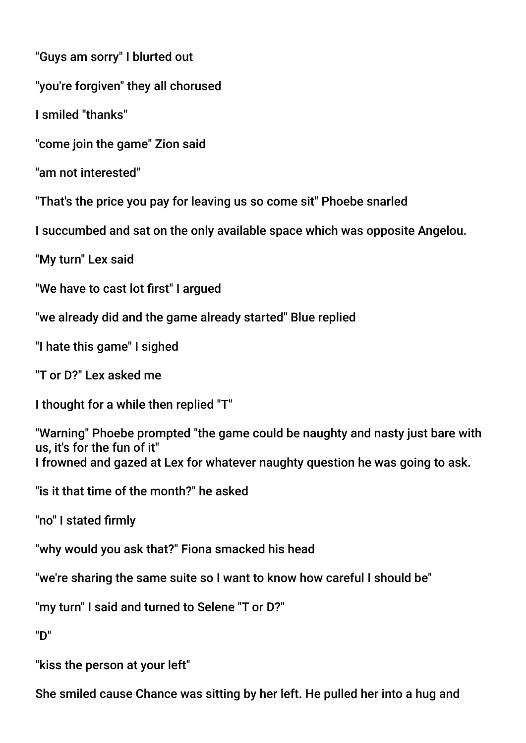"Guys am sorry" I blurted out

"you're forgiven" they all chorused

I smiled "thanks"

"come join the game" Zion said

"am not interested"

"That's the price you pay for leaving us so come sit" Phoebe snarled

I succumbed and sat on the only available space which was opposite Angelou.

"My turn" Lex said

"We have to cast lot frst" I argued

"we already did and the game already started" Blue replied

"I hate this game" I sighed

"T or D?" Lex asked me

I thought for a while then replied "T"

"Warning" Phoebe prompted "the game could be naughty and nasty just bare with us, it's for the fun of it" I frowned and gazed at Lex for whatever naughty question he was going to ask.

"is it that time of the month?" he asked

"no" I stated frmly

"why would you ask that?" Fiona smacked his head

"we're sharing the same suite so I want to know how careful I should be"

"my turn" I said and turned to Selene "T or D?"

"D"

"kiss the person at your left"

She smiled cause Chance was sitting by her left. He pulled her into a hug and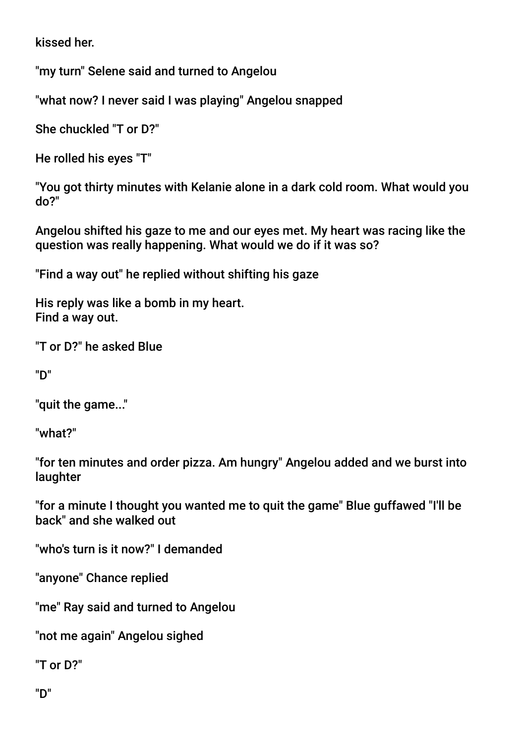kissed her.

"my turn" Selene said and turned to Angelou

"what now? I never said I was playing" Angelou snapped

She chuckled "T or D?"

He rolled his eyes "T"

"You got thirty minutes with Kelanie alone in a dark cold room. What would you do?"

Angelou shifted his gaze to me and our eyes met. My heart was racing like the question was really happening. What would we do if it was so?

"Find a way out" he replied without shifting his gaze

His reply was like a bomb in my heart. Find a way out.

"T or D?" he asked Blue

"D"

"quit the game..."

"what?"

"for ten minutes and order pizza. Am hungry" Angelou added and we burst into laughter

"for a minute I thought you wanted me to quit the game" Blue guffawed "I'll be back" and she walked out

"who's turn is it now?" I demanded

"anyone" Chance replied

"me" Ray said and turned to Angelou

"not me again" Angelou sighed

"T or D?"

"D"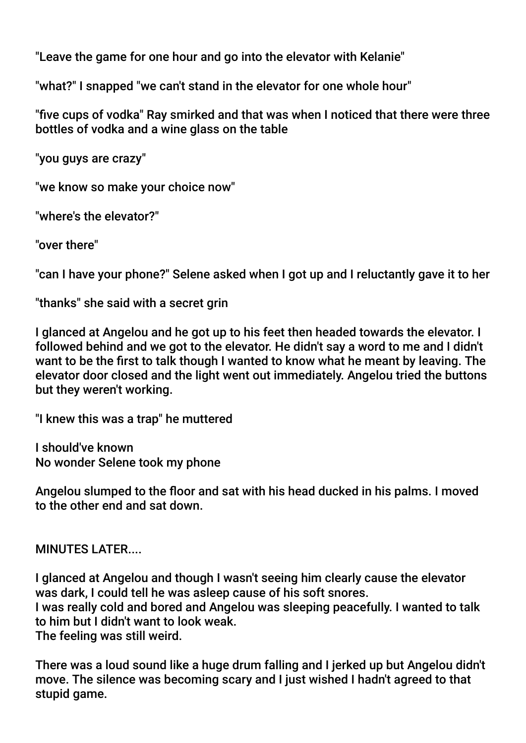"Leave the game for one hour and go into the elevator with Kelanie"

"what?" I snapped "we can't stand in the elevator for one whole hour"

"fve cups of vodka" Ray smirked and that was when I noticed that there were three bottles of vodka and a wine glass on the table

"you guys are crazy"

"we know so make your choice now"

"where's the elevator?"

"over there"

"can I have your phone?" Selene asked when I got up and I reluctantly gave it to her

"thanks" she said with a secret grin

I glanced at Angelou and he got up to his feet then headed towards the elevator. I followed behind and we got to the elevator. He didn't say a word to me and I didn't want to be the frst to talk though I wanted to know what he meant by leaving. The elevator door closed and the light went out immediately. Angelou tried the buttons but they weren't working.

"I knew this was a trap" he muttered

I should've known No wonder Selene took my phone

Angelou slumped to the foor and sat with his head ducked in his palms. I moved to the other end and sat down.

MINUTES LATER....

I glanced at Angelou and though I wasn't seeing him clearly cause the elevator was dark, I could tell he was asleep cause of his soft snores. I was really cold and bored and Angelou was sleeping peacefully. I wanted to talk to him but I didn't want to look weak. The feeling was still weird.

There was a loud sound like a huge drum falling and I jerked up but Angelou didn't move. The silence was becoming scary and I just wished I hadn't agreed to that stupid game.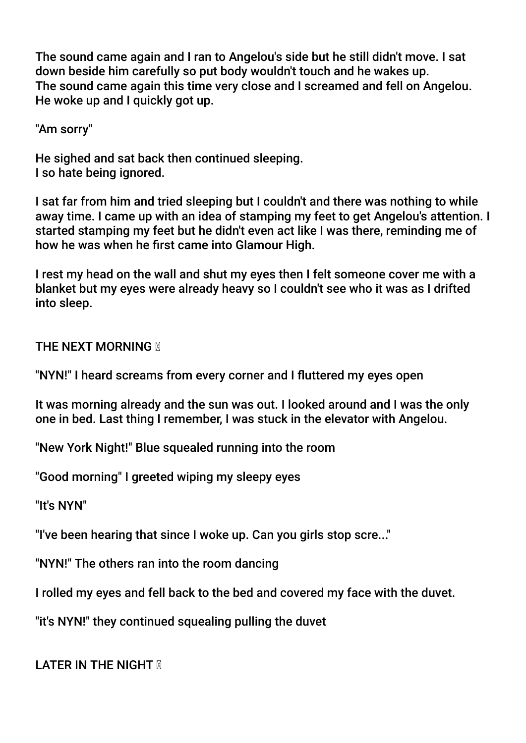The sound came again and I ran to Angelou's side but he still didn't move. I sat down beside him carefully so put body wouldn't touch and he wakes up. The sound came again this time very close and I screamed and fell on Angelou. He woke up and I quickly got up.

"Am sorry"

He sighed and sat back then continued sleeping. I so hate being ignored.

I sat far from him and tried sleeping but I couldn't and there was nothing to while away time. I came up with an idea of stamping my feet to get Angelou's attention. I started stamping my feet but he didn't even act like I was there, reminding me of how he was when he frst came into Glamour High.

I rest my head on the wall and shut my eyes then I felt someone cover me with a blanket but my eyes were already heavy so I couldn't see who it was as I drifted into sleep.

**THE NEXT MORNING M** 

"NYN!" I heard screams from every corner and I futtered my eyes open

It was morning already and the sun was out. I looked around and I was the only one in bed. Last thing I remember, I was stuck in the elevator with Angelou.

"New York Night!" Blue squealed running into the room

"Good morning" I greeted wiping my sleepy eyes

"It's NYN"

"I've been hearing that since I woke up. Can you girls stop scre..."

"NYN!" The others ran into the room dancing

I rolled my eyes and fell back to the bed and covered my face with the duvet.

"it's NYN!" they continued squealing pulling the duvet

LATER IN THE NIGHT **M**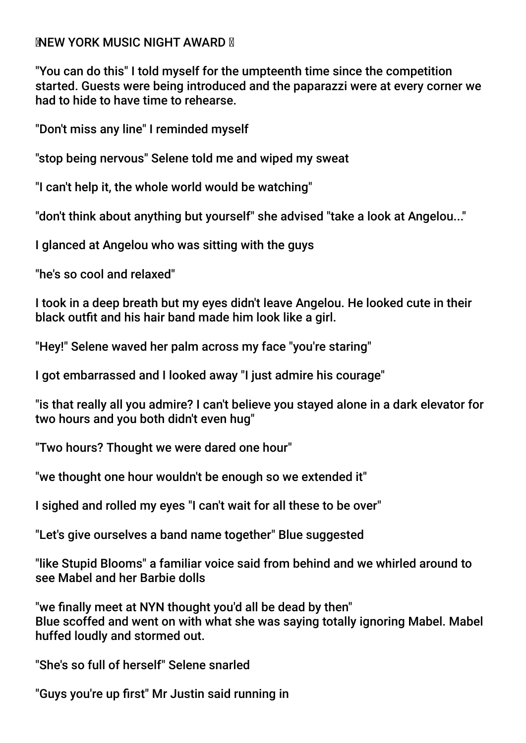### **INEW YORK MUSIC NIGHT AWARD N**

"You can do this" I told myself for the umpteenth time since the competition started. Guests were being introduced and the paparazzi were at every corner we had to hide to have time to rehearse.

"Don't miss any line" I reminded myself

"stop being nervous" Selene told me and wiped my sweat

"I can't help it, the whole world would be watching"

"don't think about anything but yourself" she advised "take a look at Angelou..."

I glanced at Angelou who was sitting with the guys

"he's so cool and relaxed"

I took in a deep breath but my eyes didn't leave Angelou. He looked cute in their black outfit and his hair band made him look like a girl.

"Hey!" Selene waved her palm across my face "you're staring"

I got embarrassed and I looked away "I just admire his courage"

"is that really all you admire? I can't believe you stayed alone in a dark elevator for two hours and you both didn't even hug"

"Two hours? Thought we were dared one hour"

"we thought one hour wouldn't be enough so we extended it"

I sighed and rolled my eyes "I can't wait for all these to be over"

"Let's give ourselves a band name together" Blue suggested

"like Stupid Blooms" a familiar voice said from behind and we whirled around to see Mabel and her Barbie dolls

"we fnally meet at NYN thought you'd all be dead by then" Blue scoffed and went on with what she was saying totally ignoring Mabel. Mabel huffed loudly and stormed out.

"She's so full of herself" Selene snarled

"Guys you're up frst" Mr Justin said running in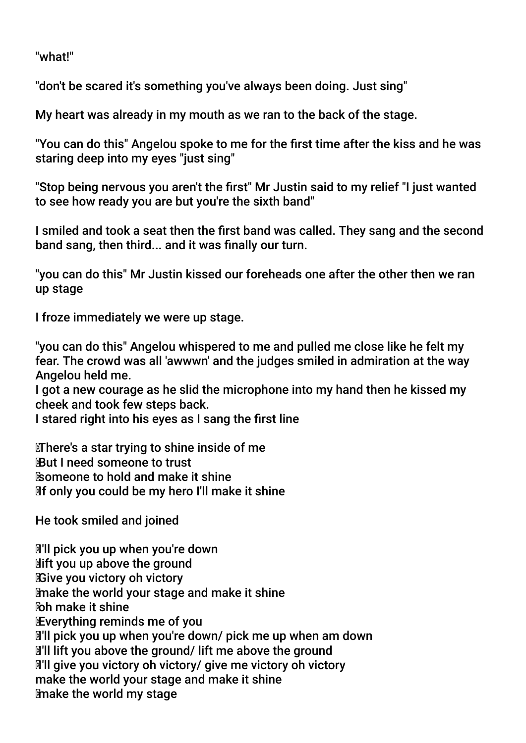"what!"

"don't be scared it's something you've always been doing. Just sing"

My heart was already in my mouth as we ran to the back of the stage.

"You can do this" Angelou spoke to me for the frst time after the kiss and he was staring deep into my eyes "just sing"

"Stop being nervous you aren't the frst" Mr Justin said to my relief "I just wanted to see how ready you are but you're the sixth band"

I smiled and took a seat then the frst band was called. They sang and the second band sang, then third... and it was fnally our turn.

"you can do this" Mr Justin kissed our foreheads one after the other then we ran up stage

I froze immediately we were up stage.

"you can do this" Angelou whispered to me and pulled me close like he felt my fear. The crowd was all 'awwwn' and the judges smiled in admiration at the way Angelou held me.

I got a new courage as he slid the microphone into my hand then he kissed my cheek and took few steps back.

I stared right into his eyes as I sang the frst line

 There's a star trying to shine inside of me But I need someone to trust someone to hold and make it shine If only you could be my hero I'll make it shine

He took smiled and joined

 I'll pick you up when you're down lift you up above the ground Give you victory oh victory make the world your stage and make it shine oh make it shine Everything reminds me of you I'll pick you up when you're down/ pick me up when am down I'll lift you above the ground/ lift me above the ground I'll give you victory oh victory/ give me victory oh victory make the world your stage and make it shine make the world my stage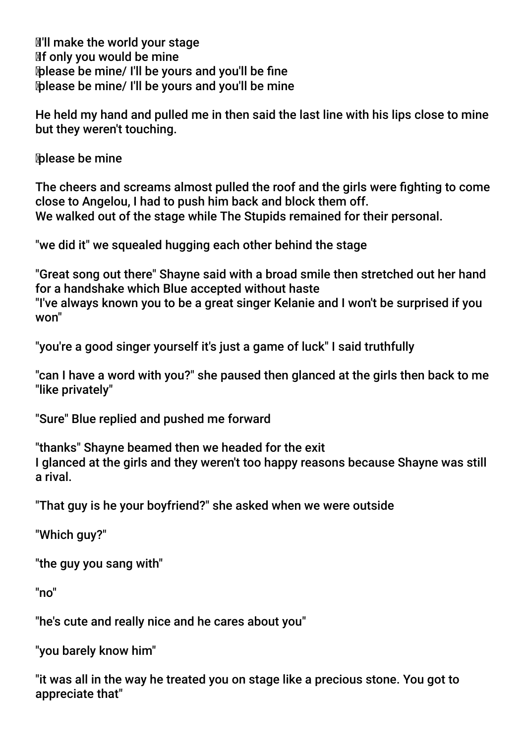**I'll make the world your stage**  If only you would be mine please be mine/ I'll be yours and you'll be fne please be mine/ I'll be yours and you'll be mine

He held my hand and pulled me in then said the last line with his lips close to mine but they weren't touching.

please be mine

The cheers and screams almost pulled the roof and the girls were fghting to come close to Angelou, I had to push him back and block them off. We walked out of the stage while The Stupids remained for their personal.

"we did it" we squealed hugging each other behind the stage

"Great song out there" Shayne said with a broad smile then stretched out her hand for a handshake which Blue accepted without haste

"I've always known you to be a great singer Kelanie and I won't be surprised if you won"

"you're a good singer yourself it's just a game of luck" I said truthfully

"can I have a word with you?" she paused then glanced at the girls then back to me "like privately"

"Sure" Blue replied and pushed me forward

"thanks" Shayne beamed then we headed for the exit I glanced at the girls and they weren't too happy reasons because Shayne was still a rival.

"That guy is he your boyfriend?" she asked when we were outside

"Which guy?"

"the guy you sang with"

"no"

"he's cute and really nice and he cares about you"

"you barely know him"

"it was all in the way he treated you on stage like a precious stone. You got to appreciate that"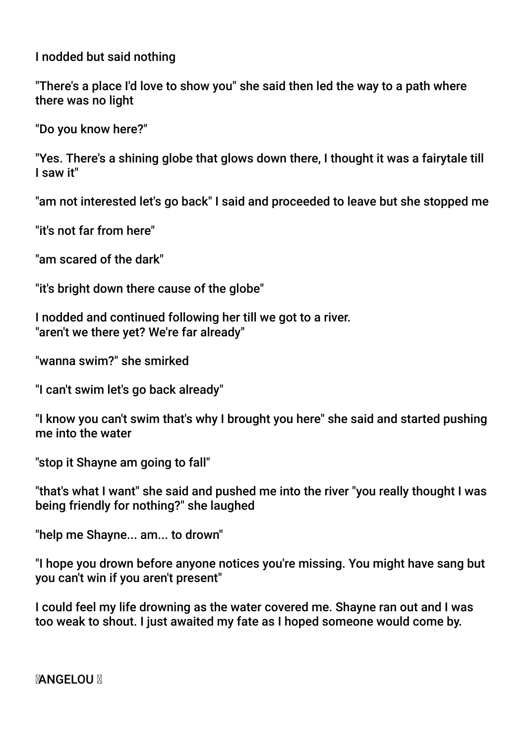I nodded but said nothing

"There's a place I'd love to show you" she said then led the way to a path where there was no light

"Do you know here?"

"Yes. There's a shining globe that glows down there, I thought it was a fairytale till I saw it"

"am not interested let's go back" I said and proceeded to leave but she stopped me

"it's not far from here"

"am scared of the dark"

"it's bright down there cause of the globe"

I nodded and continued following her till we got to a river. "aren't we there yet? We're far already"

"wanna swim?" she smirked

"I can't swim let's go back already"

"I know you can't swim that's why I brought you here" she said and started pushing me into the water

"stop it Shayne am going to fall"

"that's what I want" she said and pushed me into the river "you really thought I was being friendly for nothing?" she laughed

"help me Shayne... am... to drown"

"I hope you drown before anyone notices you're missing. You might have sang but you can't win if you aren't present"

I could feel my life drowning as the water covered me. Shayne ran out and I was too weak to shout. I just awaited my fate as I hoped someone would come by.

**MANGELOU M**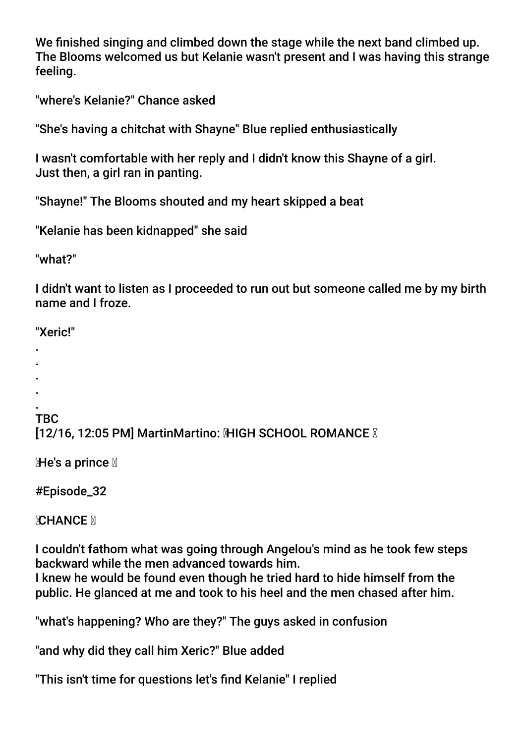We fnished singing and climbed down the stage while the next band climbed up. The Blooms welcomed us but Kelanie wasn't present and I was having this strange feeling.

"where's Kelanie?" Chance asked

"She's having a chitchat with Shayne" Blue replied enthusiastically

I wasn't comfortable with her reply and I didn't know this Shayne of a girl. Just then, a girl ran in panting.

"Shayne!" The Blooms shouted and my heart skipped a beat

"Kelanie has been kidnapped" she said

"what?"

I didn't want to listen as I proceeded to run out but someone called me by my birth name and I froze.

"Xeric!"

- .
- . .
- .

.

# TBC

[12/16, 12:05 PM] MartinMartino: MHGH SCHOOL ROMANCE M

He's a prince

#Episode\_32

**NCHANCE N** 

I couldn't fathom what was going through Angelou's mind as he took few steps backward while the men advanced towards him.

I knew he would be found even though he tried hard to hide himself from the public. He glanced at me and took to his heel and the men chased after him.

"what's happening? Who are they?" The guys asked in confusion

"and why did they call him Xeric?" Blue added

"This isn't time for questions let's fnd Kelanie" I replied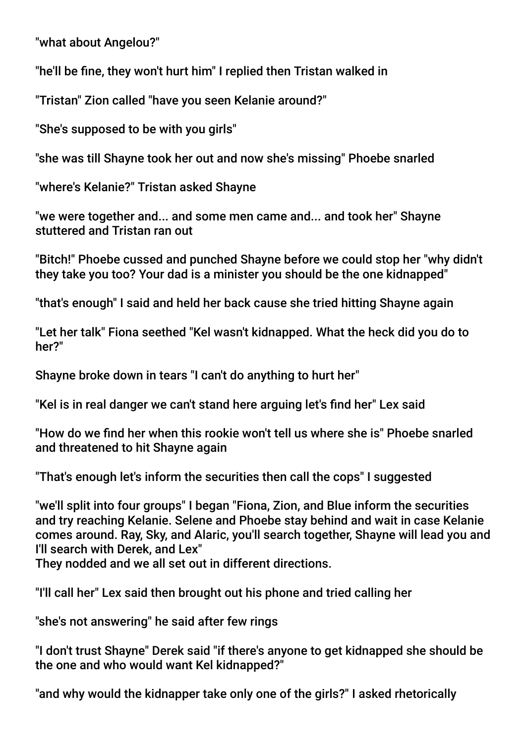"what about Angelou?"

"he'll be fne, they won't hurt him" I replied then Tristan walked in

"Tristan" Zion called "have you seen Kelanie around?"

"She's supposed to be with you girls"

"she was till Shayne took her out and now she's missing" Phoebe snarled

"where's Kelanie?" Tristan asked Shayne

"we were together and... and some men came and... and took her" Shayne stuttered and Tristan ran out

"Bitch!" Phoebe cussed and punched Shayne before we could stop her "why didn't they take you too? Your dad is a minister you should be the one kidnapped"

"that's enough" I said and held her back cause she tried hitting Shayne again

"Let her talk" Fiona seethed "Kel wasn't kidnapped. What the heck did you do to her?"

Shayne broke down in tears "I can't do anything to hurt her"

"Kel is in real danger we can't stand here arguing let's fnd her" Lex said

"How do we fnd her when this rookie won't tell us where she is" Phoebe snarled and threatened to hit Shayne again

"That's enough let's inform the securities then call the cops" I suggested

"we'll split into four groups" I began "Fiona, Zion, and Blue inform the securities and try reaching Kelanie. Selene and Phoebe stay behind and wait in case Kelanie comes around. Ray, Sky, and Alaric, you'll search together, Shayne will lead you and I'll search with Derek, and Lex"

They nodded and we all set out in different directions.

"I'll call her" Lex said then brought out his phone and tried calling her

"she's not answering" he said after few rings

"I don't trust Shayne" Derek said "if there's anyone to get kidnapped she should be the one and who would want Kel kidnapped?"

"and why would the kidnapper take only one of the girls?" I asked rhetorically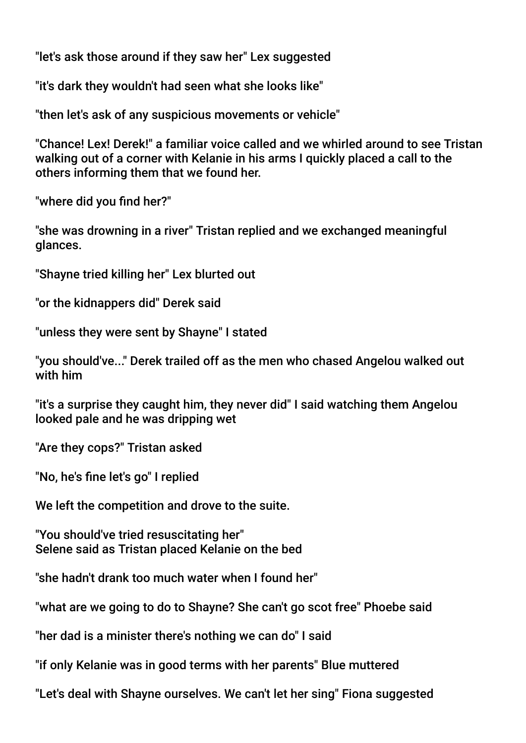"let's ask those around if they saw her" Lex suggested

"it's dark they wouldn't had seen what she looks like"

"then let's ask of any suspicious movements or vehicle"

"Chance! Lex! Derek!" a familiar voice called and we whirled around to see Tristan walking out of a corner with Kelanie in his arms I quickly placed a call to the others informing them that we found her.

"where did you find her?"

"she was drowning in a river" Tristan replied and we exchanged meaningful glances.

"Shayne tried killing her" Lex blurted out

"or the kidnappers did" Derek said

"unless they were sent by Shayne" I stated

"you should've..." Derek trailed off as the men who chased Angelou walked out with him

"it's a surprise they caught him, they never did" I said watching them Angelou looked pale and he was dripping wet

"Are they cops?" Tristan asked

"No, he's fne let's go" I replied

We left the competition and drove to the suite.

"You should've tried resuscitating her" Selene said as Tristan placed Kelanie on the bed

"she hadn't drank too much water when I found her"

"what are we going to do to Shayne? She can't go scot free" Phoebe said

"her dad is a minister there's nothing we can do" I said

"if only Kelanie was in good terms with her parents" Blue muttered

"Let's deal with Shayne ourselves. We can't let her sing" Fiona suggested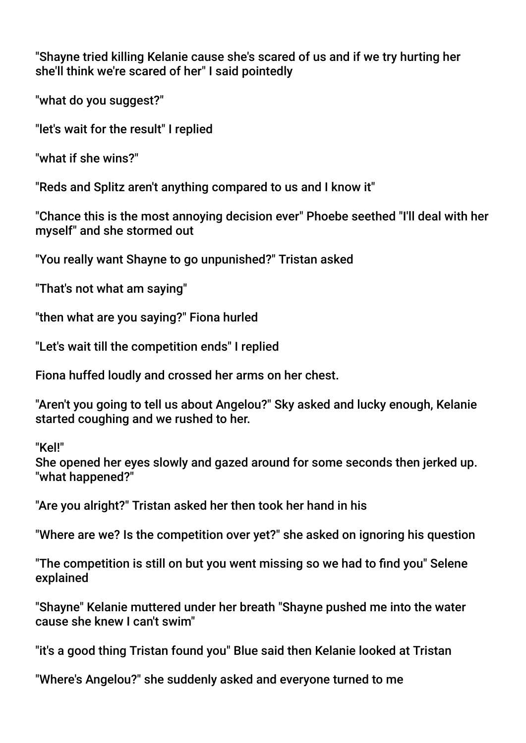"Shayne tried killing Kelanie cause she's scared of us and if we try hurting her she'll think we're scared of her" I said pointedly

"what do you suggest?"

"let's wait for the result" I replied

"what if she wins?"

"Reds and Splitz aren't anything compared to us and I know it"

"Chance this is the most annoying decision ever" Phoebe seethed "I'll deal with her myself" and she stormed out

"You really want Shayne to go unpunished?" Tristan asked

"That's not what am saying"

"then what are you saying?" Fiona hurled

"Let's wait till the competition ends" I replied

Fiona huffed loudly and crossed her arms on her chest.

"Aren't you going to tell us about Angelou?" Sky asked and lucky enough, Kelanie started coughing and we rushed to her.

"Kel!"

She opened her eyes slowly and gazed around for some seconds then jerked up. "what happened?"

"Are you alright?" Tristan asked her then took her hand in his

"Where are we? Is the competition over yet?" she asked on ignoring his question

"The competition is still on but you went missing so we had to fnd you" Selene explained

"Shayne" Kelanie muttered under her breath "Shayne pushed me into the water cause she knew I can't swim"

"it's a good thing Tristan found you" Blue said then Kelanie looked at Tristan

"Where's Angelou?" she suddenly asked and everyone turned to me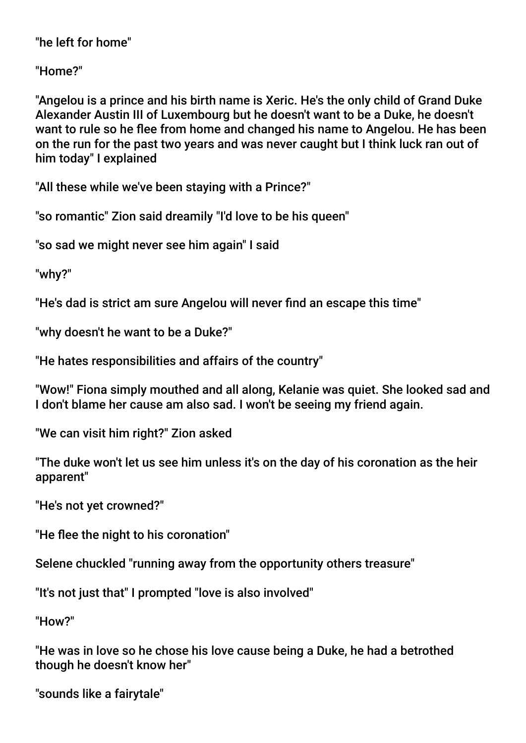"he left for home"

"Home?"

"Angelou is a prince and his birth name is Xeric. He's the only child of Grand Duke Alexander Austin III of Luxembourg but he doesn't want to be a Duke, he doesn't want to rule so he flee from home and changed his name to Angelou. He has been on the run for the past two years and was never caught but I think luck ran out of him today" I explained

"All these while we've been staying with a Prince?"

"so romantic" Zion said dreamily "I'd love to be his queen"

"so sad we might never see him again" I said

"why?"

"He's dad is strict am sure Angelou will never fnd an escape this time"

"why doesn't he want to be a Duke?"

"He hates responsibilities and affairs of the country"

"Wow!" Fiona simply mouthed and all along, Kelanie was quiet. She looked sad and I don't blame her cause am also sad. I won't be seeing my friend again.

"We can visit him right?" Zion asked

"The duke won't let us see him unless it's on the day of his coronation as the heir apparent"

"He's not yet crowned?"

"He flee the night to his coronation"

Selene chuckled "running away from the opportunity others treasure"

"It's not just that" I prompted "love is also involved"

"How?"

"He was in love so he chose his love cause being a Duke, he had a betrothed though he doesn't know her"

"sounds like a fairytale"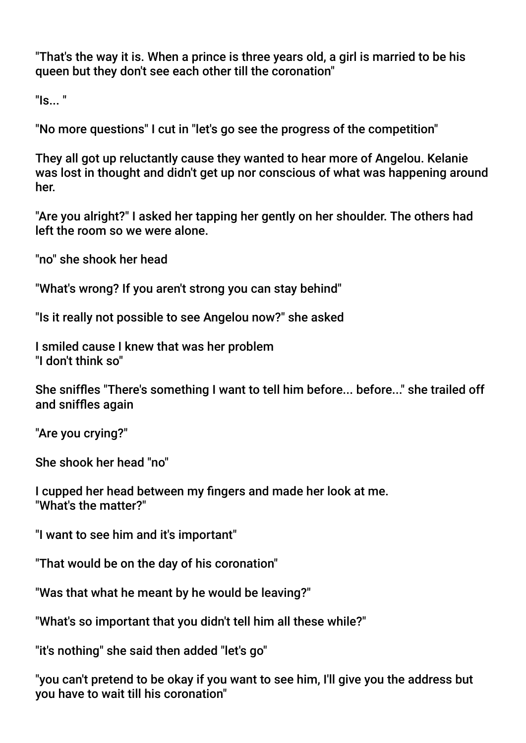"That's the way it is. When a prince is three years old, a girl is married to be his queen but they don't see each other till the coronation"

"Is... "

"No more questions" I cut in "let's go see the progress of the competition"

They all got up reluctantly cause they wanted to hear more of Angelou. Kelanie was lost in thought and didn't get up nor conscious of what was happening around her.

"Are you alright?" I asked her tapping her gently on her shoulder. The others had left the room so we were alone.

"no" she shook her head

"What's wrong? If you aren't strong you can stay behind"

"Is it really not possible to see Angelou now?" she asked

I smiled cause I knew that was her problem "I don't think so"

She sniffes "There's something I want to tell him before... before..." she trailed off and sniffes again

"Are you crying?"

She shook her head "no"

I cupped her head between my fngers and made her look at me. "What's the matter?"

"I want to see him and it's important"

"That would be on the day of his coronation"

"Was that what he meant by he would be leaving?"

"What's so important that you didn't tell him all these while?"

"it's nothing" she said then added "let's go"

"you can't pretend to be okay if you want to see him, I'll give you the address but you have to wait till his coronation"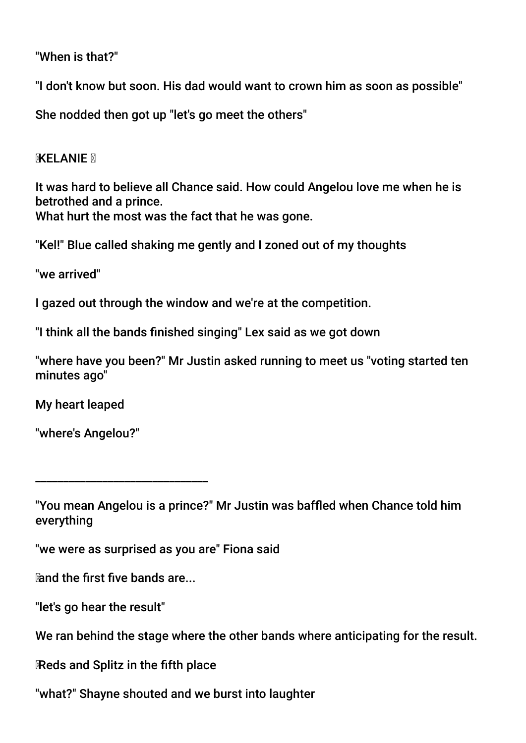"When is that?"

"I don't know but soon. His dad would want to crown him as soon as possible"

She nodded then got up "let's go meet the others"

**MXELANIE** M

It was hard to believe all Chance said. How could Angelou love me when he is betrothed and a prince. What hurt the most was the fact that he was gone.

"Kel!" Blue called shaking me gently and I zoned out of my thoughts

"we arrived"

I gazed out through the window and we're at the competition.

"I think all the bands fnished singing" Lex said as we got down

"where have you been?" Mr Justin asked running to meet us "voting started ten minutes ago"

My heart leaped

"where's Angelou?"

"we were as surprised as you are" Fiona said

and the frst fve bands are...

\_\_\_\_\_\_\_\_\_\_\_\_\_\_\_\_\_\_\_\_\_\_\_\_\_\_\_\_\_\_\_

"let's go hear the result"

We ran behind the stage where the other bands where anticipating for the result.

Reds and Splitz in the ffth place

"what?" Shayne shouted and we burst into laughter

<sup>&</sup>quot;You mean Angelou is a prince?" Mr Justin was baffed when Chance told him everything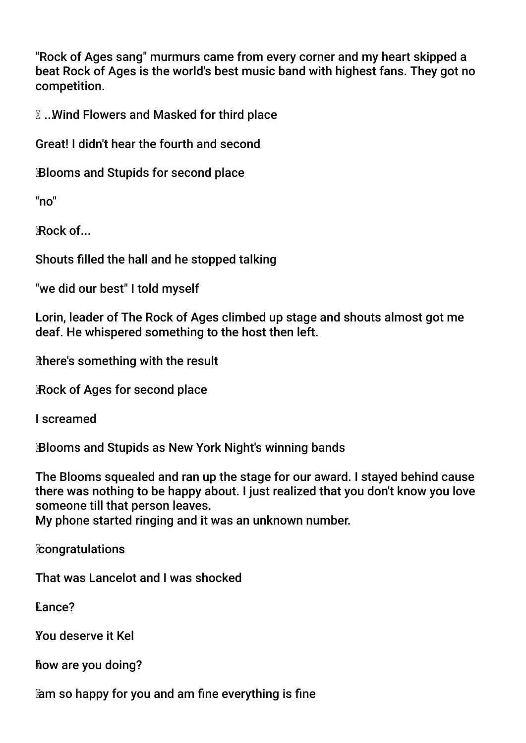"Rock of Ages sang" murmurs came from every corner and my heart skipped a beat Rock of Ages is the world's best music band with highest fans. They got no competition.

... Wind Flowers and Masked for third place

Great! I didn't hear the fourth and second

Blooms and Stupids for second place

"no"

Rock of...

Shouts flled the hall and he stopped talking

"we did our best" I told myself

Lorin, leader of The Rock of Ages climbed up stage and shouts almost got me deaf. He whispered something to the host then left.

there's something with the result

Rock of Ages for second place

I screamed

Blooms and Stupids as New York Night's winning bands

The Blooms squealed and ran up the stage for our award. I stayed behind cause there was nothing to be happy about. I just realized that you don't know you love someone till that person leaves.

My phone started ringing and it was an unknown number.

**Econgratulations** 

That was Lancelot and I was shocked

**Kance?** 

You deserve it Kel

how are you doing?

am so happy for you and am fne everything is fne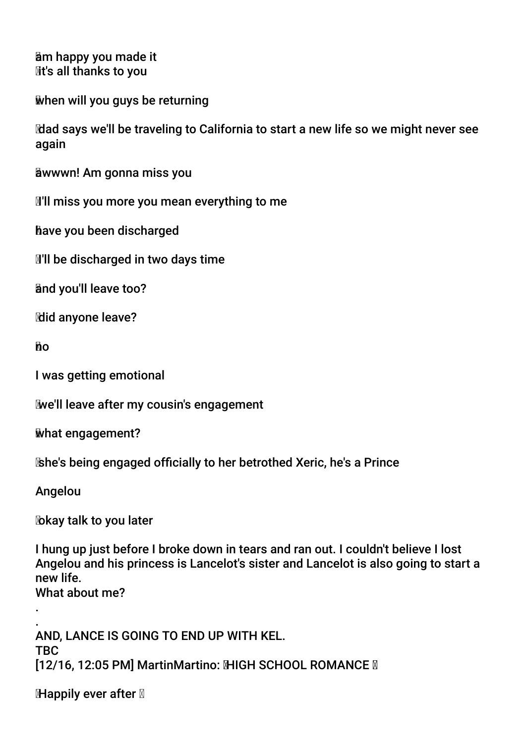am happy you made it **M**t's all thanks to you

when will you guys be returning

 dad says we'll be traveling to California to start a new life so we might never see again

awwwn! Am gonna miss you

**I'll miss you more you mean everything to me** 

have you been discharged

**I'll be discharged in two days time** 

and you'll leave too?

**Mid anyone leave?** 

no

I was getting emotional

we'll leave after my cousin's engagement

what engagement?

she's being engaged offcially to her betrothed Xeric, he's a Prince

Angelou

.

**X** *k*ay talk to you later

I hung up just before I broke down in tears and ran out. I couldn't believe I lost Angelou and his princess is Lancelot's sister and Lancelot is also going to start a new life. What about me?

. AND, LANCE IS GOING TO END UP WITH KEL. TBC [12/16, 12:05 PM] MartinMartino: MHGH SCHOOL ROMANCE M

**Happily ever after**  $\mathbb{Z}$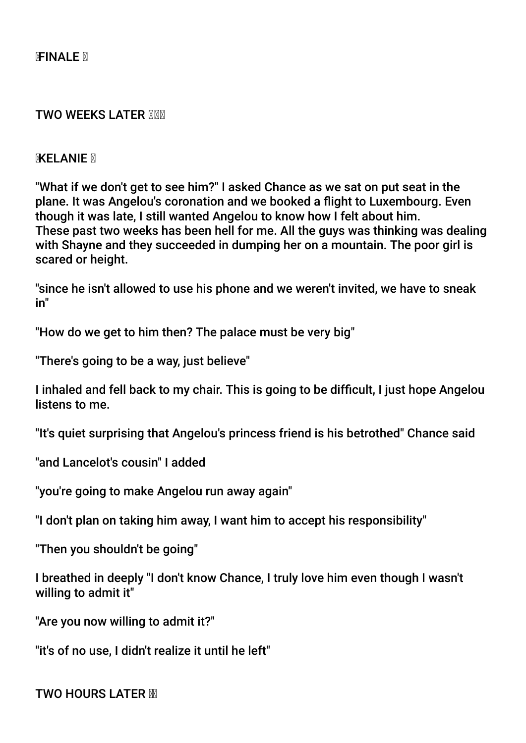#### **TWO WEEKS LATER XXX**

#### **MXELANIE** M

"What if we don't get to see him?" I asked Chance as we sat on put seat in the plane. It was Angelou's coronation and we booked a fight to Luxembourg. Even though it was late, I still wanted Angelou to know how I felt about him. These past two weeks has been hell for me. All the guys was thinking was dealing with Shayne and they succeeded in dumping her on a mountain. The poor girl is scared or height.

"since he isn't allowed to use his phone and we weren't invited, we have to sneak in"

"How do we get to him then? The palace must be very big"

"There's going to be a way, just believe"

I inhaled and fell back to my chair. This is going to be diffcult, I just hope Angelou listens to me.

"It's quiet surprising that Angelou's princess friend is his betrothed" Chance said

"and Lancelot's cousin" I added

"you're going to make Angelou run away again"

"I don't plan on taking him away, I want him to accept his responsibility"

"Then you shouldn't be going"

I breathed in deeply "I don't know Chance, I truly love him even though I wasn't willing to admit it"

"Are you now willing to admit it?"

"it's of no use, I didn't realize it until he left"

TWO HOURS LATER M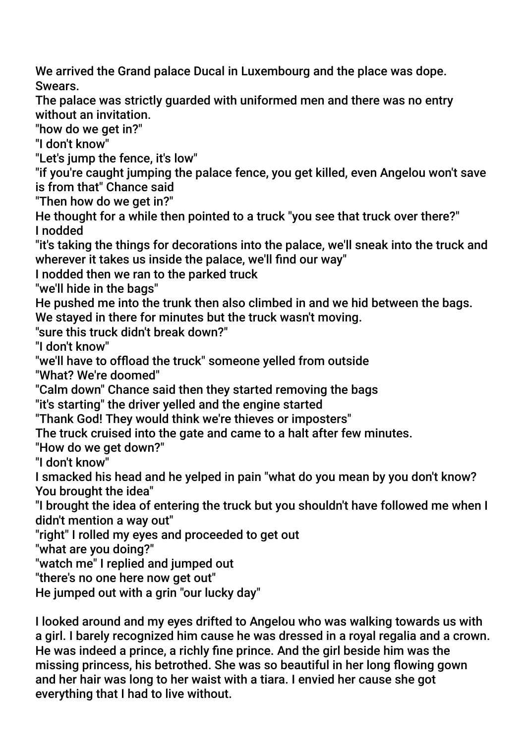We arrived the Grand palace Ducal in Luxembourg and the place was dope. Swears.

The palace was strictly guarded with uniformed men and there was no entry without an invitation.

"how do we get in?"

"I don't know"

"Let's jump the fence, it's low"

"if you're caught jumping the palace fence, you get killed, even Angelou won't save is from that" Chance said

"Then how do we get in?"

He thought for a while then pointed to a truck "you see that truck over there?" I nodded

"it's taking the things for decorations into the palace, we'll sneak into the truck and wherever it takes us inside the palace, we'll find our way"

I nodded then we ran to the parked truck

"we'll hide in the bags"

He pushed me into the trunk then also climbed in and we hid between the bags. We stayed in there for minutes but the truck wasn't moving.

"sure this truck didn't break down?"

"I don't know"

"we'll have to offoad the truck" someone yelled from outside

"What? We're doomed"

"Calm down" Chance said then they started removing the bags

"it's starting" the driver yelled and the engine started

"Thank God! They would think we're thieves or imposters"

The truck cruised into the gate and came to a halt after few minutes.

"How do we get down?"

"I don't know"

I smacked his head and he yelped in pain "what do you mean by you don't know? You brought the idea"

"I brought the idea of entering the truck but you shouldn't have followed me when I didn't mention a way out"

"right" I rolled my eyes and proceeded to get out

"what are you doing?"

"watch me" I replied and jumped out

"there's no one here now get out"

He jumped out with a grin "our lucky day"

I looked around and my eyes drifted to Angelou who was walking towards us with a girl. I barely recognized him cause he was dressed in a royal regalia and a crown. He was indeed a prince, a richly fne prince. And the girl beside him was the missing princess, his betrothed. She was so beautiful in her long fowing gown and her hair was long to her waist with a tiara. I envied her cause she got everything that I had to live without.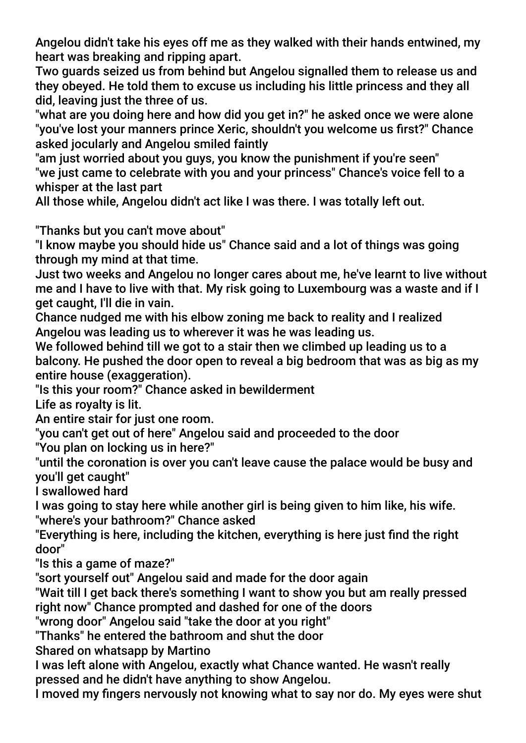Angelou didn't take his eyes off me as they walked with their hands entwined, my heart was breaking and ripping apart.

Two guards seized us from behind but Angelou signalled them to release us and they obeyed. He told them to excuse us including his little princess and they all did, leaving just the three of us.

"what are you doing here and how did you get in?" he asked once we were alone "you've lost your manners prince Xeric, shouldn't you welcome us frst?" Chance asked jocularly and Angelou smiled faintly

"am just worried about you guys, you know the punishment if you're seen" "we just came to celebrate with you and your princess" Chance's voice fell to a whisper at the last part

All those while, Angelou didn't act like I was there. I was totally left out.

"Thanks but you can't move about"

"I know maybe you should hide us" Chance said and a lot of things was going through my mind at that time.

Just two weeks and Angelou no longer cares about me, he've learnt to live without me and I have to live with that. My risk going to Luxembourg was a waste and if I get caught, I'll die in vain.

Chance nudged me with his elbow zoning me back to reality and I realized Angelou was leading us to wherever it was he was leading us.

We followed behind till we got to a stair then we climbed up leading us to a balcony. He pushed the door open to reveal a big bedroom that was as big as my entire house (exaggeration).

"Is this your room?" Chance asked in bewilderment

Life as royalty is lit.

An entire stair for just one room.

"you can't get out of here" Angelou said and proceeded to the door

"You plan on locking us in here?"

"until the coronation is over you can't leave cause the palace would be busy and you'll get caught"

I swallowed hard

I was going to stay here while another girl is being given to him like, his wife.

"where's your bathroom?" Chance asked

"Everything is here, including the kitchen, everything is here just fnd the right door"

"Is this a game of maze?"

"sort yourself out" Angelou said and made for the door again

"Wait till I get back there's something I want to show you but am really pressed right now" Chance prompted and dashed for one of the doors

"wrong door" Angelou said "take the door at you right"

"Thanks" he entered the bathroom and shut the door

Shared on whatsapp by Martino

I was left alone with Angelou, exactly what Chance wanted. He wasn't really pressed and he didn't have anything to show Angelou.

I moved my fngers nervously not knowing what to say nor do. My eyes were shut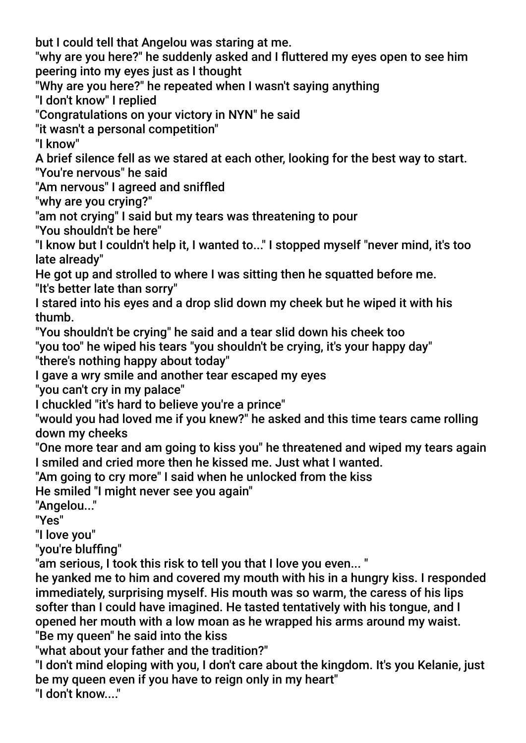but I could tell that Angelou was staring at me.

"why are you here?" he suddenly asked and I futtered my eyes open to see him peering into my eyes just as I thought

"Why are you here?" he repeated when I wasn't saying anything

"I don't know" I replied

"Congratulations on your victory in NYN" he said

"it wasn't a personal competition"

"I know"

A brief silence fell as we stared at each other, looking for the best way to start.

"You're nervous" he said

"Am nervous" I agreed and sniffed

"why are you crying?"

"am not crying" I said but my tears was threatening to pour

"You shouldn't be here"

"I know but I couldn't help it, I wanted to..." I stopped myself "never mind, it's too late already"

He got up and strolled to where I was sitting then he squatted before me. "It's better late than sorry"

I stared into his eyes and a drop slid down my cheek but he wiped it with his thumb.

"You shouldn't be crying" he said and a tear slid down his cheek too

"you too" he wiped his tears "you shouldn't be crying, it's your happy day"

"there's nothing happy about today"

I gave a wry smile and another tear escaped my eyes

"you can't cry in my palace"

I chuckled "it's hard to believe you're a prince"

"would you had loved me if you knew?" he asked and this time tears came rolling down my cheeks

"One more tear and am going to kiss you" he threatened and wiped my tears again I smiled and cried more then he kissed me. Just what I wanted.

"Am going to cry more" I said when he unlocked from the kiss

He smiled "I might never see you again"

"Angelou..."

"Yes"

"I love you"

"you're bluffng"

"am serious, I took this risk to tell you that I love you even... "

he yanked me to him and covered my mouth with his in a hungry kiss. I responded immediately, surprising myself. His mouth was so warm, the caress of his lips softer than I could have imagined. He tasted tentatively with his tongue, and I opened her mouth with a low moan as he wrapped his arms around my waist. "Be my queen" he said into the kiss

"what about your father and the tradition?"

"I don't mind eloping with you, I don't care about the kingdom. It's you Kelanie, just be my queen even if you have to reign only in my heart" "I don't know..."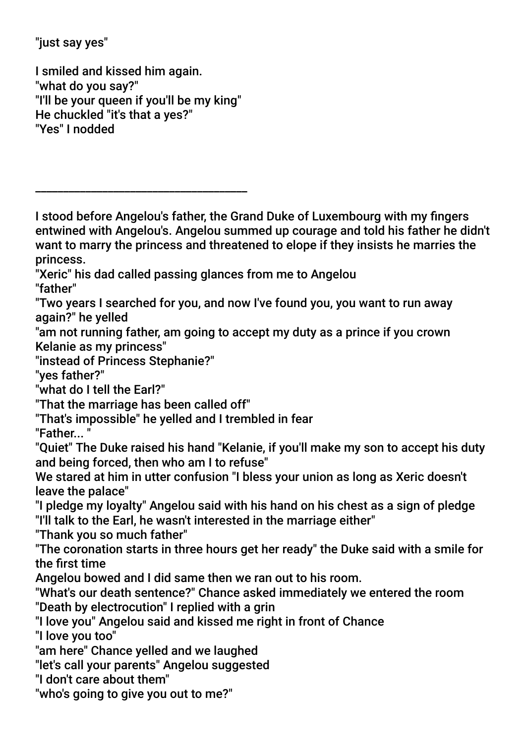"just say yes"

I smiled and kissed him again. "what do you say?" "I'll be your queen if you'll be my king" He chuckled "it's that a yes?" "Yes" I nodded

\_\_\_\_\_\_\_\_\_\_\_\_\_\_\_\_\_\_\_\_\_\_\_\_\_\_\_\_\_\_\_\_\_\_\_\_\_\_

I stood before Angelou's father, the Grand Duke of Luxembourg with my fngers entwined with Angelou's. Angelou summed up courage and told his father he didn't want to marry the princess and threatened to elope if they insists he marries the princess. "Xeric" his dad called passing glances from me to Angelou "father" "Two years I searched for you, and now I've found you, you want to run away again?" he yelled "am not running father, am going to accept my duty as a prince if you crown Kelanie as my princess" "instead of Princess Stephanie?" "yes father?" "what do I tell the Earl?" "That the marriage has been called off" "That's impossible" he yelled and I trembled in fear "Father... " "Quiet" The Duke raised his hand "Kelanie, if you'll make my son to accept his duty and being forced, then who am I to refuse" We stared at him in utter confusion "I bless your union as long as Xeric doesn't leave the palace" "I pledge my loyalty" Angelou said with his hand on his chest as a sign of pledge "I'll talk to the Earl, he wasn't interested in the marriage either" "Thank you so much father" "The coronation starts in three hours get her ready" the Duke said with a smile for the first time Angelou bowed and I did same then we ran out to his room. "What's our death sentence?" Chance asked immediately we entered the room "Death by electrocution" I replied with a grin "I love you" Angelou said and kissed me right in front of Chance "I love you too" "am here" Chance yelled and we laughed "let's call your parents" Angelou suggested "I don't care about them" "who's going to give you out to me?"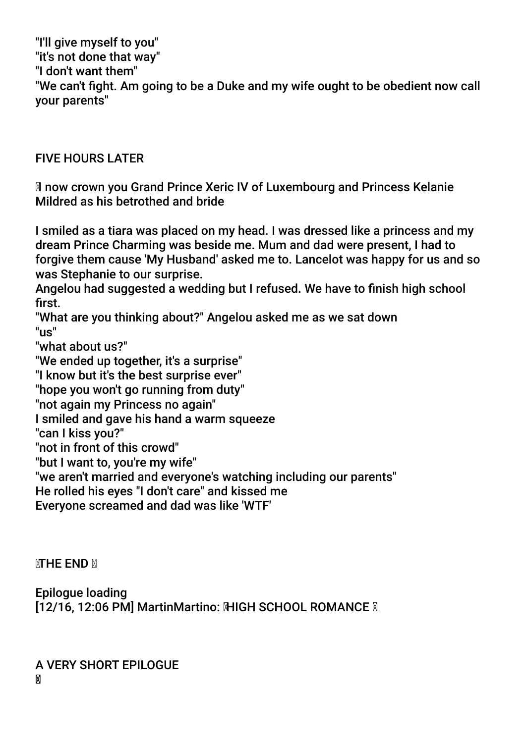"I'll give myself to you" "it's not done that way" "I don't want them" "We can't fight. Am going to be a Duke and my wife ought to be obedient now call your parents"

## FIVE HOURS LATER

 Inow crown you Grand Prince Xeric IV of Luxembourg and Princess Kelanie Mildred as his betrothed and bride

I smiled as a tiara was placed on my head. I was dressed like a princess and my dream Prince Charming was beside me. Mum and dad were present, I had to forgive them cause 'My Husband' asked me to. Lancelot was happy for us and so was Stephanie to our surprise.

Angelou had suggested a wedding but I refused. We have to fnish high school first.

"What are you thinking about?" Angelou asked me as we sat down  $"$ 

"what about us?"

"We ended up together, it's a surprise"

"I know but it's the best surprise ever"

"hope you won't go running from duty"

"not again my Princess no again"

I smiled and gave his hand a warm squeeze

"can I kiss you?"

"not in front of this crowd"

"but I want to, you're my wife"

"we aren't married and everyone's watching including our parents"

He rolled his eyes "I don't care" and kissed me

Everyone screamed and dad was like 'WTF'

**MTHE END N** 

Epilogue loading

[12/16, 12:06 PM] MartinMartino: MIGH SCHOOL ROMANCE **M** 

A VERY SHORT EPILOGUE M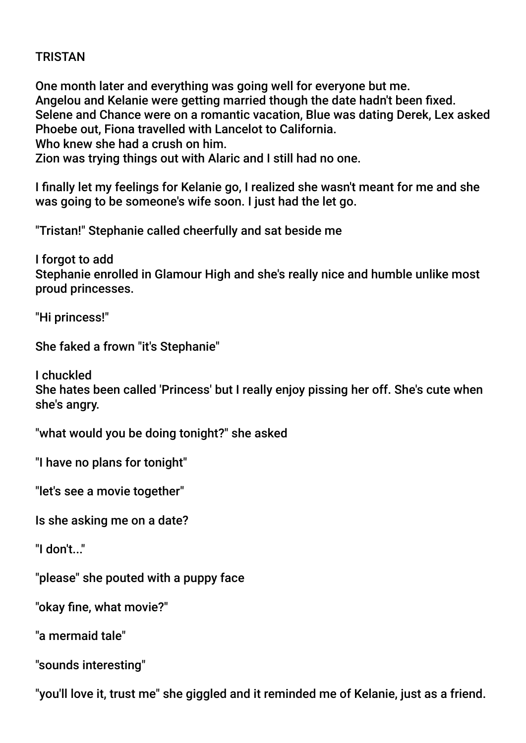# TRISTAN

One month later and everything was going well for everyone but me. Angelou and Kelanie were getting married though the date hadn't been fxed. Selene and Chance were on a romantic vacation, Blue was dating Derek, Lex asked Phoebe out, Fiona travelled with Lancelot to California. Who knew she had a crush on him.

Zion was trying things out with Alaric and I still had no one.

I fnally let my feelings for Kelanie go, I realized she wasn't meant for me and she was going to be someone's wife soon. I just had the let go.

"Tristan!" Stephanie called cheerfully and sat beside me

I forgot to add Stephanie enrolled in Glamour High and she's really nice and humble unlike most proud princesses.

"Hi princess!"

She faked a frown "it's Stephanie"

I chuckled She hates been called 'Princess' but I really enjoy pissing her off. She's cute when she's angry.

"what would you be doing tonight?" she asked

"I have no plans for tonight"

"let's see a movie together"

Is she asking me on a date?

"I don't..."

"please" she pouted with a puppy face

"okay fne, what movie?"

"a mermaid tale"

"sounds interesting"

"you'll love it, trust me" she giggled and it reminded me of Kelanie, just as a friend.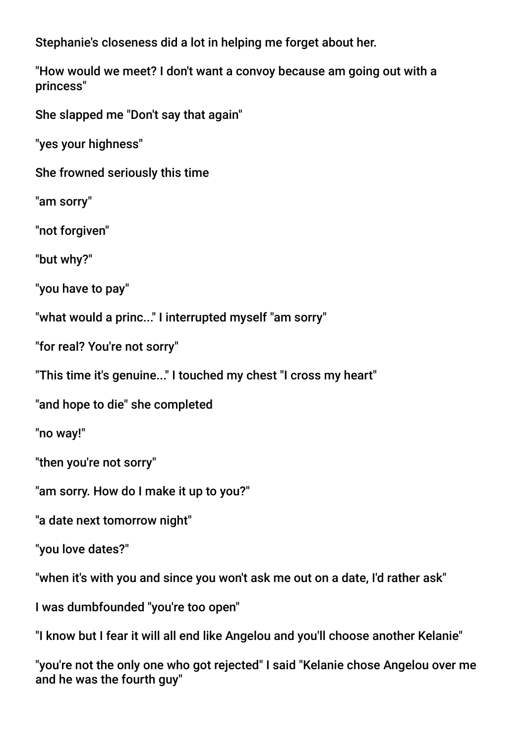Stephanie's closeness did a lot in helping me forget about her.

"How would we meet? I don't want a convoy because am going out with a princess"

She slapped me "Don't say that again"

"yes your highness"

She frowned seriously this time

"am sorry"

"not forgiven"

"but why?"

"you have to pay"

"what would a princ..." I interrupted myself "am sorry"

"for real? You're not sorry"

"This time it's genuine..." I touched my chest "I cross my heart"

"and hope to die" she completed

"no way!"

"then you're not sorry"

"am sorry. How do I make it up to you?"

"a date next tomorrow night"

"you love dates?"

"when it's with you and since you won't ask me out on a date, I'd rather ask"

I was dumbfounded "you're too open"

"I know but I fear it will all end like Angelou and you'll choose another Kelanie"

"you're not the only one who got rejected" I said "Kelanie chose Angelou over me and he was the fourth guy"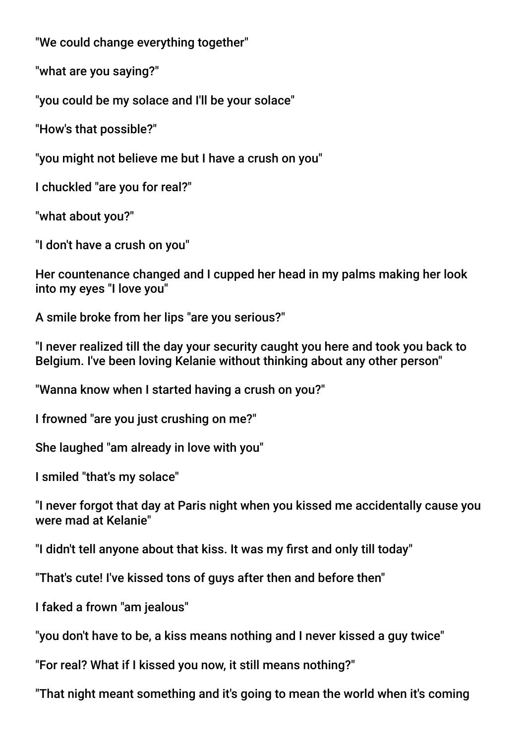"We could change everything together"

"what are you saying?"

"you could be my solace and I'll be your solace"

"How's that possible?"

"you might not believe me but I have a crush on you"

I chuckled "are you for real?"

"what about you?"

"I don't have a crush on you"

Her countenance changed and I cupped her head in my palms making her look into my eyes "I love you"

A smile broke from her lips "are you serious?"

"I never realized till the day your security caught you here and took you back to Belgium. I've been loving Kelanie without thinking about any other person"

"Wanna know when I started having a crush on you?"

I frowned "are you just crushing on me?"

She laughed "am already in love with you"

I smiled "that's my solace"

"I never forgot that day at Paris night when you kissed me accidentally cause you were mad at Kelanie"

"I didn't tell anyone about that kiss. It was my frst and only till today"

"That's cute! I've kissed tons of guys after then and before then"

I faked a frown "am jealous"

"you don't have to be, a kiss means nothing and I never kissed a guy twice"

"For real? What if I kissed you now, it still means nothing?"

"That night meant something and it's going to mean the world when it's coming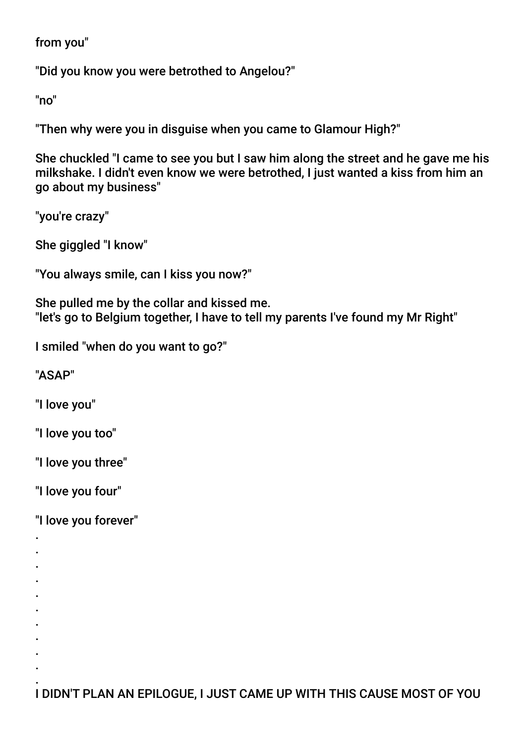from you"

"Did you know you were betrothed to Angelou?"

"no"

"Then why were you in disguise when you came to Glamour High?"

She chuckled "I came to see you but I saw him along the street and he gave me his milkshake. I didn't even know we were betrothed, I just wanted a kiss from him an go about my business"

"you're crazy"

She giggled "I know"

"You always smile, can I kiss you now?"

She pulled me by the collar and kissed me. "let's go to Belgium together, I have to tell my parents I've found my Mr Right"

I smiled "when do you want to go?"

"ASAP"

"I love you"

"I love you too"

"I love you three"

"I love you four"

. . . . . . . . . .

"I love you forever"

. I DIDN'T PLAN AN EPILOGUE, I JUST CAME UP WITH THIS CAUSE MOST OF YOU